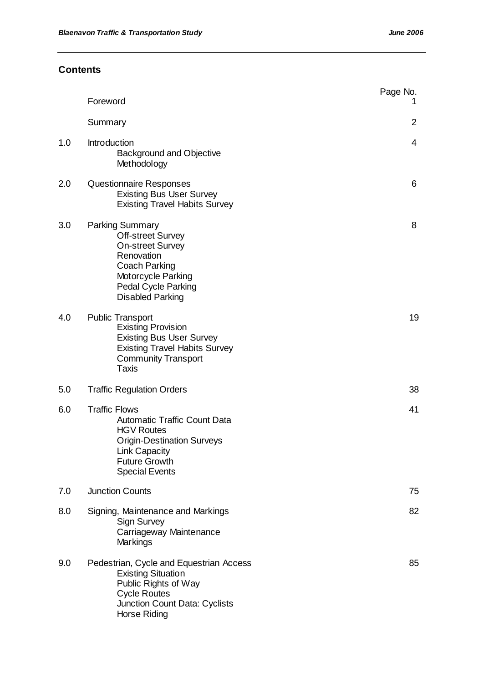# **Contents**

|     | Foreword                                                                                                                                                                                                  | Page No.<br>1  |
|-----|-----------------------------------------------------------------------------------------------------------------------------------------------------------------------------------------------------------|----------------|
|     | Summary                                                                                                                                                                                                   | $\overline{2}$ |
| 1.0 | <b>Introduction</b><br><b>Background and Objective</b><br>Methodology                                                                                                                                     | 4              |
| 2.0 | Questionnaire Responses<br><b>Existing Bus User Survey</b><br><b>Existing Travel Habits Survey</b>                                                                                                        | 6              |
| 3.0 | <b>Parking Summary</b><br><b>Off-street Survey</b><br><b>On-street Survey</b><br>Renovation<br><b>Coach Parking</b><br><b>Motorcycle Parking</b><br><b>Pedal Cycle Parking</b><br><b>Disabled Parking</b> | 8              |
| 4.0 | <b>Public Transport</b><br><b>Existing Provision</b><br><b>Existing Bus User Survey</b><br><b>Existing Travel Habits Survey</b><br><b>Community Transport</b><br><b>Taxis</b>                             | 19             |
| 5.0 | <b>Traffic Regulation Orders</b>                                                                                                                                                                          | 38             |
| 6.0 | <b>Traffic Flows</b><br><b>Automatic Traffic Count Data</b><br><b>HGV Routes</b><br><b>Origin-Destination Surveys</b><br><b>Link Capacity</b><br><b>Future Growth</b><br><b>Special Events</b>            | 41             |
| 7.0 | <b>Junction Counts</b>                                                                                                                                                                                    | 75             |
| 8.0 | Signing, Maintenance and Markings<br><b>Sign Survey</b><br>Carriageway Maintenance<br>Markings                                                                                                            | 82             |
| 9.0 | Pedestrian, Cycle and Equestrian Access<br><b>Existing Situation</b><br>Public Rights of Way<br><b>Cycle Routes</b><br>Junction Count Data: Cyclists<br>Horse Riding                                      | 85             |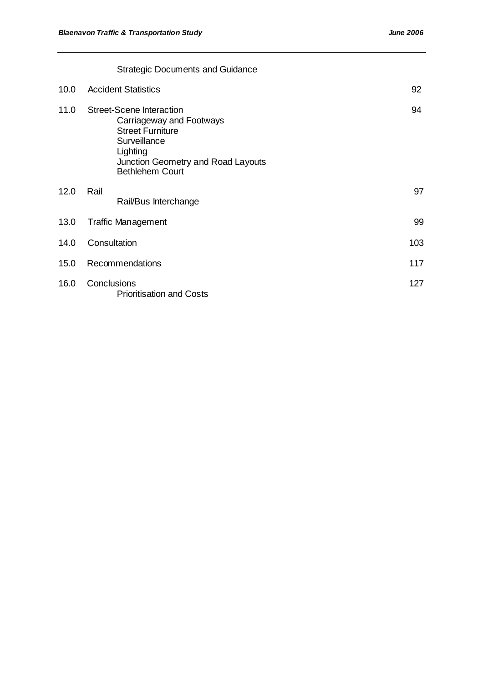|      | <b>Strategic Documents and Guidance</b>                                                                                                                                            |     |
|------|------------------------------------------------------------------------------------------------------------------------------------------------------------------------------------|-----|
| 10.0 | <b>Accident Statistics</b>                                                                                                                                                         | 92  |
| 11.0 | <b>Street-Scene Interaction</b><br>Carriageway and Footways<br><b>Street Furniture</b><br>Surveillance<br>Lighting<br>Junction Geometry and Road Layouts<br><b>Bethlehem Court</b> | 94  |
| 12.0 | Rail<br>Rail/Bus Interchange                                                                                                                                                       | 97  |
| 13.0 | <b>Traffic Management</b>                                                                                                                                                          | 99  |
| 14.0 | Consultation                                                                                                                                                                       | 103 |
| 15.0 | Recommendations                                                                                                                                                                    | 117 |
| 16.0 | Conclusions<br><b>Prioritisation and Costs</b>                                                                                                                                     | 127 |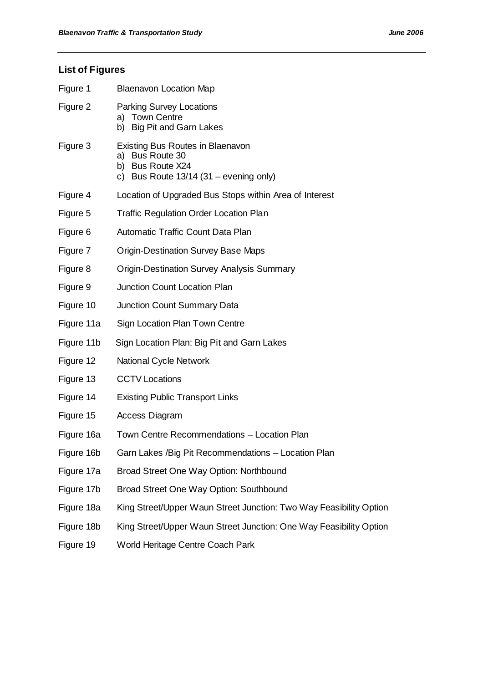# **List of Figures**

| Figure 1   | <b>Blaenavon Location Map</b>                                                                                                                  |
|------------|------------------------------------------------------------------------------------------------------------------------------------------------|
| Figure 2   | <b>Parking Survey Locations</b><br>a) Town Centre<br>b) Big Pit and Garn Lakes                                                                 |
| Figure 3   | <b>Existing Bus Routes in Blaenavon</b><br><b>Bus Route 30</b><br>a)<br><b>Bus Route X24</b><br>b)<br>c) Bus Route $13/14$ (31 – evening only) |
| Figure 4   | Location of Upgraded Bus Stops within Area of Interest                                                                                         |
| Figure 5   | <b>Traffic Regulation Order Location Plan</b>                                                                                                  |
| Figure 6   | Automatic Traffic Count Data Plan                                                                                                              |
| Figure 7   | <b>Origin-Destination Survey Base Maps</b>                                                                                                     |
| Figure 8   | <b>Origin-Destination Survey Analysis Summary</b>                                                                                              |
| Figure 9   | <b>Junction Count Location Plan</b>                                                                                                            |
| Figure 10  | Junction Count Summary Data                                                                                                                    |
| Figure 11a | Sign Location Plan Town Centre                                                                                                                 |
| Figure 11b | Sign Location Plan: Big Pit and Garn Lakes                                                                                                     |
| Figure 12  | <b>National Cycle Network</b>                                                                                                                  |
| Figure 13  | <b>CCTV Locations</b>                                                                                                                          |
| Figure 14  | <b>Existing Public Transport Links</b>                                                                                                         |
| Figure 15  | Access Diagram                                                                                                                                 |
| Figure 16a | Town Centre Recommendations - Location Plan                                                                                                    |
| Figure 16b | Garn Lakes / Big Pit Recommendations - Location Plan                                                                                           |
| Figure 17a | Broad Street One Way Option: Northbound                                                                                                        |
| Figure 17b | Broad Street One Way Option: Southbound                                                                                                        |
| Figure 18a | King Street/Upper Waun Street Junction: Two Way Feasibility Option                                                                             |
| Figure 18b | King Street/Upper Waun Street Junction: One Way Feasibility Option                                                                             |
| Figure 19  | World Heritage Centre Coach Park                                                                                                               |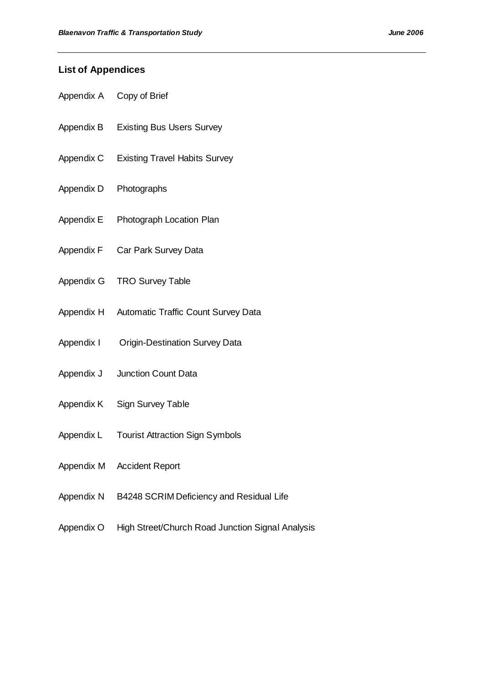# **List of Appendices**

- Appendix A Copy of Brief
- Appendix B Existing Bus Users Survey
- Appendix C Existing Travel Habits Survey
- Appendix D Photographs
- Appendix E Photograph Location Plan
- Appendix F Car Park Survey Data
- Appendix G TRO Survey Table
- Appendix H Automatic Traffic Count Survey Data
- Appendix I Origin-Destination Survey Data
- Appendix J Junction Count Data
- Appendix K Sign Survey Table
- Appendix L Tourist Attraction Sign Symbols
- Appendix M Accident Report
- Appendix N B4248 SCRIM Deficiency and Residual Life
- Appendix O High Street/Church Road Junction Signal Analysis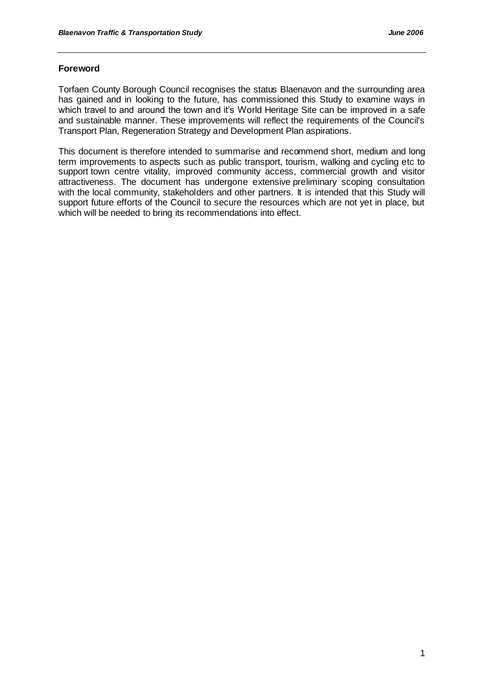# **Foreword**

Torfaen County Borough Council recognises the status Blaenavon and the surrounding area has gained and in looking to the future, has commissioned this Study to examine ways in which travel to and around the town and it's World Heritage Site can be improved in a safe and sustainable manner. These improvements will reflect the requirements of the Council's Transport Plan, Regeneration Strategy and Development Plan aspirations.

This document is therefore intended to summarise and recommend short, medium and long term improvements to aspects such as public transport, tourism, walking and cycling etc to support town centre vitality, improved community access, commercial growth and visitor attractiveness. The document has undergone extensive preliminary scoping consultation with the local community, stakeholders and other partners. It is intended that this Study will support future efforts of the Council to secure the resources which are not yet in place, but which will be needed to bring its recommendations into effect.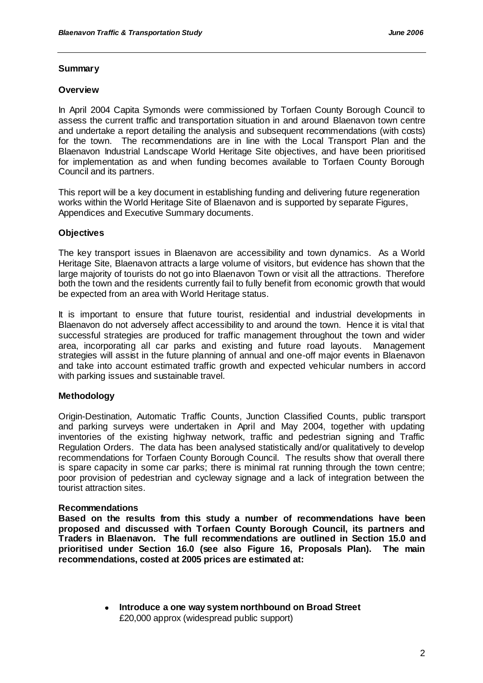# **Summary**

#### **Overview**

In April 2004 Capita Symonds were commissioned by Torfaen County Borough Council to assess the current traffic and transportation situation in and around Blaenavon town centre and undertake a report detailing the analysis and subsequent recommendations (with costs) for the town. The recommendations are in line with the Local Transport Plan and the Blaenavon Industrial Landscape World Heritage Site objectives, and have been prioritised for implementation as and when funding becomes available to Torfaen County Borough Council and its partners.

This report will be a key document in establishing funding and delivering future regeneration works within the World Heritage Site of Blaenavon and is supported by separate Figures, Appendices and Executive Summary documents.

# **Objectives**

The key transport issues in Blaenavon are accessibility and town dynamics. As a World Heritage Site, Blaenavon attracts a large volume of visitors, but evidence has shown that the large majority of tourists do not go into Blaenavon Town or visit all the attractions. Therefore both the town and the residents currently fail to fully benefit from economic growth that would be expected from an area with World Heritage status.

It is important to ensure that future tourist, residential and industrial developments in Blaenavon do not adversely affect accessibility to and around the town. Hence it is vital that successful strategies are produced for traffic management throughout the town and wider area, incorporating all car parks and existing and future road layouts. Management strategies will assist in the future planning of annual and one-off major events in Blaenavon and take into account estimated traffic growth and expected vehicular numbers in accord with parking issues and sustainable travel.

# **Methodology**

Origin-Destination, Automatic Traffic Counts, Junction Classified Counts, public transport and parking surveys were undertaken in April and May 2004, together with updating inventories of the existing highway network, traffic and pedestrian signing and Traffic Regulation Orders. The data has been analysed statistically and/or qualitatively to develop recommendations for Torfaen County Borough Council. The results show that overall there is spare capacity in some car parks; there is minimal rat running through the town centre; poor provision of pedestrian and cycleway signage and a lack of integration between the tourist attraction sites.

#### **Recommendations**

**Based on the results from this study a number of recommendations have been proposed and discussed with Torfaen County Borough Council, its partners and Traders in Blaenavon. The full recommendations are outlined in Section 15.0 and prioritised under Section 16.0 (see also Figure 16, Proposals Plan). The main recommendations, costed at 2005 prices are estimated at:**

> **Introduce a one way system northbound on Broad Street** £20,000 approx (widespread public support)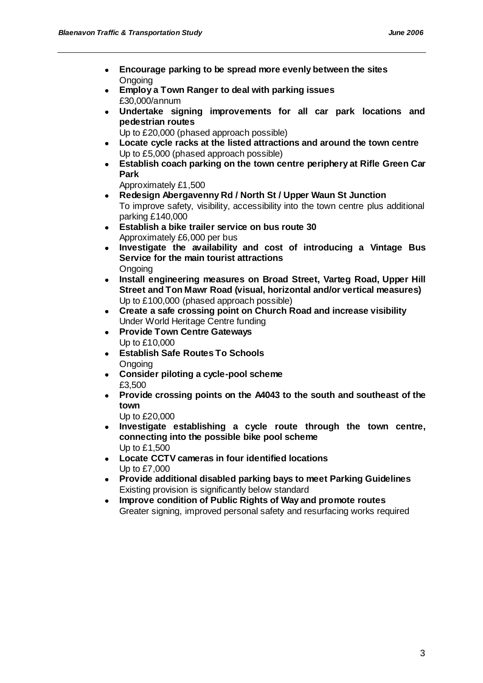- $\bullet$ **Encourage parking to be spread more evenly between the sites Ongoing**
- **Employ a Town Ranger to deal with parking issues** £30,000/annum
- **Undertake signing improvements for all car park locations and pedestrian routes**
	- Up to £20,000 (phased approach possible)
- **Locate cycle racks at the listed attractions and around the town centre** Up to £5,000 (phased approach possible)
- **Establish coach parking on the town centre periphery at Rifle Green Car Park**

Approximately £1,500

- **Redesign Abergavenny Rd / North St / Upper Waun St Junction** To improve safety, visibility, accessibility into the town centre plus additional parking £140,000
- **Establish a bike trailer service on bus route 30** Approximately £6,000 per bus
- **Investigate the availability and cost of introducing a Vintage Bus Service for the main tourist attractions Ongoing**
- **Install engineering measures on Broad Street, Varteg Road, Upper Hill Street and Ton Mawr Road (visual, horizontal and/or vertical measures)** Up to £100,000 (phased approach possible)
- **Create a safe crossing point on Church Road and increase visibility** Under World Heritage Centre funding
- **Provide Town Centre Gateways** Up to £10,000
- **Establish Safe Routes To Schools Ongoing**
- **Consider piloting a cycle-pool scheme** £3,500
- **Provide crossing points on the A4043 to the south and southeast of the town**

Up to £20,000

- **Investigate establishing a cycle route through the town centre, connecting into the possible bike pool scheme** Up to £1,500
- **Locate CCTV cameras in four identified locations** Up to £7,000
- **Provide additional disabled parking bays to meet Parking Guidelines** Existing provision is significantly below standard
- **Improve condition of Public Rights of Way and promote routes** Greater signing, improved personal safety and resurfacing works required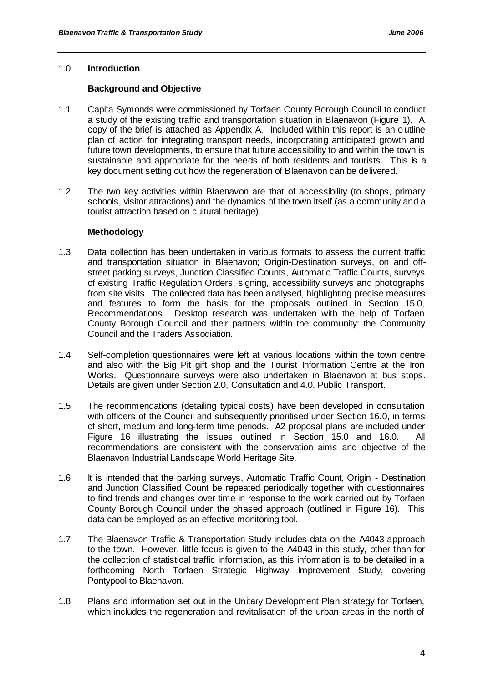## 1.0 **Introduction**

#### **Background and Objective**

- 1.1 Capita Symonds were commissioned by Torfaen County Borough Council to conduct a study of the existing traffic and transportation situation in Blaenavon (Figure 1). A copy of the brief is attached as Appendix A. Included within this report is an outline plan of action for integrating transport needs, incorporating anticipated growth and future town developments, to ensure that future accessibility to and within the town is sustainable and appropriate for the needs of both residents and tourists. This is a key document setting out how the regeneration of Blaenavon can be delivered.
- 1.2 The two key activities within Blaenavon are that of accessibility (to shops, primary schools, visitor attractions) and the dynamics of the town itself (as a community and a tourist attraction based on cultural heritage).

#### **Methodology**

- 1.3 Data collection has been undertaken in various formats to assess the current traffic and transportation situation in Blaenavon; Origin-Destination surveys, on and offstreet parking surveys, Junction Classified Counts, Automatic Traffic Counts, surveys of existing Traffic Regulation Orders, signing, accessibility surveys and photographs from site visits. The collected data has been analysed, highlighting precise measures and features to form the basis for the proposals outlined in Section 15.0, Recommendations. Desktop research was undertaken with the help of Torfaen County Borough Council and their partners within the community: the Community Council and the Traders Association.
- 1.4 Self-completion questionnaires were left at various locations within the town centre and also with the Big Pit gift shop and the Tourist Information Centre at the Iron Works. Questionnaire surveys were also undertaken in Blaenavon at bus stops. Details are given under Section 2.0, Consultation and 4.0, Public Transport.
- 1.5 The recommendations (detailing typical costs) have been developed in consultation with officers of the Council and subsequently prioritised under Section 16.0, in terms of short, medium and long-term time periods. A2 proposal plans are included under Figure 16 illustrating the issues outlined in Section 15.0 and 16.0.All recommendations are consistent with the conservation aims and objective of the Blaenavon Industrial Landscape World Heritage Site.
- 1.6 It is intended that the parking surveys, Automatic Traffic Count, Origin Destination and Junction Classified Count be repeated periodically together with questionnaires to find trends and changes over time in response to the work carried out by Torfaen County Borough Council under the phased approach (outlined in Figure 16). This data can be employed as an effective monitoring tool.
- 1.7 The Blaenavon Traffic & Transportation Study includes data on the A4043 approach to the town. However, little focus is given to the A4043 in this study, other than for the collection of statistical traffic information, as this information is to be detailed in a forthcoming North Torfaen Strategic Highway Improvement Study, covering Pontypool to Blaenavon.
- 1.8 Plans and information set out in the Unitary Development Plan strategy for Torfaen, which includes the regeneration and revitalisation of the urban areas in the north of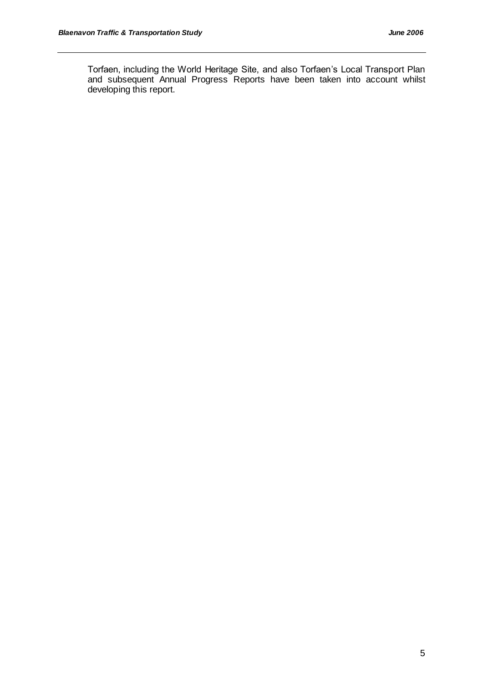Torfaen, including the World Heritage Site, and also Torfaen"s Local Transport Plan and subsequent Annual Progress Reports have been taken into account whilst developing this report.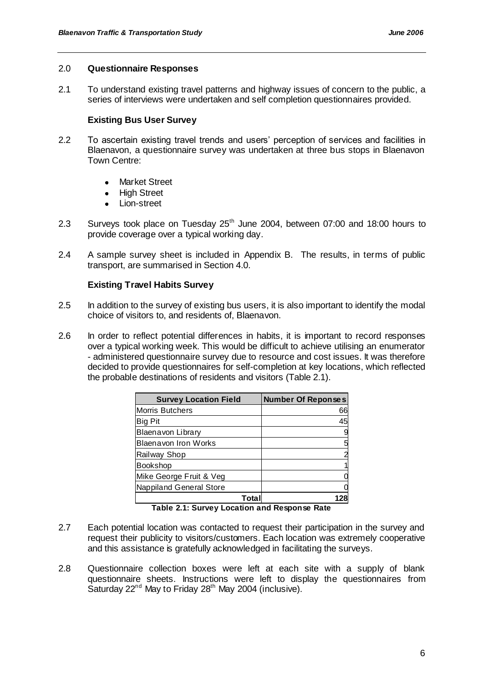#### 2.0 **Questionnaire Responses**

2.1 To understand existing travel patterns and highway issues of concern to the public, a series of interviews were undertaken and self completion questionnaires provided.

# **Existing Bus User Survey**

- 2.2 To ascertain existing travel trends and users" perception of services and facilities in Blaenavon, a questionnaire survey was undertaken at three bus stops in Blaenavon Town Centre:
	- Market Street
	- High Street
	- Lion-street  $\bullet$
- 2.3 Surveys took place on Tuesday 25<sup>th</sup> June 2004, between 07:00 and 18:00 hours to provide coverage over a typical working day.
- 2.4 A sample survey sheet is included in Appendix B. The results, in terms of public transport, are summarised in Section 4.0.

# **Existing Travel Habits Survey**

- 2.5 In addition to the survey of existing bus users, it is also important to identify the modal choice of visitors to, and residents of, Blaenavon.
- 2.6 In order to reflect potential differences in habits, it is important to record responses over a typical working week. This would be difficult to achieve utilising an enumerator - administered questionnaire survey due to resource and cost issues. It was therefore decided to provide questionnaires for self-completion at key locations, which reflected the probable destinations of residents and visitors (Table 2.1).

| <b>Survey Location Field</b> | <b>Number Of Reponses</b> |
|------------------------------|---------------------------|
| Morris Butchers              | 66                        |
| Big Pit                      | 45                        |
| Blaenavon Library            |                           |
| <b>Blaenavon Iron Works</b>  | 5                         |
| Railway Shop                 |                           |
| <b>Bookshop</b>              |                           |
| Mike George Fruit & Veg      |                           |
| Nappiland General Store      |                           |
|                              |                           |

**Table 2.1: Survey Location and Response Rate**

- 2.7 Each potential location was contacted to request their participation in the survey and request their publicity to visitors/customers. Each location was extremely cooperative and this assistance is gratefully acknowledged in facilitating the surveys.
- 2.8 Questionnaire collection boxes were left at each site with a supply of blank questionnaire sheets. Instructions were left to display the questionnaires from Saturday  $22^{nd}$  May to Friday  $28^{th}$  May 2004 (inclusive).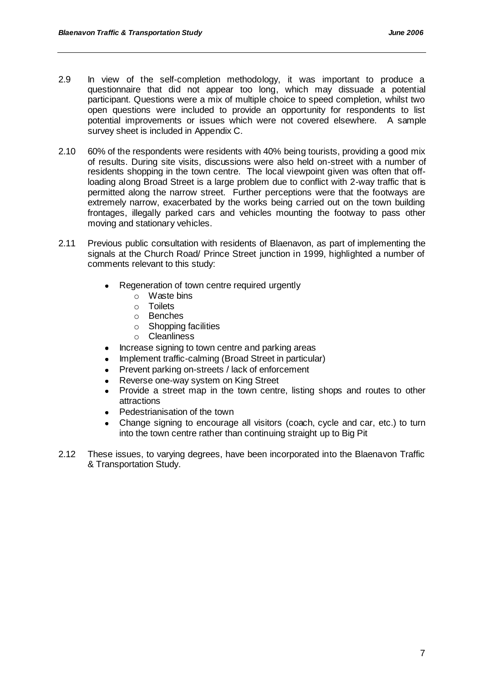- 2.9 In view of the self-completion methodology, it was important to produce a questionnaire that did not appear too long, which may dissuade a potential participant. Questions were a mix of multiple choice to speed completion, whilst two open questions were included to provide an opportunity for respondents to list potential improvements or issues which were not covered elsewhere. A sample survey sheet is included in Appendix C.
- 2.10 60% of the respondents were residents with 40% being tourists, providing a good mix of results. During site visits, discussions were also held on-street with a number of residents shopping in the town centre. The local viewpoint given was often that offloading along Broad Street is a large problem due to conflict with 2-way traffic that is permitted along the narrow street. Further perceptions were that the footways are extremely narrow, exacerbated by the works being carried out on the town building frontages, illegally parked cars and vehicles mounting the footway to pass other moving and stationary vehicles.
- 2.11 Previous public consultation with residents of Blaenavon, as part of implementing the signals at the Church Road/ Prince Street junction in 1999, highlighted a number of comments relevant to this study:
	- Regeneration of town centre required urgently
		- o Waste bins
		- o Toilets
		- o Benches
		- $\circ$  Shopping facilities
		- o Cleanliness
	- Increase signing to town centre and parking areas
	- Implement traffic-calming (Broad Street in particular)
	- Prevent parking on-streets / lack of enforcement
	- Reverse one-way system on King Street
	- Provide a street map in the town centre, listing shops and routes to other attractions
	- Pedestrianisation of the town
	- Change signing to encourage all visitors (coach, cycle and car, etc.) to turn into the town centre rather than continuing straight up to Big Pit
- 2.12 These issues, to varying degrees, have been incorporated into the Blaenavon Traffic & Transportation Study.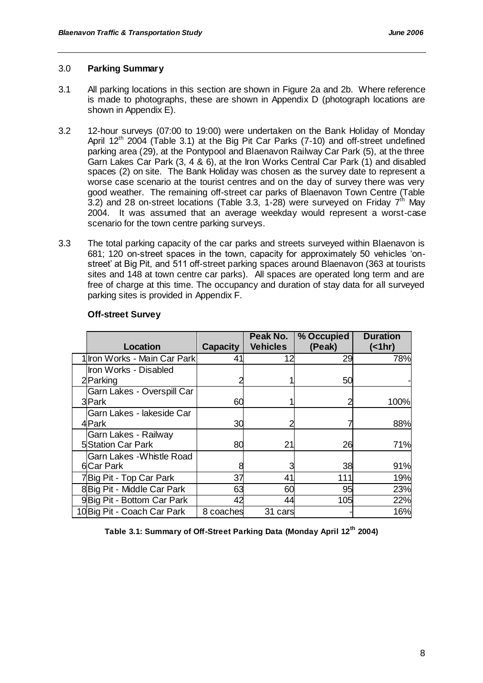#### 3.0 **Parking Summary**

- 3.1 All parking locations in this section are shown in Figure 2a and 2b. Where reference is made to photographs, these are shown in Appendix D (photograph locations are shown in Appendix E).
- 3.2 12-hour surveys (07:00 to 19:00) were undertaken on the Bank Holiday of Monday April 12<sup>th</sup> 2004 (Table 3.1) at the Big Pit Car Parks (7-10) and off-street undefined parking area (29), at the Pontypool and Blaenavon Railway Car Park (5), at the three Garn Lakes Car Park (3, 4 & 6), at the Iron Works Central Car Park (1) and disabled spaces (2) on site. The Bank Holiday was chosen as the survey date to represent a worse case scenario at the tourist centres and on the day of survey there was very good weather. The remaining off-street car parks of Blaenavon Town Centre (Table 3.2) and 28 on-street locations (Table 3.3, 1-28) were surveyed on Friday  $7<sup>th</sup>$  May 2004. It was assumed that an average weekday would represent a worst-case scenario for the town centre parking surveys.
- 3.3 The total parking capacity of the car parks and streets surveyed within Blaenavon is 681; 120 on-street spaces in the town, capacity for approximately 50 vehicles "onstreet" at Big Pit, and 511 off-street parking spaces around Blaenavon (363 at tourists sites and 148 at town centre car parks). All spaces are operated long term and are free of charge at this time. The occupancy and duration of stay data for all surveyed parking sites is provided in Appendix F.

| Location                     | <b>Capacity</b> | Peak No.<br><b>Vehicles</b> | % Occupied<br>(Peak) | <b>Duration</b><br>$($ < 1hr) |
|------------------------------|-----------------|-----------------------------|----------------------|-------------------------------|
| 1 Iron Works - Main Car Park | 41              | 12                          | 29                   | 78%                           |
| Iron Works - Disabled        |                 |                             |                      |                               |
| 2Parking                     |                 |                             | 50                   |                               |
| Garn Lakes - Overspill Car   |                 |                             |                      |                               |
| 3Park                        | 60              |                             |                      | 100%                          |
| Garn Lakes - lakeside Car    |                 |                             |                      |                               |
| 4Park                        | 30              |                             |                      | 88%                           |
| Garn Lakes - Railway         |                 |                             |                      |                               |
| <b>5</b> Station Car Park    | 80              | 21                          | 26                   | 71%                           |
| Garn Lakes - Whistle Road    |                 |                             |                      |                               |
| <b>6</b> Car Park            |                 |                             | 38                   | 91%                           |
| 7Big Pit - Top Car Park      | 37              | 41                          | 111                  | 19%                           |
| 8 Big Pit - Middle Car Park  | 63              | 60                          | 95                   | 23%                           |
| 9Big Pit - Bottom Car Park   | 42              | 44                          | 105                  | 22%                           |
| 10 Big Pit - Coach Car Park  | 8 coaches       | 31 cars                     |                      | 16%                           |

#### **Off-street Survey**

**Table 3.1: Summary of Off-Street Parking Data (Monday April 12th 2004)**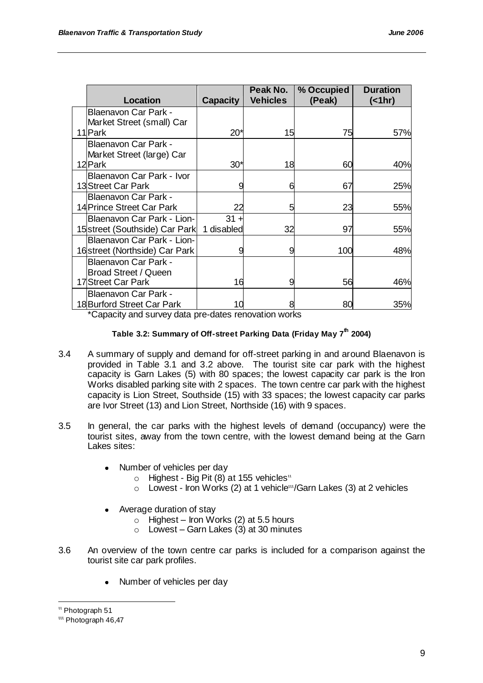|                                                          |                 | Peak No.        | % Occupied | <b>Duration</b> |
|----------------------------------------------------------|-----------------|-----------------|------------|-----------------|
| Location                                                 | <b>Capacity</b> | <b>Vehicles</b> | (Peak)     | $($ < 1hr)      |
| <b>Blaenavon Car Park -</b><br>Market Street (small) Car |                 |                 |            |                 |
| 11 Park                                                  | $20*$           | 15              | 75         | 57%             |
| <b>Blaenavon Car Park -</b><br>Market Street (large) Car |                 |                 |            |                 |
| 12 Park                                                  | $30*$           | 18              | 60         | 40%             |
| Blaenavon Car Park - Ivor                                |                 |                 |            |                 |
| 13 Street Car Park                                       |                 | 6               | 67         | 25%             |
| <b>Blaenavon Car Park -</b>                              |                 |                 |            |                 |
| 14 Prince Street Car Park                                | 22              | 5               | 23         | 55%             |
| Blaenavon Car Park - Lion-                               | $31 +$          |                 |            |                 |
| 15 street (Southside) Car Park                           | 1 disabled      | 32              | 97         | 55%             |
| Blaenavon Car Park - Lion-                               |                 |                 |            |                 |
| 16 street (Northside) Car Park                           |                 | 9               | 100        | 48%             |
| <b>Blaenavon Car Park -</b>                              |                 |                 |            |                 |
| <b>Broad Street / Queen</b>                              |                 |                 |            |                 |
| 17 Street Car Park                                       | 16              | 9               | 56         | 46%             |
| <b>Blaenavon Car Park -</b>                              |                 |                 |            |                 |
| 18 Burford Street Car Park                               | 10              | 8               | 80         | 35%             |

\*Capacity and survey data pre-dates renovation works

# **Table 3.2: Summary of Off-street Parking Data (Friday May 7th 2004)**

- 3.4 A summary of supply and demand for off-street parking in and around Blaenavon is provided in Table 3.1 and 3.2 above. The tourist site car park with the highest capacity is Garn Lakes (5) with 80 spaces; the lowest capacity car park is the Iron Works disabled parking site with 2 spaces. The town centre car park with the highest capacity is Lion Street, Southside (15) with 33 spaces; the lowest capacity car parks are Ivor Street (13) and Lion Street, Northside (16) with 9 spaces.
- 3.5 In general, the car parks with the highest levels of demand (occupancy) were the tourist sites, away from the town centre, with the lowest demand being at the Garn Lakes sites:
	- Number of vehicles per day  $\bullet$ 
		- o Highest Big Pit (8) at 155 vehicles<sup>11</sup>
		- $\circ$  Lowest Iron Works (2) at 1 vehicle<sup>tt</sup>/Garn Lakes (3) at 2 vehicles
	- Average duration of stay
		- $\circ$  Highest Iron Works (2) at 5.5 hours
		- $\circ$  Lowest Garn Lakes (3) at 30 minutes
- 3.6 An overview of the town centre car parks is included for a comparison against the tourist site car park profiles.
	- Number of vehicles per day  $\bullet$

 $<sup>u</sup>$  Photograph 51</sup>

<sup>&</sup>lt;sup>uu</sup> Photograph 46.47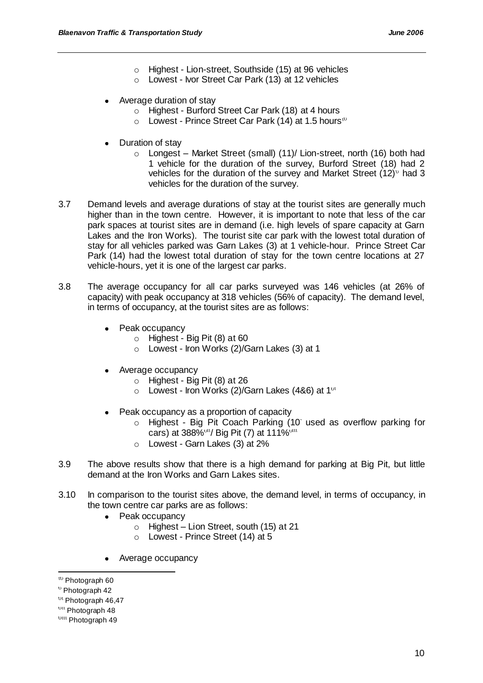- o Highest Lion-street, Southside (15) at 96 vehicles
- o Lowest Ivor Street Car Park (13) at 12 vehicles
- Average duration of stay
	- o Highest Burford Street Car Park (18) at 4 hours
	- $\circ$  Lowest Prince Street Car Park (14) at 1.5 hours<sup>10</sup>
- Duration of stay
	- o Longest Market Street (small) (11)/ Lion-street, north (16) both had 1 vehicle for the duration of the survey, Burford Street (18) had 2 vehicles for the duration of the survey and Market Street  $(12)^{6}$  had 3 vehicles for the duration of the survey.
- 3.7 Demand levels and average durations of stay at the tourist sites are generally much higher than in the town centre. However, it is important to note that less of the car park spaces at tourist sites are in demand (i.e. high levels of spare capacity at Garn Lakes and the Iron Works). The tourist site car park with the lowest total duration of stay for all vehicles parked was Garn Lakes (3) at 1 vehicle-hour. Prince Street Car Park (14) had the lowest total duration of stay for the town centre locations at 27 vehicle-hours, yet it is one of the largest car parks.
- 3.8 The average occupancy for all car parks surveyed was 146 vehicles (at 26% of capacity) with peak occupancy at 318 vehicles (56% of capacity). The demand level, in terms of occupancy, at the tourist sites are as follows:
	- Peak occupancy
		- $\circ$  Highest Big Pit (8) at 60
		- o Lowest Iron Works (2)/Garn Lakes (3) at 1
	- Average occupancy  $\bullet$ 
		- $\circ$  Highest Big Pit (8) at 26
		- $\circ$  Lowest Iron Works (2)/Garn Lakes (4&6) at 1<sup>vt</sup>
	- Peak occupancy as a proportion of capacity
		- o Highest Big Pit Coach Parking (10 used as overflow parking for cars) at 388% <sup>ou</sup>/ Big Pit (7) at 111% <sup>out</sup>
		- o Lowest Garn Lakes (3) at 2%
- 3.9 The above results show that there is a high demand for parking at Big Pit, but little demand at the Iron Works and Garn Lakes sites.
- 3.10 In comparison to the tourist sites above, the demand level, in terms of occupancy, in the town centre car parks are as follows:
	- Peak occupancy
		- $\circ$  Highest Lion Street, south (15) at 21
		- o Lowest Prince Street (14) at 5
	- Average occupancy

<sup>&</sup>lt;sup>to</sup> Photograph 60

<sup>&</sup>lt;sup>v</sup> Photograph 42

<sup>&</sup>lt;sup>Dt</sup> Photograph 46,47

<sup>&</sup>lt;sup>bu</sup> Photograph 48

<sup>&</sup>lt;sup>bttt</sup> Photograph 49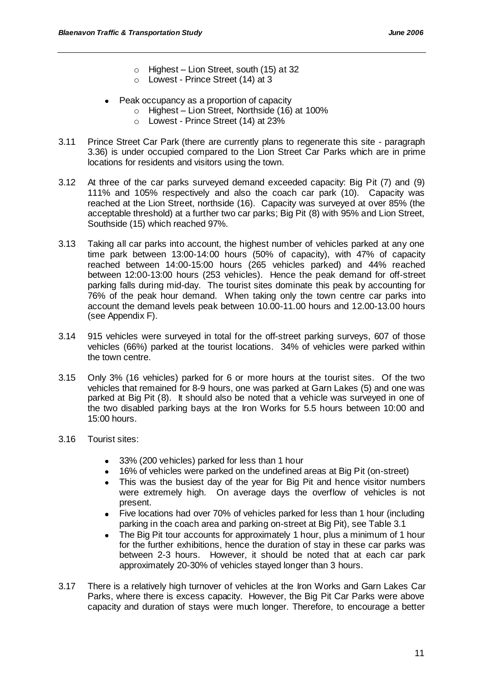- $\circ$  Highest Lion Street, south (15) at 32
- o Lowest Prince Street (14) at 3
- Peak occupancy as a proportion of capacity
	- o Highest Lion Street, Northside (16) at 100%
	- o Lowest Prince Street (14) at 23%
- 3.11 Prince Street Car Park (there are currently plans to regenerate this site paragraph 3.36) is under occupied compared to the Lion Street Car Parks which are in prime locations for residents and visitors using the town.
- 3.12 At three of the car parks surveyed demand exceeded capacity: Big Pit (7) and (9) 111% and 105% respectively and also the coach car park (10). Capacity was reached at the Lion Street, northside (16). Capacity was surveyed at over 85% (the acceptable threshold) at a further two car parks; Big Pit (8) with 95% and Lion Street, Southside (15) which reached 97%.
- 3.13 Taking all car parks into account, the highest number of vehicles parked at any one time park between 13:00-14:00 hours (50% of capacity), with 47% of capacity reached between 14:00-15:00 hours (265 vehicles parked) and 44% reached between 12:00-13:00 hours (253 vehicles). Hence the peak demand for off-street parking falls during mid-day. The tourist sites dominate this peak by accounting for 76% of the peak hour demand. When taking only the town centre car parks into account the demand levels peak between 10.00-11.00 hours and 12.00-13.00 hours (see Appendix F).
- 3.14 915 vehicles were surveyed in total for the off-street parking surveys, 607 of those vehicles (66%) parked at the tourist locations. 34% of vehicles were parked within the town centre.
- 3.15 Only 3% (16 vehicles) parked for 6 or more hours at the tourist sites. Of the two vehicles that remained for 8-9 hours, one was parked at Garn Lakes (5) and one was parked at Big Pit (8). It should also be noted that a vehicle was surveyed in one of the two disabled parking bays at the Iron Works for 5.5 hours between 10:00 and 15:00 hours.
- 3.16 Tourist sites:
	- 33% (200 vehicles) parked for less than 1 hour
	- 16% of vehicles were parked on the undefined areas at Big Pit (on-street)
	- This was the busiest day of the year for Big Pit and hence visitor numbers were extremely high. On average days the overflow of vehicles is not present.
	- Five locations had over 70% of vehicles parked for less than 1 hour (including parking in the coach area and parking on-street at Big Pit), see Table 3.1
	- The Big Pit tour accounts for approximately 1 hour, plus a minimum of 1 hour for the further exhibitions, hence the duration of stay in these car parks was between 2-3 hours. However, it should be noted that at each car park approximately 20-30% of vehicles stayed longer than 3 hours.
- 3.17 There is a relatively high turnover of vehicles at the Iron Works and Garn Lakes Car Parks, where there is excess capacity. However, the Big Pit Car Parks were above capacity and duration of stays were much longer. Therefore, to encourage a better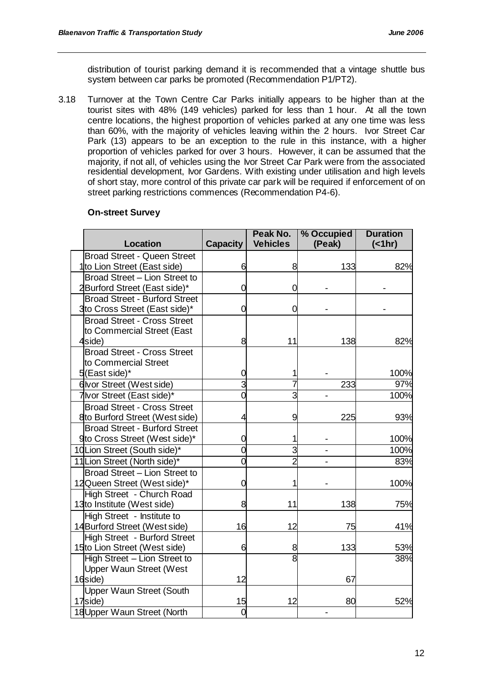distribution of tourist parking demand it is recommended that a vintage shuttle bus system between car parks be promoted (Recommendation P1/PT2).

3.18 Turnover at the Town Centre Car Parks initially appears to be higher than at the tourist sites with 48% (149 vehicles) parked for less than 1 hour. At all the town centre locations, the highest proportion of vehicles parked at any one time was less than 60%, with the majority of vehicles leaving within the 2 hours. Ivor Street Car Park (13) appears to be an exception to the rule in this instance, with a higher proportion of vehicles parked for over 3 hours. However, it can be assumed that the majority, if not all, of vehicles using the Ivor Street Car Park were from the associated residential development, Ivor Gardens. With existing under utilisation and high levels of short stay, more control of this private car park will be required if enforcement of on street parking restrictions commences (Recommendation P4-6).

#### **On-street Survey**

|                                         |                 | Peak No.        | % Occupied | <b>Duration</b> |
|-----------------------------------------|-----------------|-----------------|------------|-----------------|
| <b>Location</b>                         | <b>Capacity</b> | <b>Vehicles</b> | (Peak)     | $($ < 1hr)      |
| <b>Broad Street - Queen Street</b>      |                 |                 |            |                 |
| 1 <sup>to</sup> Lion Street (East side) | 6               | 8               | 133        | 82%             |
| Broad Street - Lion Street to           |                 |                 |            |                 |
| 2Burford Street (East side)*            | 0               | 0               |            |                 |
| <b>Broad Street - Burford Street</b>    |                 |                 |            |                 |
| 3to Cross Street (East side)*           | 0               | O               |            |                 |
| <b>Broad Street - Cross Street</b>      |                 |                 |            |                 |
| to Commercial Street (East              |                 |                 |            |                 |
| 4side)                                  | 8               | 11              | 138        | 82%             |
| <b>Broad Street - Cross Street</b>      |                 |                 |            |                 |
| to Commercial Street                    |                 |                 |            |                 |
| 5(East side)*                           | 0               |                 |            | 100%            |
| 6 Ivor Street (West side)               | 3               |                 | 233        | 97%             |
| 7 Ivor Street (East side)*              | 0               | 3               |            | 100%            |
| <b>Broad Street - Cross Street</b>      |                 |                 |            |                 |
| 8to Burford Street (West side)          | 4               | 9               | 225        | 93%             |
| <b>Broad Street - Burford Street</b>    |                 |                 |            |                 |
| 9to Cross Street (West side)*           | 0               |                 |            | 100%            |
| 10Lion Street (South side)*             | 0               | 3               |            | 100%            |
| 11 Lion Street (North side)*            | Ó               | $\overline{2}$  |            | 83%             |
| Broad Street - Lion Street to           |                 |                 |            |                 |
| 12Queen Street (West side)*             | 0               |                 |            | 100%            |
| High Street - Church Road               |                 |                 |            |                 |
| 13to Institute (West side)              | 8               | 11              | 138        | 75%             |
| High Street - Institute to              |                 |                 |            |                 |
| 14Burford Street (West side)            | 16              | 12              | 75         | 41%             |
| High Street - Burford Street            |                 |                 |            |                 |
| 15to Lion Street (West side)            | 6               | 8               | 133        | 53%             |
| High Street - Lion Street to            |                 | 8               |            | 38%             |
| <b>Upper Waun Street (West</b>          |                 |                 |            |                 |
| 16side)                                 | 12              |                 | 67         |                 |
| <b>Upper Waun Street (South</b>         |                 |                 |            |                 |
| 17side)                                 | 15              | 12              | 80         | 52%             |
| 18 Upper Waun Street (North             | $\overline{0}$  |                 |            |                 |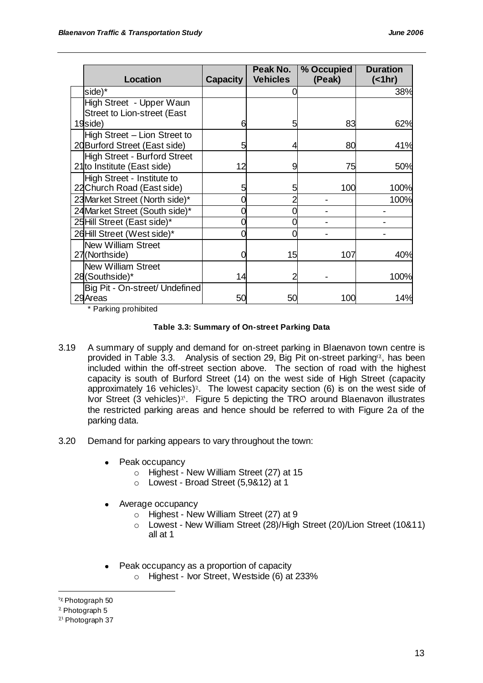| <b>Location</b>                     | <b>Capacity</b> | Peak No.<br><b>Vehicles</b> | % Occupied<br>(Peak) | <b>Duration</b><br>(<1hr) |
|-------------------------------------|-----------------|-----------------------------|----------------------|---------------------------|
| side)*                              |                 |                             |                      | 38%                       |
| High Street - Upper Waun            |                 |                             |                      |                           |
| <b>Street to Lion-street (East</b>  |                 |                             |                      |                           |
| 19side)                             | 6               | 5                           | 83                   | 62%                       |
| High Street - Lion Street to        |                 |                             |                      |                           |
| 20 Burford Street (East side)       |                 |                             | 80                   | 41%                       |
| <b>High Street - Burford Street</b> |                 |                             |                      |                           |
| 21to Institute (East side)          | 12              | 9                           | 75                   | 50%                       |
| High Street - Institute to          |                 |                             |                      |                           |
| 22 Church Road (East side)          |                 | 5                           | 100                  | 100%                      |
| 23 Market Street (North side)*      |                 |                             |                      | 100%                      |
| 24Market Street (South side)*       |                 |                             |                      |                           |
| 25Hill Street (East side)*          |                 |                             |                      |                           |
| 26Hill Street (West side)*          |                 |                             |                      |                           |
| <b>New William Street</b>           |                 |                             |                      |                           |
| 27(Northside)                       |                 | 15                          | 107                  | 40%                       |
| <b>New William Street</b>           |                 |                             |                      |                           |
| 28(Southside)*                      | 14              |                             |                      | 100%                      |
| Big Pit - On-street/ Undefined      |                 |                             |                      |                           |
| 29 Areas                            | 50              | 50                          | 100                  | 14%                       |

\* Parking prohibited

#### **Table 3.3: Summary of On-street Parking Data**

- 3.19 A summary of supply and demand for on-street parking in Blaenavon town centre is provided in Table 3.3. Analysis of section 29, Big Pit on-street parking  $x$ , has been included within the off-street section above. The section of road with the highest capacity is south of Burford Street (14) on the west side of High Street (capacity approximately 16 vehicles)<sup> $\chi$ </sup>. The lowest capacity section (6) is on the west side of Ivor Street (3 vehicles) $x<sup>i</sup>$ . Figure 5 depicting the TRO around Blaenavon illustrates the restricted parking areas and hence should be referred to with Figure 2a of the parking data.
- 3.20 Demand for parking appears to vary throughout the town:
	- Peak occupancy
		- o Highest New William Street (27) at 15
		- o Lowest Broad Street (5,9&12) at 1
	- Average occupancy  $\bullet$ 
		- o Highest New William Street (27) at 9
		- o Lowest New William Street (28)/High Street (20)/Lion Street (10&11) all at 1
	- Peak occupancy as a proportion of capacity  $\bullet$ 
		- o Highest Ivor Street, Westside (6) at 233%

 $\frac{1}{\chi}$  Photograph 50

 $^{\chi}$  Photograph 5

 $x<sup>t</sup>$  Photograph 37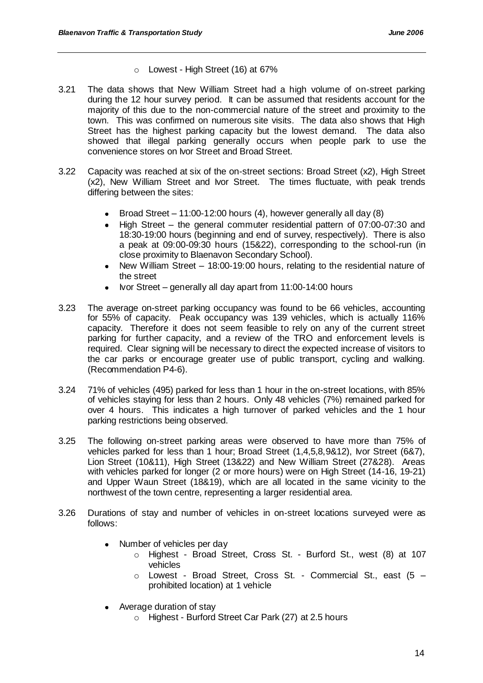- $\circ$  Lowest High Street (16) at 67%
- 3.21 The data shows that New William Street had a high volume of on-street parking during the 12 hour survey period. It can be assumed that residents account for the majority of this due to the non-commercial nature of the street and proximity to the town. This was confirmed on numerous site visits. The data also shows that High Street has the highest parking capacity but the lowest demand. The data also showed that illegal parking generally occurs when people park to use the convenience stores on Ivor Street and Broad Street.
- 3.22 Capacity was reached at six of the on-street sections: Broad Street (x2), High Street (x2), New William Street and Ivor Street. The times fluctuate, with peak trends differing between the sites:
	- Broad Street 11:00-12:00 hours (4), however generally all day (8)
	- High Street the general commuter residential pattern of 07:00-07:30 and 18:30-19:00 hours (beginning and end of survey, respectively). There is also a peak at 09:00-09:30 hours (15&22), corresponding to the school-run (in close proximity to Blaenavon Secondary School).
	- New William Street 18:00-19:00 hours, relating to the residential nature of the street
	- Ivor Street generally all day apart from 11:00-14:00 hours
- 3.23 The average on-street parking occupancy was found to be 66 vehicles, accounting for 55% of capacity. Peak occupancy was 139 vehicles, which is actually 116% capacity. Therefore it does not seem feasible to rely on any of the current street parking for further capacity, and a review of the TRO and enforcement levels is required. Clear signing will be necessary to direct the expected increase of visitors to the car parks or encourage greater use of public transport, cycling and walking. (Recommendation P4-6).
- 3.24 71% of vehicles (495) parked for less than 1 hour in the on-street locations, with 85% of vehicles staying for less than 2 hours. Only 48 vehicles (7%) remained parked for over 4 hours. This indicates a high turnover of parked vehicles and the 1 hour parking restrictions being observed.
- 3.25 The following on-street parking areas were observed to have more than 75% of vehicles parked for less than 1 hour; Broad Street (1,4,5,8,9&12), Ivor Street (6&7), Lion Street (10&11), High Street (13&22) and New William Street (27&28). Areas with vehicles parked for longer (2 or more hours) were on High Street (14-16, 19-21) and Upper Waun Street (18&19), which are all located in the same vicinity to the northwest of the town centre, representing a larger residential area.
- 3.26 Durations of stay and number of vehicles in on-street locations surveyed were as follows:
	- Number of vehicles per day  $\bullet$ 
		- o Highest Broad Street, Cross St. Burford St., west (8) at 107 vehicles
		- o Lowest Broad Street, Cross St. Commercial St., east (5 prohibited location) at 1 vehicle
	- Average duration of stay
		- o Highest Burford Street Car Park (27) at 2.5 hours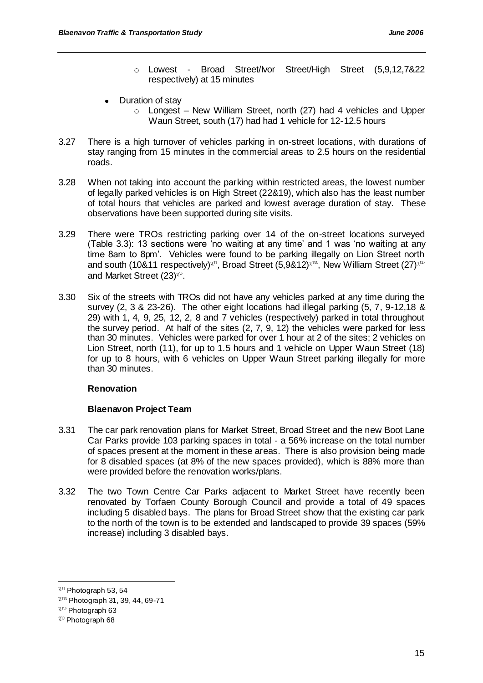- o Lowest Broad Street/Ivor Street/High Street (5,9,12,7&22 respectively) at 15 minutes
- Duration of stay
	- o Longest New William Street, north (27) had 4 vehicles and Upper Waun Street, south (17) had had 1 vehicle for 12-12.5 hours
- 3.27 There is a high turnover of vehicles parking in on-street locations, with durations of stay ranging from 15 minutes in the commercial areas to 2.5 hours on the residential roads.
- 3.28 When not taking into account the parking within restricted areas, the lowest number of legally parked vehicles is on High Street (22&19), which also has the least number of total hours that vehicles are parked and lowest average duration of stay. These observations have been supported during site visits.
- 3.29 There were TROs restricting parking over 14 of the on-street locations surveyed (Table 3.3): 13 sections were "no waiting at any time" and 1 was "no waiting at any time 8am to 8pm". Vehicles were found to be parking illegally on Lion Street north and south (10&11 respectively)<sup> $\chi$ 11</sup>, Broad Street (5,9&12)<sup> $\chi$ 11</sup>, New William Street (27)<sup> $\chi$ 10</sup> and Market Street  $(23)^{\chi\cup}$ .
- 3.30 Six of the streets with TROs did not have any vehicles parked at any time during the survey (2, 3 & 23-26). The other eight locations had illegal parking (5, 7, 9-12,18 & 29) with 1, 4, 9, 25, 12, 2, 8 and 7 vehicles (respectively) parked in total throughout the survey period. At half of the sites (2, 7, 9, 12) the vehicles were parked for less than 30 minutes. Vehicles were parked for over 1 hour at 2 of the sites; 2 vehicles on Lion Street, north (11), for up to 1.5 hours and 1 vehicle on Upper Waun Street (18) for up to 8 hours, with 6 vehicles on Upper Waun Street parking illegally for more than 30 minutes.

#### **Renovation**

# **Blaenavon Project Team**

- 3.31 The car park renovation plans for Market Street, Broad Street and the new Boot Lane Car Parks provide 103 parking spaces in total - a 56% increase on the total number of spaces present at the moment in these areas. There is also provision being made for 8 disabled spaces (at 8% of the new spaces provided), which is 88% more than were provided before the renovation works/plans.
- 3.32 The two Town Centre Car Parks adjacent to Market Street have recently been renovated by Torfaen County Borough Council and provide a total of 49 spaces including 5 disabled bays. The plans for Broad Street show that the existing car park to the north of the town is to be extended and landscaped to provide 39 spaces (59% increase) including 3 disabled bays.

 $x<sup>u</sup>$  Photograph 53, 54

 $X<sup>uu</sup>$  Photograph 31, 39, 44, 69-71

 $x^{\text{uv}}$  Photograph 63

 $\chi$ <sup>0</sup> Photograph 68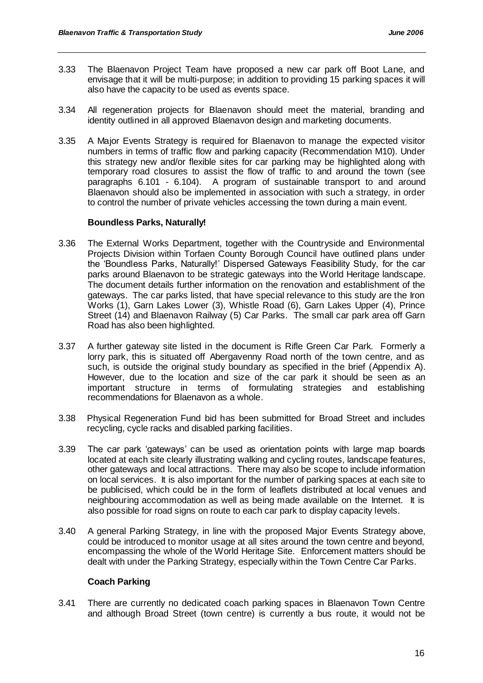- 3.33 The Blaenavon Project Team have proposed a new car park off Boot Lane, and envisage that it will be multi-purpose; in addition to providing 15 parking spaces it will also have the capacity to be used as events space.
- 3.34 All regeneration projects for Blaenavon should meet the material, branding and identity outlined in all approved Blaenavon design and marketing documents.
- 3.35 A Major Events Strategy is required for Blaenavon to manage the expected visitor numbers in terms of traffic flow and parking capacity (Recommendation M10). Under this strategy new and/or flexible sites for car parking may be highlighted along with temporary road closures to assist the flow of traffic to and around the town (see paragraphs 6.101 - 6.104). A program of sustainable transport to and around Blaenavon should also be implemented in association with such a strategy, in order to control the number of private vehicles accessing the town during a main event.

#### **Boundless Parks, Naturally!**

- 3.36 The External Works Department, together with the Countryside and Environmental Projects Division within Torfaen County Borough Council have outlined plans under the "Boundless Parks, Naturally!" Dispersed Gateways Feasibility Study, for the car parks around Blaenavon to be strategic gateways into the World Heritage landscape. The document details further information on the renovation and establishment of the gateways. The car parks listed, that have special relevance to this study are the Iron Works (1), Garn Lakes Lower (3), Whistle Road (6), Garn Lakes Upper (4), Prince Street (14) and Blaenavon Railway (5) Car Parks. The small car park area off Garn Road has also been highlighted.
- 3.37 A further gateway site listed in the document is Rifle Green Car Park. Formerly a lorry park, this is situated off Abergavenny Road north of the town centre, and as such, is outside the original study boundary as specified in the brief (Appendix A). However, due to the location and size of the car park it should be seen as an important structure in terms of formulating strategies and establishing recommendations for Blaenavon as a whole.
- 3.38 Physical Regeneration Fund bid has been submitted for Broad Street and includes recycling, cycle racks and disabled parking facilities.
- 3.39 The car park "gateways" can be used as orientation points with large map boards located at each site clearly illustrating walking and cycling routes, landscape features, other gateways and local attractions. There may also be scope to include information on local services. It is also important for the number of parking spaces at each site to be publicised, which could be in the form of leaflets distributed at local venues and neighbouring accommodation as well as being made available on the Internet. It is also possible for road signs on route to each car park to display capacity levels.
- 3.40 A general Parking Strategy, in line with the proposed Major Events Strategy above, could be introduced to monitor usage at all sites around the town centre and beyond, encompassing the whole of the World Heritage Site. Enforcement matters should be dealt with under the Parking Strategy, especially within the Town Centre Car Parks.

# **Coach Parking**

3.41 There are currently no dedicated coach parking spaces in Blaenavon Town Centre and although Broad Street (town centre) is currently a bus route, it would not be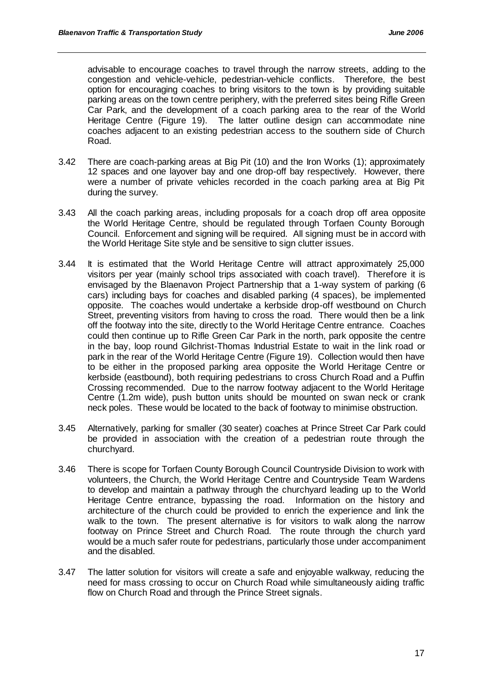advisable to encourage coaches to travel through the narrow streets, adding to the congestion and vehicle-vehicle, pedestrian-vehicle conflicts. Therefore, the best option for encouraging coaches to bring visitors to the town is by providing suitable parking areas on the town centre periphery, with the preferred sites being Rifle Green Car Park, and the development of a coach parking area to the rear of the World Heritage Centre (Figure 19). The latter outline design can accommodate nine coaches adjacent to an existing pedestrian access to the southern side of Church Road.

- 3.42 There are coach-parking areas at Big Pit (10) and the Iron Works (1); approximately 12 spaces and one layover bay and one drop-off bay respectively. However, there were a number of private vehicles recorded in the coach parking area at Big Pit during the survey.
- 3.43 All the coach parking areas, including proposals for a coach drop off area opposite the World Heritage Centre, should be regulated through Torfaen County Borough Council. Enforcement and signing will be required. All signing must be in accord with the World Heritage Site style and be sensitive to sign clutter issues.
- 3.44 It is estimated that the World Heritage Centre will attract approximately 25,000 visitors per year (mainly school trips associated with coach travel). Therefore it is envisaged by the Blaenavon Project Partnership that a 1-way system of parking (6 cars) including bays for coaches and disabled parking (4 spaces), be implemented opposite. The coaches would undertake a kerbside drop-off westbound on Church Street, preventing visitors from having to cross the road. There would then be a link off the footway into the site, directly to the World Heritage Centre entrance. Coaches could then continue up to Rifle Green Car Park in the north, park opposite the centre in the bay, loop round Gilchrist-Thomas Industrial Estate to wait in the link road or park in the rear of the World Heritage Centre (Figure 19). Collection would then have to be either in the proposed parking area opposite the World Heritage Centre or kerbside (eastbound), both requiring pedestrians to cross Church Road and a Puffin Crossing recommended. Due to the narrow footway adjacent to the World Heritage Centre (1.2m wide), push button units should be mounted on swan neck or crank neck poles. These would be located to the back of footway to minimise obstruction.
- 3.45 Alternatively, parking for smaller (30 seater) coaches at Prince Street Car Park could be provided in association with the creation of a pedestrian route through the churchyard.
- 3.46 There is scope for Torfaen County Borough Council Countryside Division to work with volunteers, the Church, the World Heritage Centre and Countryside Team Wardens to develop and maintain a pathway through the churchyard leading up to the World Heritage Centre entrance, bypassing the road. Information on the history and architecture of the church could be provided to enrich the experience and link the walk to the town. The present alternative is for visitors to walk along the narrow footway on Prince Street and Church Road. The route through the church yard would be a much safer route for pedestrians, particularly those under accompaniment and the disabled.
- 3.47 The latter solution for visitors will create a safe and enjoyable walkway, reducing the need for mass crossing to occur on Church Road while simultaneously aiding traffic flow on Church Road and through the Prince Street signals.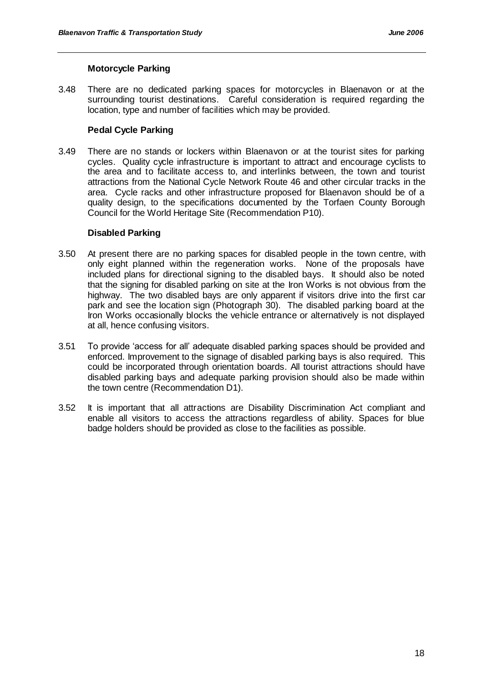#### **Motorcycle Parking**

3.48 There are no dedicated parking spaces for motorcycles in Blaenavon or at the surrounding tourist destinations. Careful consideration is required regarding the location, type and number of facilities which may be provided.

# **Pedal Cycle Parking**

3.49 There are no stands or lockers within Blaenavon or at the tourist sites for parking cycles. Quality cycle infrastructure is important to attract and encourage cyclists to the area and to facilitate access to, and interlinks between, the town and tourist attractions from the National Cycle Network Route 46 and other circular tracks in the area. Cycle racks and other infrastructure proposed for Blaenavon should be of a quality design, to the specifications documented by the Torfaen County Borough Council for the World Heritage Site (Recommendation P10).

#### **Disabled Parking**

- 3.50 At present there are no parking spaces for disabled people in the town centre, with only eight planned within the regeneration works. None of the proposals have included plans for directional signing to the disabled bays. It should also be noted that the signing for disabled parking on site at the Iron Works is not obvious from the highway. The two disabled bays are only apparent if visitors drive into the first car park and see the location sign (Photograph 30). The disabled parking board at the Iron Works occasionally blocks the vehicle entrance or alternatively is not displayed at all, hence confusing visitors.
- 3.51 To provide "access for all" adequate disabled parking spaces should be provided and enforced. Improvement to the signage of disabled parking bays is also required. This could be incorporated through orientation boards. All tourist attractions should have disabled parking bays and adequate parking provision should also be made within the town centre (Recommendation D1).
- 3.52 It is important that all attractions are Disability Discrimination Act compliant and enable all visitors to access the attractions regardless of ability. Spaces for blue badge holders should be provided as close to the facilities as possible.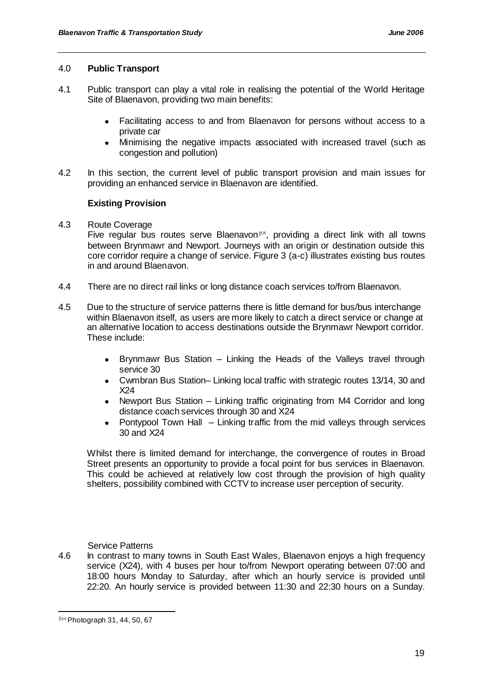#### 4.0 **Public Transport**

- 4.1 Public transport can play a vital role in realising the potential of the World Heritage Site of Blaenavon, providing two main benefits:
	- Facilitating access to and from Blaenavon for persons without access to a  $\bullet$ private car
	- Minimising the negative impacts associated with increased travel (such as congestion and pollution)
- 4.2 In this section, the current level of public transport provision and main issues for providing an enhanced service in Blaenavon are identified.

# **Existing Provision**

4.3 Route Coverage

Five regular bus routes serve Blaenavon<sup> $\chi$ 01</sup>, providing a direct link with all towns between Brynmawr and Newport. Journeys with an origin or destination outside this core corridor require a change of service. Figure 3 (a-c) illustrates existing bus routes in and around Blaenavon.

- 4.4 There are no direct rail links or long distance coach services to/from Blaenavon.
- 4.5 Due to the structure of service patterns there is little demand for bus/bus interchange within Blaenavon itself, as users are more likely to catch a direct service or change at an alternative location to access destinations outside the Brynmawr Newport corridor. These include:
	- Brynmawr Bus Station Linking the Heads of the Valleys travel through  $\bullet$ service 30
	- Cwmbran Bus Station– Linking local traffic with strategic routes 13/14, 30 and X24
	- Newport Bus Station Linking traffic originating from M4 Corridor and long distance coach services through 30 and X24
	- Pontypool Town Hall Linking traffic from the mid valleys through services  $\bullet$ 30 and X24

Whilst there is limited demand for interchange, the convergence of routes in Broad Street presents an opportunity to provide a focal point for bus services in Blaenavon. This could be achieved at relatively low cost through the provision of high quality shelters, possibility combined with CCTV to increase user perception of security.

# Service Patterns

4.6 In contrast to many towns in South East Wales, Blaenavon enjoys a high frequency service (X24), with 4 buses per hour to/from Newport operating between 07:00 and 18:00 hours Monday to Saturday, after which an hourly service is provided until 22:20. An hourly service is provided between 11:30 and 22:30 hours on a Sunday.

 $x_{01}$  Photograph 31, 44, 50, 67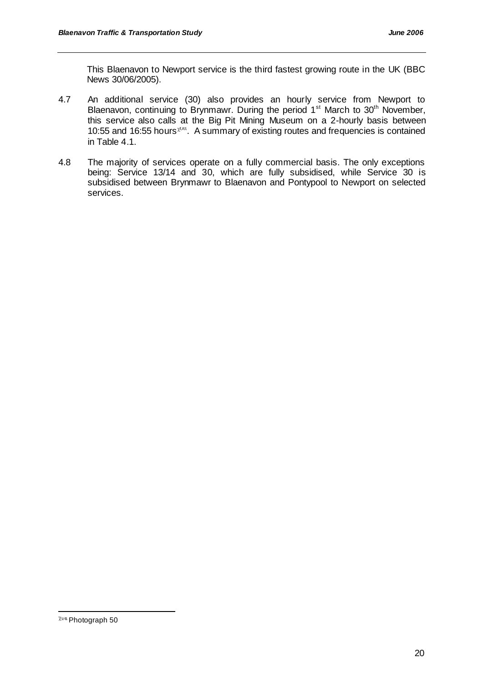This Blaenavon to Newport service is the third fastest growing route in the UK (BBC News 30/06/2005).

- 4.7 An additional service (30) also provides an hourly service from Newport to Blaenavon, continuing to Brynmawr. During the period  $1<sup>st</sup>$  March to  $30<sup>th</sup>$  November, this service also calls at the Big Pit Mining Museum on a 2-hourly basis between 10:55 and 16:55 hours<sup>zou</sup>. A summary of existing routes and frequencies is contained in Table 4.1.
- 4.8 The majority of services operate on a fully commercial basis. The only exceptions being: Service 13/14 and 30, which are fully subsidised, while Service 30 is subsidised between Brynmawr to Blaenavon and Pontypool to Newport on selected services.

 $\chi$ <sup>0u</sup> Photograph 50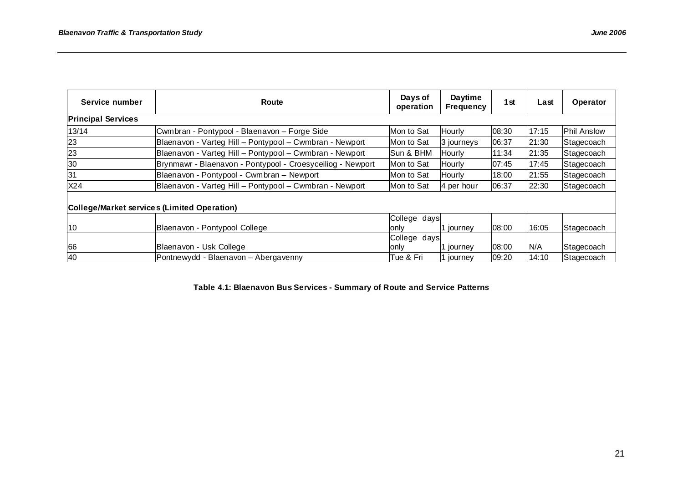| Service number            | Route                                                      | Days of<br>operation | <b>Daytime</b><br><b>Frequency</b> | 1 <sub>st</sub> | Last  | Operator           |
|---------------------------|------------------------------------------------------------|----------------------|------------------------------------|-----------------|-------|--------------------|
| <b>Principal Services</b> |                                                            |                      |                                    |                 |       |                    |
| 13/14                     | Cwmbran - Pontypool - Blaenavon - Forge Side               | Mon to Sat           | Hourly                             | 08:30           | 17:15 | <b>Phil Anslow</b> |
| 23                        | Blaenavon - Varteg Hill - Pontypool - Cwmbran - Newport    | Mon to Sat           | 3 journeys                         | 06:37           | 21:30 | Stagecoach         |
| 23                        | Blaenavon - Varteg Hill - Pontypool - Cwmbran - Newport    | Sun & BHM            | Hourly                             | 11:34           | 21:35 | Stagecoach         |
| 30                        | Brynmawr - Blaenavon - Pontypool - Croesyceiliog - Newport | Mon to Sat           | Hourly                             | 07:45           | 17:45 | Stagecoach         |
| 31                        | Blaenavon - Pontypool - Cwmbran - Newport                  | Mon to Sat           | Hourly                             | 18:00           | 21:55 | Stagecoach         |
| X24                       | Blaenavon - Varteg Hill - Pontypool - Cwmbran - Newport    | lMon to Sat          | 4 per hour                         | 06:37           | 22:30 | Stagecoach         |
|                           | College/Market services (Limited Operation)                |                      |                                    |                 |       |                    |
|                           |                                                            | College days         |                                    |                 |       |                    |
| 10                        | Blaenavon - Pontypool College                              | only                 | 1 journey                          | 08:00           | 16:05 | Stagecoach         |
| 66                        | Blaenavon - Usk College                                    | College days<br>only | 1 journey                          | 08:00           | N/A   | Stagecoach         |
| 40                        | Pontnewydd - Blaenavon – Abergavenny                       | lTue & Fri           | 1 journey                          | 09:20           | 14:10 | Stagecoach         |

**Table 4.1: Blaenavon Bus Services - Summary of Route and Service Patterns**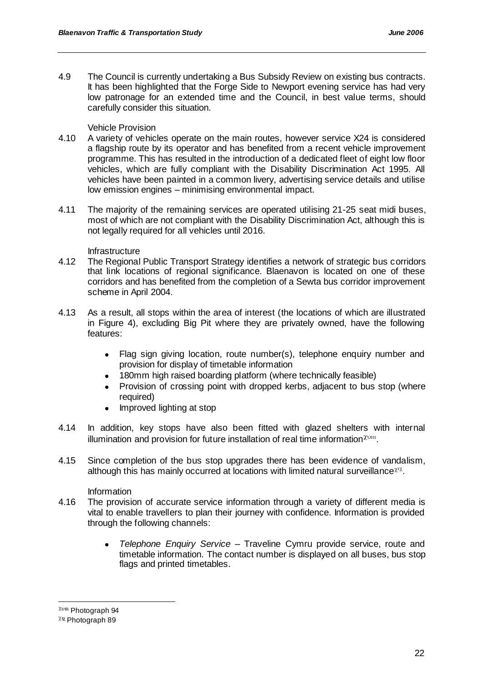4.9 The Council is currently undertaking a Bus Subsidy Review on existing bus contracts. It has been highlighted that the Forge Side to Newport evening service has had very low patronage for an extended time and the Council, in best value terms, should carefully consider this situation.

#### Vehicle Provision

- 4.10 A variety of vehicles operate on the main routes, however service X24 is considered a flagship route by its operator and has benefited from a recent vehicle improvement programme. This has resulted in the introduction of a dedicated fleet of eight low floor vehicles, which are fully compliant with the Disability Discrimination Act 1995. All vehicles have been painted in a common livery, advertising service details and utilise low emission engines – minimising environmental impact.
- 4.11 The majority of the remaining services are operated utilising 21-25 seat midi buses, most of which are not compliant with the Disability Discrimination Act, although this is not legally required for all vehicles until 2016.

#### Infrastructure

- 4.12 The Regional Public Transport Strategy identifies a network of strategic bus corridors that link locations of regional significance. Blaenavon is located on one of these corridors and has benefited from the completion of a Sewta bus corridor improvement scheme in April 2004.
- 4.13 As a result, all stops within the area of interest (the locations of which are illustrated in Figure 4), excluding Big Pit where they are privately owned, have the following features:
	- Flag sign giving location, route number(s), telephone enquiry number and provision for display of timetable information
	- 180mm high raised boarding platform (where technically feasible)
	- $\bullet$ Provision of crossing point with dropped kerbs, adjacent to bus stop (where required)
	- Improved lighting at stop  $\bullet$
- 4.14 In addition, key stops have also been fitted with glazed shelters with internal illumination and provision for future installation of real time information  $\chi_{\text{out}}$ .
- 4.15 Since completion of the bus stop upgrades there has been evidence of vandalism, although this has mainly occurred at locations with limited natural surveillance $x^{\gamma}$ .

Information

- 4.16 The provision of accurate service information through a variety of different media is vital to enable travellers to plan their journey with confidence. Information is provided through the following channels:
	- $\bullet$ *Telephone Enquiry Service* – Traveline Cymru provide service, route and timetable information. The contact number is displayed on all buses, bus stop flags and printed timetables.

 $\chi_{\text{ou}}$  Photograph 94

 $\chi$ <sup>y</sup> Photograph 89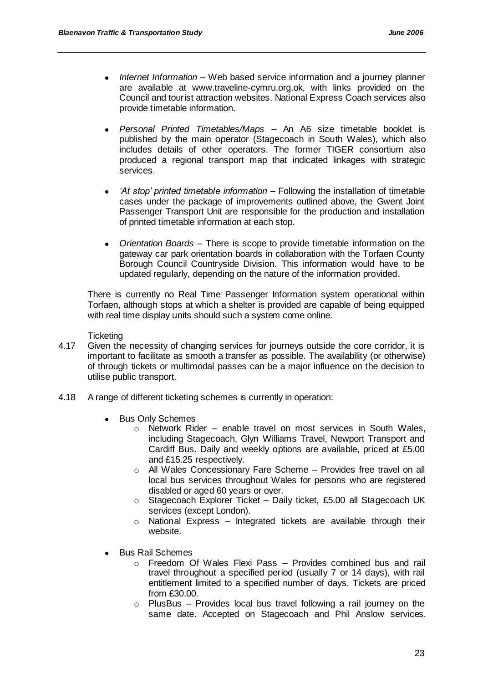- *Internet Information* Web based service information and a journey planner  $\bullet$ are available at www.traveline-cymru.org.ok, with links provided on the Council and tourist attraction websites. National Express Coach services also provide timetable information.
- *Personal Printed Timetables/Maps* An A6 size timetable booklet is published by the main operator (Stagecoach in South Wales), which also includes details of other operators. The former TIGER consortium also produced a regional transport map that indicated linkages with strategic services.
- *'At stop' printed timetable information* Following the installation of timetable cases under the package of improvements outlined above, the Gwent Joint Passenger Transport Unit are responsible for the production and installation of printed timetable information at each stop.
- *Orientation Boards* There is scope to provide timetable information on the  $\bullet$ gateway car park orientation boards in collaboration with the Torfaen County Borough Council Countryside Division. This information would have to be updated regularly, depending on the nature of the information provided.

There is currently no Real Time Passenger Information system operational within Torfaen, although stops at which a shelter is provided are capable of being equipped with real time display units should such a system come online.

#### **Ticketing**

- 4.17 Given the necessity of changing services for journeys outside the core corridor, it is important to facilitate as smooth a transfer as possible. The availability (or otherwise) of through tickets or multimodal passes can be a major influence on the decision to utilise public transport.
- 4.18 A range of different ticketing schemes is currently in operation:
	- $\bullet$ Bus Only Schemes
		- o Network Rider enable travel on most services in South Wales, including Stagecoach, Glyn Williams Travel, Newport Transport and Cardiff Bus. Daily and weekly options are available, priced at £5.00 and £15.25 respectively.
		- o All Wales Concessionary Fare Scheme Provides free travel on all local bus services throughout Wales for persons who are registered disabled or aged 60 years or over.
		- o Stagecoach Explorer Ticket Daily ticket, £5.00 all Stagecoach UK services (except London).
		- $\circ$  National Express Integrated tickets are available through their website.
	- Bus Rail Schemes
		- o Freedom Of Wales Flexi Pass Provides combined bus and rail travel throughout a specified period (usually 7 or 14 days), with rail entitlement limited to a specified number of days. Tickets are priced from £30.00.
		- $\circ$  PlusBus Provides local bus travel following a rail journey on the same date. Accepted on Stagecoach and Phil Anslow services.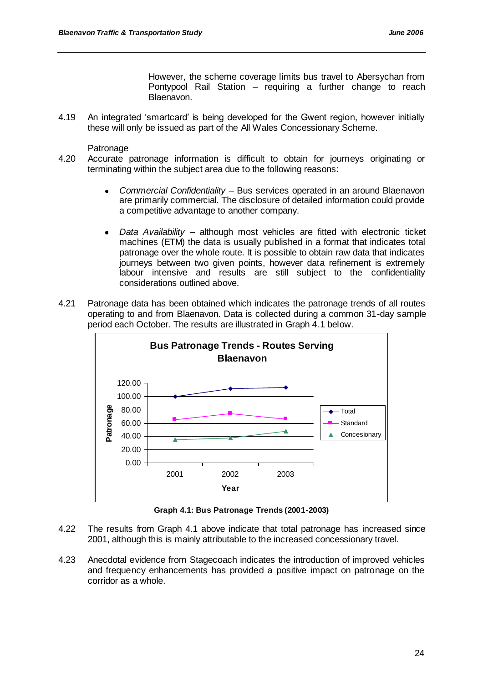However, the scheme coverage limits bus travel to Abersychan from Pontypool Rail Station – requiring a further change to reach Blaenavon.

4.19 An integrated "smartcard" is being developed for the Gwent region, however initially these will only be issued as part of the All Wales Concessionary Scheme.

**Patronage** 

- 4.20 Accurate patronage information is difficult to obtain for journeys originating or terminating within the subject area due to the following reasons:
	- *Commercial Confidentiality* Bus services operated in an around Blaenavon  $\bullet$ are primarily commercial. The disclosure of detailed information could provide a competitive advantage to another company.
	- *Data Availability* although most vehicles are fitted with electronic ticket  $\bullet$ machines (ETM) the data is usually published in a format that indicates total patronage over the whole route. It is possible to obtain raw data that indicates journeys between two given points, however data refinement is extremely labour intensive and results are still subject to the confidentiality considerations outlined above.
- 4.21 Patronage data has been obtained which indicates the patronage trends of all routes operating to and from Blaenavon. Data is collected during a common 31-day sample period each October. The results are illustrated in Graph 4.1 below.



**Graph 4.1: Bus Patronage Trends (2001-2003)**

- 4.22 The results from Graph 4.1 above indicate that total patronage has increased since 2001, although this is mainly attributable to the increased concessionary travel.
- 4.23 Anecdotal evidence from Stagecoach indicates the introduction of improved vehicles and frequency enhancements has provided a positive impact on patronage on the corridor as a whole.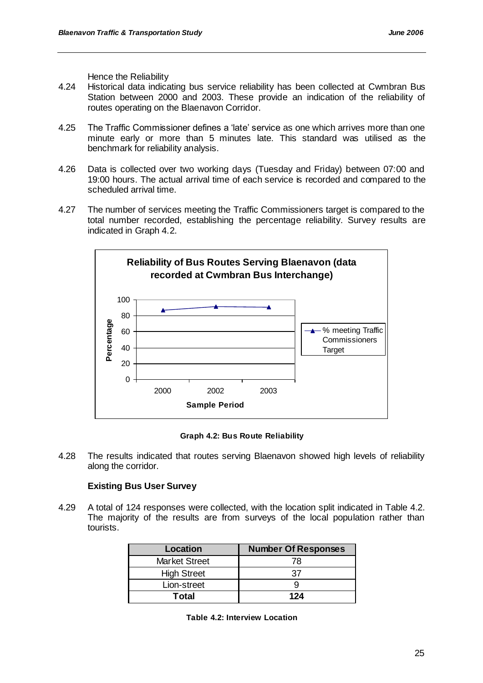Hence the Reliability

- 4.24 Historical data indicating bus service reliability has been collected at Cwmbran Bus Station between 2000 and 2003. These provide an indication of the reliability of routes operating on the Blaenavon Corridor.
- 4.25 The Traffic Commissioner defines a "late" service as one which arrives more than one minute early or more than 5 minutes late. This standard was utilised as the benchmark for reliability analysis.
- 4.26 Data is collected over two working days (Tuesday and Friday) between 07:00 and 19:00 hours. The actual arrival time of each service is recorded and compared to the scheduled arrival time.
- 4.27 The number of services meeting the Traffic Commissioners target is compared to the total number recorded, establishing the percentage reliability. Survey results are indicated in Graph 4.2.



**Graph 4.2: Bus Route Reliability**

4.28 The results indicated that routes serving Blaenavon showed high levels of reliability along the corridor.

# **Existing Bus User Survey**

4.29 A total of 124 responses were collected, with the location split indicated in Table 4.2. The majority of the results are from surveys of the local population rather than tourists.

| Location             | <b>Number Of Responses</b> |
|----------------------|----------------------------|
| <b>Market Street</b> | 78                         |
| <b>High Street</b>   | 37                         |
| Lion-street          |                            |
| Total                | 124                        |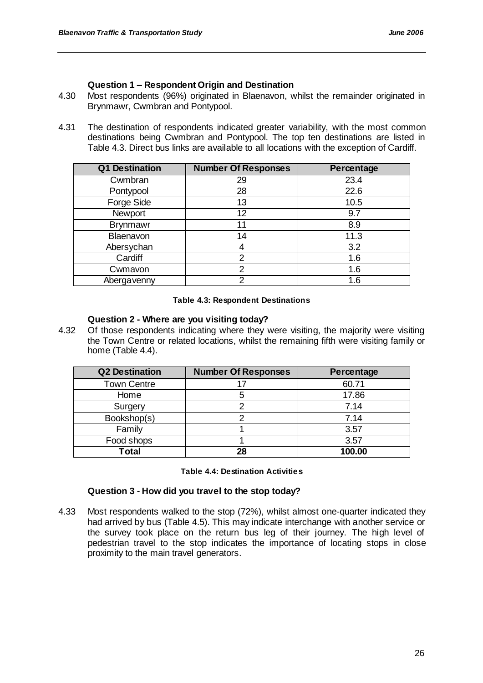# **Question 1 – Respondent Origin and Destination**

- 4.30 Most respondents (96%) originated in Blaenavon, whilst the remainder originated in Brynmawr, Cwmbran and Pontypool.
- 4.31 The destination of respondents indicated greater variability, with the most common destinations being Cwmbran and Pontypool. The top ten destinations are listed in Table 4.3. Direct bus links are available to all locations with the exception of Cardiff.

| Q1 Destination  | <b>Number Of Responses</b> | Percentage |
|-----------------|----------------------------|------------|
| Cwmbran         | 29                         | 23.4       |
| Pontypool       | 28                         | 22.6       |
| Forge Side      | 13                         | 10.5       |
| Newport         | 12                         | 9.7        |
| <b>Brynmawr</b> | 11                         | 8.9        |
| Blaenavon       | 14                         | 11.3       |
| Abersychan      |                            | 3.2        |
| Cardiff         | 2                          | 1.6        |
| Cwmavon         | 2                          | 1.6        |
| Abergavenny     | າ                          | 1.6        |

#### **Table 4.3: Respondent Destinations**

#### **Question 2 - Where are you visiting today?**

4.32 Of those respondents indicating where they were visiting, the majority were visiting the Town Centre or related locations, whilst the remaining fifth were visiting family or home (Table 4.4).

| <b>Q2 Destination</b> | <b>Number Of Responses</b> | Percentage |
|-----------------------|----------------------------|------------|
| <b>Town Centre</b>    |                            | 60.71      |
| Home                  |                            | 17.86      |
| Surgery               |                            | 7.14       |
| Bookshop(s)           |                            | 7.14       |
| Family                |                            | 3.57       |
| Food shops            |                            | 3.57       |
| <b>Total</b>          | 28                         | 100.00     |

#### **Table 4.4: Destination Activities**

#### **Question 3 - How did you travel to the stop today?**

4.33 Most respondents walked to the stop (72%), whilst almost one-quarter indicated they had arrived by bus (Table 4.5). This may indicate interchange with another service or the survey took place on the return bus leg of their journey. The high level of pedestrian travel to the stop indicates the importance of locating stops in close proximity to the main travel generators.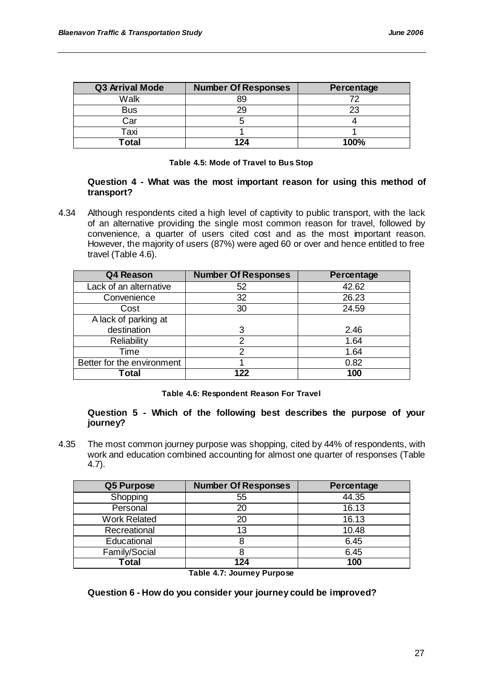| <b>Q3 Arrival Mode</b> | <b>Number Of Responses</b> | Percentage |
|------------------------|----------------------------|------------|
| Walk                   |                            |            |
| <b>Bus</b>             |                            | 23         |
| Car                    |                            |            |
| Taxi                   |                            |            |
| ˈotal                  |                            | 100%       |

#### **Table 4.5: Mode of Travel to Bus Stop**

#### **Question 4 - What was the most important reason for using this method of transport?**

4.34 Although respondents cited a high level of captivity to public transport, with the lack of an alternative providing the single most common reason for travel, followed by convenience, a quarter of users cited cost and as the most important reason. However, the majority of users (87%) were aged 60 or over and hence entitled to free travel (Table 4.6).

| Q4 Reason                  | <b>Number Of Responses</b> | Percentage |
|----------------------------|----------------------------|------------|
| Lack of an alternative     | 52                         | 42.62      |
| Convenience                | 32                         | 26.23      |
| Cost                       | 30                         | 24.59      |
| A lack of parking at       |                            |            |
| destination                | 3                          | 2.46       |
| Reliability                | າ                          | 1.64       |
| Time                       | 2                          | 1.64       |
| Better for the environment |                            | 0.82       |
| Гotal                      | 122                        | 100        |

**Table 4.6: Respondent Reason For Travel**

#### **Question 5 - Which of the following best describes the purpose of your journey?**

4.35 The most common journey purpose was shopping, cited by 44% of respondents, with work and education combined accounting for almost one quarter of responses (Table 4.7).

| Q5 Purpose          | <b>Number Of Responses</b> | Percentage |
|---------------------|----------------------------|------------|
| Shopping            | 55                         | 44.35      |
| Personal            | 20                         | 16.13      |
| <b>Work Related</b> | 20                         | 16.13      |
| Recreational        | 13                         | 10.48      |
| Educational         |                            | 6.45       |
| Family/Social       |                            | 6.45       |
| Total               | 124                        | 100        |

**Table 4.7: Journey Purpose**

**Question 6 - How do you consider your journey could be improved?**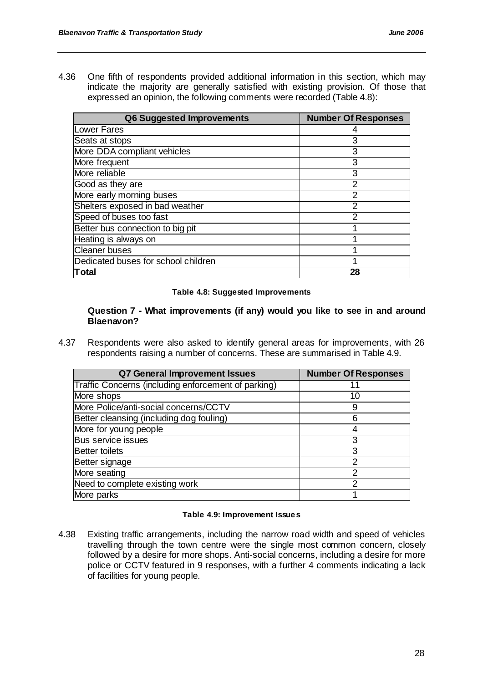4.36 One fifth of respondents provided additional information in this section, which may indicate the majority are generally satisfied with existing provision. Of those that expressed an opinion, the following comments were recorded (Table 4.8):

| Q6 Suggested Improvements           | <b>Number Of Responses</b> |
|-------------------------------------|----------------------------|
| Lower Fares                         |                            |
| Seats at stops                      | 3                          |
| More DDA compliant vehicles         | 3                          |
| More frequent                       | 3                          |
| More reliable                       | 3                          |
| Good as they are                    | 2                          |
| More early morning buses            | 2                          |
| Shelters exposed in bad weather     | 2                          |
| Speed of buses too fast             | 2                          |
| Better bus connection to big pit    |                            |
| Heating is always on                |                            |
| <b>Cleaner buses</b>                |                            |
| Dedicated buses for school children |                            |
| Total                               | 28                         |

#### **Table 4.8: Suggested Improvements**

#### **Question 7 - What improvements (if any) would you like to see in and around Blaenavon?**

4.37 Respondents were also asked to identify general areas for improvements, with 26 respondents raising a number of concerns. These are summarised in Table 4.9.

| <b>Q7 General Improvement Issues</b>                | <b>Number Of Responses</b> |
|-----------------------------------------------------|----------------------------|
| Traffic Concerns (including enforcement of parking) |                            |
| More shops                                          | 10                         |
| More Police/anti-social concerns/CCTV               | 9                          |
| Better cleansing (including dog fouling)            | 6                          |
| More for young people                               |                            |
| <b>Bus service issues</b>                           | 3                          |
| <b>Better toilets</b>                               | 3                          |
| Better signage                                      | 2                          |
| More seating                                        | 2                          |
| Need to complete existing work                      | 2                          |
| More parks                                          |                            |

#### **Table 4.9: Improvement Issues**

4.38 Existing traffic arrangements, including the narrow road width and speed of vehicles travelling through the town centre were the single most common concern, closely followed by a desire for more shops. Anti-social concerns, including a desire for more police or CCTV featured in 9 responses, with a further 4 comments indicating a lack of facilities for young people.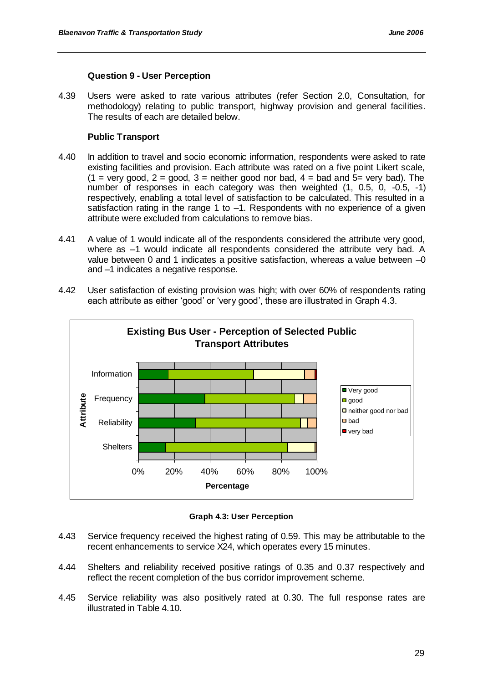## **Question 9 - User Perception**

4.39 Users were asked to rate various attributes (refer Section 2.0, Consultation, for methodology) relating to public transport, highway provision and general facilities. The results of each are detailed below.

# **Public Transport**

- 4.40 In addition to travel and socio economic information, respondents were asked to rate existing facilities and provision. Each attribute was rated on a five point Likert scale,  $(1 = \text{very good}, 2 = \text{good}, 3 = \text{neither good nor bad}, 4 = \text{bad and } 5 = \text{very bad}).$  The number of responses in each category was then weighted (1, 0.5, 0, -0.5, -1) respectively, enabling a total level of satisfaction to be calculated. This resulted in a satisfaction rating in the range 1 to -1. Respondents with no experience of a given attribute were excluded from calculations to remove bias.
- 4.41 A value of 1 would indicate all of the respondents considered the attribute very good, where as –1 would indicate all respondents considered the attribute very bad. A value between 0 and 1 indicates a positive satisfaction, whereas a value between  $-0$ and –1 indicates a negative response.
- 4.42 User satisfaction of existing provision was high; with over 60% of respondents rating each attribute as either 'good' or 'very good', these are illustrated in Graph 4.3.



**Graph 4.3: User Perception**

- 4.43 Service frequency received the highest rating of 0.59. This may be attributable to the recent enhancements to service X24, which operates every 15 minutes.
- 4.44 Shelters and reliability received positive ratings of 0.35 and 0.37 respectively and reflect the recent completion of the bus corridor improvement scheme.
- 4.45 Service reliability was also positively rated at 0.30. The full response rates are illustrated in Table 4.10.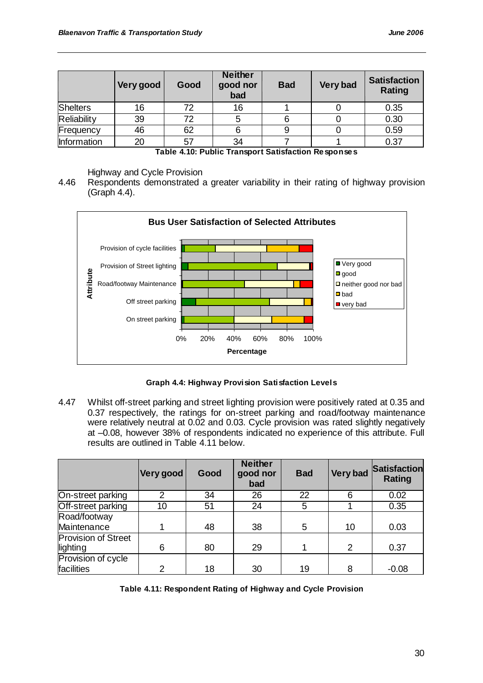|                 | Very good | Good | <b>Neither</b><br>good nor<br>bad | <b>Bad</b> | Very bad | <b>Satisfaction</b><br><b>Rating</b> |
|-----------------|-----------|------|-----------------------------------|------------|----------|--------------------------------------|
| <b>Shelters</b> | 16        | 72   | 16                                |            |          | 0.35                                 |
| Reliability     | 39        | 72   | b                                 |            |          | 0.30                                 |
| Frequency       | 46        | 62   |                                   |            |          | 0.59                                 |
| Information     | 20        | 57   | 34                                |            |          | 0.37                                 |

**Table 4.10: Public Transport Satisfaction Responses**

Highway and Cycle Provision

4.46 Respondents demonstrated a greater variability in their rating of highway provision (Graph 4.4).



**Graph 4.4: Highway Provision Satisfaction Levels**

4.47 Whilst off-street parking and street lighting provision were positively rated at 0.35 and 0.37 respectively, the ratings for on-street parking and road/footway maintenance were relatively neutral at 0.02 and 0.03. Cycle provision was rated slightly negatively at –0.08, however 38% of respondents indicated no experience of this attribute. Full results are outlined in Table 4.11 below.

|                     | Very good | Good | <b>Neither</b><br>good nor<br>bad | <b>Bad</b> | <b>Very bad</b> | <b>Satisfaction</b><br><b>Rating</b> |
|---------------------|-----------|------|-----------------------------------|------------|-----------------|--------------------------------------|
| On-street parking   |           | 34   | 26                                | 22         | 6               | 0.02                                 |
| Off-street parking  | 10        | 51   | 24                                | 5          |                 | 0.35                                 |
| Road/footway        |           |      |                                   |            |                 |                                      |
| Maintenance         |           | 48   | 38                                | 5          | 10              | 0.03                                 |
| Provision of Street |           |      |                                   |            |                 |                                      |
| lighting            | 6         | 80   | 29                                |            | 2               | 0.37                                 |
| Provision of cycle  |           |      |                                   |            |                 |                                      |
| facilities          | っ         | 18   | 30                                | 19         | 8               | $-0.08$                              |

**Table 4.11: Respondent Rating of Highway and Cycle Provision**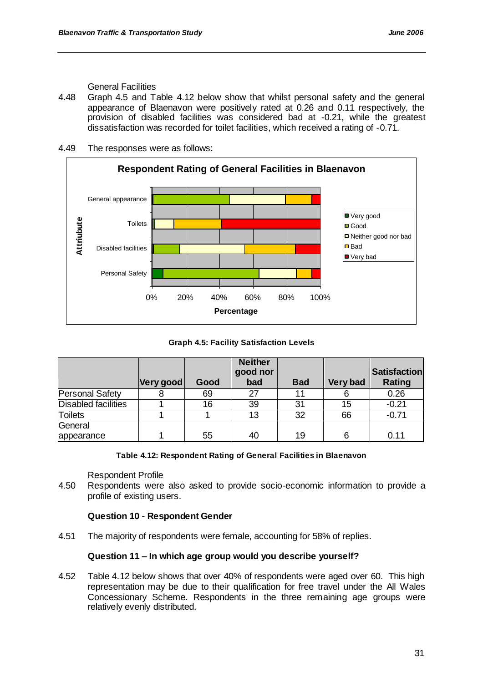General Facilities

- 4.48 Graph 4.5 and Table 4.12 below show that whilst personal safety and the general appearance of Blaenavon were positively rated at 0.26 and 0.11 respectively, the provision of disabled facilities was considered bad at -0.21, while the greatest dissatisfaction was recorded for toilet facilities, which received a rating of -0.71.
- 4.49 The responses were as follows:



# **Graph 4.5: Facility Satisfaction Levels**

|                            | Very good | Good | <b>Neither</b><br>good nor<br>bad | <b>Bad</b> | Very bad | <b>Satisfaction</b><br>Rating |
|----------------------------|-----------|------|-----------------------------------|------------|----------|-------------------------------|
| Personal Safety            |           | 69   | 27                                | 11         |          | 0.26                          |
| <b>Disabled facilities</b> |           | 16   | 39                                | 31         | 15       | $-0.21$                       |
| <b>Toilets</b>             |           |      | 13                                | 32         | 66       | $-0.71$                       |
| General                    |           |      |                                   |            |          |                               |
| appearance                 |           | 55   | 40                                | 19         | 6        | 0.11                          |

#### **Table 4.12: Respondent Rating of General Facilities in Blaenavon**

Respondent Profile

4.50 Respondents were also asked to provide socio-economic information to provide a profile of existing users.

# **Question 10 - Respondent Gender**

4.51 The majority of respondents were female, accounting for 58% of replies.

# **Question 11 – In which age group would you describe yourself?**

4.52 Table 4.12 below shows that over 40% of respondents were aged over 60. This high representation may be due to their qualification for free travel under the All Wales Concessionary Scheme. Respondents in the three remaining age groups were relatively evenly distributed.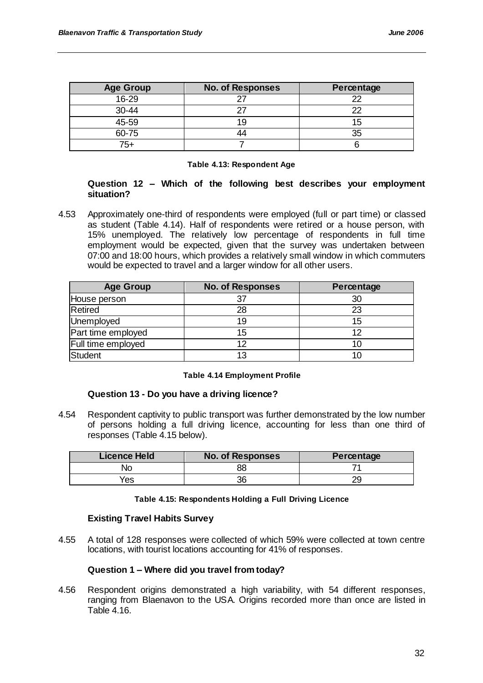| <b>Age Group</b> | <b>No. of Responses</b> | Percentage |
|------------------|-------------------------|------------|
| $16 - 29$        |                         | ∩∩         |
| 30-44            |                         | つつ         |
| 45-59            | 19                      | 15         |
| 60-75            |                         | 35         |
| $75+$            |                         |            |

#### **Table 4.13: Respondent Age**

# **Question 12 – Which of the following best describes your employment situation?**

4.53 Approximately one-third of respondents were employed (full or part time) or classed as student (Table 4.14). Half of respondents were retired or a house person, with 15% unemployed. The relatively low percentage of respondents in full time employment would be expected, given that the survey was undertaken between 07:00 and 18:00 hours, which provides a relatively small window in which commuters would be expected to travel and a larger window for all other users.

| <b>Age Group</b>   | <b>No. of Responses</b> | Percentage |
|--------------------|-------------------------|------------|
| House person       |                         | 30         |
| Retired            | 28                      | 23         |
| Unemployed         | 19                      | 15         |
| Part time employed | 15                      | 12         |
| Full time employed | ィク                      |            |
| Student            | 13                      |            |

#### **Table 4.14 Employment Profile**

#### **Question 13 - Do you have a driving licence?**

4.54 Respondent captivity to public transport was further demonstrated by the low number of persons holding a full driving licence, accounting for less than one third of responses (Table 4.15 below).

| <b>Licence Held</b> | <b>No. of Responses</b> | Percentage |
|---------------------|-------------------------|------------|
| NС                  |                         |            |
| Yes                 |                         |            |

#### **Table 4.15: Respondents Holding a Full Driving Licence**

# **Existing Travel Habits Survey**

4.55 A total of 128 responses were collected of which 59% were collected at town centre locations, with tourist locations accounting for 41% of responses.

#### **Question 1 – Where did you travel from today?**

4.56 Respondent origins demonstrated a high variability, with 54 different responses, ranging from Blaenavon to the USA. Origins recorded more than once are listed in Table 4.16.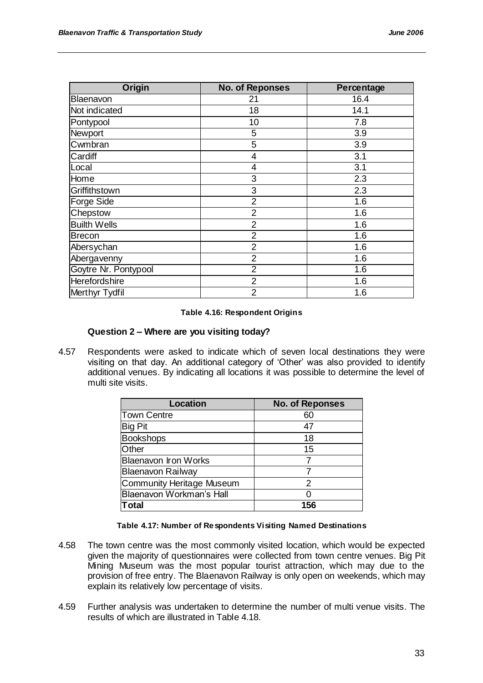| Origin               | <b>No. of Reponses</b> | Percentage |
|----------------------|------------------------|------------|
| Blaenavon            | 21                     | 16.4       |
| Not indicated        | 18                     | 14.1       |
| Pontypool            | 10                     | 7.8        |
| Newport              | 5                      | 3.9        |
| Cwmbran              | 5                      | 3.9        |
| Cardiff              | $\overline{4}$         | 3.1        |
| Local                | $\overline{4}$         | 3.1        |
| Home                 | 3                      | 2.3        |
| Griffithstown        | 3                      | 2.3        |
| <b>Forge Side</b>    | $\overline{2}$         | 1.6        |
| Chepstow             | $\overline{2}$         | 1.6        |
| <b>Builth Wells</b>  | $\overline{2}$         | 1.6        |
| <b>Brecon</b>        | $\overline{2}$         | 1.6        |
| Abersychan           | $\overline{2}$         | 1.6        |
| Abergavenny          | $\overline{2}$         | 1.6        |
| Goytre Nr. Pontypool | $\overline{2}$         | 1.6        |
| Herefordshire        | $\overline{2}$         | 1.6        |
| Merthyr Tydfil       | $\overline{2}$         | 1.6        |

#### **Table 4.16: Respondent Origins**

### **Question 2 – Where are you visiting today?**

4.57 Respondents were asked to indicate which of seven local destinations they were visiting on that day. An additional category of "Other" was also provided to identify additional venues. By indicating all locations it was possible to determine the level of multi site visits.

| Location                    | <b>No. of Reponses</b> |
|-----------------------------|------------------------|
| Town Centre                 | 60                     |
| <b>Big Pit</b>              | 47                     |
| <b>Bookshops</b>            | 18                     |
| Other                       | 15                     |
| <b>Blaenavon Iron Works</b> |                        |
| <b>Blaenavon Railway</b>    |                        |
| Community Heritage Museum   | 2                      |
| Blaenavon Workman's Hall    |                        |
| Гоtal                       | 156                    |

#### **Table 4.17: Number of Respondents Visiting Named Destinations**

- 4.58 The town centre was the most commonly visited location, which would be expected given the majority of questionnaires were collected from town centre venues. Big Pit Mining Museum was the most popular tourist attraction, which may due to the provision of free entry. The Blaenavon Railway is only open on weekends, which may explain its relatively low percentage of visits.
- 4.59 Further analysis was undertaken to determine the number of multi venue visits. The results of which are illustrated in Table 4.18.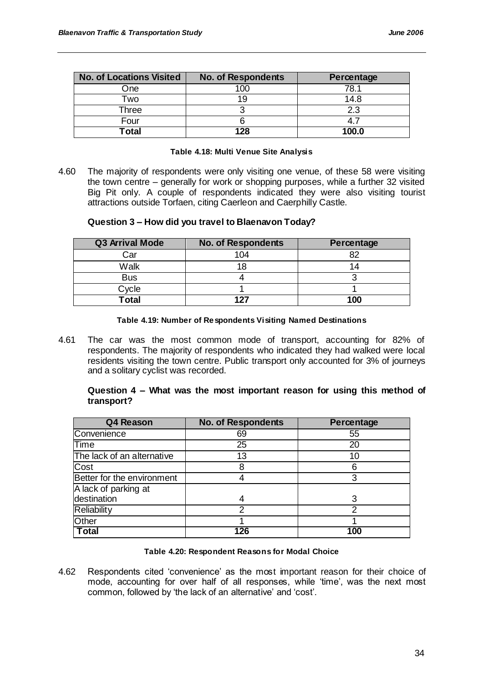| <b>No. of Locations Visited</b> | <b>No. of Respondents</b> | Percentage |
|---------------------------------|---------------------------|------------|
| One                             | 100                       | 78.1       |
| Two                             |                           | 14.8       |
| Three                           |                           | 2.3        |
| Four                            |                           |            |
| <b>Total</b>                    | 128                       | 100.0      |

#### **Table 4.18: Multi Venue Site Analysis**

4.60 The majority of respondents were only visiting one venue, of these 58 were visiting the town centre – generally for work or shopping purposes, while a further 32 visited Big Pit only. A couple of respondents indicated they were also visiting tourist attractions outside Torfaen, citing Caerleon and Caerphilly Castle.

### **Question 3 – How did you travel to Blaenavon Today?**

| <b>Q3 Arrival Mode</b> | <b>No. of Respondents</b> | Percentage |
|------------------------|---------------------------|------------|
| Car                    | 104                       |            |
| Walk                   |                           | 14         |
| <b>Bus</b>             |                           |            |
| Cycle                  |                           |            |
| <b>Total</b>           | 127                       | 100        |

#### **Table 4.19: Number of Respondents Visiting Named Destinations**

4.61 The car was the most common mode of transport, accounting for 82% of respondents. The majority of respondents who indicated they had walked were local residents visiting the town centre. Public transport only accounted for 3% of journeys and a solitary cyclist was recorded.

### **Question 4 – What was the most important reason for using this method of transport?**

| Q4 Reason                  | <b>No. of Respondents</b> | Percentage |
|----------------------------|---------------------------|------------|
| Convenience                | 69                        | 55         |
| Time                       | 25                        | 20         |
| The lack of an alternative | 13                        | 10         |
| Cost                       |                           | 6          |
| Better for the environment |                           | 3          |
| A lack of parking at       |                           |            |
| destination                |                           |            |
| Reliability                | າ                         | າ          |
| Other                      |                           |            |
| <b>Total</b>               | 126                       | 100        |

#### **Table 4.20: Respondent Reasons for Modal Choice**

4.62 Respondents cited "convenience" as the most important reason for their choice of mode, accounting for over half of all responses, while 'time', was the next most common, followed by 'the lack of an alternative' and 'cost'.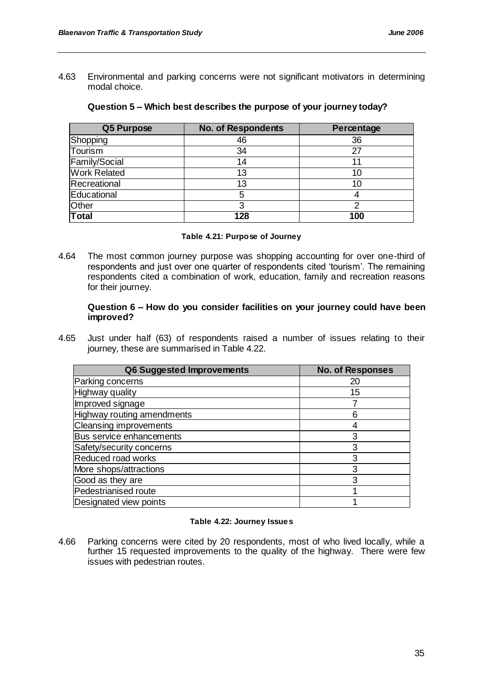4.63 Environmental and parking concerns were not significant motivators in determining modal choice.

| Q5 Purpose          | <b>No. of Respondents</b> | Percentage |
|---------------------|---------------------------|------------|
| Shopping            | 46                        | 36         |
| Tourism             | 34                        | 27         |
| Family/Social       | 14                        | 11         |
| <b>Work Related</b> | 13                        | 10         |
| Recreational        | 13                        | 10         |
| Educational         | 5                         |            |
| Other               |                           | າ          |
| <b>Total</b>        | 128                       | 100        |

### **Question 5 – Which best describes the purpose of your journey today?**

#### **Table 4.21: Purpose of Journey**

4.64 The most common journey purpose was shopping accounting for over one-third of respondents and just over one quarter of respondents cited "tourism". The remaining respondents cited a combination of work, education, family and recreation reasons for their journey.

#### **Question 6 – How do you consider facilities on your journey could have been improved?**

4.65 Just under half (63) of respondents raised a number of issues relating to their journey, these are summarised in Table 4.22.

| Q6 Suggested Improvements         | <b>No. of Responses</b> |
|-----------------------------------|-------------------------|
| Parking concerns                  | 20                      |
| Highway quality                   | 15                      |
| Improved signage                  |                         |
| <b>Highway routing amendments</b> | 6                       |
| <b>Cleansing improvements</b>     |                         |
| Bus service enhancements          | 3                       |
| Safety/security concerns          | 3                       |
| Reduced road works                | 3                       |
| More shops/attractions            | 3                       |
| Good as they are                  | 3                       |
| Pedestrianised route              |                         |
| Designated view points            |                         |

#### **Table 4.22: Journey Issues**

4.66 Parking concerns were cited by 20 respondents, most of who lived locally, while a further 15 requested improvements to the quality of the highway. There were few issues with pedestrian routes.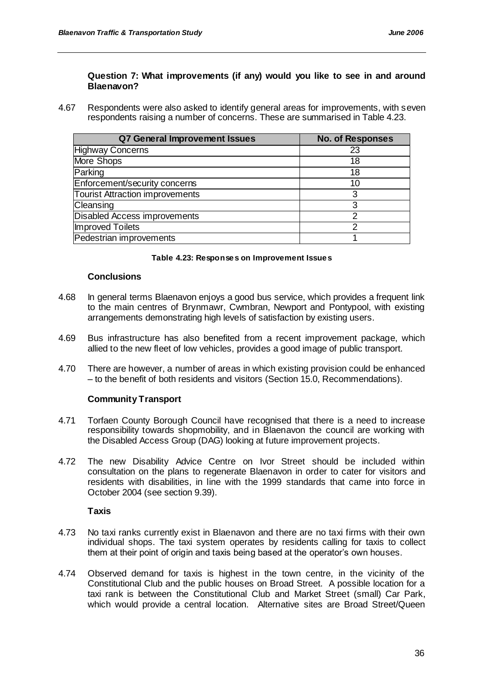## **Question 7: What improvements (if any) would you like to see in and around Blaenavon?**

4.67 Respondents were also asked to identify general areas for improvements, with seven respondents raising a number of concerns. These are summarised in Table 4.23.

| Q7 General Improvement Issues          | <b>No. of Responses</b> |
|----------------------------------------|-------------------------|
| <b>Highway Concerns</b>                | 23                      |
| More Shops                             | 18                      |
| Parking                                | 18                      |
| Enforcement/security concerns          | 10                      |
| <b>Tourist Attraction improvements</b> | 3                       |
| Cleansing                              | 3                       |
| Disabled Access improvements           | າ                       |
| Improved Toilets                       | າ                       |
| Pedestrian improvements                |                         |

#### **Table 4.23: Responses on Improvement Issues**

#### **Conclusions**

- 4.68 In general terms Blaenavon enjoys a good bus service, which provides a frequent link to the main centres of Brynmawr, Cwmbran, Newport and Pontypool, with existing arrangements demonstrating high levels of satisfaction by existing users.
- 4.69 Bus infrastructure has also benefited from a recent improvement package, which allied to the new fleet of low vehicles, provides a good image of public transport.
- 4.70 There are however, a number of areas in which existing provision could be enhanced – to the benefit of both residents and visitors (Section 15.0, Recommendations).

#### **Community Transport**

- 4.71 Torfaen County Borough Council have recognised that there is a need to increase responsibility towards shopmobility, and in Blaenavon the council are working with the Disabled Access Group (DAG) looking at future improvement projects.
- 4.72 The new Disability Advice Centre on Ivor Street should be included within consultation on the plans to regenerate Blaenavon in order to cater for visitors and residents with disabilities, in line with the 1999 standards that came into force in October 2004 (see section 9.39).

#### **Taxis**

- 4.73 No taxi ranks currently exist in Blaenavon and there are no taxi firms with their own individual shops. The taxi system operates by residents calling for taxis to collect them at their point of origin and taxis being based at the operator"s own houses.
- 4.74 Observed demand for taxis is highest in the town centre, in the vicinity of the Constitutional Club and the public houses on Broad Street. A possible location for a taxi rank is between the Constitutional Club and Market Street (small) Car Park, which would provide a central location. Alternative sites are Broad Street/Queen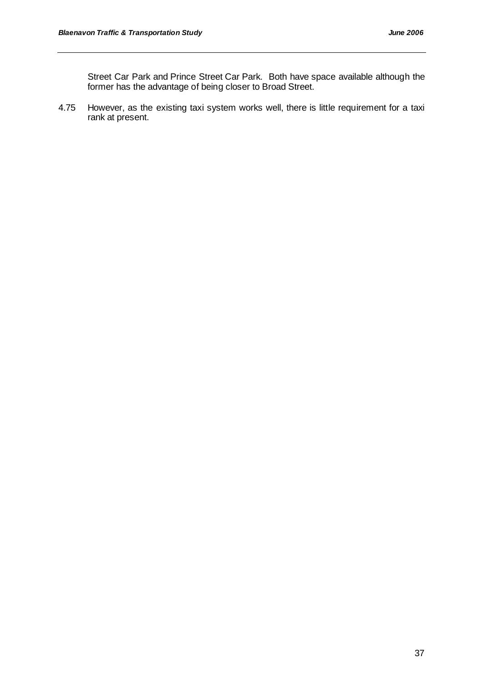Street Car Park and Prince Street Car Park. Both have space available although the former has the advantage of being closer to Broad Street.

4.75 However, as the existing taxi system works well, there is little requirement for a taxi rank at present.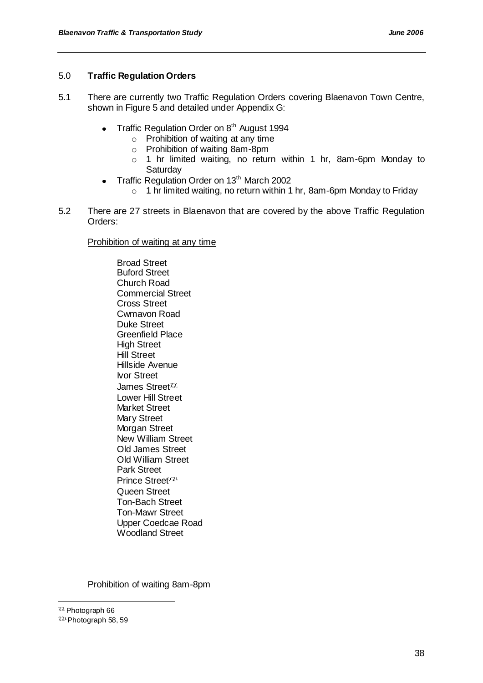# 5.0 **Traffic Regulation Orders**

- 5.1 There are currently two Traffic Regulation Orders covering Blaenavon Town Centre, shown in Figure 5 and detailed under Appendix G:
	- Traffic Regulation Order on 8<sup>th</sup> August 1994  $\bullet$ 
		- $\circ$  Prohibition of waiting at any time
		- o Prohibition of waiting 8am-8pm
		- o 1 hr limited waiting, no return within 1 hr, 8am-6pm Monday to **Saturday**
	- Traffic Regulation Order on 13<sup>th</sup> March 2002
		- o 1 hr limited waiting, no return within 1 hr, 8am-6pm Monday to Friday
- 5.2 There are 27 streets in Blaenavon that are covered by the above Traffic Regulation Orders:

Prohibition of waiting at any time

Broad Street Buford Street Church Road Commercial Street Cross Street Cwmavon Road Duke Street Greenfield Place High Street Hill Street Hillside Avenue Ivor Street James Street Lower Hill Street Market Street Mary Street Morgan Street New William Street Old James Street Old William Street Park Street Prince Street<sup>XX1</sup> Queen Street Ton-Bach Street Ton-Mawr Street Upper Coedcae Road Woodland Street

Prohibition of waiting 8am-8pm

l

 $\chi\chi$  Photograph 66

 $^{\chi\chi_1}$  Photograph 58, 59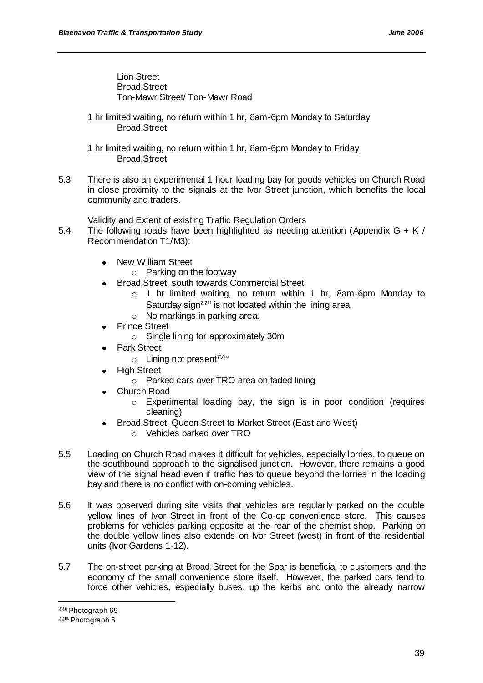Lion Street Broad Street Ton-Mawr Street/ Ton-Mawr Road

1 hr limited waiting, no return within 1 hr, 8am-6pm Monday to Saturday Broad Street

1 hr limited waiting, no return within 1 hr, 8am-6pm Monday to Friday Broad Street

5.3 There is also an experimental 1 hour loading bay for goods vehicles on Church Road in close proximity to the signals at the Ivor Street junction, which benefits the local community and traders.

Validity and Extent of existing Traffic Regulation Orders

- 5.4 The following roads have been highlighted as needing attention (Appendix  $G + K/$ Recommendation T1/M3):
	- New William Street
		- o Parking on the footway
		- Broad Street, south towards Commercial Street
			- $\circ$  1 hr limited waiting, no return within 1 hr, 8am-6pm Monday to Saturday sign  $\chi_{\mu}$  is not located within the lining area
			- o No markings in parking area.
	- Prince Street
		- o Single lining for approximately 30m
	- Park Street
		- $\circ$  Lining not present  $\chi_{\text{X}}$ <sup>11</sup>
	- High Street
		- o Parked cars over TRO area on faded lining
	- Church Road
		- o Experimental loading bay, the sign is in poor condition (requires cleaning)
	- Broad Street, Queen Street to Market Street (East and West)
		- o Vehicles parked over TRO
- 5.5 Loading on Church Road makes it difficult for vehicles, especially lorries, to queue on the southbound approach to the signalised junction. However, there remains a good view of the signal head even if traffic has to queue beyond the lorries in the loading bay and there is no conflict with on-coming vehicles.
- 5.6 It was observed during site visits that vehicles are regularly parked on the double yellow lines of Ivor Street in front of the Co-op convenience store. This causes problems for vehicles parking opposite at the rear of the chemist shop. Parking on the double yellow lines also extends on Ivor Street (west) in front of the residential units (Ivor Gardens 1-12).
- 5.7 The on-street parking at Broad Street for the Spar is beneficial to customers and the economy of the small convenience store itself. However, the parked cars tend to force other vehicles, especially buses, up the kerbs and onto the already narrow

l

 $\chi\chi$ <sup>u</sup> Photograph 69

 $\chi\chi$ <sup>m</sup> Photograph 6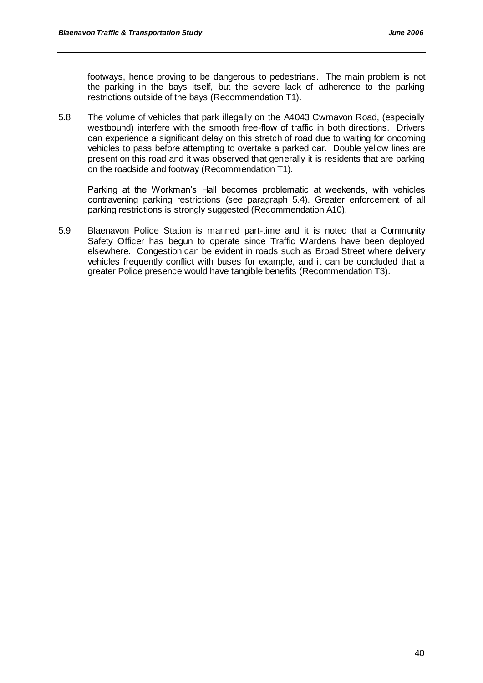footways, hence proving to be dangerous to pedestrians. The main problem is not the parking in the bays itself, but the severe lack of adherence to the parking restrictions outside of the bays (Recommendation T1).

5.8 The volume of vehicles that park illegally on the A4043 Cwmavon Road, (especially westbound) interfere with the smooth free-flow of traffic in both directions. Drivers can experience a significant delay on this stretch of road due to waiting for oncoming vehicles to pass before attempting to overtake a parked car. Double yellow lines are present on this road and it was observed that generally it is residents that are parking on the roadside and footway (Recommendation T1).

Parking at the Workman"s Hall becomes problematic at weekends, with vehicles contravening parking restrictions (see paragraph 5.4). Greater enforcement of all parking restrictions is strongly suggested (Recommendation A10).

5.9 Blaenavon Police Station is manned part-time and it is noted that a Community Safety Officer has begun to operate since Traffic Wardens have been deployed elsewhere. Congestion can be evident in roads such as Broad Street where delivery vehicles frequently conflict with buses for example, and it can be concluded that a greater Police presence would have tangible benefits (Recommendation T3).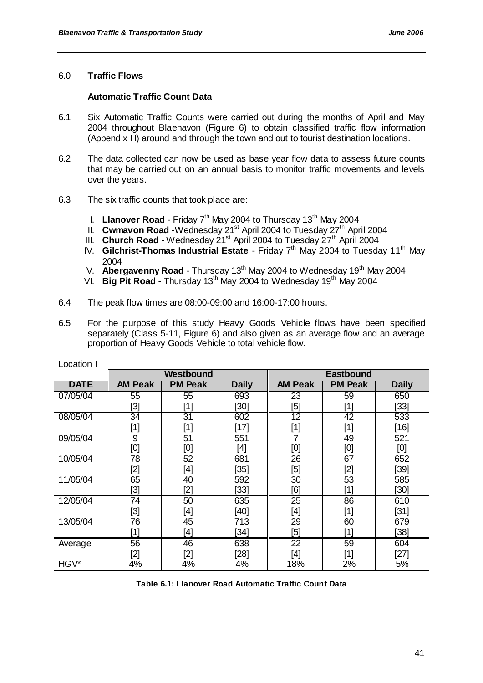## 6.0 **Traffic Flows**

### **Automatic Traffic Count Data**

- 6.1 Six Automatic Traffic Counts were carried out during the months of April and May 2004 throughout Blaenavon (Figure 6) to obtain classified traffic flow information (Appendix H) around and through the town and out to tourist destination locations.
- 6.2 The data collected can now be used as base year flow data to assess future counts that may be carried out on an annual basis to monitor traffic movements and levels over the years.
- 6.3 The six traffic counts that took place are:
	- I. Llanover Road Friday 7<sup>th</sup> May 2004 to Thursday 13<sup>th</sup> May 2004
	- II. **Cwmavon Road** -Wednesday 21<sup>st</sup> April 2004 to Tuesday 27<sup>th</sup> April 2004
	- III. **Church Road** Wednesday 21<sup>st</sup> April 2004 to Tuesday 27<sup>th</sup> April 2004
	- IV. **Gilchrist-Thomas Industrial Estate** Friday 7<sup>th</sup> May 2004 to Tuesday 11<sup>th</sup> May 2004
	- V. **Abergavenny Road** Thursday 13<sup>th</sup> May 2004 to Wednesday 19<sup>th</sup> May 2004
	- VI. **Big Pit Road** Thursday 13<sup>th</sup> May 2004 to Wednesday 19<sup>th</sup> May 2004
- 6.4 The peak flow times are 08:00-09:00 and 16:00-17:00 hours.
- 6.5 For the purpose of this study Heavy Goods Vehicle flows have been specified separately (Class 5-11, Figure 6) and also given as an average flow and an average proportion of Heavy Goods Vehicle to total vehicle flow.

|             |                                                                                                                                                                                                                              | Westbound       |              |                                                                                                                                                                                | <b>Eastbound</b>                                                                                                                                                                                                     |              |
|-------------|------------------------------------------------------------------------------------------------------------------------------------------------------------------------------------------------------------------------------|-----------------|--------------|--------------------------------------------------------------------------------------------------------------------------------------------------------------------------------|----------------------------------------------------------------------------------------------------------------------------------------------------------------------------------------------------------------------|--------------|
| <b>DATE</b> | <b>AM Peak</b>                                                                                                                                                                                                               | <b>PM Peak</b>  | <b>Daily</b> | <b>AM Peak</b>                                                                                                                                                                 | <b>PM Peak</b>                                                                                                                                                                                                       | <b>Daily</b> |
| 07/05/04    | 55                                                                                                                                                                                                                           | 55              | 693          | 23                                                                                                                                                                             | 59                                                                                                                                                                                                                   | 650          |
|             | [3]                                                                                                                                                                                                                          | [1]             | [30]         | [5]                                                                                                                                                                            | [1]                                                                                                                                                                                                                  | $[33]$       |
| 08/05/04    | $\overline{34}$                                                                                                                                                                                                              | $\overline{31}$ | 602          | $\overline{12}$                                                                                                                                                                | $\overline{42}$                                                                                                                                                                                                      | 533          |
|             | $[1] % \includegraphics[width=0.9\columnwidth]{figures/fig_10.pdf} \caption{The figure shows the number of times of the estimators in the left and right. The left is the number of times of the right.} \label{fig:time} %$ | [1]             | [17]         | $[1] % \includegraphics[width=0.9\columnwidth]{figures/fig_10.pdf} \caption{The figure shows the number of times of the estimators in the left and right.} \label{fig:time} %$ | [1]                                                                                                                                                                                                                  | [16]         |
| 09/05/04    | 9                                                                                                                                                                                                                            | 51              | 551          | 7                                                                                                                                                                              | 49                                                                                                                                                                                                                   | 521          |
|             | [0]                                                                                                                                                                                                                          | [0]             | [4]          | [0]                                                                                                                                                                            | [0]                                                                                                                                                                                                                  | [0]          |
| 10/05/04    | 78                                                                                                                                                                                                                           | 52              | 681          | 26                                                                                                                                                                             | 67                                                                                                                                                                                                                   | 652          |
|             | [2]                                                                                                                                                                                                                          | [4]             | $[35]$       | $[5] % \includegraphics[width=0.9\columnwidth]{figures/fig_10.pdf} \caption{Schematic diagram of the top of the top of the top of the right.} \label{fig:fig:time}$            | [2]                                                                                                                                                                                                                  | [39]         |
| 11/05/04    | 65                                                                                                                                                                                                                           | 40              | 592          | $\overline{30}$                                                                                                                                                                | 53                                                                                                                                                                                                                   | 585          |
|             | [3]                                                                                                                                                                                                                          | [2]             | $[33]$       | [6]                                                                                                                                                                            | $[1] % \includegraphics[width=0.9\columnwidth]{figures/fig_10.pdf} \caption{The figure shows the number of times on the right panel. The left panel shows the number of times on the right panel.} \label{fig:time}$ | [30]         |
| 12/05/04    | 74                                                                                                                                                                                                                           | 50              | 635          | 25                                                                                                                                                                             | 86                                                                                                                                                                                                                   | 610          |
|             | [3]                                                                                                                                                                                                                          | [4]             | $[40]$       | [4]                                                                                                                                                                            | [1]                                                                                                                                                                                                                  | $[31]$       |
| 13/05/04    | 76                                                                                                                                                                                                                           | 45              | 713          | 29                                                                                                                                                                             | 60                                                                                                                                                                                                                   | 679          |
|             | $[1] % \includegraphics[width=0.9\columnwidth]{figures/fig_10.pdf} \caption{The figure shows the number of times on the left and right. The left is the number of times on the right.} \label{fig:time} %$                   | [4]             | $[34]$       | $[5] % \includegraphics[width=0.9\columnwidth]{figures/fig_10.pdf} \caption{Schematic diagram of the top of the top of the top of the right.} \label{fig:fig_10.pdf}$          | $[1] % \includegraphics[width=0.9\columnwidth]{figures/fig_10.pdf} \caption{The figure shows the number of times on the left and right. The left is the number of times on the right.} \label{fig:time} %$           | [38]         |
| Average     | 56                                                                                                                                                                                                                           | 46              | 638          | 22                                                                                                                                                                             | 59                                                                                                                                                                                                                   | 604          |
|             | [2]                                                                                                                                                                                                                          | [2]             | $[28]$       | [4]                                                                                                                                                                            | [1]                                                                                                                                                                                                                  | $[27]$       |
| HGV*        | 4%                                                                                                                                                                                                                           | 4%              | 4%           | 18%                                                                                                                                                                            | 2%                                                                                                                                                                                                                   | 5%           |

Location I

**Table 6.1: Llanover Road Automatic Traffic Count Data**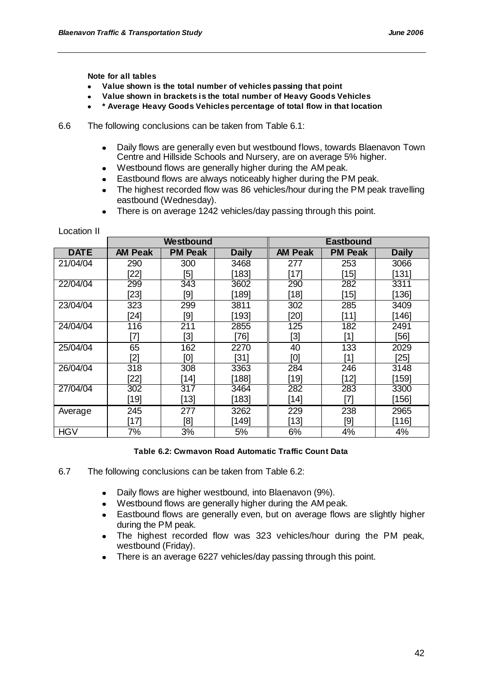**Note for all tables**

Location II

- **Value shown is the total number of vehicles passing that point**
- **Value shown in brackets is the total number of Heavy Goods Vehicles**
- **\* Average Heavy Goods Vehicles percentage of total flow in that location**
- 6.6 The following conclusions can be taken from Table 6.1:
	- Daily flows are generally even but westbound flows, towards Blaenavon Town  $\bullet$ Centre and Hillside Schools and Nursery, are on average 5% higher.
	- Westbound flows are generally higher during the AM peak.
	- Eastbound flows are always noticeably higher during the PM peak.  $\bullet$
	- The highest recorded flow was 86 vehicles/hour during the PM peak travelling eastbound (Wednesday).
	- There is on average 1242 vehicles/day passing through this point.  $\bullet$

|             |                | Westbound      |              |                | <b>Eastbound</b> |              |
|-------------|----------------|----------------|--------------|----------------|------------------|--------------|
| <b>DATE</b> | <b>AM Peak</b> | <b>PM Peak</b> | <b>Daily</b> | <b>AM Peak</b> | <b>PM Peak</b>   | <b>Daily</b> |
| 21/04/04    | 290            | 300            | 3468         | 277            | 253              | 3066         |
|             | [22]           | [5]            | [183]        | [17]           | [15]             | [131]        |
| 22/04/04    | 299            | 343            | 3602         | 290            | 282              | 3311         |
|             | $[23]$         | [9]            | [189]        | $[18]$         | [15]             | $[136]$      |
| 23/04/04    | 323            | 299            | 3811         | 302            | 285              | 3409         |
|             | $[24]$         | [9]            | [193]        | $[20]$         | $[11]$           | [146]        |
| 24/04/04    | 116            | 211            | 2855         | 125            | 182              | 2491         |
|             | [7]            | [3]            | [76]         | [3]            | [1]              | [56]         |
| 25/04/04    | 65             | 162            | 2270         | 40             | 133              | 2029         |
|             | '21            | וסז            | [31]         | וסן            | [1]              | [25]         |
| 26/04/04    | 318            | 308            | 3363         | 284            | 246              | 3148         |
|             | [22]           | [14]           | [188]        | $[19]$         | [12]             | [159]        |
| 27/04/04    | 302            | 317            | 3464         | 282            | 283              | 3300         |
|             | [19]           | [13]           | [183]        | [14]           | [7]              | [156]        |
| Average     | 245            | 277            | 3262         | 229            | 238              | 2965         |
|             | [17]           | [8]            | [149]        | $[13]$         | [9]              | [116]        |
| <b>HGV</b>  | 7%             | 3%             | 5%           | 6%             | 4%               | 4%           |

**Table 6.2: Cwmavon Road Automatic Traffic Count Data**

- 6.7 The following conclusions can be taken from Table 6.2:
	- Daily flows are higher westbound, into Blaenavon (9%).  $\bullet$
	- Westbound flows are generally higher during the AM peak.  $\bullet$
	- Eastbound flows are generally even, but on average flows are slightly higher  $\bullet$ during the PM peak.
	- The highest recorded flow was 323 vehicles/hour during the PM peak, westbound (Friday).
	- There is an average 6227 vehicles/day passing through this point.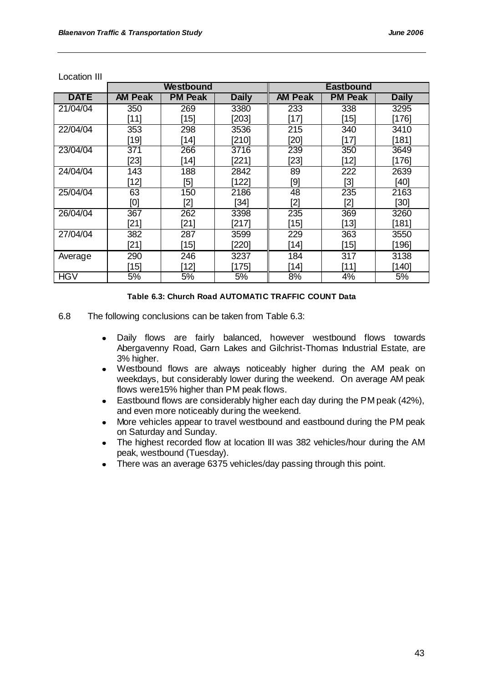|             |                | Westbound      |              |                | <b>Eastbound</b>                                                                                                                                 |              |
|-------------|----------------|----------------|--------------|----------------|--------------------------------------------------------------------------------------------------------------------------------------------------|--------------|
| <b>DATE</b> | <b>AM Peak</b> | <b>PM Peak</b> | <b>Daily</b> | <b>AM Peak</b> | <b>PM Peak</b>                                                                                                                                   | <b>Daily</b> |
| 21/04/04    | 350            | 269            | 3380         | 233            | 338                                                                                                                                              | 3295         |
|             | $[11]$         | $[15]$         | [203]        | $[17]$         | $[15]$                                                                                                                                           | [176]        |
| 22/04/04    | 353            | 298            | 3536         | 215            | 340                                                                                                                                              | 3410         |
|             | $[19]$         | $[14]$         | [210]        | $[20]$         | [17]                                                                                                                                             | [181]        |
| 23/04/04    | 371            | 266            | 3716         | 239            | 350                                                                                                                                              | 3649         |
|             | $[23]$         | [14]           | [221]        | $[23]$         | $[12]$                                                                                                                                           | [176]        |
| 24/04/04    | 143            | 188            | 2842         | 89             | 222                                                                                                                                              | 2639         |
|             | $[12]$         | [5]            | 122          | [9]            | [3]                                                                                                                                              | [40]         |
| 25/04/04    | 63             | 150            | 2186         | 48             | 235                                                                                                                                              | 2163         |
|             | [0]            | [2]            | $[34]$       | [2]            | [2]                                                                                                                                              | $[30]$       |
| 26/04/04    | 367            | 262            | 3398         | 235            | 369                                                                                                                                              | 3260         |
|             | [21]           | [21]           | [217]        | $[15]$         | [13]                                                                                                                                             | ั1811        |
| 27/04/04    | 382            | 287            | 3599         | 229            | 363                                                                                                                                              | 3550         |
|             | $[21]$         | $[15]$         | [220]        | $[14]$         | $[15] % \includegraphics[width=0.9\columnwidth]{figures/fig_1a} \caption{The 1D (top) of the estimators in the left and right.} \label{fig:1} %$ | $[196]$      |
| Average     | 290            | 246            | 3237         | 184            | 317                                                                                                                                              | 3138         |
|             | [15]           | ้121           | [175]        | [14]           | ์111                                                                                                                                             | 140          |
| <b>HGV</b>  | 5%             | 5%             | 5%           | 8%             | 4%                                                                                                                                               | 5%           |

Location III

#### **Table 6.3: Church Road AUTOMATIC TRAFFIC COUNT Data**

- 6.8 The following conclusions can be taken from Table 6.3:
	- Daily flows are fairly balanced, however westbound flows towards  $\bullet$ Abergavenny Road, Garn Lakes and Gilchrist-Thomas Industrial Estate, are 3% higher.
	- Westbound flows are always noticeably higher during the AM peak on weekdays, but considerably lower during the weekend. On average AM peak flows were15% higher than PM peak flows.
	- Eastbound flows are considerably higher each day during the PM peak (42%),  $\bullet$ and even more noticeably during the weekend.
	- More vehicles appear to travel westbound and eastbound during the PM peak  $\bullet$ on Saturday and Sunday.
	- The highest recorded flow at location III was 382 vehicles/hour during the AM  $\bullet$ peak, westbound (Tuesday).
	- There was an average 6375 vehicles/day passing through this point.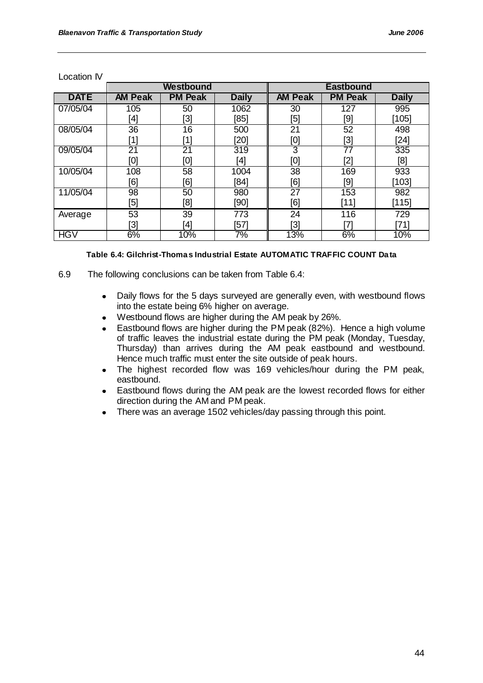| Location IV |
|-------------|
|-------------|

|             | Westbound      |                 |              | <b>Eastbound</b> |                   |              |
|-------------|----------------|-----------------|--------------|------------------|-------------------|--------------|
| <b>DATE</b> | <b>AM Peak</b> | <b>PM Peak</b>  | <b>Daily</b> | <b>AM Peak</b>   | <b>PM Peak</b>    | <b>Daily</b> |
| 07/05/04    | 105            | 50              | 1062         | 30               | 127               | 995          |
|             | [4]            | [3]             | [85]         | [5]              | [9]               | $[105]$      |
| 08/05/04    | 36             | 16              | 500          | 21               | 52                | 498          |
|             | [1]            | [1]             | $[20]$       | [0]              | [3]               | $[24]$       |
| 09/05/04    | 21             | $\overline{21}$ | 319          | 3                | 77                | 335          |
|             | [0]            | [0]             | [4]          | [0]              | [2]               | [8]          |
| 10/05/04    | 108            | 58              | 1004         | 38               | 169               | 933          |
|             | [6]            | [6]             | [84]         | [6]              | [9]               | $[103]$      |
| 11/05/04    | 98             | 50              | 980          | $\overline{27}$  | 153               | 982          |
|             | [5]            | [8]             | [90]         | [6]              | $[11]$            | [115]        |
| Average     | 53             | 39              | 773          | 24               | 116               | 729          |
|             | $[3]$          | [4]             | $[57]$       | [3]              | $\left[ 7\right]$ | [71]         |
| <b>HGV</b>  | 6%             | 10%             | 7%           | 13%              | 6%                | 10%          |

### **Table 6.4: Gilchrist-Thomas Industrial Estate AUTOMATIC TRAFFIC COUNT Data**

- 6.9 The following conclusions can be taken from Table 6.4:
	- Daily flows for the 5 days surveyed are generally even, with westbound flows into the estate being 6% higher on average.
	- Westbound flows are higher during the AM peak by 26%.  $\bullet$
	- Eastbound flows are higher during the PM peak (82%). Hence a high volume of traffic leaves the industrial estate during the PM peak (Monday, Tuesday, Thursday) than arrives during the AM peak eastbound and westbound. Hence much traffic must enter the site outside of peak hours.
	- The highest recorded flow was 169 vehicles/hour during the PM peak,  $\bullet$ eastbound.
	- Eastbound flows during the AM peak are the lowest recorded flows for either direction during the AM and PM peak.
	- There was an average 1502 vehicles/day passing through this point.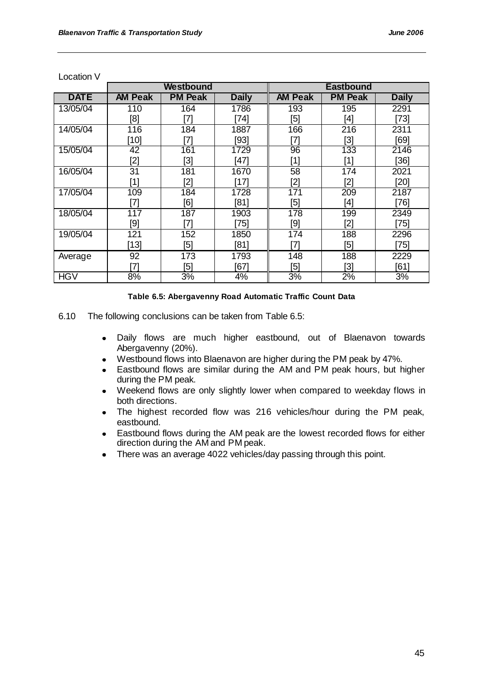| Location V |
|------------|
|------------|

|             | Westbound                                                                                                                                                                                                              |                |              | <b>Eastbound</b> |                |              |
|-------------|------------------------------------------------------------------------------------------------------------------------------------------------------------------------------------------------------------------------|----------------|--------------|------------------|----------------|--------------|
| <b>DATE</b> | <b>AM Peak</b>                                                                                                                                                                                                         | <b>PM Peak</b> | <b>Daily</b> | <b>AM Peak</b>   | <b>PM Peak</b> | <b>Daily</b> |
| 13/05/04    | 110                                                                                                                                                                                                                    | 164            | 1786         | 193              | 195            | 2291         |
|             | [8]                                                                                                                                                                                                                    | [7]            | $[74]$       | [5]              | [4]            | $[73]$       |
| 14/05/04    | 116                                                                                                                                                                                                                    | 184            | 1887         | 166              | 216            | 2311         |
|             | $[10]$                                                                                                                                                                                                                 | [7]            | [93]         | [7]              | [3]            | [69]         |
| 15/05/04    | 42                                                                                                                                                                                                                     | 161            | 1729         | 96               | 133            | 2146         |
|             | [2]                                                                                                                                                                                                                    | [3]            | $[47]$       | [1]              | [1]            | $[36]$       |
| 16/05/04    | 31                                                                                                                                                                                                                     | 181            | 1670         | 58               | 174            | 2021         |
|             | $[1] % \includegraphics[width=0.9\columnwidth]{figures/fig_10.pdf} \caption{The figure shows the number of times on the right panel. The left panel shows the number of times on the right panel.} \label{fig:time} %$ | [2]            | $[17]$       | [2]              | [2]            | [20]         |
| 17/05/04    | 109                                                                                                                                                                                                                    | 184            | 1728         | 171              | 209            | 2187         |
|             | [7]                                                                                                                                                                                                                    | [6]            | [81]         | [5]              | [4]            | [76]         |
| 18/05/04    | 117                                                                                                                                                                                                                    | 187            | 1903         | 178              | 199            | 2349         |
|             | [9]                                                                                                                                                                                                                    | [7]            | $[75]$       | [9]              | [2]            | [75]         |
| 19/05/04    | 121                                                                                                                                                                                                                    | 152            | 1850         | 174              | 188            | 2296         |
|             | $[13]$                                                                                                                                                                                                                 | [5]            | [81]         | [7]              | [5]            | $[75]$       |
| Average     | 92                                                                                                                                                                                                                     | 173            | 1793         | 148              | 188            | 2229         |
|             | 71                                                                                                                                                                                                                     | [5]            | [67]         | [5]              | [3]            | [61]         |
| <b>HGV</b>  | 8%                                                                                                                                                                                                                     | 3%             | 4%           | 3%               | 2%             | 3%           |

#### **Table 6.5: Abergavenny Road Automatic Traffic Count Data**

- 6.10 The following conclusions can be taken from Table 6.5:
	- Daily flows are much higher eastbound, out of Blaenavon towards  $\bullet$ Abergavenny (20%).
	- Westbound flows into Blaenavon are higher during the PM peak by 47%.  $\bullet$
	- Eastbound flows are similar during the AM and PM peak hours, but higher  $\bullet$ during the PM peak.
	- Weekend flows are only slightly lower when compared to weekday flows in  $\bullet$ both directions.
	- The highest recorded flow was 216 vehicles/hour during the PM peak,  $\bullet$ eastbound.
	- Eastbound flows during the AM peak are the lowest recorded flows for either  $\bullet$ direction during the AM and PM peak.
	- There was an average 4022 vehicles/day passing through this point. $\bullet$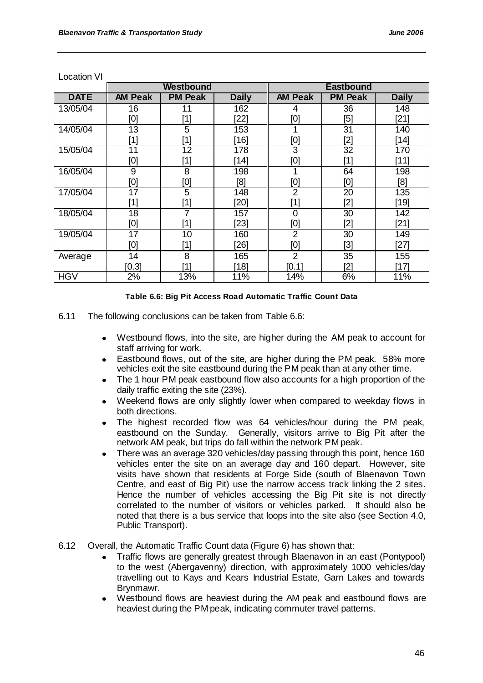|             | Westbound       |                                                                                                                                                                                                                                                            |              | <b>Eastbound</b> |                                                                                                                                                                                                                        |              |
|-------------|-----------------|------------------------------------------------------------------------------------------------------------------------------------------------------------------------------------------------------------------------------------------------------------|--------------|------------------|------------------------------------------------------------------------------------------------------------------------------------------------------------------------------------------------------------------------|--------------|
| <b>DATE</b> | <b>AM Peak</b>  | <b>PM Peak</b>                                                                                                                                                                                                                                             | <b>Daily</b> | <b>AM Peak</b>   | <b>PM Peak</b>                                                                                                                                                                                                         | <b>Daily</b> |
| 13/05/04    | 16              | 11                                                                                                                                                                                                                                                         | 162          | 4                | 36                                                                                                                                                                                                                     | 148          |
|             | [0]             | [1]                                                                                                                                                                                                                                                        | $[22]$       | [0]              | [5]                                                                                                                                                                                                                    | $[21]$       |
| 14/05/04    | 13              | 5                                                                                                                                                                                                                                                          | 153          |                  | 31                                                                                                                                                                                                                     | 140          |
|             | [1]             | $[1] % \includegraphics[width=0.9\columnwidth]{images/Trn4-Architecture.png} \caption{The figure shows the results of the estimators in the left panel. The left panel shows the results of the estimators in the right panel.} \label{Trn4-Architecture}$ | [16]         | [0]              | [2]                                                                                                                                                                                                                    | $[14]$       |
| 15/05/04    | $\overline{11}$ | $\overline{12}$                                                                                                                                                                                                                                            | 178          | 3                | $\overline{32}$                                                                                                                                                                                                        | 170          |
|             | [0]             | [1]                                                                                                                                                                                                                                                        | $[14]$       | [0]              | $[1] % \includegraphics[width=0.9\columnwidth]{figures/fig_10.pdf} \caption{The figure shows the number of times on the right panel. The left panel shows the number of times on the right panel.} \label{fig:time} %$ | $[11]$       |
| 16/05/04    | 9               | 8                                                                                                                                                                                                                                                          | 198          |                  | 64                                                                                                                                                                                                                     | 198          |
|             | [0]             | [0]                                                                                                                                                                                                                                                        | [8]          | [0]              | [0]                                                                                                                                                                                                                    | [8]          |
| 17/05/04    | $\overline{17}$ | $\overline{5}$                                                                                                                                                                                                                                             | 148          | $\overline{2}$   | $\overline{20}$                                                                                                                                                                                                        | 135          |
|             | [1]             | $[1] % \includegraphics[width=0.9\columnwidth]{images/Trn4-Architecture.png} \caption{The figure shows the number of three different ways.} \label{Trn4-Architecture}$                                                                                     | $[20]$       | [1]              | $[2]$                                                                                                                                                                                                                  | $[19]$       |
| 18/05/04    | 18              | $\overline{7}$                                                                                                                                                                                                                                             | 157          | 0                | 30                                                                                                                                                                                                                     | 142          |
|             | [0]             | [1]                                                                                                                                                                                                                                                        | $[23]$       | [0]              | [2]                                                                                                                                                                                                                    | $[21]$       |
| 19/05/04    | 17              | 10                                                                                                                                                                                                                                                         | 160          | $\overline{2}$   | 30                                                                                                                                                                                                                     | 149          |
|             | [0]             | [1]                                                                                                                                                                                                                                                        | $[26]$       | [0]              | [3]                                                                                                                                                                                                                    | $[27]$       |
| Average     | 14              | 8                                                                                                                                                                                                                                                          | 165          | 2                | 35                                                                                                                                                                                                                     | 155          |
|             | [0.3]           | 11                                                                                                                                                                                                                                                         | [18]         | [0.1]            | [2]                                                                                                                                                                                                                    | [17]         |
| <b>HGV</b>  | 2%              | 13%                                                                                                                                                                                                                                                        | 11%          | 14%              | 6%                                                                                                                                                                                                                     | 11%          |

Location VI

#### **Table 6.6: Big Pit Access Road Automatic Traffic Count Data**

- 6.11 The following conclusions can be taken from Table 6.6:
	- Westbound flows, into the site, are higher during the AM peak to account for staff arriving for work.
	- Eastbound flows, out of the site, are higher during the PM peak. 58% more vehicles exit the site eastbound during the PM peak than at any other time.
	- The 1 hour PM peak eastbound flow also accounts for a high proportion of the daily traffic exiting the site (23%).
	- Weekend flows are only slightly lower when compared to weekday flows in both directions.
	- The highest recorded flow was 64 vehicles/hour during the PM peak, eastbound on the Sunday. Generally, visitors arrive to Big Pit after the network AM peak, but trips do fall within the network PM peak.
	- There was an average 320 vehicles/day passing through this point, hence 160 vehicles enter the site on an average day and 160 depart. However, site visits have shown that residents at Forge Side (south of Blaenavon Town Centre, and east of Big Pit) use the narrow access track linking the 2 sites. Hence the number of vehicles accessing the Big Pit site is not directly correlated to the number of visitors or vehicles parked. It should also be noted that there is a bus service that loops into the site also (see Section 4.0, Public Transport).
- 6.12 Overall, the Automatic Traffic Count data (Figure 6) has shown that:
	- Traffic flows are generally greatest through Blaenavon in an east (Pontypool) to the west (Abergavenny) direction, with approximately 1000 vehicles/day travelling out to Kays and Kears Industrial Estate, Garn Lakes and towards Brynmawr.
	- Westbound flows are heaviest during the AM peak and eastbound flows are heaviest during the PM peak, indicating commuter travel patterns.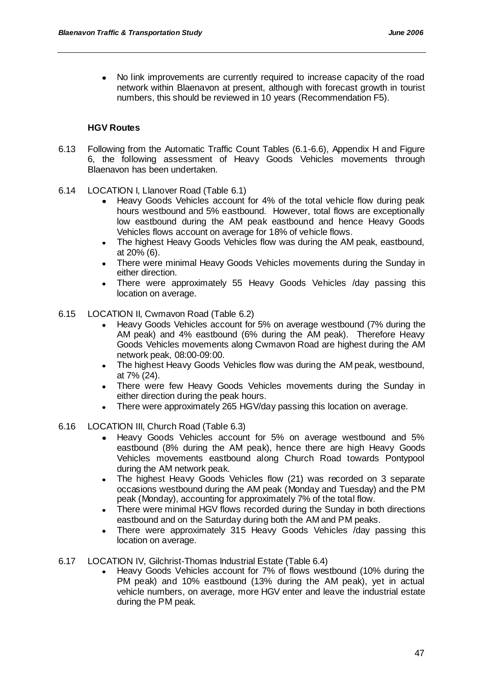No link improvements are currently required to increase capacity of the road network within Blaenavon at present, although with forecast growth in tourist numbers, this should be reviewed in 10 years (Recommendation F5).

## **HGV Routes**

- 6.13 Following from the Automatic Traffic Count Tables (6.1-6.6), Appendix H and Figure 6, the following assessment of Heavy Goods Vehicles movements through Blaenavon has been undertaken.
- 6.14 LOCATION I, Llanover Road (Table 6.1)
	- Heavy Goods Vehicles account for 4% of the total vehicle flow during peak hours westbound and 5% eastbound. However, total flows are exceptionally low eastbound during the AM peak eastbound and hence Heavy Goods Vehicles flows account on average for 18% of vehicle flows.
	- The highest Heavy Goods Vehicles flow was during the AM peak, eastbound, at 20% (6).
	- There were minimal Heavy Goods Vehicles movements during the Sunday in either direction.
	- There were approximately 55 Heavy Goods Vehicles /day passing this  $\bullet$ location on average.
- 6.15 LOCATION II, Cwmavon Road (Table 6.2)
	- Heavy Goods Vehicles account for 5% on average westbound (7% during the AM peak) and 4% eastbound (6% during the AM peak). Therefore Heavy Goods Vehicles movements along Cwmavon Road are highest during the AM network peak, 08:00-09:00.
	- The highest Heavy Goods Vehicles flow was during the AM peak, westbound, at 7% (24).
	- There were few Heavy Goods Vehicles movements during the Sunday in either direction during the peak hours.
	- There were approximately 265 HGV/day passing this location on average.
- 6.16 LOCATION III, Church Road (Table 6.3)
	- Heavy Goods Vehicles account for 5% on average westbound and 5% eastbound (8% during the AM peak), hence there are high Heavy Goods Vehicles movements eastbound along Church Road towards Pontypool during the AM network peak.
	- The highest Heavy Goods Vehicles flow (21) was recorded on 3 separate occasions westbound during the AM peak (Monday and Tuesday) and the PM peak (Monday), accounting for approximately 7% of the total flow.
	- There were minimal HGV flows recorded during the Sunday in both directions eastbound and on the Saturday during both the AM and PM peaks.
	- There were approximately 315 Heavy Goods Vehicles /day passing this location on average.
- 6.17 LOCATION IV, Gilchrist-Thomas Industrial Estate (Table 6.4)
	- Heavy Goods Vehicles account for 7% of flows westbound (10% during the PM peak) and 10% eastbound (13% during the AM peak), yet in actual vehicle numbers, on average, more HGV enter and leave the industrial estate during the PM peak.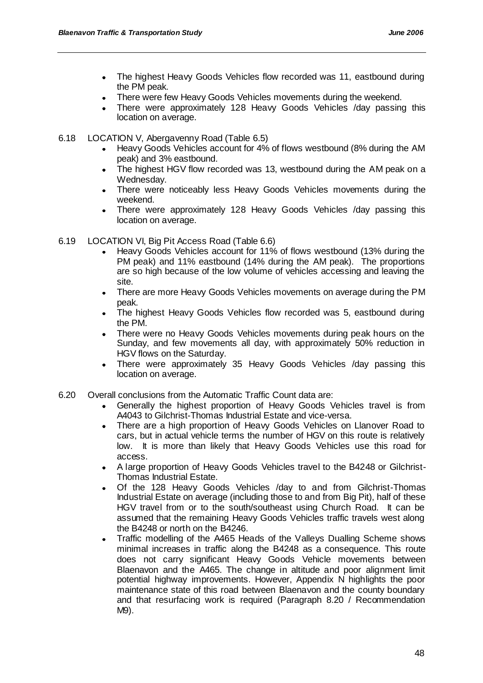- The highest Heavy Goods Vehicles flow recorded was 11, eastbound during the PM peak.
- There were few Heavy Goods Vehicles movements during the weekend.
- There were approximately 128 Heavy Goods Vehicles /day passing this location on average.
- 6.18 LOCATION V, Abergavenny Road (Table 6.5)
	- Heavy Goods Vehicles account for 4% of flows westbound (8% during the AM peak) and 3% eastbound.
	- The highest HGV flow recorded was 13, westbound during the AM peak on a Wednesday.
	- There were noticeably less Heavy Goods Vehicles movements during the weekend.
	- There were approximately 128 Heavy Goods Vehicles /day passing this location on average.
- 6.19 LOCATION VI, Big Pit Access Road (Table 6.6)
	- Heavy Goods Vehicles account for 11% of flows westbound (13% during the PM peak) and 11% eastbound (14% during the AM peak). The proportions are so high because of the low volume of vehicles accessing and leaving the site.
	- There are more Heavy Goods Vehicles movements on average during the PM  $\bullet$ peak.
	- The highest Heavy Goods Vehicles flow recorded was 5, eastbound during the PM.
	- There were no Heavy Goods Vehicles movements during peak hours on the Sunday, and few movements all day, with approximately 50% reduction in HGV flows on the Saturday.
	- There were approximately 35 Heavy Goods Vehicles /day passing this location on average.
- 6.20 Overall conclusions from the Automatic Traffic Count data are:
	- Generally the highest proportion of Heavy Goods Vehicles travel is from A4043 to Gilchrist-Thomas Industrial Estate and vice-versa.
	- There are a high proportion of Heavy Goods Vehicles on Llanover Road to cars, but in actual vehicle terms the number of HGV on this route is relatively low. It is more than likely that Heavy Goods Vehicles use this road for access.
	- A large proportion of Heavy Goods Vehicles travel to the B4248 or Gilchrist-Thomas Industrial Estate.
	- Of the 128 Heavy Goods Vehicles /day to and from Gilchrist-Thomas Industrial Estate on average (including those to and from Big Pit), half of these HGV travel from or to the south/southeast using Church Road. It can be assumed that the remaining Heavy Goods Vehicles traffic travels west along the B4248 or north on the B4246.
	- Traffic modelling of the A465 Heads of the Valleys Dualling Scheme shows minimal increases in traffic along the B4248 as a consequence. This route does not carry significant Heavy Goods Vehicle movements between Blaenavon and the A465. The change in altitude and poor alignment limit potential highway improvements. However, Appendix N highlights the poor maintenance state of this road between Blaenavon and the county boundary and that resurfacing work is required (Paragraph 8.20 / Recommendation M9).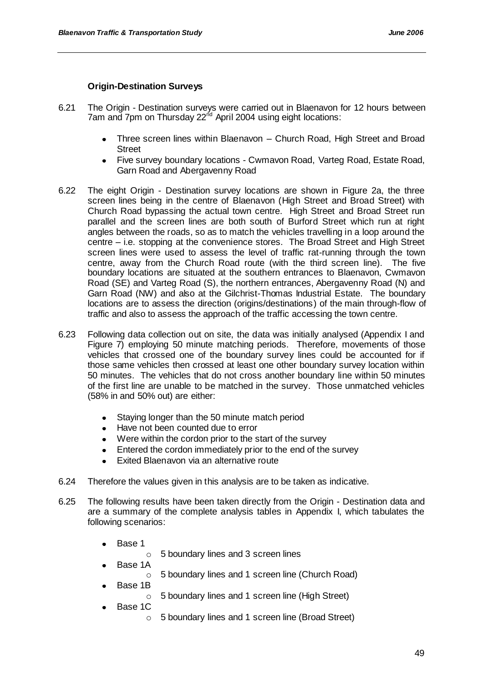## **Origin-Destination Surveys**

- 6.21 The Origin Destination surveys were carried out in Blaenavon for 12 hours between 7am and 7pm on Thursday  $22<sup>nd</sup>$  April 2004 using eight locations:
	- Three screen lines within Blaenavon Church Road, High Street and Broad **Street**
	- Five survey boundary locations Cwmavon Road, Varteg Road, Estate Road, Garn Road and Abergavenny Road
- 6.22 The eight Origin Destination survey locations are shown in Figure 2a, the three screen lines being in the centre of Blaenavon (High Street and Broad Street) with Church Road bypassing the actual town centre. High Street and Broad Street run parallel and the screen lines are both south of Burford Street which run at right angles between the roads, so as to match the vehicles travelling in a loop around the centre – i.e. stopping at the convenience stores. The Broad Street and High Street screen lines were used to assess the level of traffic rat-running through the town centre, away from the Church Road route (with the third screen line). The five boundary locations are situated at the southern entrances to Blaenavon, Cwmavon Road (SE) and Varteg Road (S), the northern entrances, Abergavenny Road (N) and Garn Road (NW) and also at the Gilchrist-Thomas Industrial Estate. The boundary locations are to assess the direction (origins/destinations) of the main through-flow of traffic and also to assess the approach of the traffic accessing the town centre.
- 6.23 Following data collection out on site, the data was initially analysed (Appendix I and Figure 7) employing 50 minute matching periods. Therefore, movements of those vehicles that crossed one of the boundary survey lines could be accounted for if those same vehicles then crossed at least one other boundary survey location within 50 minutes. The vehicles that do not cross another boundary line within 50 minutes of the first line are unable to be matched in the survey. Those unmatched vehicles (58% in and 50% out) are either:
	- Staying longer than the 50 minute match period  $\bullet$
	- Have not been counted due to error
	- Were within the cordon prior to the start of the survey
	- Entered the cordon immediately prior to the end of the survey
	- Exited Blaenavon via an alternative route  $\bullet$
- 6.24 Therefore the values given in this analysis are to be taken as indicative.
- 6.25 The following results have been taken directly from the Origin Destination data and are a summary of the complete analysis tables in Appendix I, which tabulates the following scenarios:
	- Base 1
		- o 5 boundary lines and 3 screen lines
	- Base 1A
		- o 5 boundary lines and 1 screen line (Church Road)
	- Base 1B
		- o 5 boundary lines and 1 screen line (High Street)
	- Base 1C
		- o 5 boundary lines and 1 screen line (Broad Street)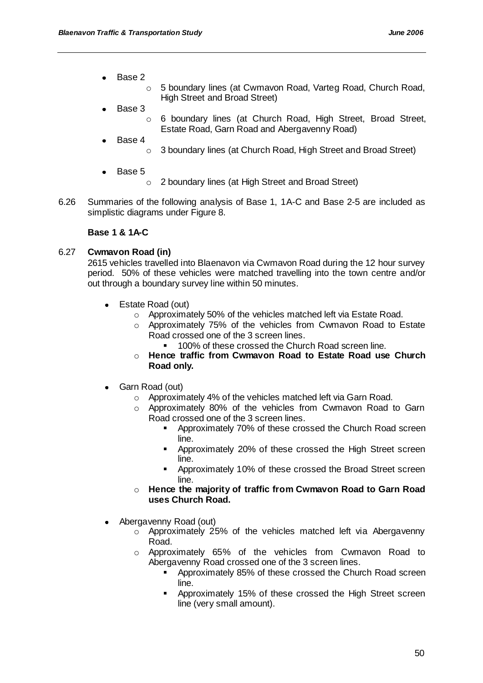- Base 2  $\bullet$ 
	- o 5 boundary lines (at Cwmavon Road, Varteg Road, Church Road, High Street and Broad Street)
- Base 3
	- o 6 boundary lines (at Church Road, High Street, Broad Street, Estate Road, Garn Road and Abergavenny Road)
- Base 4
	- o 3 boundary lines (at Church Road, High Street and Broad Street)
- Base 5
	- o 2 boundary lines (at High Street and Broad Street)
- 6.26 Summaries of the following analysis of Base 1, 1A-C and Base 2-5 are included as simplistic diagrams under Figure 8.

### **Base 1 & 1A-C**

### 6.27 **Cwmavon Road (in)**

2615 vehicles travelled into Blaenavon via Cwmavon Road during the 12 hour survey period. 50% of these vehicles were matched travelling into the town centre and/or out through a boundary survey line within 50 minutes.

- Estate Road (out)
	- o Approximately 50% of the vehicles matched left via Estate Road.
	- o Approximately 75% of the vehicles from Cwmavon Road to Estate Road crossed one of the 3 screen lines.
		- 100% of these crossed the Church Road screen line.
	- o **Hence traffic from Cwmavon Road to Estate Road use Church Road only.**
- Garn Road (out)
	- o Approximately 4% of the vehicles matched left via Garn Road.
	- o Approximately 80% of the vehicles from Cwmavon Road to Garn Road crossed one of the 3 screen lines.
		- **•** Approximately 70% of these crossed the Church Road screen line.
		- Approximately 20% of these crossed the High Street screen line.
		- Approximately 10% of these crossed the Broad Street screen line.
	- o **Hence the majority of traffic from Cwmavon Road to Garn Road uses Church Road.**
- Abergavenny Road (out)
	- o Approximately 25% of the vehicles matched left via Abergavenny Road.
	- o Approximately 65% of the vehicles from Cwmavon Road to Abergavenny Road crossed one of the 3 screen lines.
		- **•** Approximately 85% of these crossed the Church Road screen line.
		- **-** Approximately 15% of these crossed the High Street screen line (very small amount).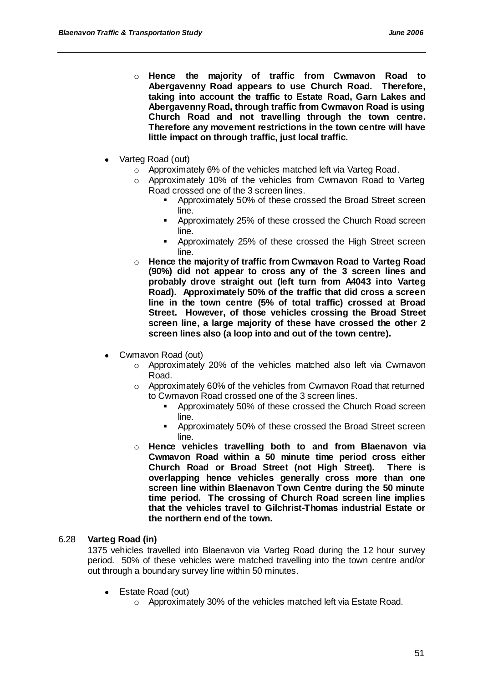- o **Hence the majority of traffic from Cwmavon Road to Abergavenny Road appears to use Church Road. Therefore, taking into account the traffic to Estate Road, Garn Lakes and Abergavenny Road, through traffic from Cwmavon Road is using Church Road and not travelling through the town centre. Therefore any movement restrictions in the town centre will have little impact on through traffic, just local traffic.**
- Varteg Road (out)
	- o Approximately 6% of the vehicles matched left via Varteg Road.
	- $\circ$  Approximately 10% of the vehicles from Cwmavon Road to Varteg Road crossed one of the 3 screen lines.
		- Approximately 50% of these crossed the Broad Street screen line.
		- Approximately 25% of these crossed the Church Road screen line.
		- Approximately 25% of these crossed the High Street screen line.
	- o **Hence the majority of traffic from Cwmavon Road to Varteg Road (90%) did not appear to cross any of the 3 screen lines and probably drove straight out (left turn from A4043 into Varteg Road). Approximately 50% of the traffic that did cross a screen line in the town centre (5% of total traffic) crossed at Broad Street. However, of those vehicles crossing the Broad Street screen line, a large majority of these have crossed the other 2 screen lines also (a loop into and out of the town centre).**
- Cwmavon Road (out)
	- o Approximately 20% of the vehicles matched also left via Cwmavon Road.
	- o Approximately 60% of the vehicles from Cwmavon Road that returned to Cwmavon Road crossed one of the 3 screen lines.
		- Approximately 50% of these crossed the Church Road screen line.
		- Approximately 50% of these crossed the Broad Street screen line.
	- o **Hence vehicles travelling both to and from Blaenavon via Cwmavon Road within a 50 minute time period cross either Church Road or Broad Street (not High Street). There is overlapping hence vehicles generally cross more than one screen line within Blaenavon Town Centre during the 50 minute time period. The crossing of Church Road screen line implies that the vehicles travel to Gilchrist-Thomas industrial Estate or the northern end of the town.**

## 6.28 **Varteg Road (in)**

1375 vehicles travelled into Blaenavon via Varteg Road during the 12 hour survey period. 50% of these vehicles were matched travelling into the town centre and/or out through a boundary survey line within 50 minutes.

- Estate Road (out)
	- o Approximately 30% of the vehicles matched left via Estate Road.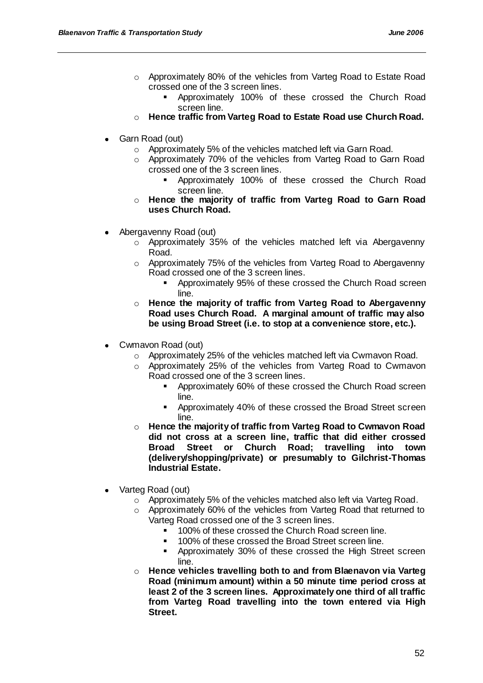- o Approximately 80% of the vehicles from Varteg Road to Estate Road crossed one of the 3 screen lines.
	- Approximately 100% of these crossed the Church Road screen line.
- o **Hence traffic from Varteg Road to Estate Road use Church Road.**
- Garn Road (out)
	- o Approximately 5% of the vehicles matched left via Garn Road.
	- o Approximately 70% of the vehicles from Varteg Road to Garn Road crossed one of the 3 screen lines.
		- Approximately 100% of these crossed the Church Road screen line.
	- o **Hence the majority of traffic from Varteg Road to Garn Road uses Church Road.**
- Abergavenny Road (out)
	- o Approximately 35% of the vehicles matched left via Abergavenny Road.
	- o Approximately 75% of the vehicles from Varteg Road to Abergavenny Road crossed one of the 3 screen lines.
		- Approximately 95% of these crossed the Church Road screen line.
	- o **Hence the majority of traffic from Varteg Road to Abergavenny Road uses Church Road. A marginal amount of traffic may also be using Broad Street (i.e. to stop at a convenience store, etc.).**
- Cwmavon Road (out)
	- o Approximately 25% of the vehicles matched left via Cwmavon Road.
	- o Approximately 25% of the vehicles from Varteg Road to Cwmavon Road crossed one of the 3 screen lines.
		- Approximately 60% of these crossed the Church Road screen line.
		- Approximately 40% of these crossed the Broad Street screen line.
	- o **Hence the majority of traffic from Varteg Road to Cwmavon Road did not cross at a screen line, traffic that did either crossed Broad Street or Church Road; travelling into town (delivery/shopping/private) or presumably to Gilchrist-Thomas Industrial Estate.**
- Varteg Road (out)
	- o Approximately 5% of the vehicles matched also left via Varteg Road.
	- o Approximately 60% of the vehicles from Varteg Road that returned to Varteg Road crossed one of the 3 screen lines.
		- **100% of these crossed the Church Road screen line.**
		- **100% of these crossed the Broad Street screen line.**
		- **-** Approximately 30% of these crossed the High Street screen line.
	- o **Hence vehicles travelling both to and from Blaenavon via Varteg Road (minimum amount) within a 50 minute time period cross at least 2 of the 3 screen lines. Approximately one third of all traffic from Varteg Road travelling into the town entered via High Street.**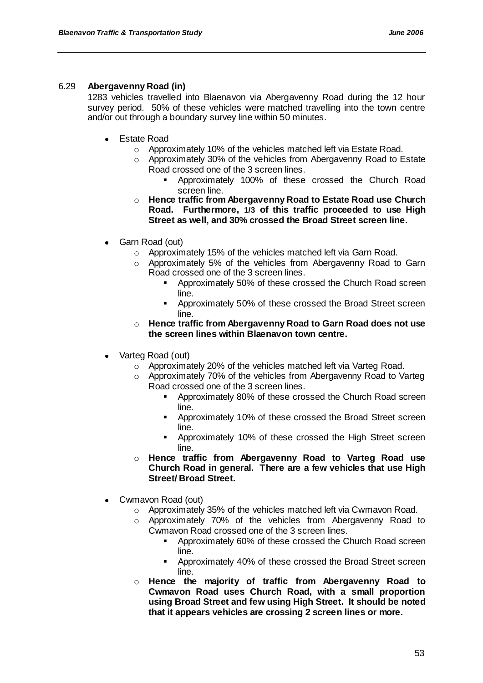## 6.29 **Abergavenny Road (in)**

1283 vehicles travelled into Blaenavon via Abergavenny Road during the 12 hour survey period. 50% of these vehicles were matched travelling into the town centre and/or out through a boundary survey line within 50 minutes.

- Estate Road
	- o Approximately 10% of the vehicles matched left via Estate Road.
	- o Approximately 30% of the vehicles from Abergavenny Road to Estate Road crossed one of the 3 screen lines.
		- Approximately 100% of these crossed the Church Road screen line.
	- o **Hence traffic from Abergavenny Road to Estate Road use Church Road. Furthermore, 1/3 of this traffic proceeded to use High Street as well, and 30% crossed the Broad Street screen line.**
- Garn Road (out)  $\bullet$ 
	- o Approximately 15% of the vehicles matched left via Garn Road.
	- o Approximately 5% of the vehicles from Abergavenny Road to Garn Road crossed one of the 3 screen lines.
		- **Approximately 50% of these crossed the Church Road screen** line.
		- **-** Approximately 50% of these crossed the Broad Street screen line.
	- o **Hence traffic from Abergavenny Road to Garn Road does not use the screen lines within Blaenavon town centre.**
- Varteg Road (out)
	- o Approximately 20% of the vehicles matched left via Varteg Road.
	- o Approximately 70% of the vehicles from Abergavenny Road to Varteg Road crossed one of the 3 screen lines.
		- Approximately 80% of these crossed the Church Road screen line.
		- Approximately 10% of these crossed the Broad Street screen line.
		- Approximately 10% of these crossed the High Street screen line.
	- o **Hence traffic from Abergavenny Road to Varteg Road use Church Road in general. There are a few vehicles that use High Street/ Broad Street.**
- Cwmavon Road (out)
	- o Approximately 35% of the vehicles matched left via Cwmavon Road.
	- o Approximately 70% of the vehicles from Abergavenny Road to Cwmavon Road crossed one of the 3 screen lines.
		- **•** Approximately 60% of these crossed the Church Road screen line.
		- Approximately 40% of these crossed the Broad Street screen line.
	- o **Hence the majority of traffic from Abergavenny Road to Cwmavon Road uses Church Road, with a small proportion using Broad Street and few using High Street. It should be noted that it appears vehicles are crossing 2 screen lines or more.**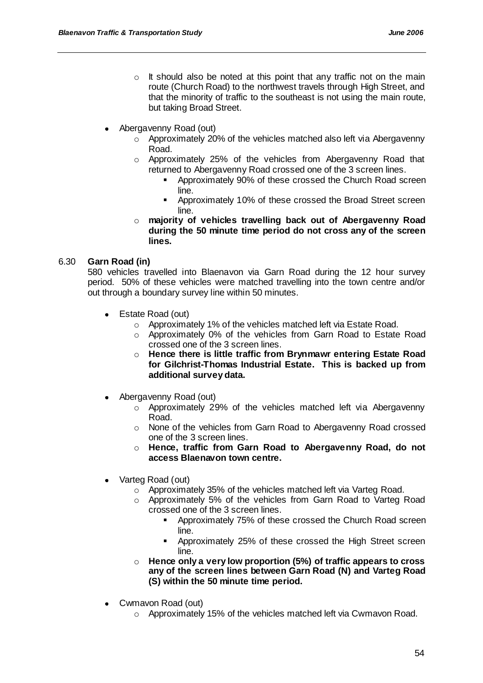- $\circ$  It should also be noted at this point that any traffic not on the main route (Church Road) to the northwest travels through High Street, and that the minority of traffic to the southeast is not using the main route, but taking Broad Street.
- Abergavenny Road (out)
	- o Approximately 20% of the vehicles matched also left via Abergavenny Road.
	- o Approximately 25% of the vehicles from Abergavenny Road that returned to Abergavenny Road crossed one of the 3 screen lines.
		- Approximately 90% of these crossed the Church Road screen line.
		- Approximately 10% of these crossed the Broad Street screen line.
	- o **majority of vehicles travelling back out of Abergavenny Road during the 50 minute time period do not cross any of the screen lines.**

## 6.30 **Garn Road (in)**

580 vehicles travelled into Blaenavon via Garn Road during the 12 hour survey period. 50% of these vehicles were matched travelling into the town centre and/or out through a boundary survey line within 50 minutes.

- $\bullet$ Estate Road (out)
	- o Approximately 1% of the vehicles matched left via Estate Road.
	- o Approximately 0% of the vehicles from Garn Road to Estate Road crossed one of the 3 screen lines.
	- o **Hence there is little traffic from Brynmawr entering Estate Road for Gilchrist-Thomas Industrial Estate. This is backed up from additional survey data.**
- Abergavenny Road (out)
	- o Approximately 29% of the vehicles matched left via Abergavenny Road.
	- o None of the vehicles from Garn Road to Abergavenny Road crossed one of the 3 screen lines.
	- o **Hence, traffic from Garn Road to Abergavenny Road, do not access Blaenavon town centre.**
- Varteg Road (out)
	- o Approximately 35% of the vehicles matched left via Varteg Road.
	- o Approximately 5% of the vehicles from Garn Road to Varteg Road crossed one of the 3 screen lines.
		- Approximately 75% of these crossed the Church Road screen line.
		- Approximately 25% of these crossed the High Street screen line.
	- o **Hence only a very low proportion (5%) of traffic appears to cross any of the screen lines between Garn Road (N) and Varteg Road (S) within the 50 minute time period.**
- Cwmavon Road (out)
	- o Approximately 15% of the vehicles matched left via Cwmavon Road.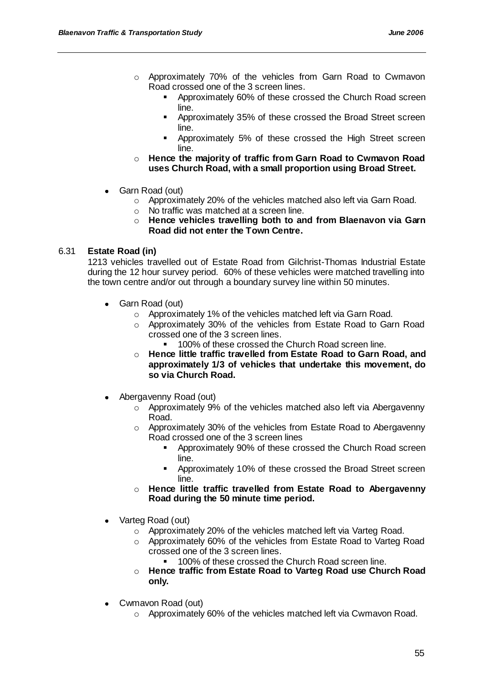- o Approximately 70% of the vehicles from Garn Road to Cwmavon Road crossed one of the 3 screen lines.
	- **•** Approximately 60% of these crossed the Church Road screen line.
	- Approximately 35% of these crossed the Broad Street screen line.
	- **-** Approximately 5% of these crossed the High Street screen line.
- o **Hence the majority of traffic from Garn Road to Cwmavon Road uses Church Road, with a small proportion using Broad Street.**
- Garn Road (out)
	- o Approximately 20% of the vehicles matched also left via Garn Road.
	- o No traffic was matched at a screen line.
	- o **Hence vehicles travelling both to and from Blaenavon via Garn Road did not enter the Town Centre.**

## 6.31 **Estate Road (in)**

1213 vehicles travelled out of Estate Road from Gilchrist-Thomas Industrial Estate during the 12 hour survey period. 60% of these vehicles were matched travelling into the town centre and/or out through a boundary survey line within 50 minutes.

- Garn Road (out)  $\bullet$ 
	- o Approximately 1% of the vehicles matched left via Garn Road.
	- o Approximately 30% of the vehicles from Estate Road to Garn Road crossed one of the 3 screen lines.
		- 100% of these crossed the Church Road screen line.
	- o **Hence little traffic travelled from Estate Road to Garn Road, and approximately 1/3 of vehicles that undertake this movement, do so via Church Road.**
- Abergavenny Road (out)
	- $\circ$  Approximately 9% of the vehicles matched also left via Abergavenny Road.
	- o Approximately 30% of the vehicles from Estate Road to Abergavenny Road crossed one of the 3 screen lines
		- Approximately 90% of these crossed the Church Road screen line.
		- Approximately 10% of these crossed the Broad Street screen line.
	- o **Hence little traffic travelled from Estate Road to Abergavenny Road during the 50 minute time period.**
- Varteg Road (out)
	- o Approximately 20% of the vehicles matched left via Varteg Road.
	- o Approximately 60% of the vehicles from Estate Road to Varteg Road crossed one of the 3 screen lines.
		- 100% of these crossed the Church Road screen line.
	- o **Hence traffic from Estate Road to Varteg Road use Church Road only.**
- Cwmavon Road (out)
	- o Approximately 60% of the vehicles matched left via Cwmavon Road.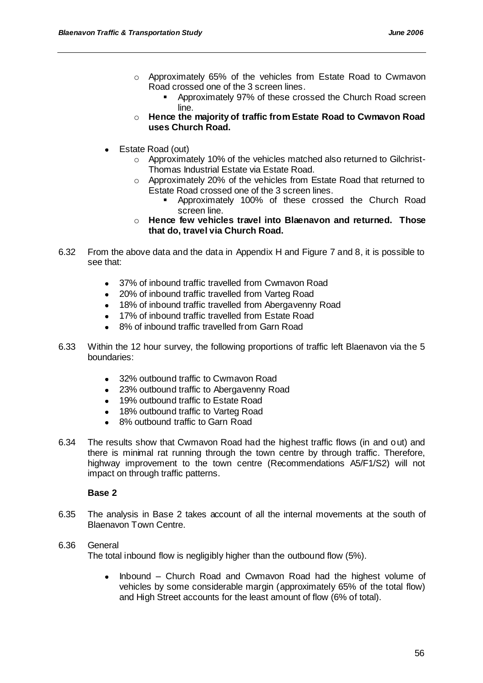- o Approximately 65% of the vehicles from Estate Road to Cwmavon Road crossed one of the 3 screen lines.
	- **Approximately 97% of these crossed the Church Road screen** line.
- o **Hence the majority of traffic from Estate Road to Cwmavon Road uses Church Road.**
- Estate Road (out)  $\bullet$ 
	- o Approximately 10% of the vehicles matched also returned to Gilchrist-Thomas Industrial Estate via Estate Road.
	- $\circ$  Approximately 20% of the vehicles from Estate Road that returned to Estate Road crossed one of the 3 screen lines.
		- Approximately 100% of these crossed the Church Road screen line.
	- o **Hence few vehicles travel into Blaenavon and returned. Those that do, travel via Church Road.**
- 6.32 From the above data and the data in Appendix H and Figure 7 and 8, it is possible to see that:
	- 37% of inbound traffic travelled from Cwmavon Road  $\bullet$
	- 20% of inbound traffic travelled from Varteg Road
	- 18% of inbound traffic travelled from Abergavenny Road
	- 17% of inbound traffic travelled from Estate Road
	- 8% of inbound traffic travelled from Garn Road
- 6.33 Within the 12 hour survey, the following proportions of traffic left Blaenavon via the 5 boundaries:
	- 32% outbound traffic to Cwmavon Road
	- 23% outbound traffic to Abergavenny Road  $\bullet$
	- 19% outbound traffic to Estate Road
	- 18% outbound traffic to Varteg Road
	- 8% outbound traffic to Garn Road
- 6.34 The results show that Cwmavon Road had the highest traffic flows (in and out) and there is minimal rat running through the town centre by through traffic. Therefore, highway improvement to the town centre (Recommendations A5/F1/S2) will not impact on through traffic patterns.

## **Base 2**

6.35 The analysis in Base 2 takes account of all the internal movements at the south of Blaenavon Town Centre.

# 6.36 General

The total inbound flow is negligibly higher than the outbound flow (5%).

Inbound – Church Road and Cwmavon Road had the highest volume of  $\bullet$ vehicles by some considerable margin (approximately 65% of the total flow) and High Street accounts for the least amount of flow (6% of total).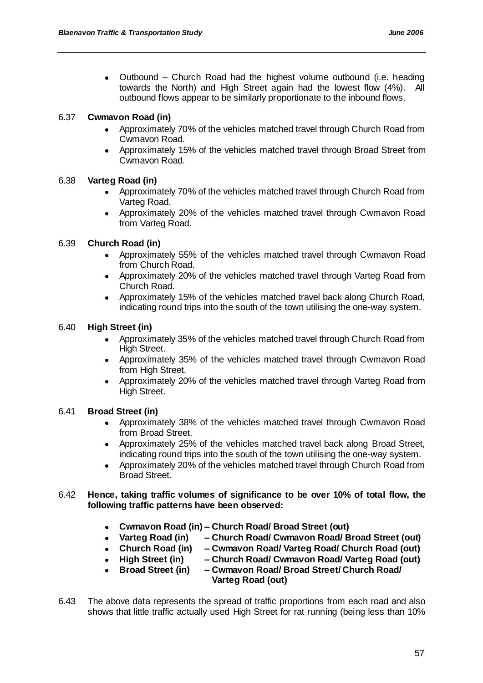• Outbound – Church Road had the highest volume outbound (i.e. heading towards the North) and High Street again had the lowest flow (4%). All outbound flows appear to be similarly proportionate to the inbound flows.

# 6.37 **Cwmavon Road (in)**

- Approximately 70% of the vehicles matched travel through Church Road from Cwmavon Road.
- Approximately 15% of the vehicles matched travel through Broad Street from Cwmavon Road.

# 6.38 **Varteg Road (in)**

- Approximately 70% of the vehicles matched travel through Church Road from Varteg Road.
- Approximately 20% of the vehicles matched travel through Cwmavon Road from Varteg Road.

## 6.39 **Church Road (in)**

- Approximately 55% of the vehicles matched travel through Cwmavon Road from Church Road.
- $\bullet$ Approximately 20% of the vehicles matched travel through Varteg Road from Church Road.
- Approximately 15% of the vehicles matched travel back along Church Road, indicating round trips into the south of the town utilising the one-way system.

## 6.40 **High Street (in)**

- Approximately 35% of the vehicles matched travel through Church Road from High Street.
- $\bullet$ Approximately 35% of the vehicles matched travel through Cwmavon Road from High Street.
- Approximately 20% of the vehicles matched travel through Varteg Road from  $\bullet$ High Street.

## 6.41 **Broad Street (in)**

- $\bullet$ Approximately 38% of the vehicles matched travel through Cwmavon Road from Broad Street.
- Approximately 25% of the vehicles matched travel back along Broad Street, indicating round trips into the south of the town utilising the one-way system.
- $\bullet$ Approximately 20% of the vehicles matched travel through Church Road from Broad Street.

### 6.42 **Hence, taking traffic volumes of significance to be over 10% of total flow, the following traffic patterns have been observed:**

- $\bullet$ **Cwmavon Road (in) – Church Road/ Broad Street (out)**
- **Varteg Road (in) – Church Road/ Cwmavon Road/ Broad Street (out)**
- **Church Road (in) – Cwmavon Road/ Varteg Road/ Church Road (out)**
- **High Street (in) – Church Road/ Cwmavon Road/ Varteg Road (out)**
- **Broad Street (in) – Cwmavon Road/ Broad Street/ Church Road/**  $\bullet$  **Varteg Road (out)**
- 6.43 The above data represents the spread of traffic proportions from each road and also shows that little traffic actually used High Street for rat running (being less than 10%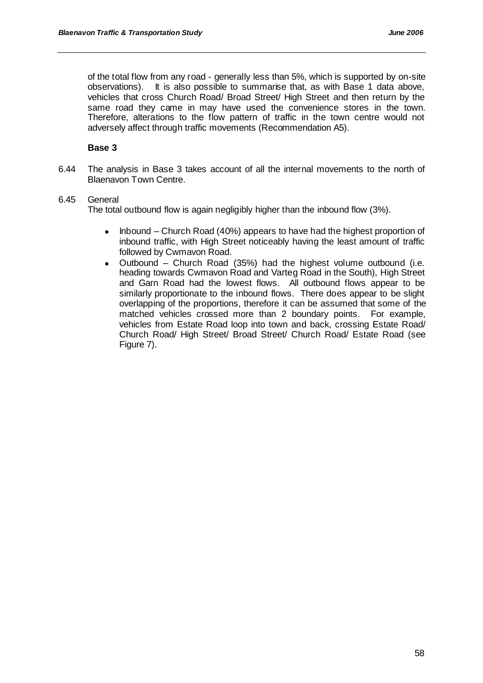of the total flow from any road - generally less than 5%, which is supported by on-site observations). It is also possible to summarise that, as with Base 1 data above, vehicles that cross Church Road/ Broad Street/ High Street and then return by the same road they came in may have used the convenience stores in the town. Therefore, alterations to the flow pattern of traffic in the town centre would not adversely affect through traffic movements (Recommendation A5).

### **Base 3**

6.44 The analysis in Base 3 takes account of all the internal movements to the north of Blaenavon Town Centre.

### 6.45 General

The total outbound flow is again negligibly higher than the inbound flow (3%).

- Inbound Church Road (40%) appears to have had the highest proportion of  $\bullet$ inbound traffic, with High Street noticeably having the least amount of traffic followed by Cwmavon Road.
- Outbound Church Road (35%) had the highest volume outbound (i.e. heading towards Cwmavon Road and Varteg Road in the South), High Street and Garn Road had the lowest flows. All outbound flows appear to be similarly proportionate to the inbound flows. There does appear to be slight overlapping of the proportions, therefore it can be assumed that some of the matched vehicles crossed more than 2 boundary points. For example, vehicles from Estate Road loop into town and back, crossing Estate Road/ Church Road/ High Street/ Broad Street/ Church Road/ Estate Road (see Figure 7).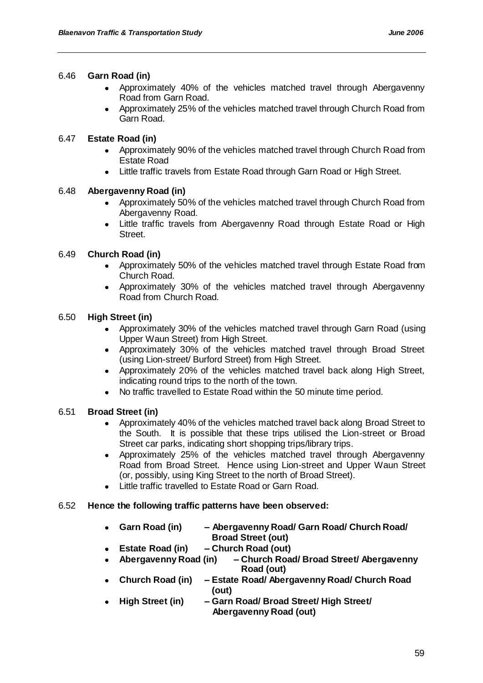### 6.46 **Garn Road (in)**

- $\bullet$ Approximately 40% of the vehicles matched travel through Abergavenny Road from Garn Road.
- Approximately 25% of the vehicles matched travel through Church Road from  $\bullet$ Garn Road.

## 6.47 **Estate Road (in)**

- Approximately 90% of the vehicles matched travel through Church Road from  $\bullet$ Estate Road
- Little traffic travels from Estate Road through Garn Road or High Street.

## 6.48 **Abergavenny Road (in)**

- Approximately 50% of the vehicles matched travel through Church Road from Abergavenny Road.
- Little traffic travels from Abergavenny Road through Estate Road or High Street.

# 6.49 **Church Road (in)**

- Approximately 50% of the vehicles matched travel through Estate Road from Church Road.
- Approximately 30% of the vehicles matched travel through Abergavenny Road from Church Road.

## 6.50 **High Street (in)**

- $\bullet$ Approximately 30% of the vehicles matched travel through Garn Road (using Upper Waun Street) from High Street.
- Approximately 30% of the vehicles matched travel through Broad Street (using Lion-street/ Burford Street) from High Street.
- Approximately 20% of the vehicles matched travel back along High Street, indicating round trips to the north of the town.
- No traffic travelled to Estate Road within the 50 minute time period.

## 6.51 **Broad Street (in)**

- Approximately 40% of the vehicles matched travel back along Broad Street to the South. It is possible that these trips utilised the Lion-street or Broad Street car parks, indicating short shopping trips/library trips.
- Approximately 25% of the vehicles matched travel through Abergavenny Road from Broad Street. Hence using Lion-street and Upper Waun Street (or, possibly, using King Street to the north of Broad Street).
- Little traffic travelled to Estate Road or Garn Road.

## 6.52 **Hence the following traffic patterns have been observed:**

- **Garn Road (in) – Abergavenny Road/ Garn Road/ Church Road/ Broad Street (out)**
- **Estate Road (in) – Church Road (out)**
- $\bullet$ **Abergavenny Road (in) – Church Road/ Broad Street/ Abergavenny Road (out)**
- **Church Road (in) – Estate Road/ Abergavenny Road/ Church Road (out)**
- **High Street (in) – Garn Road/ Broad Street/ High Street/ Abergavenny Road (out)**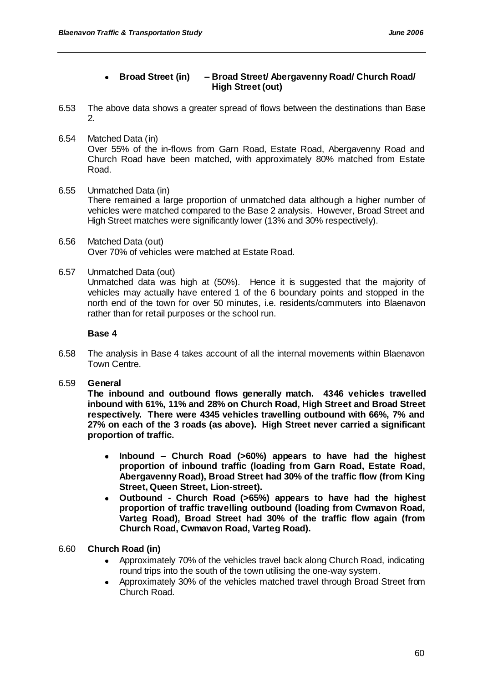## **Broad Street (in) – Broad Street/ Abergavenny Road/ Church Road/ High Street (out)**

- 6.53 The above data shows a greater spread of flows between the destinations than Base 2.
- 6.54 Matched Data (in) Over 55% of the in-flows from Garn Road, Estate Road, Abergavenny Road and Church Road have been matched, with approximately 80% matched from Estate Road.
- 6.55 Unmatched Data (in) There remained a large proportion of unmatched data although a higher number of vehicles were matched compared to the Base 2 analysis. However, Broad Street and High Street matches were significantly lower (13% and 30% respectively).
- 6.56 Matched Data (out) Over 70% of vehicles were matched at Estate Road.
- 6.57 Unmatched Data (out)

Unmatched data was high at (50%). Hence it is suggested that the majority of vehicles may actually have entered 1 of the 6 boundary points and stopped in the north end of the town for over 50 minutes, i.e. residents/commuters into Blaenavon rather than for retail purposes or the school run.

### **Base 4**

- 6.58 The analysis in Base 4 takes account of all the internal movements within Blaenavon Town Centre.
- 6.59 **General**

**The inbound and outbound flows generally match. 4346 vehicles travelled inbound with 61%, 11% and 28% on Church Road, High Street and Broad Street respectively. There were 4345 vehicles travelling outbound with 66%, 7% and 27% on each of the 3 roads (as above). High Street never carried a significant proportion of traffic.**

- $\bullet$ **Inbound – Church Road (>60%) appears to have had the highest proportion of inbound traffic (loading from Garn Road, Estate Road, Abergavenny Road), Broad Street had 30% of the traffic flow (from King Street, Queen Street, Lion-street).**
- **Outbound - Church Road (>65%) appears to have had the highest proportion of traffic travelling outbound (loading from Cwmavon Road, Varteg Road), Broad Street had 30% of the traffic flow again (from Church Road, Cwmavon Road, Varteg Road).**

## 6.60 **Church Road (in)**

- Approximately 70% of the vehicles travel back along Church Road, indicating  $\bullet$ round trips into the south of the town utilising the one-way system.
- Approximately 30% of the vehicles matched travel through Broad Street from Church Road.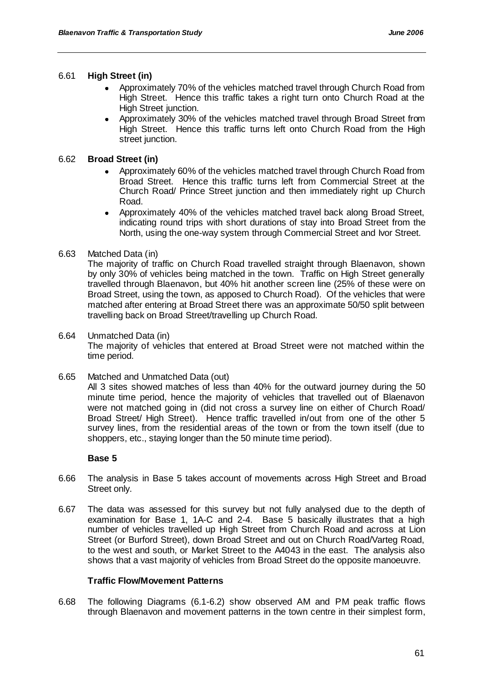## 6.61 **High Street (in)**

- $\bullet$ Approximately 70% of the vehicles matched travel through Church Road from High Street. Hence this traffic takes a right turn onto Church Road at the High Street junction.
- Approximately 30% of the vehicles matched travel through Broad Street from High Street. Hence this traffic turns left onto Church Road from the High street junction.

## 6.62 **Broad Street (in)**

- Approximately 60% of the vehicles matched travel through Church Road from Broad Street. Hence this traffic turns left from Commercial Street at the Church Road/ Prince Street junction and then immediately right up Church Road.
- Approximately 40% of the vehicles matched travel back along Broad Street,  $\bullet$ indicating round trips with short durations of stay into Broad Street from the North, using the one-way system through Commercial Street and Ivor Street.

## 6.63 Matched Data (in)

The majority of traffic on Church Road travelled straight through Blaenavon, shown by only 30% of vehicles being matched in the town. Traffic on High Street generally travelled through Blaenavon, but 40% hit another screen line (25% of these were on Broad Street, using the town, as apposed to Church Road). Of the vehicles that were matched after entering at Broad Street there was an approximate 50/50 split between travelling back on Broad Street/travelling up Church Road.

### 6.64 Unmatched Data (in)

The majority of vehicles that entered at Broad Street were not matched within the time period.

6.65 Matched and Unmatched Data (out)

All 3 sites showed matches of less than 40% for the outward journey during the 50 minute time period, hence the majority of vehicles that travelled out of Blaenavon were not matched going in (did not cross a survey line on either of Church Road/ Broad Street/ High Street). Hence traffic travelled in/out from one of the other 5 survey lines, from the residential areas of the town or from the town itself (due to shoppers, etc., staying longer than the 50 minute time period).

#### **Base 5**

- 6.66 The analysis in Base 5 takes account of movements across High Street and Broad Street only.
- 6.67 The data was assessed for this survey but not fully analysed due to the depth of examination for Base 1, 1A-C and 2-4. Base 5 basically illustrates that a high number of vehicles travelled up High Street from Church Road and across at Lion Street (or Burford Street), down Broad Street and out on Church Road/Varteg Road, to the west and south, or Market Street to the A4043 in the east. The analysis also shows that a vast majority of vehicles from Broad Street do the opposite manoeuvre.

## **Traffic Flow/Movement Patterns**

6.68 The following Diagrams (6.1-6.2) show observed AM and PM peak traffic flows through Blaenavon and movement patterns in the town centre in their simplest form,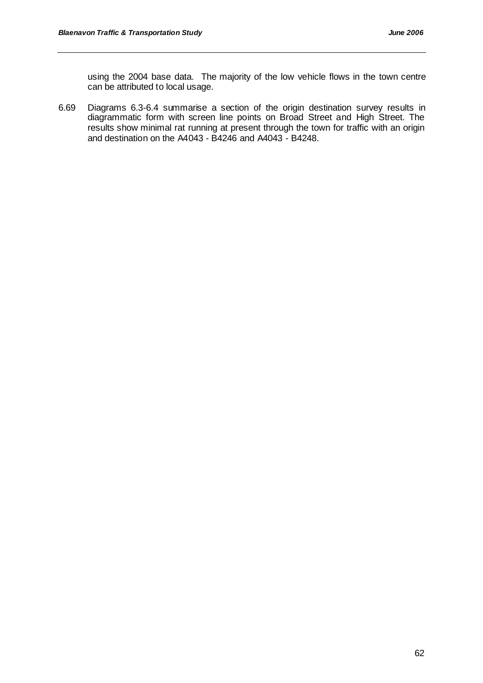using the 2004 base data. The majority of the low vehicle flows in the town centre can be attributed to local usage.

6.69 Diagrams 6.3-6.4 summarise a section of the origin destination survey results in diagrammatic form with screen line points on Broad Street and High Street. The results show minimal rat running at present through the town for traffic with an origin and destination on the A4043 - B4246 and A4043 - B4248.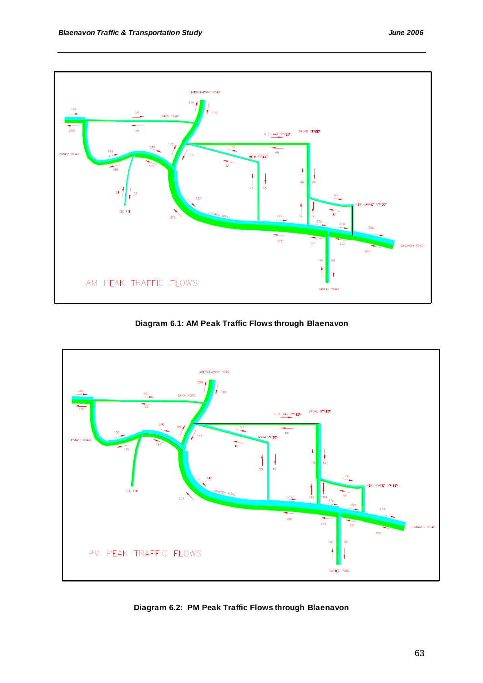

**Diagram 6.1: AM Peak Traffic Flows through Blaenavon**



**Diagram 6.2: PM Peak Traffic Flows through Blaenavon**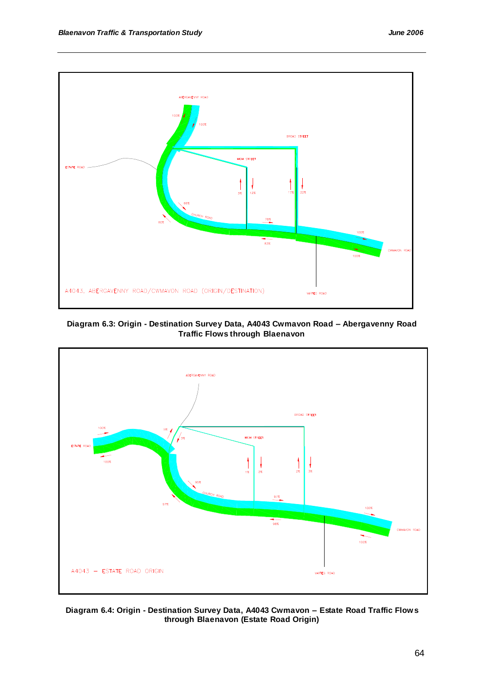

**Diagram 6.3: Origin - Destination Survey Data, A4043 Cwmavon Road – Abergavenny Road Traffic Flows through Blaenavon**



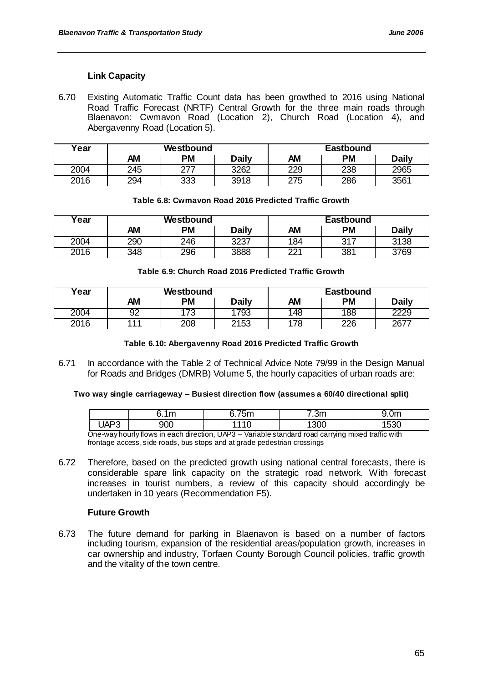# **Link Capacity**

6.70 Existing Automatic Traffic Count data has been growthed to 2016 using National Road Traffic Forecast (NRTF) Central Growth for the three main roads through Blaenavon: Cwmavon Road (Location 2), Church Road (Location 4), and Abergavenny Road (Location 5).

| Year | Westbound |           |              | <b>Eastbound</b> |           |       |
|------|-----------|-----------|--------------|------------------|-----------|-------|
|      | AM        | <b>PM</b> | <b>Daily</b> | AМ               | <b>PM</b> | Daily |
| 2004 | 245       | 777       | 3262         | 229              | 238       | 2965  |
| 2016 | 294       | 333       | 3918         | 275              | 286       | 3561  |

|  |  | Table 6.8: Cwmavon Road 2016 Predicted Traffic Growth |  |
|--|--|-------------------------------------------------------|--|
|  |  |                                                       |  |

| ∕ear | Westbound |           |              | Eastbound |     |       |
|------|-----------|-----------|--------------|-----------|-----|-------|
|      | <b>AM</b> | <b>PM</b> | <b>Daily</b> | AΜ        | PM  | Daily |
| 2004 | 290       | 246       | 3237         | 184       | 317 | 3138  |
| 2016 | 348       | 296       | 3888         | 221       | 381 | 3769  |

#### **Table 6.9: Church Road 2016 Predicted Traffic Growth**

| Year | Westbound |              | <b>Eastbound</b> |     |           |              |
|------|-----------|--------------|------------------|-----|-----------|--------------|
|      | AМ        | ΡM           | <b>Daily</b>     | АM  | <b>PM</b> | <b>Daily</b> |
| 2004 | 92        | 17?<br>ں ، ا | 793              | 148 | 188       | 2229         |
| 2016 | 111       | 208          | 2153             | '78 | 226       | 2677         |

#### **Table 6.10: Abergavenny Road 2016 Predicted Traffic Growth**

6.71 In accordance with the Table 2 of Technical Advice Note 79/99 in the Design Manual for Roads and Bridges (DMRB) Volume 5, the hourly capacities of urban roads are:

#### **Two way single carriageway – Busiest direction flow (assumes a 60/40 directional split)**

|      | 1 <sub>m</sub><br> | 75m<br>,,,,    | $^{\prime}$ .3m | $\cap$<br>J.VIII |
|------|--------------------|----------------|-----------------|------------------|
| ◡៸៶៲ | 900                | $\overline{1}$ | 300             | roo<br>აას       |

One-way hourly flows in each direction, UAP3 – Variable standard road carrying mixed traffic with frontage access, side roads, bus stops and at grade pedestrian crossings

6.72 Therefore, based on the predicted growth using national central forecasts, there is considerable spare link capacity on the strategic road network. With forecast increases in tourist numbers, a review of this capacity should accordingly be undertaken in 10 years (Recommendation F5).

#### **Future Growth**

6.73 The future demand for parking in Blaenavon is based on a number of factors including tourism, expansion of the residential areas/population growth, increases in car ownership and industry, Torfaen County Borough Council policies, traffic growth and the vitality of the town centre.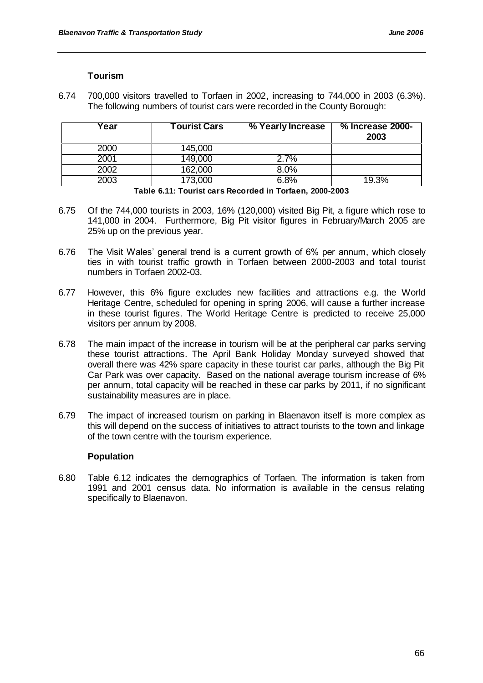### **Tourism**

6.74 700,000 visitors travelled to Torfaen in 2002, increasing to 744,000 in 2003 (6.3%). The following numbers of tourist cars were recorded in the County Borough:

| rear | <b>Tourist Cars</b> | % Yearly Increase | % Increase 2000-<br>2003 |
|------|---------------------|-------------------|--------------------------|
| 2000 | 145,000             |                   |                          |
| 2001 | 149,000             | 2.7%              |                          |
| 2002 | 162,000             | 8.0%              |                          |
| 2003 | 173,000             | 6.8%              | 19.3%                    |

#### **Table 6.11: Tourist cars Recorded in Torfaen, 2000-2003**

- 6.75 Of the 744,000 tourists in 2003, 16% (120,000) visited Big Pit, a figure which rose to 141,000 in 2004. Furthermore, Big Pit visitor figures in February/March 2005 are 25% up on the previous year.
- 6.76 The Visit Wales" general trend is a current growth of 6% per annum, which closely ties in with tourist traffic growth in Torfaen between 2000-2003 and total tourist numbers in Torfaen 2002-03.
- 6.77 However, this 6% figure excludes new facilities and attractions e.g. the World Heritage Centre, scheduled for opening in spring 2006, will cause a further increase in these tourist figures. The World Heritage Centre is predicted to receive 25,000 visitors per annum by 2008.
- 6.78 The main impact of the increase in tourism will be at the peripheral car parks serving these tourist attractions. The April Bank Holiday Monday surveyed showed that overall there was 42% spare capacity in these tourist car parks, although the Big Pit Car Park was over capacity. Based on the national average tourism increase of 6% per annum, total capacity will be reached in these car parks by 2011, if no significant sustainability measures are in place.
- 6.79 The impact of increased tourism on parking in Blaenavon itself is more complex as this will depend on the success of initiatives to attract tourists to the town and linkage of the town centre with the tourism experience.

## **Population**

6.80 Table 6.12 indicates the demographics of Torfaen. The information is taken from 1991 and 2001 census data. No information is available in the census relating specifically to Blaenavon.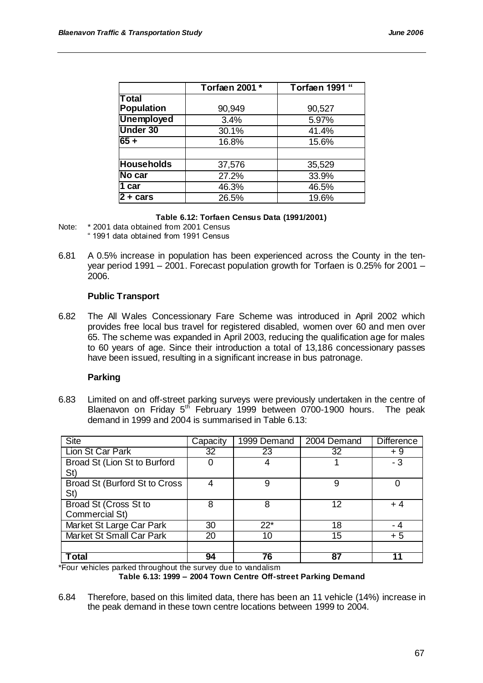|                   | Torfaen 2001 * | Torfaen 1991 " |
|-------------------|----------------|----------------|
| <b>Total</b>      |                |                |
| <b>Population</b> | 90,949         | 90,527         |
| <b>Unemployed</b> | 3.4%           | 5.97%          |
| <b>Under 30</b>   | 30.1%          | 41.4%          |
| $65 +$            | 16.8%          | 15.6%          |
|                   |                |                |
| <b>Households</b> | 37,576         | 35,529         |
| No car            | 27.2%          | 33.9%          |
| 1 car             | 46.3%          | 46.5%          |
| $2 + cars$        | 26.5%          | 19.6%          |

#### **Table 6.12: Torfaen Census Data (1991/2001)**

- Note: \* 2001 data obtained from 2001 Census " 1991 data obtained from 1991 Census
- 6.81 A 0.5% increase in population has been experienced across the County in the tenyear period 1991 – 2001. Forecast population growth for Torfaen is 0.25% for 2001 – 2006.

#### **Public Transport**

6.82 The All Wales Concessionary Fare Scheme was introduced in April 2002 which provides free local bus travel for registered disabled, women over 60 and men over 65. The scheme was expanded in April 2003, reducing the qualification age for males to 60 years of age. Since their introduction a total of 13,186 concessionary passes have been issued, resulting in a significant increase in bus patronage.

#### **Parking**

6.83 Limited on and off-street parking surveys were previously undertaken in the centre of Blaenavon on Friday 5<sup>th</sup> February 1999 between 0700-1900 hours. The peak demand in 1999 and 2004 is summarised in Table 6.13:

| <b>Site</b>                     | Capacity | 1999 Demand | 2004 Demand | <b>Difference</b> |
|---------------------------------|----------|-------------|-------------|-------------------|
| Lion St Car Park                | 32       | 23          | 32          | + 9               |
| Broad St (Lion St to Burford    |          | 4           |             | $-3$              |
| St)                             |          |             |             |                   |
| Broad St (Burford St to Cross   |          | 9           | 9           |                   |
| St)                             |          |             |             |                   |
| Broad St (Cross St to           | 8        | 8           | 12          | + 4               |
| Commercial St)                  |          |             |             |                   |
| Market St Large Car Park        | 30       | $22*$       | 18          | - 4               |
| <b>Market St Small Car Park</b> | 20       | 10          | 15          | $+5$              |
|                                 |          |             |             |                   |
| Total                           | 94       | 76          | 87          |                   |

\*Four vehicles parked throughout the survey due to vandalism

#### **Table 6.13: 1999 – 2004 Town Centre Off-street Parking Demand**

<sup>6.84</sup> Therefore, based on this limited data, there has been an 11 vehicle (14%) increase in the peak demand in these town centre locations between 1999 to 2004.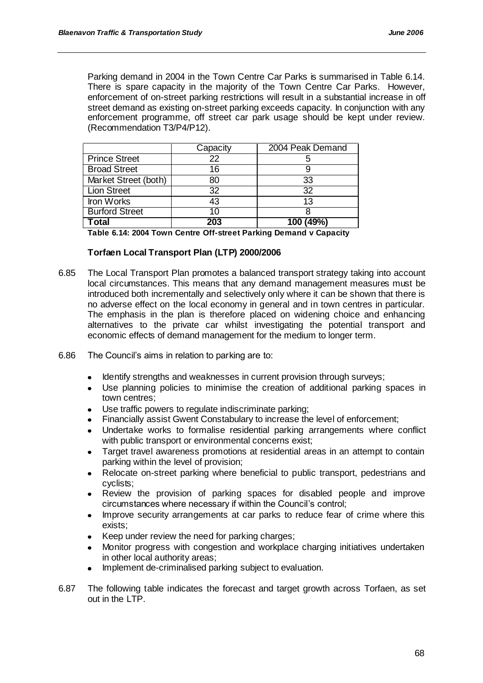Parking demand in 2004 in the Town Centre Car Parks is summarised in Table 6.14. There is spare capacity in the majority of the Town Centre Car Parks. However, enforcement of on-street parking restrictions will result in a substantial increase in off street demand as existing on-street parking exceeds capacity. In conjunction with any enforcement programme, off street car park usage should be kept under review. (Recommendation T3/P4/P12).

|                       | Capacity | 2004 Peak Demand |
|-----------------------|----------|------------------|
| <b>Prince Street</b>  | 22       |                  |
| <b>Broad Street</b>   | 16       |                  |
| Market Street (both)  | 80       | 33               |
| <b>Lion Street</b>    | 32       | 32               |
| Iron Works            | 43       | 13               |
| <b>Burford Street</b> | 10       |                  |
| Гotal                 | 203      | 100 (49%)        |

**Table 6.14: 2004 Town Centre Off-street Parking Demand v Capacity**

### **Torfaen Local Transport Plan (LTP) 2000/2006**

- 6.85 The Local Transport Plan promotes a balanced transport strategy taking into account local circumstances. This means that any demand management measures must be introduced both incrementally and selectively only where it can be shown that there is no adverse effect on the local economy in general and in town centres in particular. The emphasis in the plan is therefore placed on widening choice and enhancing alternatives to the private car whilst investigating the potential transport and economic effects of demand management for the medium to longer term.
- 6.86 The Council"s aims in relation to parking are to:
	- Identify strengths and weaknesses in current provision through surveys;
	- Use planning policies to minimise the creation of additional parking spaces in  $\bullet$ town centres;
	- Use traffic powers to regulate indiscriminate parking;  $\blacksquare$
	- Financially assist Gwent Constabulary to increase the level of enforcement;
	- Undertake works to formalise residential parking arrangements where conflict with public transport or environmental concerns exist;
	- Target travel awareness promotions at residential areas in an attempt to contain  $\bullet$ parking within the level of provision;
	- Relocate on-street parking where beneficial to public transport, pedestrians and cyclists;
	- Review the provision of parking spaces for disabled people and improve circumstances where necessary if within the Council"s control;
	- Improve security arrangements at car parks to reduce fear of crime where this exists;
	- $\bullet$ Keep under review the need for parking charges;
	- Monitor progress with congestion and workplace charging initiatives undertaken in other local authority areas;
	- Implement de-criminalised parking subject to evaluation.
- 6.87 The following table indicates the forecast and target growth across Torfaen, as set out in the LTP.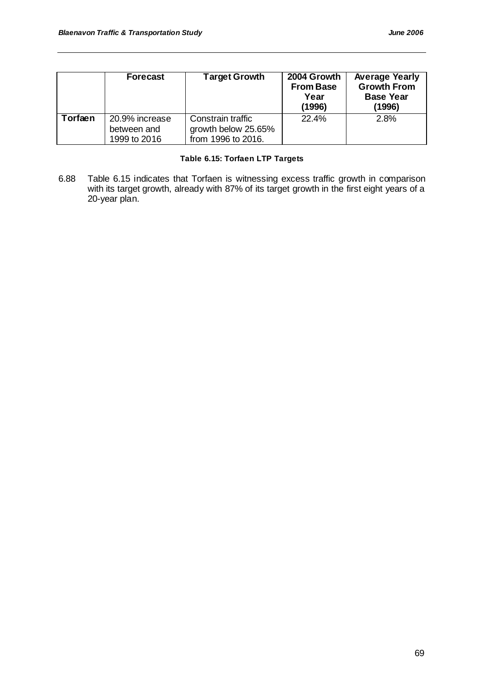|         | <b>Forecast</b>                               | <b>Target Growth</b>                                           | 2004 Growth<br><b>From Base</b><br>Year<br>(1996) | <b>Average Yearly</b><br><b>Growth From</b><br><b>Base Year</b><br>(1996) |
|---------|-----------------------------------------------|----------------------------------------------------------------|---------------------------------------------------|---------------------------------------------------------------------------|
| Torfaen | 20.9% increase<br>between and<br>1999 to 2016 | Constrain traffic<br>growth below 25.65%<br>from 1996 to 2016. | 22.4%                                             | 2.8%                                                                      |

# **Table 6.15: Torfaen LTP Targets**

6.88 Table 6.15 indicates that Torfaen is witnessing excess traffic growth in comparison with its target growth, already with 87% of its target growth in the first eight years of a 20-year plan.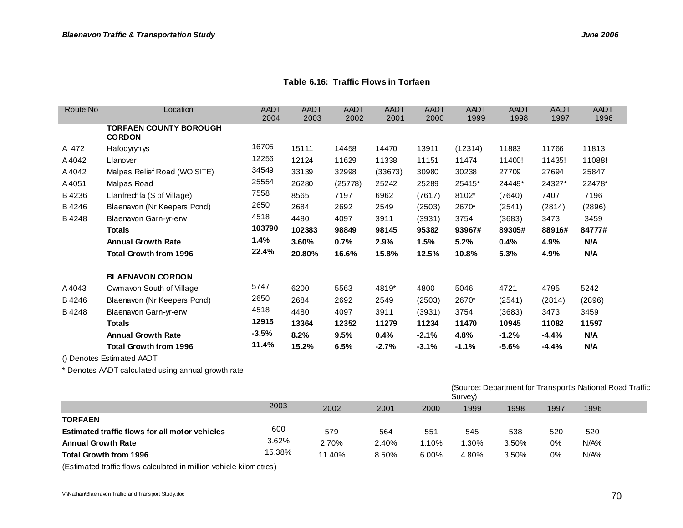# **Table 6.16: Traffic Flows in Torfaen**

| Route No | Location                                       | AADT<br>2004 | AADT<br>2003 | AADT<br>2002 | AADT<br>2001 | AADT<br>2000 | AADT<br>1999 | AADT<br>1998 | <b>AADT</b><br>1997 | AADT<br>1996 |
|----------|------------------------------------------------|--------------|--------------|--------------|--------------|--------------|--------------|--------------|---------------------|--------------|
|          | <b>TORFAEN COUNTY BOROUGH</b><br><b>CORDON</b> |              |              |              |              |              |              |              |                     |              |
| A 472    | Hafodyryn ys                                   | 16705        | 15111        | 14458        | 14470        | 13911        | (12314)      | 11883        | 11766               | 11813        |
| A4042    | Llanover                                       | 12256        | 12124        | 11629        | 11338        | 11151        | 11474        | 11400!       | 11435!              | 11088!       |
| A4042    | Malpas Relief Road (WO SITE)                   | 34549        | 33139        | 32998        | (33673)      | 30980        | 30238        | 27709        | 27694               | 25847        |
| A4051    | Malpas Road                                    | 25554        | 26280        | (25778)      | 25242        | 25289        | 25415*       | 24449*       | 24327*              | 22478*       |
| B4236    | Llanfrechfa (S of Village)                     | 7558         | 8565         | 7197         | 6962         | (7617)       | 8102*        | (7640)       | 7407                | 7196         |
| B4246    | Blaenavon (Nr Keepers Pond)                    | 2650         | 2684         | 2692         | 2549         | (2503)       | 2670*        | (2541)       | (2814)              | (2896)       |
| B4248    | Blaenavon Garn-yr-erw                          | 4518         | 4480         | 4097         | 3911         | (3931)       | 3754         | (3683)       | 3473                | 3459         |
|          | <b>Totals</b>                                  | 103790       | 102383       | 98849        | 98145        | 95382        | 93967#       | 89305#       | 88916#              | 84777#       |
|          | <b>Annual Growth Rate</b>                      | 1.4%         | 3.60%        | 0.7%         | 2.9%         | 1.5%         | 5.2%         | 0.4%         | 4.9%                | N/A          |
|          | Total Growth from 1996                         | 22.4%        | 20.80%       | 16.6%        | 15.8%        | 12.5%        | 10.8%        | 5.3%         | 4.9%                | N/A          |
|          | <b>BLAENAVON CORDON</b>                        |              |              |              |              |              |              |              |                     |              |
| A4043    | Cwmavon South of Village                       | 5747         | 6200         | 5563         | 4819*        | 4800         | 5046         | 4721         | 4795                | 5242         |
| B4246    | Blaenavon (Nr Keepers Pond)                    | 2650         | 2684         | 2692         | 2549         | (2503)       | 2670*        | (2541)       | (2814)              | (2896)       |
| B4248    | Blaenavon Garn-yr-erw                          | 4518         | 4480         | 4097         | 3911         | (3931)       | 3754         | (3683)       | 3473                | 3459         |
|          | <b>Totals</b>                                  | 12915        | 13364        | 12352        | 11279        | 11234        | 11470        | 10945        | 11082               | 11597        |
|          | <b>Annual Growth Rate</b>                      | $-3.5%$      | 8.2%         | 9.5%         | 0.4%         | $-2.1%$      | 4.8%         | -1.2%        | $-4.4%$             | N/A          |
|          | Total Growth from 1996                         | 11.4%        | 15.2%        | 6.5%         | $-2.7%$      | $-3.1%$      | $-1.1%$      | -5.6%        | $-4.4%$             | N/A          |

() Denotes Estimated AADT

\* Denotes AADT calculated using annual growth rate

|                                                |        |        |       |       | (Source: Department for Transport's National Road Traffic<br>Survey) |       |      |         |  |
|------------------------------------------------|--------|--------|-------|-------|----------------------------------------------------------------------|-------|------|---------|--|
|                                                | 2003   | 2002   | 2001  | 2000  | 1999                                                                 | 1998  | 1997 | 1996    |  |
| <b>TORFAEN</b>                                 |        |        |       |       |                                                                      |       |      |         |  |
| Estimated traffic flows for all motor vehicles | 600    | 579    | 564   | 551   | 545                                                                  | 538   | 520  | 520     |  |
| <b>Annual Growth Rate</b>                      | 3.62%  | 2.70%  | 2.40% | 1.10% | 1.30%                                                                | 3.50% | 0%   | $N/A\%$ |  |
| <b>Total Growth from 1996</b>                  | 15.38% | 11.40% | 8.50% | 6.00% | 4.80%                                                                | 3.50% | 0%   | $N/A\%$ |  |

(Estimated traffic flows calculated in million vehicle kilometres)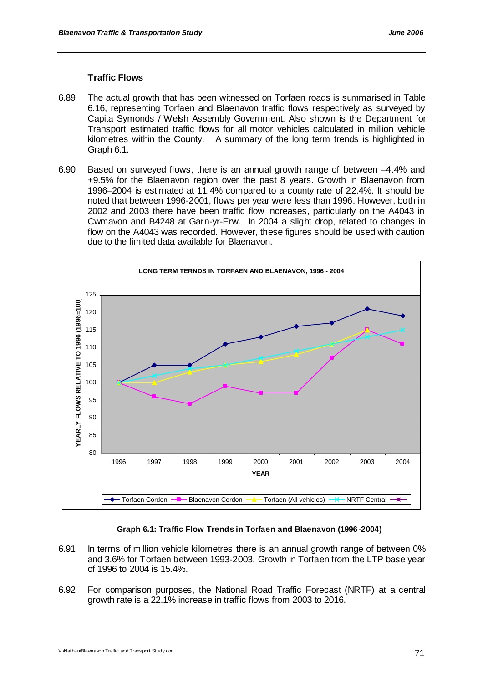# **Traffic Flows**

- 6.89 The actual growth that has been witnessed on Torfaen roads is summarised in Table 6.16, representing Torfaen and Blaenavon traffic flows respectively as surveyed by Capita Symonds / Welsh Assembly Government. Also shown is the Department for Transport estimated traffic flows for all motor vehicles calculated in million vehicle kilometres within the County.A summary of the long term trends is highlighted in Graph 6.1.
- 6.90 Based on surveyed flows, there is an annual growth range of between –4.4% and +9.5% for the Blaenavon region over the past 8 years. Growth in Blaenavon from 1996–2004 is estimated at 11.4% compared to a county rate of 22.4%. It should be noted that between 1996-2001, flows per year were less than 1996. However, both in 2002 and 2003 there have been traffic flow increases, particularly on the A4043 in Cwmavon and B4248 at Garn-yr-Erw. In 2004 a slight drop, related to changes in flow on the A4043 was recorded. However, these figures should be used with caution due to the limited data available for Blaenavon.



#### **Graph 6.1: Traffic Flow Trends in Torfaen and Blaenavon (1996 -2004)**

- 6.91 In terms of million vehicle kilometres there is an annual growth range of between 0% and 3.6% for Torfaen between 1993-2003. Growth in Torfaen from the LTP base year of 1996 to 2004 is 15.4%.
- 6.92 For comparison purposes, the National Road Traffic Forecast (NRTF) at a central growth rate is a 22.1% increase in traffic flows from 2003 to 2016.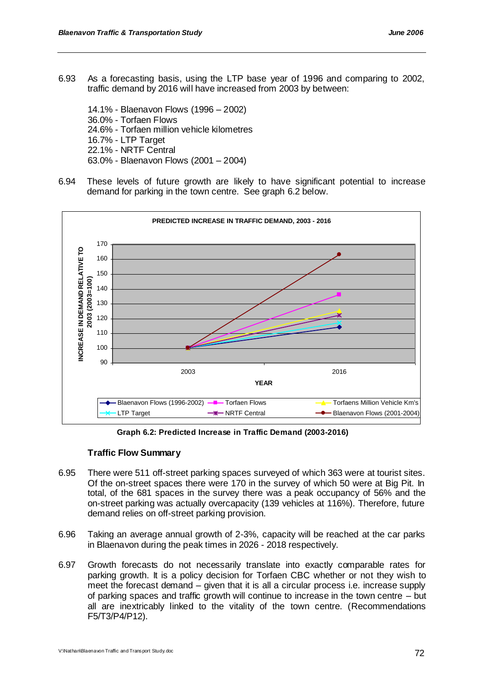6.93 As a forecasting basis, using the LTP base year of 1996 and comparing to 2002, traffic demand by 2016 will have increased from 2003 by between:

14.1% - Blaenavon Flows (1996 – 2002) 36.0% - Torfaen Flows 24.6% - Torfaen million vehicle kilometres 16.7% - LTP Target 22.1% - NRTF Central 63.0% - Blaenavon Flows (2001 – 2004)

6.94 These levels of future growth are likely to have significant potential to increase demand for parking in the town centre. See graph 6.2 below.



**Graph 6.2: Predicted Increase in Traffic Demand (2003-2016)**

# **Traffic Flow Summary**

- 6.95 There were 511 off-street parking spaces surveyed of which 363 were at tourist sites. Of the on-street spaces there were 170 in the survey of which 50 were at Big Pit. In total, of the 681 spaces in the survey there was a peak occupancy of 56% and the on-street parking was actually overcapacity (139 vehicles at 116%). Therefore, future demand relies on off-street parking provision.
- 6.96 Taking an average annual growth of 2-3%, capacity will be reached at the car parks in Blaenavon during the peak times in 2026 - 2018 respectively.
- 6.97 Growth forecasts do not necessarily translate into exactly comparable rates for parking growth. It is a policy decision for Torfaen CBC whether or not they wish to meet the forecast demand – given that it is all a circular process i.e. increase supply of parking spaces and traffic growth will continue to increase in the town centre – but all are inextricably linked to the vitality of the town centre. (Recommendations F5/T3/P4/P12).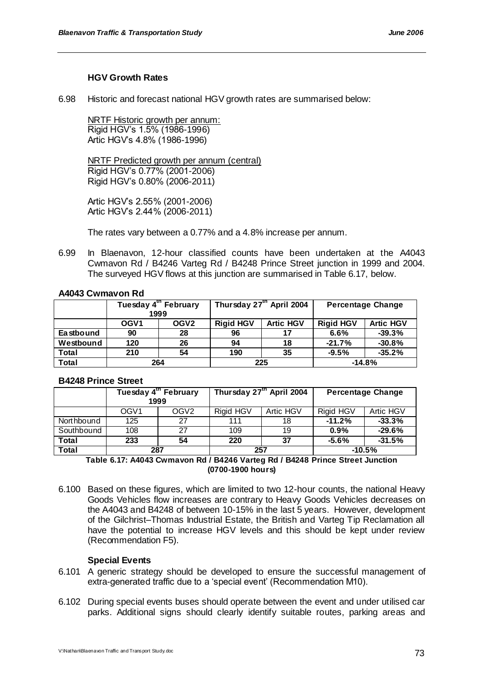# **HGV Growth Rates**

6.98 Historic and forecast national HGV growth rates are summarised below:

NRTF Historic growth per annum: Rigid HGV"s 1.5% (1986-1996) Artic HGV"s 4.8% (1986-1996)

NRTF Predicted growth per annum (central) Rigid HGV"s 0.77% (2001-2006) Rigid HGV"s 0.80% (2006-2011)

Artic HGV"s 2.55% (2001-2006) Artic HGV"s 2.44% (2006-2011)

The rates vary between a 0.77% and a 4.8% increase per annum.

6.99 In Blaenavon, 12-hour classified counts have been undertaken at the A4043 Cwmavon Rd / B4246 Varteg Rd / B4248 Prince Street junction in 1999 and 2004. The surveyed HGV flows at this junction are summarised in Table 6.17, below.

# **A4043 Cwmavon Rd**

|              | Tuesday 4 <sup>th</sup> February<br>1999 |                  | Thursday 27 <sup>th</sup> April 2004 |                  | <b>Percentage Change</b> |                  |
|--------------|------------------------------------------|------------------|--------------------------------------|------------------|--------------------------|------------------|
|              | OGV <sub>1</sub>                         | OGV <sub>2</sub> | <b>Rigid HGV</b>                     | <b>Artic HGV</b> | <b>Rigid HGV</b>         | <b>Artic HGV</b> |
|              |                                          |                  |                                      |                  |                          |                  |
| Ea stbound   | 90                                       | 28               | 96                                   | 17               | 6.6%                     | $-39.3%$         |
| Westbound    | 120                                      | 26               | 94                                   | 18               | $-21.7%$                 | $-30.8%$         |
| Total        | 210                                      | 54               | 190                                  | 35               | $-9.5%$                  | $-35.2%$         |
| <b>Total</b> | 264                                      |                  | 225                                  |                  | $-14.8%$                 |                  |

# **B4248 Prince Street**

|            | Tuesday 4 <sup>th</sup> February<br>1999 |                  | Thursday 27 <sup>th</sup> April 2004 |           | <b>Percentage Change</b> |           |          |  |
|------------|------------------------------------------|------------------|--------------------------------------|-----------|--------------------------|-----------|----------|--|
|            | OGV <sub>1</sub>                         | OGV <sub>2</sub> | Rigid HGV                            | Artic HGV | Rigid HGV                | Artic HGV |          |  |
| Northbound | 125                                      | 27               | 111                                  | 18        | $-11.2%$                 | $-33.3%$  |          |  |
| Southbound | 108                                      | 27               | 109                                  | 19        | 0.9%                     | $-29.6%$  |          |  |
| Total      | 233                                      | 54               | 220                                  | 37        | $-5.6%$                  | $-31.5%$  |          |  |
| Total      | 287                                      |                  | 257                                  |           |                          |           | $-10.5%$ |  |

**Table 6.17: A4043 Cwmavon Rd / B4246 Varteg Rd / B4248 Prince Street Junction (0700-1900 hours)**

6.100 Based on these figures, which are limited to two 12-hour counts, the national Heavy Goods Vehicles flow increases are contrary to Heavy Goods Vehicles decreases on the A4043 and B4248 of between 10-15% in the last 5 years. However, development of the Gilchrist–Thomas Industrial Estate, the British and Varteg Tip Reclamation all have the potential to increase HGV levels and this should be kept under review (Recommendation F5).

# **Special Events**

- 6.101 A generic strategy should be developed to ensure the successful management of extra-generated traffic due to a "special event" (Recommendation M10).
- 6.102 During special events buses should operate between the event and under utilised car parks. Additional signs should clearly identify suitable routes, parking areas and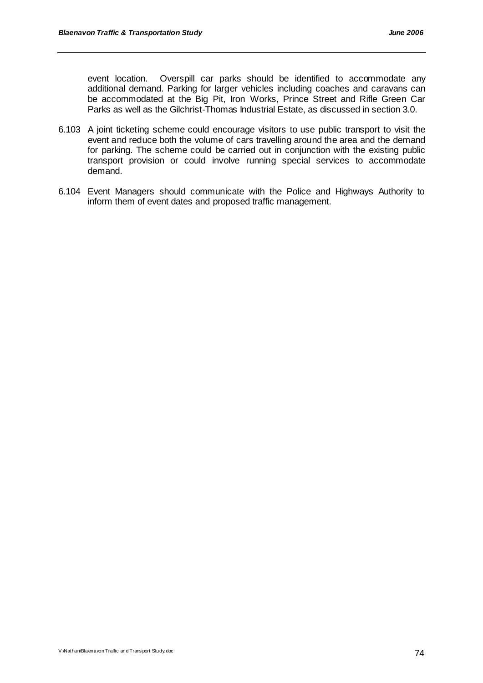event location. Overspill car parks should be identified to accommodate any additional demand. Parking for larger vehicles including coaches and caravans can be accommodated at the Big Pit, Iron Works, Prince Street and Rifle Green Car Parks as well as the Gilchrist-Thomas Industrial Estate, as discussed in section 3.0.

- 6.103 A joint ticketing scheme could encourage visitors to use public transport to visit the event and reduce both the volume of cars travelling around the area and the demand for parking. The scheme could be carried out in conjunction with the existing public transport provision or could involve running special services to accommodate demand.
- 6.104 Event Managers should communicate with the Police and Highways Authority to inform them of event dates and proposed traffic management.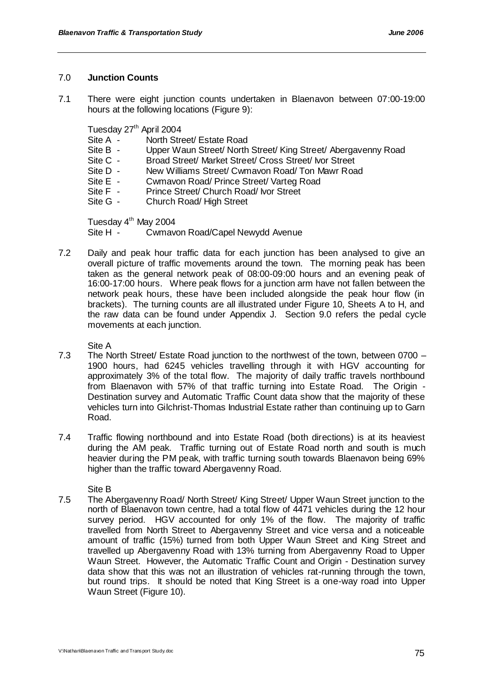# 7.0 **Junction Counts**

7.1 There were eight junction counts undertaken in Blaenavon between 07:00-19:00 hours at the following locations (Figure 9):

Tuesday 27<sup>th</sup> April 2004<br>Site A - North Stre

- Site A North Street/ Estate Road<br>Site B Upper Waun Street/ North
- Upper Waun Street/ North Street/ King Street/ Abergavenny Road
- Site C Broad Street/ Market Street/ Cross Street/ Ivor Street
- Site D New Williams Street/ Cwmavon Road/ Ton Mawr Road
- Site E Cwmavon Road/ Prince Street/ Varteg Road<br>Site F Prince Street/ Church Road/ Ivor Street
- Site F Prince Street/ Church Road/ Ivor Street<br>Site G Church Road/ High Street
- Church Road/ High Street

Tuesday 4<sup>th</sup> May 2004

Site H - Cwmavon Road/Capel Newydd Avenue

7.2 Daily and peak hour traffic data for each junction has been analysed to give an overall picture of traffic movements around the town. The morning peak has been taken as the general network peak of 08:00-09:00 hours and an evening peak of 16:00-17:00 hours. Where peak flows for a junction arm have not fallen between the network peak hours, these have been included alongside the peak hour flow (in brackets). The turning counts are all illustrated under Figure 10, Sheets A to H, and the raw data can be found under Appendix J. Section 9.0 refers the pedal cycle movements at each junction.

Site A

- 7.3 The North Street/ Estate Road junction to the northwest of the town, between 0700 1900 hours, had 6245 vehicles travelling through it with HGV accounting for approximately 3% of the total flow. The majority of daily traffic travels northbound from Blaenavon with 57% of that traffic turning into Estate Road. The Origin - Destination survey and Automatic Traffic Count data show that the majority of these vehicles turn into Gilchrist-Thomas Industrial Estate rather than continuing up to Garn Road.
- 7.4 Traffic flowing northbound and into Estate Road (both directions) is at its heaviest during the AM peak. Traffic turning out of Estate Road north and south is much heavier during the PM peak, with traffic turning south towards Blaenavon being 69% higher than the traffic toward Abergavenny Road.

Site B

7.5 The Abergavenny Road/ North Street/ King Street/ Upper Waun Street junction to the north of Blaenavon town centre, had a total flow of 4471 vehicles during the 12 hour survey period. HGV accounted for only 1% of the flow. The majority of traffic travelled from North Street to Abergavenny Street and vice versa and a noticeable amount of traffic (15%) turned from both Upper Waun Street and King Street and travelled up Abergavenny Road with 13% turning from Abergavenny Road to Upper Waun Street. However, the Automatic Traffic Count and Origin - Destination survey data show that this was not an illustration of vehicles rat-running through the town, but round trips. It should be noted that King Street is a one-way road into Upper Waun Street (Figure 10).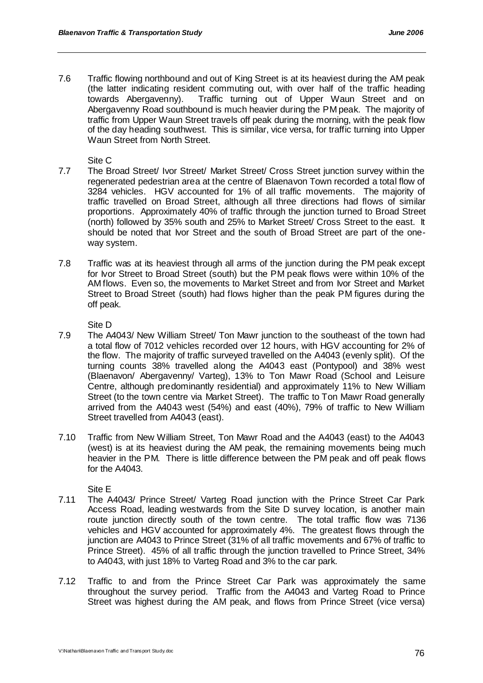7.6 Traffic flowing northbound and out of King Street is at its heaviest during the AM peak (the latter indicating resident commuting out, with over half of the traffic heading towards Abergavenny). Traffic turning out of Upper Waun Street and on Abergavenny Road southbound is much heavier during the PM peak. The majority of traffic from Upper Waun Street travels off peak during the morning, with the peak flow of the day heading southwest. This is similar, vice versa, for traffic turning into Upper Waun Street from North Street.

Site C

- 7.7 The Broad Street/ Ivor Street/ Market Street/ Cross Street junction survey within the regenerated pedestrian area at the centre of Blaenavon Town recorded a total flow of 3284 vehicles. HGV accounted for 1% of all traffic movements. The majority of traffic travelled on Broad Street, although all three directions had flows of similar proportions. Approximately 40% of traffic through the junction turned to Broad Street (north) followed by 35% south and 25% to Market Street/ Cross Street to the east. It should be noted that Ivor Street and the south of Broad Street are part of the oneway system.
- 7.8 Traffic was at its heaviest through all arms of the junction during the PM peak except for Ivor Street to Broad Street (south) but the PM peak flows were within 10% of the AM flows. Even so, the movements to Market Street and from Ivor Street and Market Street to Broad Street (south) had flows higher than the peak PM figures during the off peak.

Site D

- 7.9 The A4043/ New William Street/ Ton Mawr junction to the southeast of the town had a total flow of 7012 vehicles recorded over 12 hours, with HGV accounting for 2% of the flow. The majority of traffic surveyed travelled on the A4043 (evenly split). Of the turning counts 38% travelled along the A4043 east (Pontypool) and 38% west (Blaenavon/ Abergavenny/ Varteg), 13% to Ton Mawr Road (School and Leisure Centre, although predominantly residential) and approximately 11% to New William Street (to the town centre via Market Street). The traffic to Ton Mawr Road generally arrived from the A4043 west (54%) and east (40%), 79% of traffic to New William Street travelled from A4043 (east).
- 7.10 Traffic from New William Street, Ton Mawr Road and the A4043 (east) to the A4043 (west) is at its heaviest during the AM peak, the remaining movements being much heavier in the PM. There is little difference between the PM peak and off peak flows for the A4043.

Site E

- 7.11 The A4043/ Prince Street/ Varteg Road junction with the Prince Street Car Park Access Road, leading westwards from the Site D survey location, is another main route junction directly south of the town centre. The total traffic flow was 7136 vehicles and HGV accounted for approximately 4%. The greatest flows through the junction are A4043 to Prince Street (31% of all traffic movements and 67% of traffic to Prince Street). 45% of all traffic through the junction travelled to Prince Street, 34% to A4043, with just 18% to Varteg Road and 3% to the car park.
- 7.12 Traffic to and from the Prince Street Car Park was approximately the same throughout the survey period. Traffic from the A4043 and Varteg Road to Prince Street was highest during the AM peak, and flows from Prince Street (vice versa)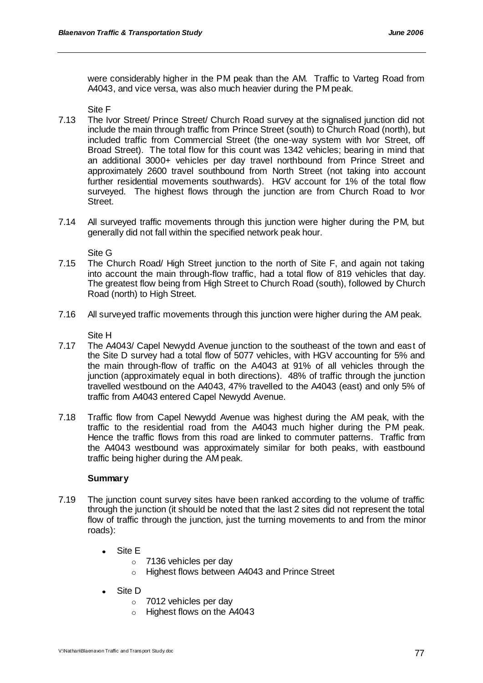were considerably higher in the PM peak than the AM. Traffic to Varteg Road from A4043, and vice versa, was also much heavier during the PM peak.

Site F

- 7.13 The Ivor Street/ Prince Street/ Church Road survey at the signalised junction did not include the main through traffic from Prince Street (south) to Church Road (north), but included traffic from Commercial Street (the one-way system with Ivor Street, off Broad Street). The total flow for this count was 1342 vehicles; bearing in mind that an additional 3000+ vehicles per day travel northbound from Prince Street and approximately 2600 travel southbound from North Street (not taking into account further residential movements southwards). HGV account for 1% of the total flow surveyed. The highest flows through the junction are from Church Road to Ivor Street.
- 7.14 All surveyed traffic movements through this junction were higher during the PM, but generally did not fall within the specified network peak hour.

Site G

- 7.15 The Church Road/ High Street junction to the north of Site F, and again not taking into account the main through-flow traffic, had a total flow of 819 vehicles that day. The greatest flow being from High Street to Church Road (south), followed by Church Road (north) to High Street.
- 7.16 All surveyed traffic movements through this junction were higher during the AM peak.

Site H

- 7.17 The A4043/ Capel Newydd Avenue junction to the southeast of the town and east of the Site D survey had a total flow of 5077 vehicles, with HGV accounting for 5% and the main through-flow of traffic on the A4043 at 91% of all vehicles through the junction (approximately equal in both directions). 48% of traffic through the junction travelled westbound on the A4043, 47% travelled to the A4043 (east) and only 5% of traffic from A4043 entered Capel Newydd Avenue.
- 7.18 Traffic flow from Capel Newydd Avenue was highest during the AM peak, with the traffic to the residential road from the A4043 much higher during the PM peak. Hence the traffic flows from this road are linked to commuter patterns. Traffic from the A4043 westbound was approximately similar for both peaks, with eastbound traffic being higher during the AM peak.

# **Summary**

- 7.19 The junction count survey sites have been ranked according to the volume of traffic through the junction (it should be noted that the last 2 sites did not represent the total flow of traffic through the junction, just the turning movements to and from the minor roads):
	- Site E
		- o 7136 vehicles per day
		- o Highest flows between A4043 and Prince Street
	- Site D
		- o 7012 vehicles per day
		- o Highest flows on the A4043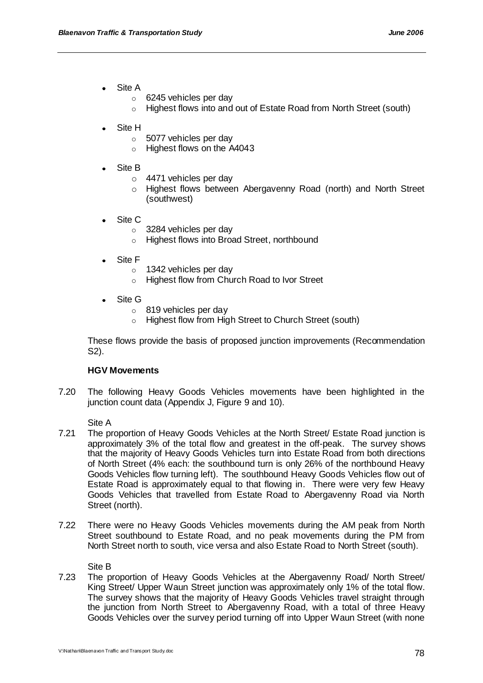- Site A
	- o 6245 vehicles per day
	- o Highest flows into and out of Estate Road from North Street (south)
- Site H
	- o 5077 vehicles per day
	- o Highest flows on the A4043
- Site B
	- $\circ$  4471 vehicles per day
	- o Highest flows between Abergavenny Road (north) and North Street (southwest)
- Site C
	- o 3284 vehicles per day
	- o Highest flows into Broad Street, northbound
- Site F
	- o 1342 vehicles per day
	- o Highest flow from Church Road to Ivor Street
- Site G
	- o 819 vehicles per day
	- o Highest flow from High Street to Church Street (south)

These flows provide the basis of proposed junction improvements (Recommendation S2).

#### **HGV Movements**

7.20 The following Heavy Goods Vehicles movements have been highlighted in the junction count data (Appendix J, Figure 9 and 10).

Site A

- 7.21 The proportion of Heavy Goods Vehicles at the North Street/ Estate Road junction is approximately 3% of the total flow and greatest in the off-peak. The survey shows that the majority of Heavy Goods Vehicles turn into Estate Road from both directions of North Street (4% each: the southbound turn is only 26% of the northbound Heavy Goods Vehicles flow turning left). The southbound Heavy Goods Vehicles flow out of Estate Road is approximately equal to that flowing in. There were very few Heavy Goods Vehicles that travelled from Estate Road to Abergavenny Road via North Street (north).
- 7.22 There were no Heavy Goods Vehicles movements during the AM peak from North Street southbound to Estate Road, and no peak movements during the PM from North Street north to south, vice versa and also Estate Road to North Street (south).

Site B

7.23 The proportion of Heavy Goods Vehicles at the Abergavenny Road/ North Street/ King Street/ Upper Waun Street junction was approximately only 1% of the total flow. The survey shows that the majority of Heavy Goods Vehicles travel straight through the junction from North Street to Abergavenny Road, with a total of three Heavy Goods Vehicles over the survey period turning off into Upper Waun Street (with none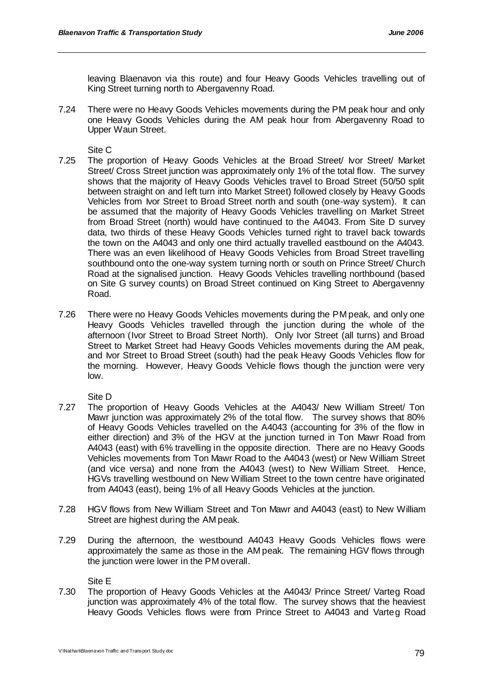leaving Blaenavon via this route) and four Heavy Goods Vehicles travelling out of King Street turning north to Abergavenny Road.

7.24 There were no Heavy Goods Vehicles movements during the PM peak hour and only one Heavy Goods Vehicles during the AM peak hour from Abergavenny Road to Upper Waun Street.

Site C

- 7.25 The proportion of Heavy Goods Vehicles at the Broad Street/ Ivor Street/ Market Street/ Cross Street junction was approximately only 1% of the total flow. The survey shows that the majority of Heavy Goods Vehicles travel to Broad Street (50/50 split between straight on and left turn into Market Street) followed closely by Heavy Goods Vehicles from Ivor Street to Broad Street north and south (one-way system). It can be assumed that the majority of Heavy Goods Vehicles travelling on Market Street from Broad Street (north) would have continued to the A4043. From Site D survey data, two thirds of these Heavy Goods Vehicles turned right to travel back towards the town on the A4043 and only one third actually travelled eastbound on the A4043. There was an even likelihood of Heavy Goods Vehicles from Broad Street travelling southbound onto the one-way system turning north or south on Prince Street/ Church Road at the signalised junction. Heavy Goods Vehicles travelling northbound (based on Site G survey counts) on Broad Street continued on King Street to Abergavenny Road.
- 7.26 There were no Heavy Goods Vehicles movements during the PM peak, and only one Heavy Goods Vehicles travelled through the junction during the whole of the afternoon (Ivor Street to Broad Street North). Only Ivor Street (all turns) and Broad Street to Market Street had Heavy Goods Vehicles movements during the AM peak, and Ivor Street to Broad Street (south) had the peak Heavy Goods Vehicles flow for the morning. However, Heavy Goods Vehicle flows though the junction were very low.

Site D

- 7.27 The proportion of Heavy Goods Vehicles at the A4043/ New William Street/ Ton Mawr junction was approximately 2% of the total flow. The survey shows that 80% of Heavy Goods Vehicles travelled on the A4043 (accounting for 3% of the flow in either direction) and 3% of the HGV at the junction turned in Ton Mawr Road from A4043 (east) with 6% travelling in the opposite direction. There are no Heavy Goods Vehicles movements from Ton Mawr Road to the A4043 (west) or New William Street (and vice versa) and none from the A4043 (west) to New William Street. Hence, HGVs travelling westbound on New William Street to the town centre have originated from A4043 (east), being 1% of all Heavy Goods Vehicles at the junction.
- 7.28 HGV flows from New William Street and Ton Mawr and A4043 (east) to New William Street are highest during the AM peak.
- 7.29 During the afternoon, the westbound A4043 Heavy Goods Vehicles flows were approximately the same as those in the AM peak. The remaining HGV flows through the junction were lower in the PM overall.

Site E

7.30 The proportion of Heavy Goods Vehicles at the A4043/ Prince Street/ Varteg Road junction was approximately 4% of the total flow. The survey shows that the heaviest Heavy Goods Vehicles flows were from Prince Street to A4043 and Varteg Road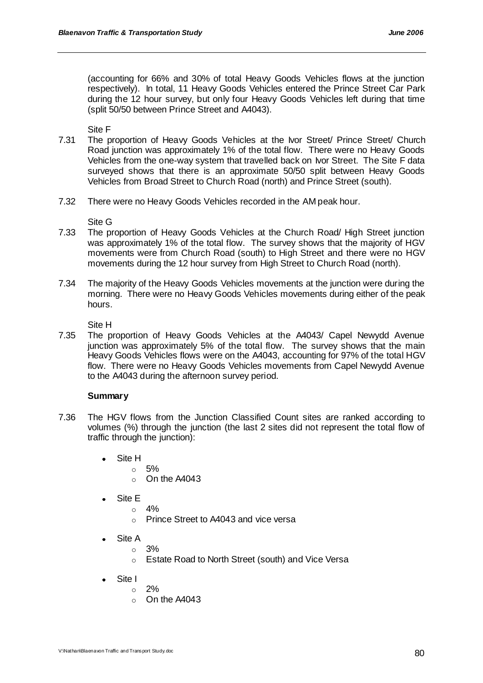(accounting for 66% and 30% of total Heavy Goods Vehicles flows at the junction respectively). In total, 11 Heavy Goods Vehicles entered the Prince Street Car Park during the 12 hour survey, but only four Heavy Goods Vehicles left during that time (split 50/50 between Prince Street and A4043).

Site F

- 7.31 The proportion of Heavy Goods Vehicles at the Ivor Street/ Prince Street/ Church Road junction was approximately 1% of the total flow. There were no Heavy Goods Vehicles from the one-way system that travelled back on Ivor Street. The Site F data surveyed shows that there is an approximate 50/50 split between Heavy Goods Vehicles from Broad Street to Church Road (north) and Prince Street (south).
- 7.32 There were no Heavy Goods Vehicles recorded in the AM peak hour.

Site G

- 7.33 The proportion of Heavy Goods Vehicles at the Church Road/ High Street junction was approximately 1% of the total flow. The survey shows that the majority of HGV movements were from Church Road (south) to High Street and there were no HGV movements during the 12 hour survey from High Street to Church Road (north).
- 7.34 The majority of the Heavy Goods Vehicles movements at the junction were during the morning. There were no Heavy Goods Vehicles movements during either of the peak hours.

Site H

7.35 The proportion of Heavy Goods Vehicles at the A4043/ Capel Newydd Avenue junction was approximately 5% of the total flow. The survey shows that the main Heavy Goods Vehicles flows were on the A4043, accounting for 97% of the total HGV flow. There were no Heavy Goods Vehicles movements from Capel Newydd Avenue to the A4043 during the afternoon survey period.

## **Summary**

- 7.36 The HGV flows from the Junction Classified Count sites are ranked according to volumes (%) through the junction (the last 2 sites did not represent the total flow of traffic through the junction):
	- Site H  $\blacksquare$ 
		- o 5%
			- o On the A4043
	- Site E
		- $\circ$  4%
			- o Prince Street to A4043 and vice versa
	- Site A
		- $\circ$  3%
		- o Estate Road to North Street (south) and Vice Versa
	- Site I
		- $\circ$  2%
		- o On the A4043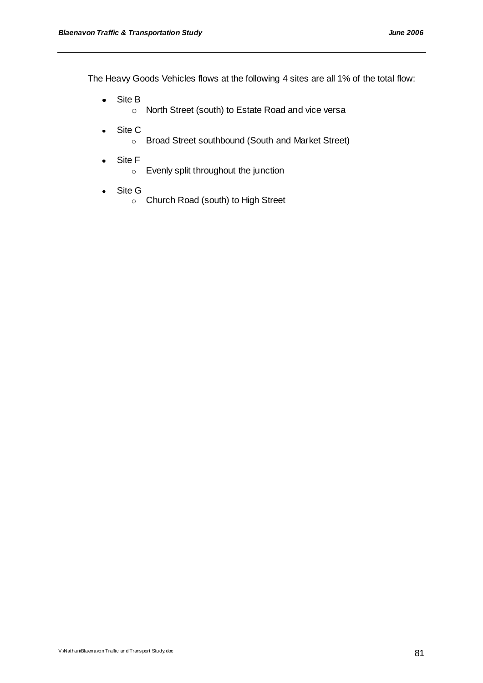The Heavy Goods Vehicles flows at the following 4 sites are all 1% of the total flow:

- Site B  $\bullet$ 
	- o North Street (south) to Estate Road and vice versa
- Site C  $\bullet$ 
	- o Broad Street southbound (South and Market Street)
- Site F  $\bullet$ 
	- o Evenly split throughout the junction
- Site G  $\bullet$ 
	- o Church Road (south) to High Street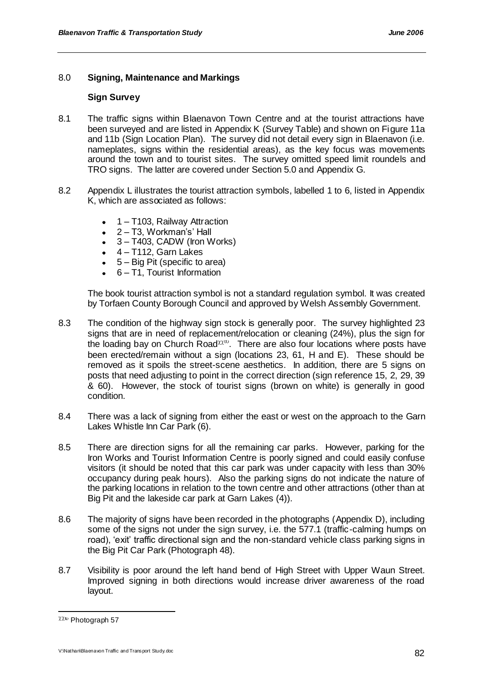# 8.0 **Signing, Maintenance and Markings**

# **Sign Survey**

- 8.1 The traffic signs within Blaenavon Town Centre and at the tourist attractions have been surveyed and are listed in Appendix K (Survey Table) and shown on Figure 11a and 11b (Sign Location Plan). The survey did not detail every sign in Blaenavon (i.e. nameplates, signs within the residential areas), as the key focus was movements around the town and to tourist sites. The survey omitted speed limit roundels and TRO signs. The latter are covered under Section 5.0 and Appendix G.
- 8.2 Appendix L illustrates the tourist attraction symbols, labelled 1 to 6, listed in Appendix K, which are associated as follows:
	- 1 T103, Railway Attraction  $\bullet$
	- $\bullet$  2 T3, Workman's' Hall
	- 3 T403, CADW (Iron Works)
	- $\bullet$  4 T112, Garn Lakes
	- $-5 Biq$  Pit (specific to area)
	- 6 T1, Tourist Information

The book tourist attraction symbol is not a standard regulation symbol. It was created by Torfaen County Borough Council and approved by Welsh Assembly Government.

- 8.3 The condition of the highway sign stock is generally poor. The survey highlighted 23 signs that are in need of replacement/relocation or cleaning (24%), plus the sign for the loading bay on Church Road $\chi$ <sup>n</sup>. There are also four locations where posts have been erected/remain without a sign (locations 23, 61, H and E). These should be removed as it spoils the street-scene aesthetics. In addition, there are 5 signs on posts that need adjusting to point in the correct direction (sign reference 15, 2, 29, 39 & 60). However, the stock of tourist signs (brown on white) is generally in good condition.
- 8.4 There was a lack of signing from either the east or west on the approach to the Garn Lakes Whistle Inn Car Park (6).
- 8.5 There are direction signs for all the remaining car parks. However, parking for the Iron Works and Tourist Information Centre is poorly signed and could easily confuse visitors (it should be noted that this car park was under capacity with less than 30% occupancy during peak hours). Also the parking signs do not indicate the nature of the parking locations in relation to the town centre and other attractions (other than at Big Pit and the lakeside car park at Garn Lakes (4)).
- 8.6 The majority of signs have been recorded in the photographs (Appendix D), including some of the signs not under the sign survey, i.e. the 577.1 (traffic-calming humps on road), "exit" traffic directional sign and the non-standard vehicle class parking signs in the Big Pit Car Park (Photograph 48).
- 8.7 Visibility is poor around the left hand bend of High Street with Upper Waun Street. Improved signing in both directions would increase driver awareness of the road layout.

 $\chi\chi$ <sup>1</sup> Photograph 57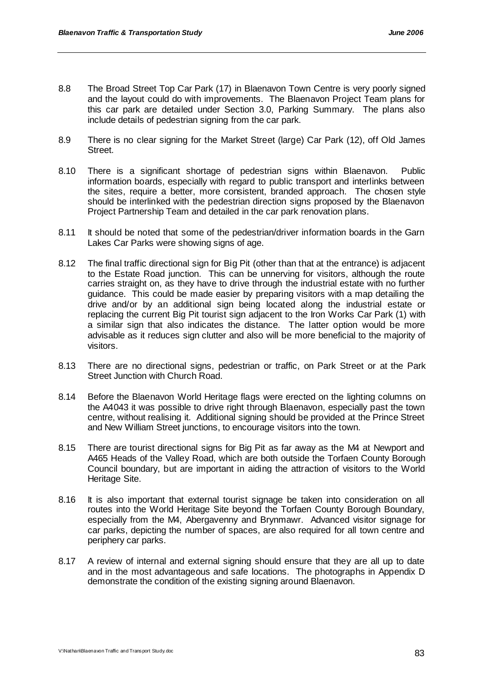- 8.8 The Broad Street Top Car Park (17) in Blaenavon Town Centre is very poorly signed and the layout could do with improvements. The Blaenavon Project Team plans for this car park are detailed under Section 3.0, Parking Summary. The plans also include details of pedestrian signing from the car park.
- 8.9 There is no clear signing for the Market Street (large) Car Park (12), off Old James Street.
- 8.10 There is a significant shortage of pedestrian signs within Blaenavon. Public information boards, especially with regard to public transport and interlinks between the sites, require a better, more consistent, branded approach. The chosen style should be interlinked with the pedestrian direction signs proposed by the Blaenavon Project Partnership Team and detailed in the car park renovation plans.
- 8.11 It should be noted that some of the pedestrian/driver information boards in the Garn Lakes Car Parks were showing signs of age.
- 8.12 The final traffic directional sign for Big Pit (other than that at the entrance) is adjacent to the Estate Road junction. This can be unnerving for visitors, although the route carries straight on, as they have to drive through the industrial estate with no further guidance. This could be made easier by preparing visitors with a map detailing the drive and/or by an additional sign being located along the industrial estate or replacing the current Big Pit tourist sign adjacent to the Iron Works Car Park (1) with a similar sign that also indicates the distance. The latter option would be more advisable as it reduces sign clutter and also will be more beneficial to the majority of visitors.
- 8.13 There are no directional signs, pedestrian or traffic, on Park Street or at the Park Street Junction with Church Road.
- 8.14 Before the Blaenavon World Heritage flags were erected on the lighting columns on the A4043 it was possible to drive right through Blaenavon, especially past the town centre, without realising it. Additional signing should be provided at the Prince Street and New William Street junctions, to encourage visitors into the town.
- 8.15 There are tourist directional signs for Big Pit as far away as the M4 at Newport and A465 Heads of the Valley Road, which are both outside the Torfaen County Borough Council boundary, but are important in aiding the attraction of visitors to the World Heritage Site.
- 8.16 It is also important that external tourist signage be taken into consideration on all routes into the World Heritage Site beyond the Torfaen County Borough Boundary, especially from the M4, Abergavenny and Brynmawr. Advanced visitor signage for car parks, depicting the number of spaces, are also required for all town centre and periphery car parks.
- 8.17 A review of internal and external signing should ensure that they are all up to date and in the most advantageous and safe locations. The photographs in Appendix D demonstrate the condition of the existing signing around Blaenavon.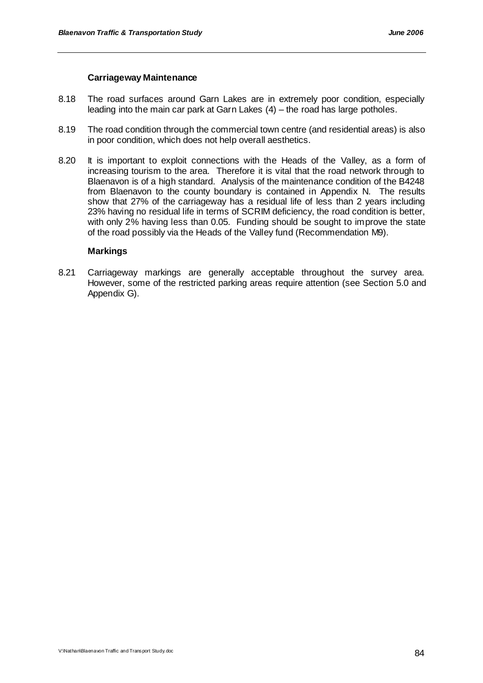## **Carriageway Maintenance**

- 8.18 The road surfaces around Garn Lakes are in extremely poor condition, especially leading into the main car park at Garn Lakes (4) – the road has large potholes.
- 8.19 The road condition through the commercial town centre (and residential areas) is also in poor condition, which does not help overall aesthetics.
- 8.20 It is important to exploit connections with the Heads of the Valley, as a form of increasing tourism to the area. Therefore it is vital that the road network through to Blaenavon is of a high standard. Analysis of the maintenance condition of the B4248 from Blaenavon to the county boundary is contained in Appendix N. The results show that 27% of the carriageway has a residual life of less than 2 years including 23% having no residual life in terms of SCRIM deficiency, the road condition is better, with only 2% having less than 0.05. Funding should be sought to improve the state of the road possibly via the Heads of the Valley fund (Recommendation M9).

# **Markings**

8.21 Carriageway markings are generally acceptable throughout the survey area. However, some of the restricted parking areas require attention (see Section 5.0 and Appendix G).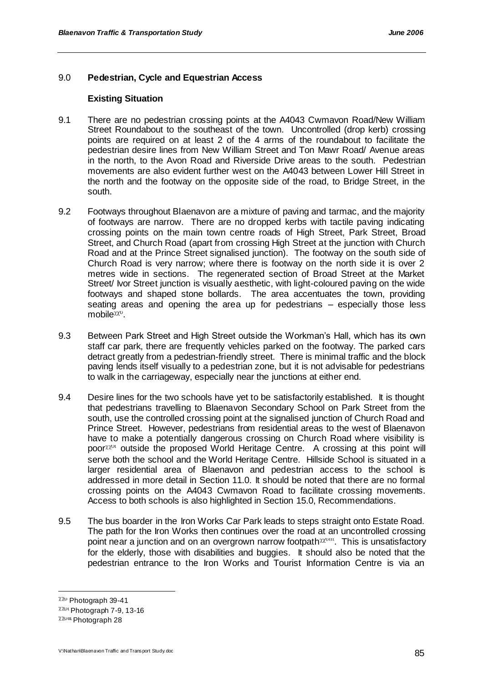# 9.0 **Pedestrian, Cycle and Equestrian Access**

## **Existing Situation**

- 9.1 There are no pedestrian crossing points at the A4043 Cwmavon Road/New William Street Roundabout to the southeast of the town. Uncontrolled (drop kerb) crossing points are required on at least 2 of the 4 arms of the roundabout to facilitate the pedestrian desire lines from New William Street and Ton Mawr Road/ Avenue areas in the north, to the Avon Road and Riverside Drive areas to the south. Pedestrian movements are also evident further west on the A4043 between Lower Hill Street in the north and the footway on the opposite side of the road, to Bridge Street, in the south.
- 9.2 Footways throughout Blaenavon are a mixture of paving and tarmac, and the majority of footways are narrow. There are no dropped kerbs with tactile paving indicating crossing points on the main town centre roads of High Street, Park Street, Broad Street, and Church Road (apart from crossing High Street at the junction with Church Road and at the Prince Street signalised junction). The footway on the south side of Church Road is very narrow; where there is footway on the north side it is over 2 metres wide in sections. The regenerated section of Broad Street at the Market Street/ Ivor Street junction is visually aesthetic, with light-coloured paving on the wide footways and shaped stone bollards. The area accentuates the town, providing seating areas and opening the area up for pedestrians – especially those less mobile $X^{\chi}$ <sup>v</sup>.
- 9.3 Between Park Street and High Street outside the Workman"s Hall, which has its own staff car park, there are frequently vehicles parked on the footway. The parked cars detract greatly from a pedestrian-friendly street. There is minimal traffic and the block paving lends itself visually to a pedestrian zone, but it is not advisable for pedestrians to walk in the carriageway, especially near the junctions at either end.
- 9.4 Desire lines for the two schools have yet to be satisfactorily established. It is thought that pedestrians travelling to Blaenavon Secondary School on Park Street from the south, use the controlled crossing point at the signalised junction of Church Road and Prince Street. However, pedestrians from residential areas to the west of Blaenavon have to make a potentially dangerous crossing on Church Road where visibility is poor $\chi_{\chi_{\text{out}}}$  outside the proposed World Heritage Centre. A crossing at this point will serve both the school and the World Heritage Centre. Hillside School is situated in a larger residential area of Blaenavon and pedestrian access to the school is addressed in more detail in Section 11.0. It should be noted that there are no formal crossing points on the A4043 Cwmavon Road to facilitate crossing movements. Access to both schools is also highlighted in Section 15.0, Recommendations.
- 9.5 The bus boarder in the Iron Works Car Park leads to steps straight onto Estate Road. The path for the Iron Works then continues over the road at an uncontrolled crossing point near a junction and on an overgrown narrow footpath \*\*\*\*\*\*\*. This is unsatisfactory for the elderly, those with disabilities and buggies. It should also be noted that the pedestrian entrance to the Iron Works and Tourist Information Centre is via an

 $X20$  Photograph 39-41

 $XXUU}$  Photograph 7-9, 13-16  $χλυω$  Photograph 28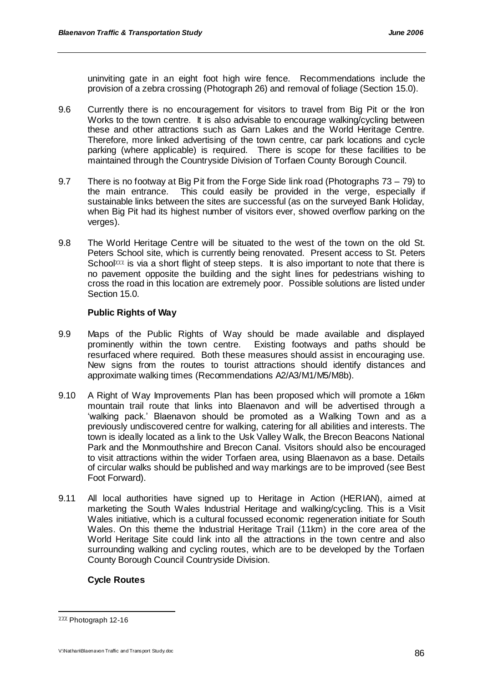uninviting gate in an eight foot high wire fence. Recommendations include the provision of a zebra crossing (Photograph 26) and removal of foliage (Section 15.0).

- 9.6 Currently there is no encouragement for visitors to travel from Big Pit or the Iron Works to the town centre. It is also advisable to encourage walking/cycling between these and other attractions such as Garn Lakes and the World Heritage Centre. Therefore, more linked advertising of the town centre, car park locations and cycle parking (where applicable) is required. There is scope for these facilities to be maintained through the Countryside Division of Torfaen County Borough Council.
- 9.7 There is no footway at Big Pit from the Forge Side link road (Photographs 73 79) to the main entrance. This could easily be provided in the verge, especially if sustainable links between the sites are successful (as on the surveyed Bank Holiday, when Big Pit had its highest number of visitors ever, showed overflow parking on the verges).
- 9.8 The World Heritage Centre will be situated to the west of the town on the old St. Peters School site, which is currently being renovated. Present access to St. Peters School $\alpha$  is via a short flight of steep steps. It is also important to note that there is no pavement opposite the building and the sight lines for pedestrians wishing to cross the road in this location are extremely poor. Possible solutions are listed under Section 15.0.

# **Public Rights of Way**

- 9.9 Maps of the Public Rights of Way should be made available and displayed prominently within the town centre. Existing footways and paths should be resurfaced where required. Both these measures should assist in encouraging use. New signs from the routes to tourist attractions should identify distances and approximate walking times (Recommendations A2/A3/M1/M5/M8b).
- 9.10 A Right of Way Improvements Plan has been proposed which will promote a 16km mountain trail route that links into Blaenavon and will be advertised through a "walking pack." Blaenavon should be promoted as a Walking Town and as a previously undiscovered centre for walking, catering for all abilities and interests. The town is ideally located as a link to the Usk Valley Walk, the Brecon Beacons National Park and the Monmouthshire and Brecon Canal. Visitors should also be encouraged to visit attractions within the wider Torfaen area, using Blaenavon as a base. Details of circular walks should be published and way markings are to be improved (see Best Foot Forward).
- 9.11 All local authorities have signed up to Heritage in Action (HERIAN), aimed at marketing the South Wales Industrial Heritage and walking/cycling. This is a Visit Wales initiative, which is a cultural focussed economic regeneration initiate for South Wales. On this theme the Industrial Heritage Trail (11km) in the core area of the World Heritage Site could link into all the attractions in the town centre and also surrounding walking and cycling routes, which are to be developed by the Torfaen County Borough Council Countryside Division.

# **Cycle Routes**

 $222$  Photograph 12-16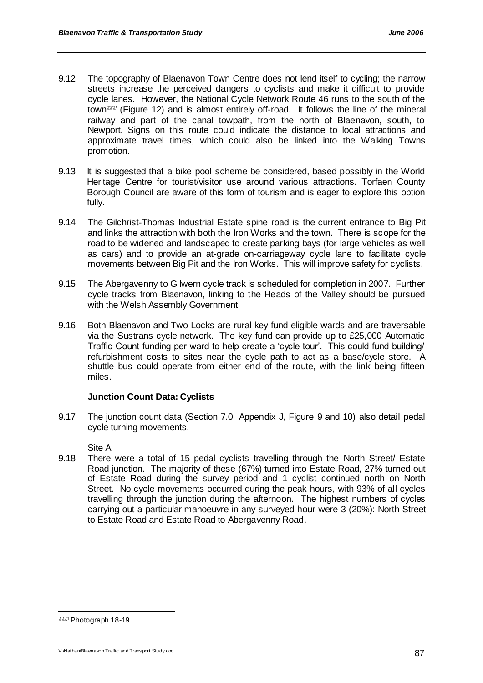- 9.12 The topography of Blaenavon Town Centre does not lend itself to cycling; the narrow streets increase the perceived dangers to cyclists and make it difficult to provide cycle lanes. However, the National Cycle Network Route 46 runs to the south of the town $\chi\chi\chi$ <sup>1</sup> (Figure 12) and is almost entirely off-road. It follows the line of the mineral railway and part of the canal towpath, from the north of Blaenavon, south, to Newport. Signs on this route could indicate the distance to local attractions and approximate travel times, which could also be linked into the Walking Towns promotion.
- 9.13 It is suggested that a bike pool scheme be considered, based possibly in the World Heritage Centre for tourist/visitor use around various attractions. Torfaen County Borough Council are aware of this form of tourism and is eager to explore this option fully.
- 9.14 The Gilchrist-Thomas Industrial Estate spine road is the current entrance to Big Pit and links the attraction with both the Iron Works and the town. There is scope for the road to be widened and landscaped to create parking bays (for large vehicles as well as cars) and to provide an at-grade on-carriageway cycle lane to facilitate cycle movements between Big Pit and the Iron Works. This will improve safety for cyclists.
- 9.15 The Abergavenny to Gilwern cycle track is scheduled for completion in 2007. Further cycle tracks from Blaenavon, linking to the Heads of the Valley should be pursued with the Welsh Assembly Government.
- 9.16 Both Blaenavon and Two Locks are rural key fund eligible wards and are traversable via the Sustrans cycle network. The key fund can provide up to £25,000 Automatic Traffic Count funding per ward to help create a "cycle tour". This could fund building/ refurbishment costs to sites near the cycle path to act as a base/cycle store. A shuttle bus could operate from either end of the route, with the link being fifteen miles.

# **Junction Count Data: Cyclists**

9.17 The junction count data (Section 7.0, Appendix J, Figure 9 and 10) also detail pedal cycle turning movements.

Site A

9.18 There were a total of 15 pedal cyclists travelling through the North Street/ Estate Road junction. The majority of these (67%) turned into Estate Road, 27% turned out of Estate Road during the survey period and 1 cyclist continued north on North Street. No cycle movements occurred during the peak hours, with 93% of all cycles travelling through the junction during the afternoon. The highest numbers of cycles carrying out a particular manoeuvre in any surveyed hour were 3 (20%): North Street to Estate Road and Estate Road to Abergavenny Road.

 $2221$  Photograph 18-19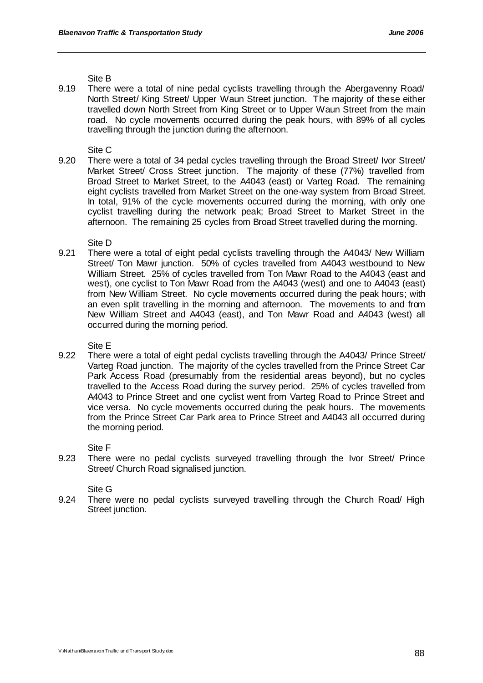Site B

9.19 There were a total of nine pedal cyclists travelling through the Abergavenny Road/ North Street/ King Street/ Upper Waun Street junction. The majority of these either travelled down North Street from King Street or to Upper Waun Street from the main road. No cycle movements occurred during the peak hours, with 89% of all cycles travelling through the junction during the afternoon.

Site C

9.20 There were a total of 34 pedal cycles travelling through the Broad Street/ Ivor Street/ Market Street/ Cross Street junction. The majority of these (77%) travelled from Broad Street to Market Street, to the A4043 (east) or Varteg Road. The remaining eight cyclists travelled from Market Street on the one-way system from Broad Street. In total, 91% of the cycle movements occurred during the morning, with only one cyclist travelling during the network peak; Broad Street to Market Street in the afternoon. The remaining 25 cycles from Broad Street travelled during the morning.

Site D

9.21 There were a total of eight pedal cyclists travelling through the A4043/ New William Street/ Ton Mawr junction. 50% of cycles travelled from A4043 westbound to New William Street. 25% of cycles travelled from Ton Mawr Road to the A4043 (east and west), one cyclist to Ton Mawr Road from the A4043 (west) and one to A4043 (east) from New William Street. No cycle movements occurred during the peak hours; with an even split travelling in the morning and afternoon. The movements to and from New William Street and A4043 (east), and Ton Mawr Road and A4043 (west) all occurred during the morning period.

Site E

9.22 There were a total of eight pedal cyclists travelling through the A4043/ Prince Street/ Varteg Road junction. The majority of the cycles travelled from the Prince Street Car Park Access Road (presumably from the residential areas beyond), but no cycles travelled to the Access Road during the survey period. 25% of cycles travelled from A4043 to Prince Street and one cyclist went from Varteg Road to Prince Street and vice versa. No cycle movements occurred during the peak hours. The movements from the Prince Street Car Park area to Prince Street and A4043 all occurred during the morning period.

Site F

9.23 There were no pedal cyclists surveyed travelling through the Ivor Street/ Prince Street/ Church Road signalised junction.

Site G

9.24 There were no pedal cyclists surveyed travelling through the Church Road/ High Street junction.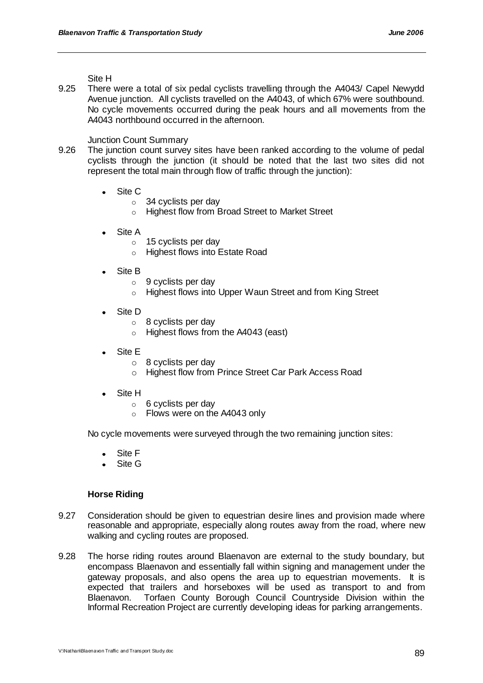Site H

9.25 There were a total of six pedal cyclists travelling through the A4043/ Capel Newydd Avenue junction. All cyclists travelled on the A4043, of which 67% were southbound. No cycle movements occurred during the peak hours and all movements from the A4043 northbound occurred in the afternoon.

Junction Count Summary

- 9.26 The junction count survey sites have been ranked according to the volume of pedal cyclists through the junction (it should be noted that the last two sites did not represent the total main through flow of traffic through the junction):
	- Site C
		- o 34 cyclists per day
		- o Highest flow from Broad Street to Market Street
	- Site A
		- $\circ$  15 cyclists per day
		- o Highest flows into Estate Road
	- Site B
		- $\circ$  9 cyclists per day
		- o Highest flows into Upper Waun Street and from King Street
	- Site D
		- $\circ$  8 cyclists per day
		- o Highest flows from the A4043 (east)
	- Site E
		- o 8 cyclists per day
		- o Highest flow from Prince Street Car Park Access Road
	- Site H
		- $\circ$  6 cyclists per day
		- o Flows were on the A4043 only

No cycle movements were surveyed through the two remaining junction sites:

- Site F
- Site G

#### **Horse Riding**

- 9.27 Consideration should be given to equestrian desire lines and provision made where reasonable and appropriate, especially along routes away from the road, where new walking and cycling routes are proposed.
- 9.28 The horse riding routes around Blaenavon are external to the study boundary, but encompass Blaenavon and essentially fall within signing and management under the gateway proposals, and also opens the area up to equestrian movements. It is expected that trailers and horseboxes will be used as transport to and from Blaenavon. Torfaen County Borough Council Countryside Division within the Informal Recreation Project are currently developing ideas for parking arrangements.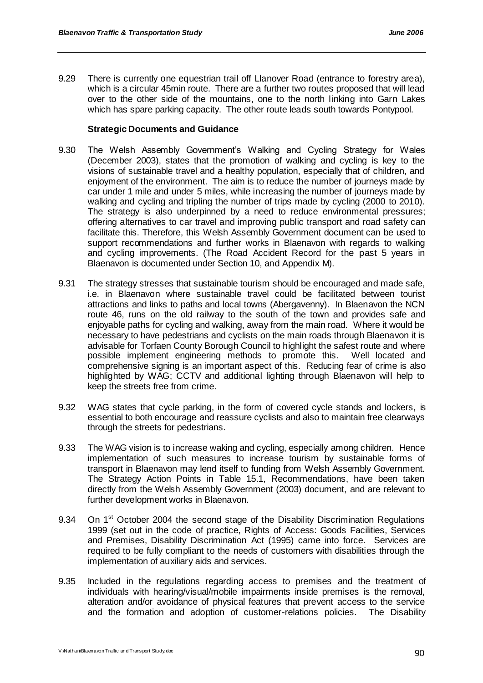9.29 There is currently one equestrian trail off Llanover Road (entrance to forestry area), which is a circular 45min route. There are a further two routes proposed that will lead over to the other side of the mountains, one to the north linking into Garn Lakes which has spare parking capacity. The other route leads south towards Pontypool.

# **Strategic Documents and Guidance**

- 9.30 The Welsh Assembly Government's Walking and Cycling Strategy for Wales (December 2003), states that the promotion of walking and cycling is key to the visions of sustainable travel and a healthy population, especially that of children, and enjoyment of the environment. The aim is to reduce the number of journeys made by car under 1 mile and under 5 miles, while increasing the number of journeys made by walking and cycling and tripling the number of trips made by cycling (2000 to 2010). The strategy is also underpinned by a need to reduce environmental pressures; offering alternatives to car travel and improving public transport and road safety can facilitate this. Therefore, this Welsh Assembly Government document can be used to support recommendations and further works in Blaenavon with regards to walking and cycling improvements. (The Road Accident Record for the past 5 years in Blaenavon is documented under Section 10, and Appendix M).
- 9.31 The strategy stresses that sustainable tourism should be encouraged and made safe, i.e. in Blaenavon where sustainable travel could be facilitated between tourist attractions and links to paths and local towns (Abergavenny). In Blaenavon the NCN route 46, runs on the old railway to the south of the town and provides safe and enjoyable paths for cycling and walking, away from the main road. Where it would be necessary to have pedestrians and cyclists on the main roads through Blaenavon it is advisable for Torfaen County Borough Council to highlight the safest route and where possible implement engineering methods to promote this. Well located and comprehensive signing is an important aspect of this. Reducing fear of crime is also highlighted by WAG; CCTV and additional lighting through Blaenavon will help to keep the streets free from crime.
- 9.32 WAG states that cycle parking, in the form of covered cycle stands and lockers, is essential to both encourage and reassure cyclists and also to maintain free clearways through the streets for pedestrians.
- 9.33 The WAG vision is to increase waking and cycling, especially among children. Hence implementation of such measures to increase tourism by sustainable forms of transport in Blaenavon may lend itself to funding from Welsh Assembly Government. The Strategy Action Points in Table 15.1, Recommendations, have been taken directly from the Welsh Assembly Government (2003) document, and are relevant to further development works in Blaenavon.
- 9.34 On 1<sup>st</sup> October 2004 the second stage of the Disability Discrimination Regulations 1999 (set out in the code of practice, Rights of Access: Goods Facilities, Services and Premises, Disability Discrimination Act (1995) came into force. Services are required to be fully compliant to the needs of customers with disabilities through the implementation of auxiliary aids and services.
- 9.35 Included in the regulations regarding access to premises and the treatment of individuals with hearing/visual/mobile impairments inside premises is the removal, alteration and/or avoidance of physical features that prevent access to the service and the formation and adoption of customer-relations policies. The Disability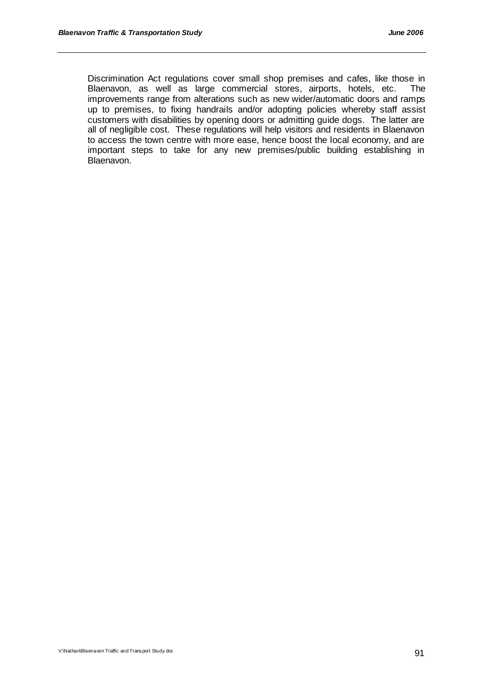Discrimination Act regulations cover small shop premises and cafes, like those in Blaenavon, as well as large commercial stores, airports, hotels, etc. The improvements range from alterations such as new wider/automatic doors and ramps up to premises, to fixing handrails and/or adopting policies whereby staff assist customers with disabilities by opening doors or admitting guide dogs. The latter are all of negligible cost. These regulations will help visitors and residents in Blaenavon to access the town centre with more ease, hence boost the local economy, and are important steps to take for any new premises/public building establishing in Blaenavon.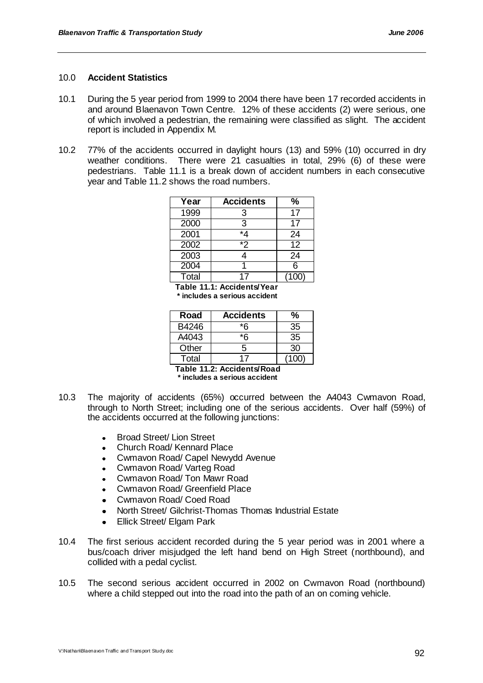#### 10.0 **Accident Statistics**

- 10.1 During the 5 year period from 1999 to 2004 there have been 17 recorded accidents in and around Blaenavon Town Centre. 12% of these accidents (2) were serious, one of which involved a pedestrian, the remaining were classified as slight. The accident report is included in Appendix M.
- 10.2 77% of the accidents occurred in daylight hours (13) and 59% (10) occurred in dry weather conditions. There were 21 casualties in total, 29% (6) of these were pedestrians. Table 11.1 is a break down of accident numbers in each consecutive year and Table 11.2 shows the road numbers.

| Year  | <b>Accidents</b> | $\%$            |
|-------|------------------|-----------------|
| 1999  | 3                | 17              |
| 2000  | 3                | 17              |
| 2001  | $*_{4}$          | 24              |
| 2002  | $\overline{2}$   | $\overline{12}$ |
| 2003  |                  | 24              |
| 2004  |                  | 6               |
| Total | 17               | 100             |

**Table 11.1: Accidents/Year \* includes a serious accident**

| Road  | <b>Accidents</b> | ℅     |
|-------|------------------|-------|
| B4246 | *ፍ               | 35    |
| A4043 | *ፍ               | 35    |
| Other | 5                | 30    |
| Total |                  | (100) |

**Table 11.2: Accidents/Road \* includes a serious accident**

- 10.3 The majority of accidents (65%) occurred between the A4043 Cwmavon Road, through to North Street; including one of the serious accidents. Over half (59%) of the accidents occurred at the following junctions:
	- Broad Street/ Lion Street  $\bullet$
	- Church Road/ Kennard Place  $\blacksquare$
	- Cwmavon Road/ Capel Newydd Avenue  $\bullet$
	- Cwmavon Road/ Varteg Road  $\bullet$
	- Cwmavon Road/ Ton Mawr Road  $\bullet$  .
	- Cwmavon Road/ Greenfield Place
	- Cwmavon Road/ Coed Road
	- North Street/ Gilchrist-Thomas Thomas Industrial Estate  $\bullet$
	- Ellick Street/ Elgam Park  $\bullet$
- 10.4 The first serious accident recorded during the 5 year period was in 2001 where a bus/coach driver misjudged the left hand bend on High Street (northbound), and collided with a pedal cyclist.
- 10.5 The second serious accident occurred in 2002 on Cwmavon Road (northbound) where a child stepped out into the road into the path of an on coming vehicle.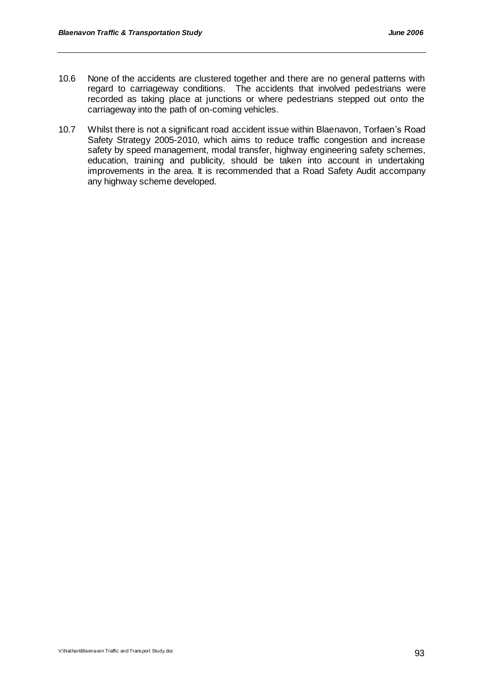- 10.6 None of the accidents are clustered together and there are no general patterns with regard to carriageway conditions. The accidents that involved pedestrians were recorded as taking place at junctions or where pedestrians stepped out onto the carriageway into the path of on-coming vehicles.
- 10.7 Whilst there is not a significant road accident issue within Blaenavon, Torfaen"s Road Safety Strategy 2005-2010, which aims to reduce traffic congestion and increase safety by speed management, modal transfer, highway engineering safety schemes, education, training and publicity, should be taken into account in undertaking improvements in the area. It is recommended that a Road Safety Audit accompany any highway scheme developed.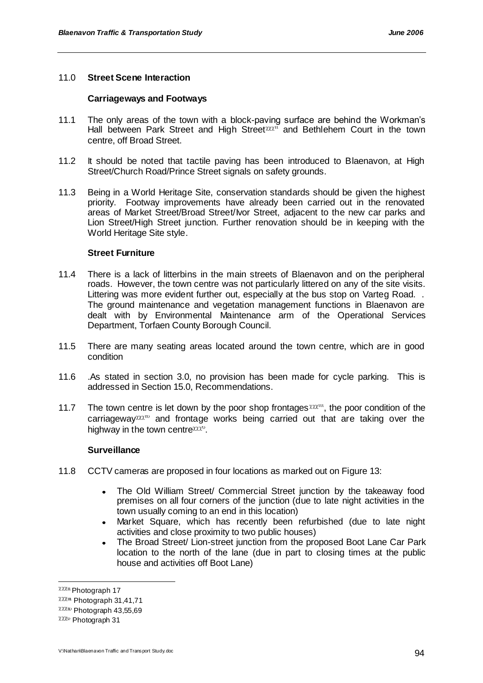# 11.0 **Street Scene Interaction**

#### **Carriageways and Footways**

- 11.1 The only areas of the town with a block-paving surface are behind the Workman"s Hall between Park Street and High Street and Bethlehem Court in the town centre, off Broad Street.
- 11.2 It should be noted that tactile paving has been introduced to Blaenavon, at High Street/Church Road/Prince Street signals on safety grounds.
- 11.3 Being in a World Heritage Site, conservation standards should be given the highest priority. Footway improvements have already been carried out in the renovated areas of Market Street/Broad Street/Ivor Street, adjacent to the new car parks and Lion Street/High Street junction. Further renovation should be in keeping with the World Heritage Site style.

# **Street Furniture**

- 11.4 There is a lack of litterbins in the main streets of Blaenavon and on the peripheral roads. However, the town centre was not particularly littered on any of the site visits. Littering was more evident further out, especially at the bus stop on Varteg Road. . The ground maintenance and vegetation management functions in Blaenavon are dealt with by Environmental Maintenance arm of the Operational Services Department, Torfaen County Borough Council.
- 11.5 There are many seating areas located around the town centre, which are in good condition
- 11.6 .As stated in section 3.0, no provision has been made for cycle parking. This is addressed in Section 15.0, Recommendations.
- 11.7 The town centre is let down by the poor shop frontages  $\alpha x \alpha u$ , the poor condition of the carriageway XXX<sup>II</sup> and frontage works being carried out that are taking over the highway in the town centre  $\alpha x^{\alpha}$ .

#### **Surveillance**

- 11.8 CCTV cameras are proposed in four locations as marked out on Figure 13:
	- The Old William Street/ Commercial Street junction by the takeaway food premises on all four corners of the junction (due to late night activities in the town usually coming to an end in this location)
	- Market Square, which has recently been refurbished (due to late night activities and close proximity to two public houses)
	- The Broad Street/ Lion-street junction from the proposed Boot Lane Car Park  $\bullet$ location to the north of the lane (due in part to closing times at the public house and activities off Boot Lane)

 $222u$  Photograph 17

 $XXX^{\text{un}}$  Photograph 31,41,71

 $XXXw$  Photograph 43,55,69

 $\chi\chi\chi\psi$  Photograph 31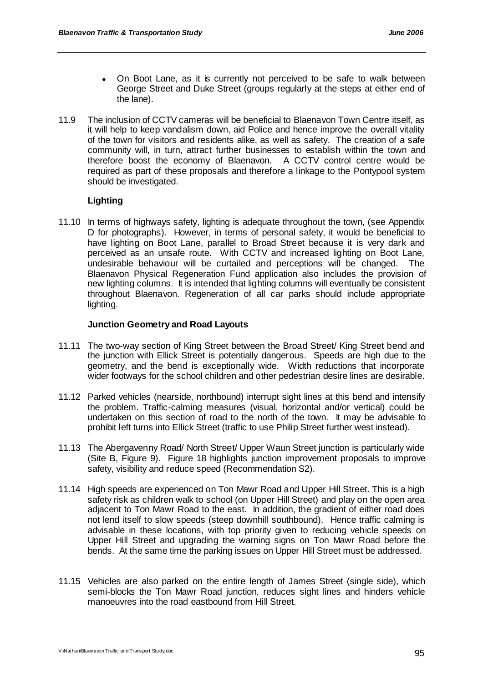- On Boot Lane, as it is currently not perceived to be safe to walk between George Street and Duke Street (groups regularly at the steps at either end of the lane).
- 11.9 The inclusion of CCTV cameras will be beneficial to Blaenavon Town Centre itself, as it will help to keep vandalism down, aid Police and hence improve the overall vitality of the town for visitors and residents alike, as well as safety. The creation of a safe community will, in turn, attract further businesses to establish within the town and therefore boost the economy of Blaenavon. A CCTV control centre would be required as part of these proposals and therefore a linkage to the Pontypool system should be investigated.

# **Lighting**

11.10 In terms of highways safety, lighting is adequate throughout the town, (see Appendix D for photographs). However, in terms of personal safety, it would be beneficial to have lighting on Boot Lane, parallel to Broad Street because it is very dark and perceived as an unsafe route. With CCTV and increased lighting on Boot Lane, undesirable behaviour will be curtailed and perceptions will be changed. The Blaenavon Physical Regeneration Fund application also includes the provision of new lighting columns. It is intended that lighting columns will eventually be consistent throughout Blaenavon. Regeneration of all car parks should include appropriate lighting.

# **Junction Geometry and Road Layouts**

- 11.11 The two-way section of King Street between the Broad Street/ King Street bend and the junction with Ellick Street is potentially dangerous. Speeds are high due to the geometry, and the bend is exceptionally wide. Width reductions that incorporate wider footways for the school children and other pedestrian desire lines are desirable.
- 11.12 Parked vehicles (nearside, northbound) interrupt sight lines at this bend and intensify the problem. Traffic-calming measures (visual, horizontal and/or vertical) could be undertaken on this section of road to the north of the town. It may be advisable to prohibit left turns into Ellick Street (traffic to use Philip Street further west instead).
- 11.13 The Abergavenny Road/ North Street/ Upper Waun Street junction is particularly wide (Site B, Figure 9). Figure 18 highlights junction improvement proposals to improve safety, visibility and reduce speed (Recommendation S2).
- 11.14 High speeds are experienced on Ton Mawr Road and Upper Hill Street. This is a high safety risk as children walk to school (on Upper Hill Street) and play on the open area adjacent to Ton Mawr Road to the east. In addition, the gradient of either road does not lend itself to slow speeds (steep downhill southbound). Hence traffic calming is advisable in these locations, with top priority given to reducing vehicle speeds on Upper Hill Street and upgrading the warning signs on Ton Mawr Road before the bends. At the same time the parking issues on Upper Hill Street must be addressed.
- 11.15 Vehicles are also parked on the entire length of James Street (single side), which semi-blocks the Ton Mawr Road junction, reduces sight lines and hinders vehicle manoeuvres into the road eastbound from Hill Street.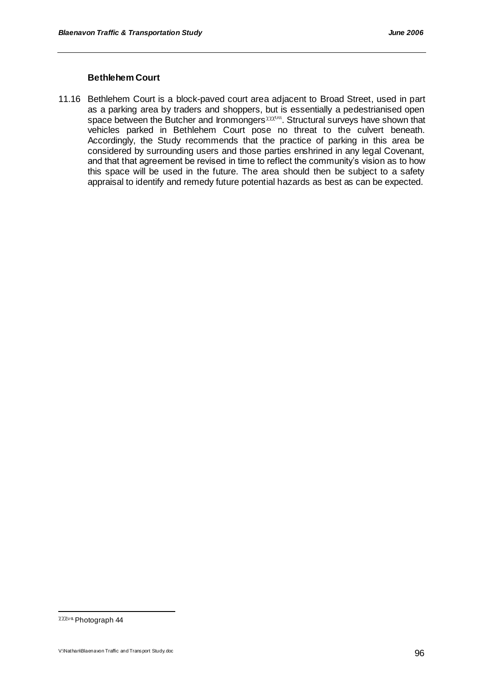# **Bethlehem Court**

11.16 Bethlehem Court is a block-paved court area adjacent to Broad Street, used in part as a parking area by traders and shoppers, but is essentially a pedestrianised open space between the Butcher and Ironmongers  $\chi\chi_2$ <sup>ou</sup>. Structural surveys have shown that vehicles parked in Bethlehem Court pose no threat to the culvert beneath. Accordingly, the Study recommends that the practice of parking in this area be considered by surrounding users and those parties enshrined in any legal Covenant, and that that agreement be revised in time to reflect the community"s vision as to how this space will be used in the future. The area should then be subject to a safety appraisal to identify and remedy future potential hazards as best as can be expected.

Photograph 44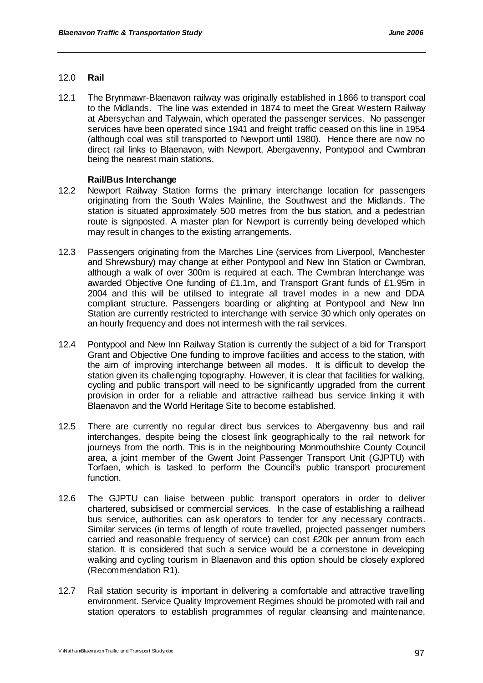# 12.0 **Rail**

12.1 The Brynmawr-Blaenavon railway was originally established in 1866 to transport coal to the Midlands. The line was extended in 1874 to meet the Great Western Railway at Abersychan and Talywain, which operated the passenger services. No passenger services have been operated since 1941 and freight traffic ceased on this line in 1954 (although coal was still transported to Newport until 1980). Hence there are now no direct rail links to Blaenavon, with Newport, Abergavenny, Pontypool and Cwmbran being the nearest main stations.

# **Rail/Bus Interchange**

- 12.2 Newport Railway Station forms the primary interchange location for passengers originating from the South Wales Mainline, the Southwest and the Midlands. The station is situated approximately 500 metres from the bus station, and a pedestrian route is signposted. A master plan for Newport is currently being developed which may result in changes to the existing arrangements.
- 12.3 Passengers originating from the Marches Line (services from Liverpool, Manchester and Shrewsbury) may change at either Pontypool and New Inn Station or Cwmbran, although a walk of over 300m is required at each. The Cwmbran Interchange was awarded Objective One funding of £1.1m, and Transport Grant funds of £1.95m in 2004 and this will be utilised to integrate all travel modes in a new and DDA compliant structure. Passengers boarding or alighting at Pontypool and New Inn Station are currently restricted to interchange with service 30 which only operates on an hourly frequency and does not intermesh with the rail services.
- 12.4 Pontypool and New Inn Railway Station is currently the subject of a bid for Transport Grant and Objective One funding to improve facilities and access to the station, with the aim of improving interchange between all modes. It is difficult to develop the station given its challenging topography. However, it is clear that facilities for walking, cycling and public transport will need to be significantly upgraded from the current provision in order for a reliable and attractive railhead bus service linking it with Blaenavon and the World Heritage Site to become established.
- 12.5 There are currently no regular direct bus services to Abergavenny bus and rail interchanges, despite being the closest link geographically to the rail network for journeys from the north. This is in the neighbouring Monmouthshire County Council area, a joint member of the Gwent Joint Passenger Transport Unit (GJPTU) with Torfaen, which is tasked to perform the Council"s public transport procurement function.
- 12.6 The GJPTU can liaise between public transport operators in order to deliver chartered, subsidised or commercial services. In the case of establishing a railhead bus service, authorities can ask operators to tender for any necessary contracts. Similar services (in terms of length of route travelled, projected passenger numbers carried and reasonable frequency of service) can cost £20k per annum from each station. It is considered that such a service would be a cornerstone in developing walking and cycling tourism in Blaenavon and this option should be closely explored (Recommendation R1).
- 12.7 Rail station security is important in delivering a comfortable and attractive travelling environment. Service Quality Improvement Regimes should be promoted with rail and station operators to establish programmes of regular cleansing and maintenance,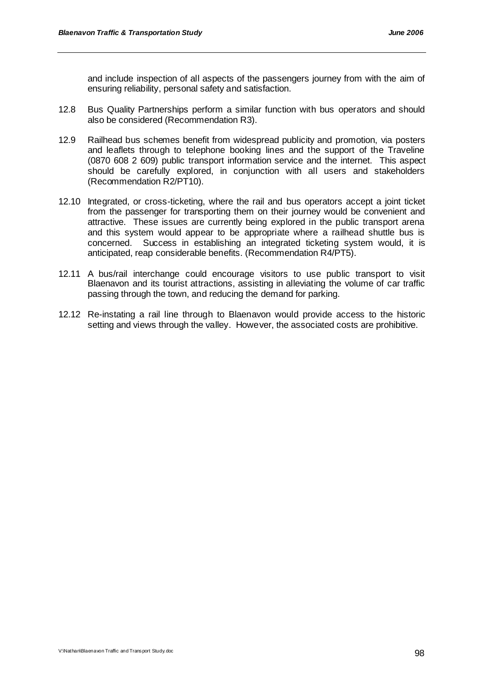and include inspection of all aspects of the passengers journey from with the aim of ensuring reliability, personal safety and satisfaction.

- 12.8 Bus Quality Partnerships perform a similar function with bus operators and should also be considered (Recommendation R3).
- 12.9 Railhead bus schemes benefit from widespread publicity and promotion, via posters and leaflets through to telephone booking lines and the support of the Traveline (0870 608 2 609) public transport information service and the internet. This aspect should be carefully explored, in conjunction with all users and stakeholders (Recommendation R2/PT10).
- 12.10 Integrated, or cross-ticketing, where the rail and bus operators accept a joint ticket from the passenger for transporting them on their journey would be convenient and attractive. These issues are currently being explored in the public transport arena and this system would appear to be appropriate where a railhead shuttle bus is concerned. Success in establishing an integrated ticketing system would, it is anticipated, reap considerable benefits. (Recommendation R4/PT5).
- 12.11 A bus/rail interchange could encourage visitors to use public transport to visit Blaenavon and its tourist attractions, assisting in alleviating the volume of car traffic passing through the town, and reducing the demand for parking.
- 12.12 Re-instating a rail line through to Blaenavon would provide access to the historic setting and views through the valley. However, the associated costs are prohibitive.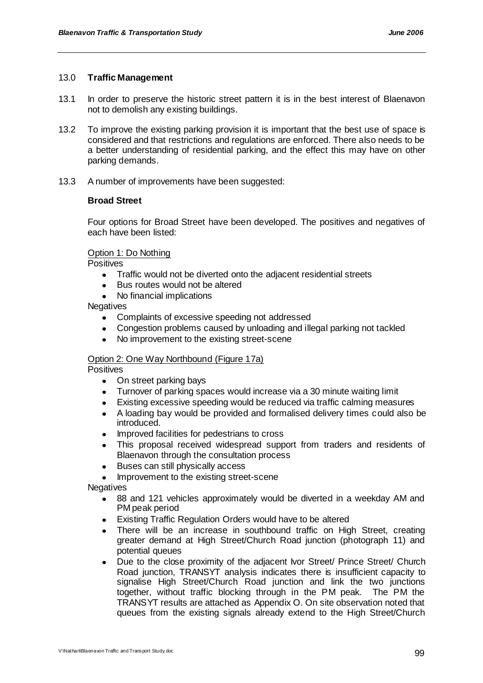## 13.0 **Traffic Management**

- 13.1 In order to preserve the historic street pattern it is in the best interest of Blaenavon not to demolish any existing buildings.
- 13.2 To improve the existing parking provision it is important that the best use of space is considered and that restrictions and regulations are enforced. There also needs to be a better understanding of residential parking, and the effect this may have on other parking demands.
- 13.3 A number of improvements have been suggested:

# **Broad Street**

Four options for Broad Street have been developed. The positives and negatives of each have been listed:

# Option 1: Do Nothing

**Positives** 

- Traffic would not be diverted onto the adjacent residential streets
- Bus routes would not be altered
- No financial implications

**Negatives** 

- Complaints of excessive speeding not addressed  $\bullet$
- Congestion problems caused by unloading and illegal parking not tackled
- No improvement to the existing street-scene

# Option 2: One Way Northbound (Figure 17a)

**Positives** 

- On street parking bays
- Turnover of parking spaces would increase via a 30 minute waiting limit
- $\bullet$ Existing excessive speeding would be reduced via traffic calming measures
- A loading bay would be provided and formalised delivery times could also be  $\bullet$ introduced.
- Improved facilities for pedestrians to cross
- This proposal received widespread support from traders and residents of Blaenavon through the consultation process
- $\bullet$ Buses can still physically access
- Improvement to the existing street-scene

**Negatives** 

- 88 and 121 vehicles approximately would be diverted in a weekday AM and PM peak period
- Existing Traffic Regulation Orders would have to be altered
- There will be an increase in southbound traffic on High Street, creating greater demand at High Street/Church Road junction (photograph 11) and potential queues
- Due to the close proximity of the adjacent Ivor Street/ Prince Street/ Church Road junction, TRANSYT analysis indicates there is insufficient capacity to signalise High Street/Church Road junction and link the two junctions together, without traffic blocking through in the PM peak. The PM the TRANSYT results are attached as Appendix O. On site observation noted that queues from the existing signals already extend to the High Street/Church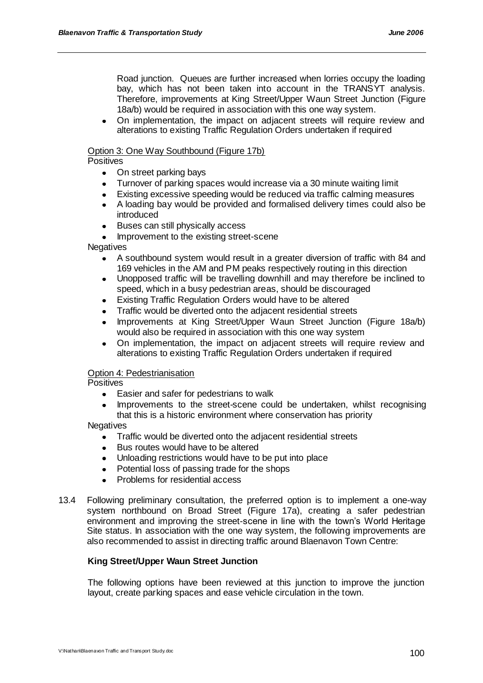Road junction. Queues are further increased when lorries occupy the loading bay, which has not been taken into account in the TRANSYT analysis. Therefore, improvements at King Street/Upper Waun Street Junction (Figure 18a/b) would be required in association with this one way system.

On implementation, the impact on adjacent streets will require review and alterations to existing Traffic Regulation Orders undertaken if required

# Option 3: One Way Southbound (Figure 17b)

## **Positives**

- On street parking bays
- Turnover of parking spaces would increase via a 30 minute waiting limit
- Existing excessive speeding would be reduced via traffic calming measures
- A loading bay would be provided and formalised delivery times could also be introduced
- Buses can still physically access  $\bullet$
- Improvement to the existing street-scene

# **Negatives**

- A southbound system would result in a greater diversion of traffic with 84 and  $\bullet$ 169 vehicles in the AM and PM peaks respectively routing in this direction
- Unopposed traffic will be travelling downhill and may therefore be inclined to  $\bullet$ speed, which in a busy pedestrian areas, should be discouraged
- Existing Traffic Regulation Orders would have to be altered
- Traffic would be diverted onto the adjacent residential streets
- Improvements at King Street/Upper Waun Street Junction (Figure 18a/b) would also be required in association with this one way system
- On implementation, the impact on adjacent streets will require review and alterations to existing Traffic Regulation Orders undertaken if required

# Option 4: Pedestrianisation

**Positives** 

- Easier and safer for pedestrians to walk  $\bullet$
- Improvements to the street-scene could be undertaken, whilst recognising that this is a historic environment where conservation has priority

#### **Negatives**

- Traffic would be diverted onto the adjacent residential streets
- Bus routes would have to be altered  $\bullet$
- Unloading restrictions would have to be put into place
- Potential loss of passing trade for the shops
- Problems for residential access
- 13.4 Following preliminary consultation, the preferred option is to implement a one-way system northbound on Broad Street (Figure 17a), creating a safer pedestrian environment and improving the street-scene in line with the town"s World Heritage Site status. In association with the one way system, the following improvements are also recommended to assist in directing traffic around Blaenavon Town Centre:

# **King Street/Upper Waun Street Junction**

The following options have been reviewed at this junction to improve the junction layout, create parking spaces and ease vehicle circulation in the town.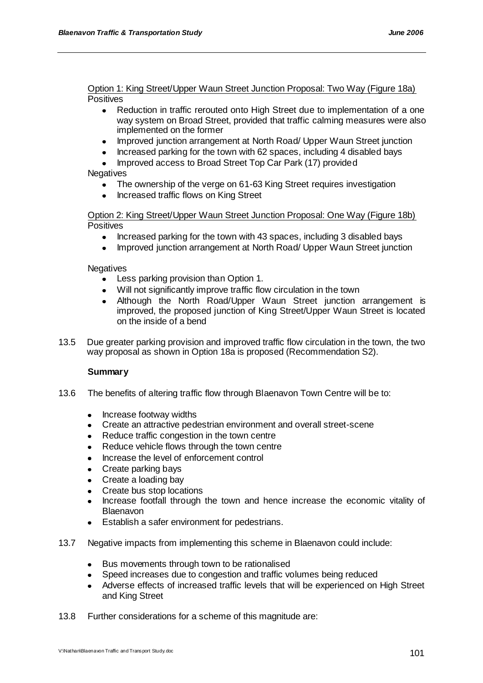Option 1: King Street/Upper Waun Street Junction Proposal: Two Way (Figure 18a) **Positives** 

- Reduction in traffic rerouted onto High Street due to implementation of a one  $\bullet$ way system on Broad Street, provided that traffic calming measures were also implemented on the former
- Improved junction arrangement at North Road/ Upper Waun Street junction
- Increased parking for the town with 62 spaces, including 4 disabled bays
- Improved access to Broad Street Top Car Park (17) provided

# **Negatives**

- The ownership of the verge on 61-63 King Street requires investigation
- Increased traffic flows on King Street

Option 2: King Street/Upper Waun Street Junction Proposal: One Way (Figure 18b) **Positives** 

- Increased parking for the town with 43 spaces, including 3 disabled bays  $\bullet$
- Improved junction arrangement at North Road/ Upper Waun Street junction  $\bullet$

# **Negatives**

- $\bullet$ Less parking provision than Option 1.
- Will not significantly improve traffic flow circulation in the town
- Although the North Road/Upper Waun Street junction arrangement is improved, the proposed junction of King Street/Upper Waun Street is located on the inside of a bend
- 13.5 Due greater parking provision and improved traffic flow circulation in the town, the two way proposal as shown in Option 18a is proposed (Recommendation S2).

# **Summary**

- 13.6 The benefits of altering traffic flow through Blaenavon Town Centre will be to:
	- Increase footway widths
	- Create an attractive pedestrian environment and overall street-scene
	- Reduce traffic congestion in the town centre  $\bullet$
	- Reduce vehicle flows through the town centre
	- Increase the level of enforcement control
	- $\bullet$ Create parking bays
	- Create a loading bay
	- Create bus stop locations
	- Increase footfall through the town and hence increase the economic vitality of Blaenavon
	- Establish a safer environment for pedestrians.  $\bullet$
- 13.7 Negative impacts from implementing this scheme in Blaenavon could include:
	- Bus movements through town to be rationalised
	- Speed increases due to congestion and traffic volumes being reduced
	- Adverse effects of increased traffic levels that will be experienced on High Street and King Street
- 13.8 Further considerations for a scheme of this magnitude are: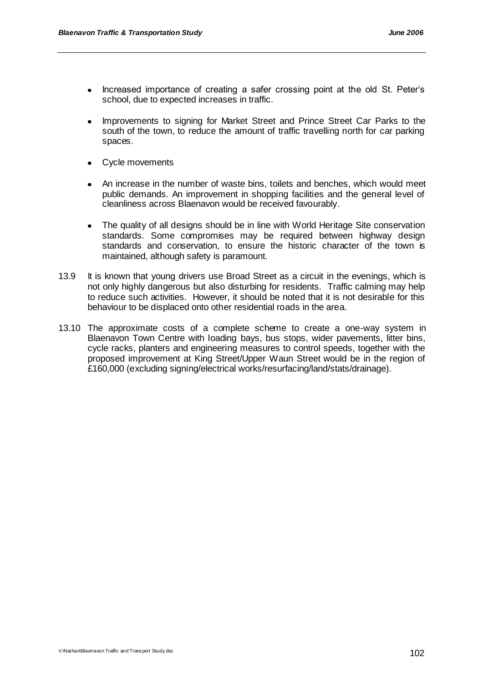- Increased importance of creating a safer crossing point at the old St. Peter"s school, due to expected increases in traffic.
- Improvements to signing for Market Street and Prince Street Car Parks to the south of the town, to reduce the amount of traffic travelling north for car parking spaces.
- Cycle movements
- An increase in the number of waste bins, toilets and benches, which would meet  $\bullet$ public demands. An improvement in shopping facilities and the general level of cleanliness across Blaenavon would be received favourably.
- The quality of all designs should be in line with World Heritage Site conservation standards. Some compromises may be required between highway design standards and conservation, to ensure the historic character of the town is maintained, although safety is paramount.
- 13.9 It is known that young drivers use Broad Street as a circuit in the evenings, which is not only highly dangerous but also disturbing for residents. Traffic calming may help to reduce such activities. However, it should be noted that it is not desirable for this behaviour to be displaced onto other residential roads in the area.
- 13.10 The approximate costs of a complete scheme to create a one-way system in Blaenavon Town Centre with loading bays, bus stops, wider pavements, litter bins, cycle racks, planters and engineering measures to control speeds, together with the proposed improvement at King Street/Upper Waun Street would be in the region of £160,000 (excluding signing/electrical works/resurfacing/land/stats/drainage).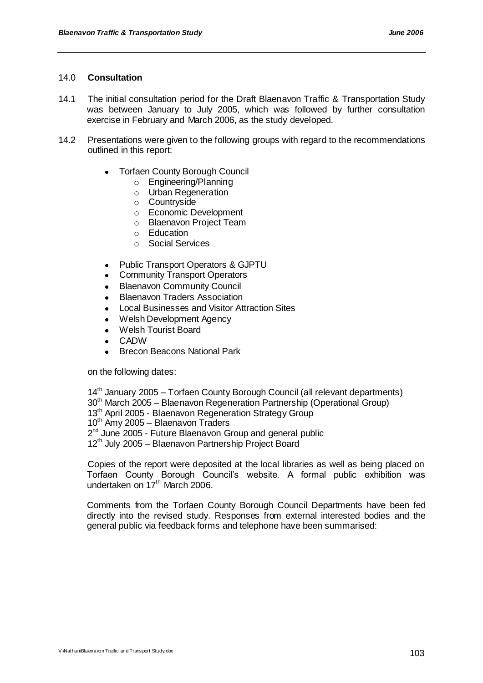#### 14.0 **Consultation**

- 14.1 The initial consultation period for the Draft Blaenavon Traffic & Transportation Study was between January to July 2005, which was followed by further consultation exercise in February and March 2006, as the study developed.
- 14.2 Presentations were given to the following groups with regard to the recommendations outlined in this report:
	- Torfaen County Borough Council  $\bullet$ 
		- o Engineering/Planning
		- o Urban Regeneration
		- o Countryside
		- o Economic Development
		- o Blaenavon Project Team
		- o Education
		- o Social Services
	- Public Transport Operators & GJPTU  $\bullet$
	- Community Transport Operators
	- Blaenavon Community Council
	- Blaenavon Traders Association
	- Local Businesses and Visitor Attraction Sites
	- Welsh Development Agency
	- Welsh Tourist Board
	- CADW
	- Brecon Beacons National Park

on the following dates:

14<sup>th</sup> January 2005 – Torfaen County Borough Council (all relevant departments) 30th March 2005 – Blaenavon Regeneration Partnership (Operational Group) 13<sup>th</sup> April 2005 - Blaenavon Regeneration Strategy Group  $10^{th}$  Amy 2005 – Blaenavon Traders 2<sup>nd</sup> June 2005 - Future Blaenavon Group and general public 12<sup>th</sup> July 2005 – Blaenavon Partnership Project Board Copies of the report were deposited at the local libraries as well as being placed on

Torfaen County Borough Council"s website. A formal public exhibition was undertaken on 17<sup>th</sup> March 2006.

Comments from the Torfaen County Borough Council Departments have been fed directly into the revised study. Responses from external interested bodies and the general public via feedback forms and telephone have been summarised: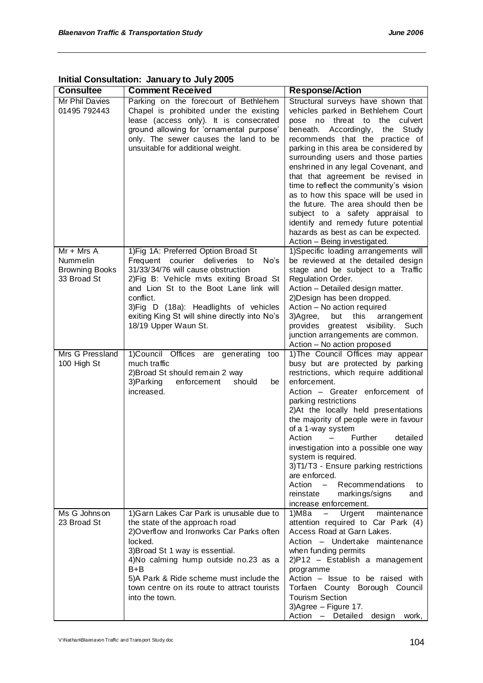| <b>Consultee</b>                                        | <b>Comment Received</b>                                                                                                                                                                                                                                                                                                                 | <b>Response/Action</b>                                                                                                                                                                                                                                                                                                                                                                                                                                                                                                                                                                                                            |
|---------------------------------------------------------|-----------------------------------------------------------------------------------------------------------------------------------------------------------------------------------------------------------------------------------------------------------------------------------------------------------------------------------------|-----------------------------------------------------------------------------------------------------------------------------------------------------------------------------------------------------------------------------------------------------------------------------------------------------------------------------------------------------------------------------------------------------------------------------------------------------------------------------------------------------------------------------------------------------------------------------------------------------------------------------------|
| Mr Phil Davies<br>01495 792443                          | Parking on the forecourt of Bethlehem<br>Chapel is prohibited under the existing<br>lease (access only). It is consecrated<br>ground allowing for 'ornamental purpose'<br>only. The sewer causes the land to be<br>unsuitable for additional weight.                                                                                    | Structural surveys have shown that<br>vehicles parked in Bethlehem Court<br>pose no threat to the culvert<br>Accordingly,<br>beneath.<br>the<br>Study<br>recommends that the practice of<br>parking in this area be considered by<br>surrounding users and those parties<br>enshrined in any legal Covenant, and<br>that that agreement be revised in<br>time to reflect the community's vision<br>as to how this space will be used in<br>the future. The area should then be<br>subject to a safety appraisal to<br>identify and remedy future potential<br>hazards as best as can be expected.<br>Action - Being investigated. |
| $Mr + Mrs A$                                            | 1) Fig 1A: Preferred Option Broad St                                                                                                                                                                                                                                                                                                    | 1) Specific loading arrangements will                                                                                                                                                                                                                                                                                                                                                                                                                                                                                                                                                                                             |
| <b>Nummelin</b><br><b>Browning Books</b><br>33 Broad St | Frequent courier<br>deliveries to<br>No's<br>31/33/34/76 will cause obstruction<br>2) Fig B: Vehicle mvts exiting Broad St<br>and Lion St to the Boot Lane link will<br>conflict.<br>3) Fig D (18a): Headlights of vehicles<br>exiting King St will shine directly into No's<br>18/19 Upper Waun St.                                    | be reviewed at the detailed design<br>stage and be subject to a Traffic<br>Regulation Order.<br>Action - Detailed design matter.<br>2) Design has been dropped.<br>Action - No action required<br>this<br>3)Agree,<br>but<br>arrangement<br>provides greatest visibility. Such<br>junction arrangements are common.<br>Action - No action proposed                                                                                                                                                                                                                                                                                |
| Mrs G Pressland<br>100 High St                          | 1) Council Offices are generating<br>too<br>much traffic<br>2) Broad St should remain 2 way<br>3) Parking<br>enforcement<br>should<br>be<br>increased.                                                                                                                                                                                  | 1) The Council Offices may appear<br>busy but are protected by parking<br>restrictions, which require additional<br>enforcement.<br>Action - Greater enforcement of<br>parking restrictions<br>2) At the locally held presentations<br>the majority of people were in favour<br>of a 1-way system<br>Further<br>Action<br>detailed<br>investigation into a possible one way<br>system is required.<br>3) T1/T3 - Ensure parking restrictions<br>are enforced.<br>Action<br>Recommendations<br>$\overline{\phantom{a}}$<br>to<br>markings/signs<br>reinstate<br>and<br>increase enforcement.                                       |
| Ms G Johnson<br>23 Broad St                             | 1) Garn Lakes Car Park is unusable due to<br>the state of the approach road<br>2) Overflow and Ironworks Car Parks often<br>locked.<br>3) Broad St 1 way is essential.<br>4) No calming hump outside no.23 as a<br>$B + B$<br>5)A Park & Ride scheme must include the<br>town centre on its route to attract tourists<br>into the town. | $1)$ M $8a$<br>Urgent<br>maintenance<br>$\overline{\phantom{0}}$<br>attention required to Car Park (4)<br>Access Road at Garn Lakes.<br>Action - Undertake maintenance<br>when funding permits<br>2)P12 - Establish a management<br>programme<br>Action - Issue to be raised with<br>Torfaen County Borough Council<br><b>Tourism Section</b><br>3) Agree - Figure 17.<br>Action - Detailed<br>design<br>work,                                                                                                                                                                                                                    |

# **Initial Consultation: January to July 2005**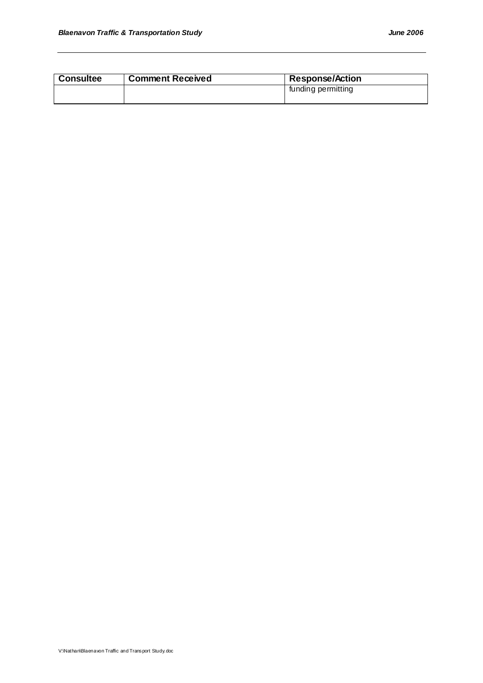| <b>Consultee</b> | <b>Comment Received</b> | <b>Response/Action</b> |
|------------------|-------------------------|------------------------|
|                  |                         | funding permitting     |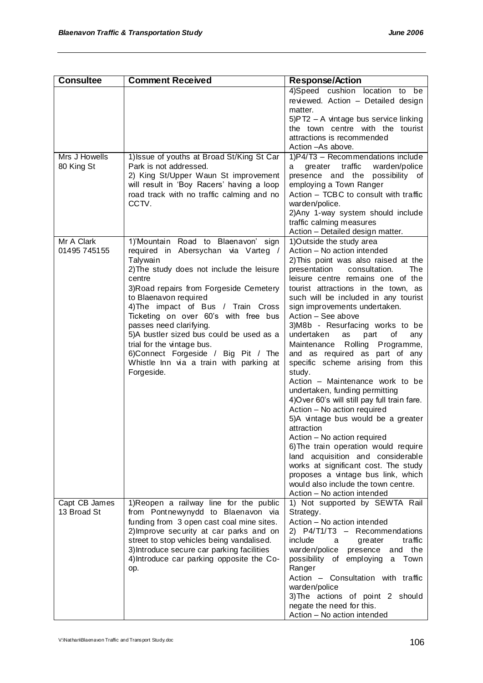| <b>Consultee</b>             | <b>Comment Received</b>                                                                                                                                                                                                                                                                                                                                                                                                                                                                              | <b>Response/Action</b>                                                                                                                                                                                                                                                                                                                                                                                                                                                                                                                                                                                                                                                                                                                                                                                                                                                                                                                                                                        |
|------------------------------|------------------------------------------------------------------------------------------------------------------------------------------------------------------------------------------------------------------------------------------------------------------------------------------------------------------------------------------------------------------------------------------------------------------------------------------------------------------------------------------------------|-----------------------------------------------------------------------------------------------------------------------------------------------------------------------------------------------------------------------------------------------------------------------------------------------------------------------------------------------------------------------------------------------------------------------------------------------------------------------------------------------------------------------------------------------------------------------------------------------------------------------------------------------------------------------------------------------------------------------------------------------------------------------------------------------------------------------------------------------------------------------------------------------------------------------------------------------------------------------------------------------|
|                              |                                                                                                                                                                                                                                                                                                                                                                                                                                                                                                      | 4)Speed cushion location to be<br>reviewed. Action - Detailed design<br>matter.<br>5)PT2 - A vintage bus service linking<br>the town centre with the tourist<br>attractions is recommended<br>Action - As above.                                                                                                                                                                                                                                                                                                                                                                                                                                                                                                                                                                                                                                                                                                                                                                              |
| Mrs J Howells<br>80 King St  | 1) Issue of youths at Broad St/King St Car<br>Park is not addressed.<br>2) King St/Upper Waun St improvement<br>will result in 'Boy Racers' having a loop<br>road track with no traffic calming and no<br>CCTV.                                                                                                                                                                                                                                                                                      | 1)P4/T3 - Recommendations include<br>traffic<br>warden/police<br>greater<br>a<br>presence and the<br>possibility of<br>employing a Town Ranger<br>Action - TCBC to consult with traffic<br>warden/police.<br>2) Any 1-way system should include<br>traffic calming measures<br>Action - Detailed design matter.                                                                                                                                                                                                                                                                                                                                                                                                                                                                                                                                                                                                                                                                               |
| Mr A Clark<br>01495 745155   | 1)'Mountain Road to Blaenavon' sign<br>required in Abersychan via Varteg /<br>Talywain<br>2) The study does not include the leisure<br>centre<br>3) Road repairs from Forgeside Cemetery<br>to Blaenavon required<br>4) The impact of Bus / Train Cross<br>Ticketing on over 60's with free bus<br>passes need clarifying.<br>5)A bustler sized bus could be used as a<br>trial for the vintage bus.<br>6)Connect Forgeside / Big Pit / The<br>Whistle Inn via a train with parking at<br>Forgeside. | 1) Outside the study area<br>Action - No action intended<br>2) This point was also raised at the<br>consultation.<br>presentation<br>The<br>leisure centre remains one of the<br>tourist attractions in the town, as<br>such will be included in any tourist<br>sign improvements undertaken.<br>Action - See above<br>3)M8b - Resurfacing works to be<br>undertaken<br>οf<br>part<br>as<br>any<br>Rolling Programme,<br>Maintenance<br>and as required as part of any<br>specific scheme arising from this<br>study.<br>Action – Maintenance work to be<br>undertaken, funding permitting<br>4) Over 60's will still pay full train fare.<br>Action - No action required<br>5)A vintage bus would be a greater<br>attraction<br>Action - No action required<br>6) The train operation would require<br>land acquisition and considerable<br>works at significant cost. The study<br>proposes a vintage bus link, which<br>would also include the town centre.<br>Action - No action intended |
| Capt CB James<br>13 Broad St | 1) Reopen a railway line for the public<br>from Pontnewynydd to Blaenavon via<br>funding from 3 open cast coal mine sites.<br>2) Improve security at car parks and on<br>street to stop vehicles being vandalised.<br>3) Introduce secure car parking facilities<br>4) Introduce car parking opposite the Co-<br>op.                                                                                                                                                                                 | 1) Not supported by SEWTA Rail<br>Strategy.<br>Action - No action intended<br>2) P4/T1/T3 - Recommendations<br>include<br>traffic<br>greater<br>a<br>and the<br>warden/police<br>presence<br>possibility of employing<br>a Town<br>Ranger<br>Action - Consultation with traffic<br>warden/police<br>3) The actions of point 2 should<br>negate the need for this.<br>Action - No action intended                                                                                                                                                                                                                                                                                                                                                                                                                                                                                                                                                                                              |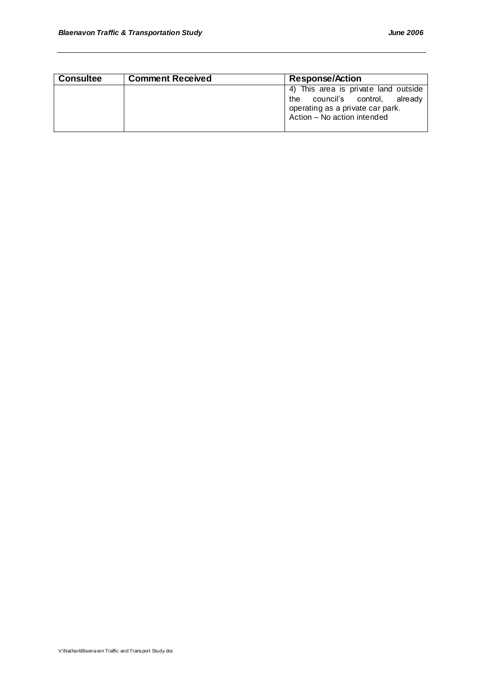| <b>Consultee</b> | <b>Comment Received</b> | <b>Response/Action</b>                                                                                                                    |
|------------------|-------------------------|-------------------------------------------------------------------------------------------------------------------------------------------|
|                  |                         | 4) This area is private land outside<br>the council's control, already<br>operating as a private car park.<br>Action - No action intended |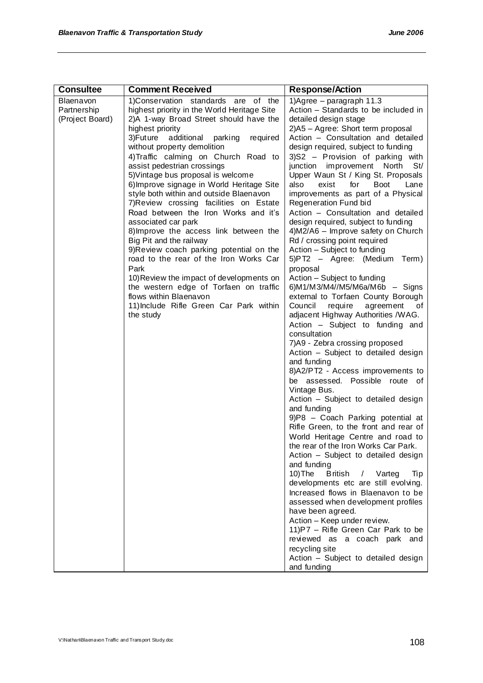| <b>Consultee</b>                            | <b>Comment Received</b>                                                                                                                                                                                                                                                                                                                                                                                                                                                                                                                                                                                                                                                                                                                                                                                                                                                                    | <b>Response/Action</b>                                                                                                                                                                                                                                                                                                                                                                                                                                                                                                                                                                                                                                                                                                                                                                                                                                                                                                                                                                                                                                                                                                                                                                                                                                                                                                                                                                                                                                                                                                                                                                                                                                                                                                                     |
|---------------------------------------------|--------------------------------------------------------------------------------------------------------------------------------------------------------------------------------------------------------------------------------------------------------------------------------------------------------------------------------------------------------------------------------------------------------------------------------------------------------------------------------------------------------------------------------------------------------------------------------------------------------------------------------------------------------------------------------------------------------------------------------------------------------------------------------------------------------------------------------------------------------------------------------------------|--------------------------------------------------------------------------------------------------------------------------------------------------------------------------------------------------------------------------------------------------------------------------------------------------------------------------------------------------------------------------------------------------------------------------------------------------------------------------------------------------------------------------------------------------------------------------------------------------------------------------------------------------------------------------------------------------------------------------------------------------------------------------------------------------------------------------------------------------------------------------------------------------------------------------------------------------------------------------------------------------------------------------------------------------------------------------------------------------------------------------------------------------------------------------------------------------------------------------------------------------------------------------------------------------------------------------------------------------------------------------------------------------------------------------------------------------------------------------------------------------------------------------------------------------------------------------------------------------------------------------------------------------------------------------------------------------------------------------------------------|
| Blaenavon<br>Partnership<br>(Project Board) | 1)Conservation standards are of the<br>highest priority in the World Heritage Site<br>2)A 1-way Broad Street should have the<br>highest priority<br>3)Future<br>additional<br>required<br>parking<br>without property demolition<br>4) Traffic calming on Church Road to<br>assist pedestrian crossings<br>5) Vintage bus proposal is welcome<br>6) Improve signage in World Heritage Site<br>style both within and outside Blaenavon<br>7) Review crossing facilities on Estate<br>Road between the Iron Works and it's<br>associated car park<br>8) Improve the access link between the<br>Big Pit and the railway<br>9) Review coach parking potential on the<br>road to the rear of the Iron Works Car<br>Park<br>10) Review the impact of developments on<br>the western edge of Torfaen on traffic<br>flows within Blaenavon<br>11) Include Rifle Green Car Park within<br>the study | 1) Agree $-$ paragraph 11.3<br>Action - Standards to be included in<br>detailed design stage<br>2)A5 - Agree: Short term proposal<br>Action - Consultation and detailed<br>design required, subject to funding<br>3)S2 - Provision of parking with<br>junction improvement North<br>St/<br>Upper Waun St / King St. Proposals<br>also<br><b>Boot</b><br>exist<br>for<br>Lane<br>improvements as part of a Physical<br>Regeneration Fund bid<br>Action - Consultation and detailed<br>design required, subject to funding<br>4) M2/A6 - Improve safety on Church<br>Rd / crossing point required<br>Action - Subject to funding<br>5)PT2 - Agree: (Medium<br>Term)<br>proposal<br>Action - Subject to funding<br>6) $M1/M3/M4/M5/M6a/M6b -$ Signs<br>external to Torfaen County Borough<br>Council<br>require<br>agreement<br>οf<br>adjacent Highway Authorities /WAG.<br>Action - Subject to funding and<br>consultation<br>7)A9 - Zebra crossing proposed<br>Action - Subject to detailed design<br>and funding<br>8)A2/PT2 - Access improvements to<br>be assessed. Possible route of<br>Vintage Bus.<br>Action - Subject to detailed design<br>and funding<br>9)P8 - Coach Parking potential at<br>Rifle Green, to the front and rear of<br>World Heritage Centre and road to<br>the rear of the Iron Works Car Park.<br>Action - Subject to detailed design<br>and funding<br>10)The<br>British / Varteg<br>Tip<br>developments etc are still evolving.<br>Increased flows in Blaenavon to be<br>assessed when development profiles<br>have been agreed.<br>Action - Keep under review.<br>11) P7 - Rifle Green Car Park to be<br>reviewed as a coach park and<br>recycling site<br>Action - Subject to detailed design<br>and funding |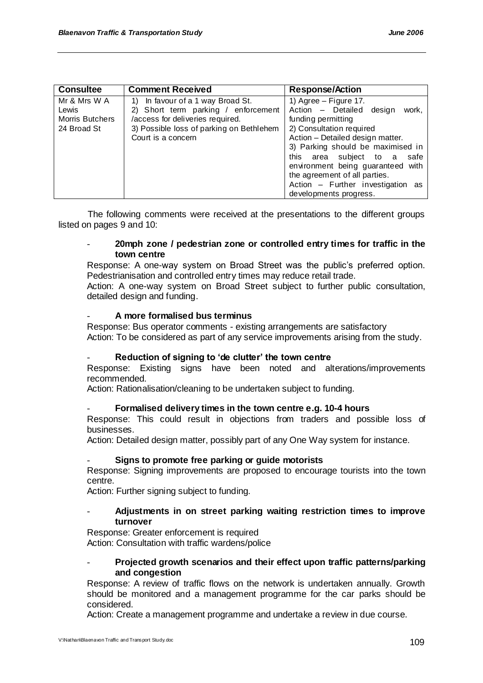| <b>Consultee</b>                                               | <b>Comment Received</b>                                                                                                                                                           | <b>Response/Action</b>                                                                                                                                                                                                                                                                                                                                         |
|----------------------------------------------------------------|-----------------------------------------------------------------------------------------------------------------------------------------------------------------------------------|----------------------------------------------------------------------------------------------------------------------------------------------------------------------------------------------------------------------------------------------------------------------------------------------------------------------------------------------------------------|
| Mr & Mrs W A<br>Lewis<br><b>Morris Butchers</b><br>24 Broad St | In favour of a 1 way Broad St.<br>1)<br>2) Short term parking / enforcement<br>/access for deliveries required.<br>3) Possible loss of parking on Bethlehem<br>Court is a concern | 1) Agree $-$ Figure 17.<br>Action - Detailed design<br>work,<br>funding permitting<br>2) Consultation required<br>Action - Detailed design matter.<br>3) Parking should be maximised in<br>this area subject to a<br>safe<br>environment being guaranteed with<br>the agreement of all parties.<br>Action - Further investigation as<br>developments progress. |

The following comments were received at the presentations to the different groups listed on pages 9 and 10:

### - **20mph zone / pedestrian zone or controlled entry times for traffic in the town centre**

Response: A one-way system on Broad Street was the public"s preferred option. Pedestrianisation and controlled entry times may reduce retail trade.

Action: A one-way system on Broad Street subject to further public consultation, detailed design and funding.

### - **A more formalised bus terminus**

Response: Bus operator comments - existing arrangements are satisfactory Action: To be considered as part of any service improvements arising from the study.

### - **Reduction of signing to 'de clutter' the town centre**

Response: Existing signs have been noted and alterations/improvements recommended.

Action: Rationalisation/cleaning to be undertaken subject to funding.

### - **Formalised delivery times in the town centre e.g. 10-4 hours**

Response: This could result in objections from traders and possible loss of businesses.

Action: Detailed design matter, possibly part of any One Way system for instance.

### - **Signs to promote free parking or guide motorists**

Response: Signing improvements are proposed to encourage tourists into the town centre.

Action: Further signing subject to funding.

### - **Adjustments in on street parking waiting restriction times to improve turnover**

Response: Greater enforcement is required Action: Consultation with traffic wardens/police

### - **Projected growth scenarios and their effect upon traffic patterns/parking and congestion**

Response: A review of traffic flows on the network is undertaken annually. Growth should be monitored and a management programme for the car parks should be considered.

Action: Create a management programme and undertake a review in due course.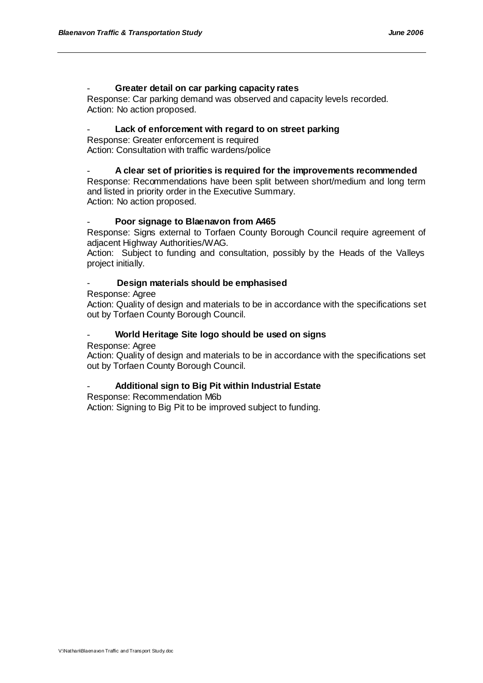### - **Greater detail on car parking capacity rates**

Response: Car parking demand was observed and capacity levels recorded. Action: No action proposed.

### Lack of enforcement with regard to on street parking

Response: Greater enforcement is required Action: Consultation with traffic wardens/police

### - **A clear set of priorities is required for the improvements recommended**

Response: Recommendations have been split between short/medium and long term and listed in priority order in the Executive Summary.

Action: No action proposed.

### - **Poor signage to Blaenavon from A465**

Response: Signs external to Torfaen County Borough Council require agreement of adjacent Highway Authorities/WAG.

Action: Subject to funding and consultation, possibly by the Heads of the Valleys project initially.

### - **Design materials should be emphasised**

Response: Agree

Action: Quality of design and materials to be in accordance with the specifications set out by Torfaen County Borough Council.

### - **World Heritage Site logo should be used on signs**

Response: Agree

Action: Quality of design and materials to be in accordance with the specifications set out by Torfaen County Borough Council.

### - **Additional sign to Big Pit within Industrial Estate**

Response: Recommendation M6b

Action: Signing to Big Pit to be improved subject to funding.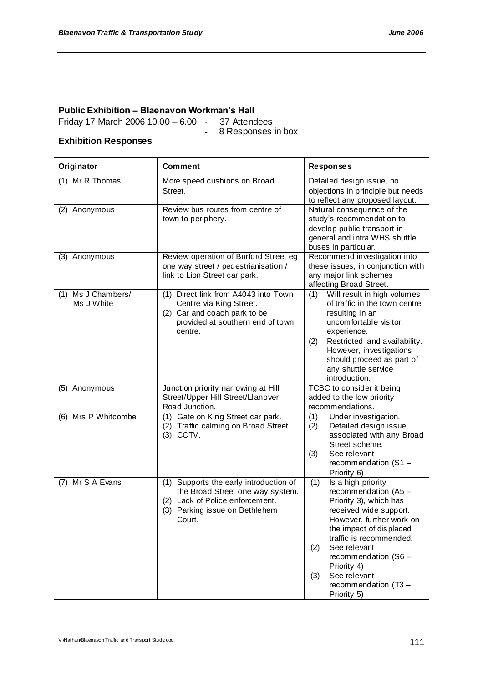# **Public Exhibition – Blaenavon Workman's Hall**

Friday 17 March 2006 10.00 – 6.00  $-$ 

8 Responses in box

### **Exhibition Responses**

| Originator                          | <b>Comment</b>                                                                                                                                               | <b>Responses</b>                                                                                                                                                                                                                                                                                                    |
|-------------------------------------|--------------------------------------------------------------------------------------------------------------------------------------------------------------|---------------------------------------------------------------------------------------------------------------------------------------------------------------------------------------------------------------------------------------------------------------------------------------------------------------------|
| (1) Mr R Thomas                     | More speed cushions on Broad<br>Street.                                                                                                                      | Detailed design issue, no<br>objections in principle but needs<br>to reflect any proposed layout.                                                                                                                                                                                                                   |
| (2)<br>Anonymous                    | Review bus routes from centre of<br>town to periphery.                                                                                                       | Natural consequence of the<br>study's recommendation to<br>develop public transport in<br>general and intra WHS shuttle<br>buses in particular.                                                                                                                                                                     |
| (3) Anonymous                       | Review operation of Burford Street eg<br>one way street / pedestrianisation /<br>link to Lion Street car park.                                               | Recommend investigation into<br>these issues, in conjunction with<br>any major link schemes<br>affecting Broad Street.                                                                                                                                                                                              |
| Ms J Chambers/<br>(1)<br>Ms J White | (1) Direct link from A4043 into Town<br>Centre via King Street.<br>(2) Car and coach park to be<br>provided at southern end of town<br>centre.               | Will result in high volumes<br>(1)<br>of traffic in the town centre<br>resulting in an<br>uncomfortable visitor<br>experience.<br>Restricted land availability.<br>(2)<br>However, investigations<br>should proceed as part of<br>any shuttle service<br>introduction.                                              |
| (5) Anonymous                       | Junction priority narrowing at Hill<br>Street/Upper Hill Street/Llanover<br>Road Junction.                                                                   | TCBC to consider it being<br>added to the low priority<br>recommendations.                                                                                                                                                                                                                                          |
| (6) Mrs P Whitcombe                 | Gate on King Street car park.<br>(1)<br>(2) Traffic calming on Broad Street.<br>(3) CCTV.                                                                    | Under investigation.<br>(1)<br>(2)<br>Detailed design issue<br>associated with any Broad<br>Street scheme.<br>(3)<br>See relevant<br>recommendation (S1 -<br>Priority 6)                                                                                                                                            |
| Mr S A Evans<br>(7)                 | Supports the early introduction of<br>(1)<br>the Broad Street one way system.<br>(2) Lack of Police enforcement.<br>(3) Parking issue on Bethlehem<br>Court. | (1)<br>Is a high priority<br>recommendation (A5 -<br>Priority 3), which has<br>received wide support.<br>However, further work on<br>the impact of displaced<br>traffic is recommended.<br>See relevant<br>(2)<br>recommendation (S6 -<br>Priority 4)<br>See relevant<br>(3)<br>recommendation (T3 -<br>Priority 5) |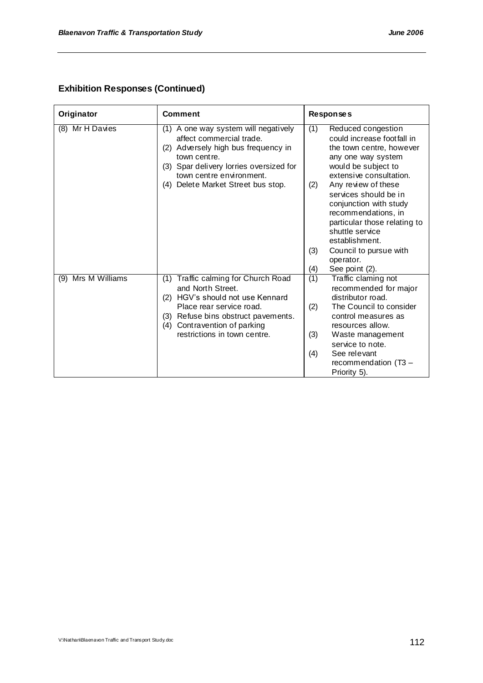## **Exhibition Responses (Continued)**

| Originator            | <b>Comment</b>                                                                                                                                                                                                                           | <b>Responses</b>                                                                                                                                                                                                                                                                                                                         |
|-----------------------|------------------------------------------------------------------------------------------------------------------------------------------------------------------------------------------------------------------------------------------|------------------------------------------------------------------------------------------------------------------------------------------------------------------------------------------------------------------------------------------------------------------------------------------------------------------------------------------|
| Mr H Davies<br>(8)    | (1) A one way system will negatively<br>affect commercial trade.<br>(2) Adversely high bus frequency in<br>town centre.<br>(3) Spar delivery lorries oversized for<br>town centre environment.<br>(4) Delete Market Street bus stop.     | (1)<br>Reduced congestion<br>could increase footfall in<br>the town centre, however<br>any one way system<br>would be subject to<br>extensive consultation.<br>(2)<br>Any review of these<br>services should be in<br>conjunction with study<br>recommendations, in<br>particular those relating to<br>shuttle service<br>establishment. |
|                       |                                                                                                                                                                                                                                          | Council to pursue with<br>(3)<br>operator.<br>See point (2).<br>(4)                                                                                                                                                                                                                                                                      |
| Mrs M Williams<br>(9) | (1) Traffic calming for Church Road<br>and North Street.<br>HGV's should not use Kennard<br>(2)<br>Place rear service road.<br>Refuse bins obstruct pavements.<br>(3)<br>Contravention of parking<br>(4)<br>restrictions in town centre. | (1)<br>Traffic claming not<br>recommended for major<br>distributor road.<br>The Council to consider<br>(2)<br>control measures as<br>resources allow.<br>(3)<br>Waste management<br>service to note.<br>(4)<br>See relevant<br>recommendation (T3 -<br>Priority 5).                                                                      |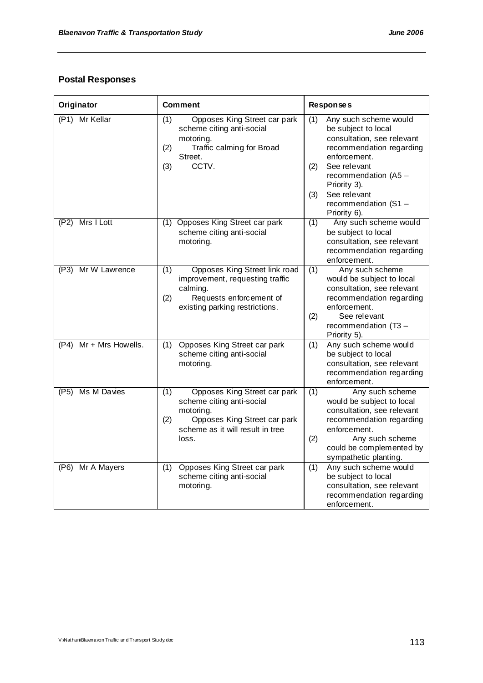## **Postal Responses**

| Originator                | <b>Comment</b>                                                                                                                                                    | <b>Responses</b>                                                                                                                                                                                                                            |
|---------------------------|-------------------------------------------------------------------------------------------------------------------------------------------------------------------|---------------------------------------------------------------------------------------------------------------------------------------------------------------------------------------------------------------------------------------------|
| (P1) Mr Kellar            | Opposes King Street car park<br>(1)<br>scheme citing anti-social<br>motoring.<br>(2)<br>Traffic calming for Broad<br>Street.<br>CCTV.<br>(3)                      | Any such scheme would<br>(1)<br>be subject to local<br>consultation, see relevant<br>recommendation regarding<br>enforcement.<br>See relevant<br>(2)<br>recommendation (A5 -<br>Priority 3).<br>See relevant<br>(3)<br>recommendation (S1 - |
| (P2)<br>Mrs I Lott        | (1) Opposes King Street car park<br>scheme citing anti-social<br>motoring.                                                                                        | Priority 6).<br>Any such scheme would<br>(1)<br>be subject to local<br>consultation, see relevant<br>recommendation regarding<br>enforcement.                                                                                               |
| (P3) Mr W Lawrence        | Opposes King Street link road<br>(1)<br>improvement, requesting traffic<br>calming.<br>Requests enforcement of<br>(2)<br>existing parking restrictions.           | (1)<br>Any such scheme<br>would be subject to local<br>consultation, see relevant<br>recommendation regarding<br>enforcement.<br>(2)<br>See relevant<br>recommendation (T3 -<br>Priority 5).                                                |
| Mr + Mrs Howells.<br>(P4) | Opposes King Street car park<br>(1)<br>scheme citing anti-social<br>motoring.                                                                                     | Any such scheme would<br>(1)<br>be subject to local<br>consultation, see relevant<br>recommendation regarding<br>enforcement.                                                                                                               |
| (P5) Ms M Davies          | Opposes King Street car park<br>(1)<br>scheme citing anti-social<br>motoring.<br>Opposes King Street car park<br>(2)<br>scheme as it will result in tree<br>loss. | (1)<br>Any such scheme<br>would be subject to local<br>consultation, see relevant<br>recommendation regarding<br>enforcement.<br>(2)<br>Any such scheme<br>could be complemented by<br>sympathetic planting.                                |
| (P6) Mr A Mayers          | Opposes King Street car park<br>(1)<br>scheme citing anti-social<br>motoring.                                                                                     | Any such scheme would<br>(1)<br>be subject to local<br>consultation, see relevant<br>recommendation regarding<br>enforcement.                                                                                                               |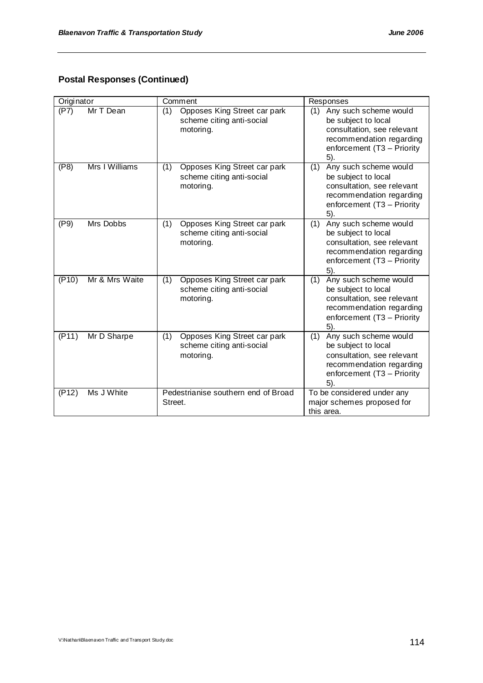## **Postal Responses (Continued)**

| Originator              | Comment                                                                       | Responses                                                                                                                                             |
|-------------------------|-------------------------------------------------------------------------------|-------------------------------------------------------------------------------------------------------------------------------------------------------|
| Mr T Dean<br>(P7)       | Opposes King Street car park<br>(1)<br>scheme citing anti-social<br>motoring. | (1)<br>Any such scheme would<br>be subject to local<br>consultation, see relevant<br>recommendation regarding<br>enforcement (T3 - Priority<br>5).    |
| Mrs I Williams<br>(P8)  | Opposes King Street car park<br>(1)<br>scheme citing anti-social<br>motoring. | Any such scheme would<br>(1)<br>be subject to local<br>consultation, see relevant<br>recommendation regarding<br>enforcement (T3 - Priority<br>$5$ ). |
| Mrs Dobbs<br>(P9)       | (1)<br>Opposes King Street car park<br>scheme citing anti-social<br>motoring. | Any such scheme would<br>(1)<br>be subject to local<br>consultation, see relevant<br>recommendation regarding<br>enforcement (T3 - Priority<br>5).    |
| Mr & Mrs Waite<br>(P10) | Opposes King Street car park<br>(1)<br>scheme citing anti-social<br>motoring. | Any such scheme would<br>(1)<br>be subject to local<br>consultation, see relevant<br>recommendation regarding<br>enforcement (T3 - Priority<br>5).    |
| (P11)<br>Mr D Sharpe    | Opposes King Street car park<br>(1)<br>scheme citing anti-social<br>motoring. | Any such scheme would<br>(1)<br>be subject to local<br>consultation, see relevant<br>recommendation regarding<br>enforcement (T3 - Priority<br>5).    |
| Ms J White<br>(P12)     | Pedestrianise southern end of Broad<br>Street.                                | To be considered under any<br>major schemes proposed for<br>this area.                                                                                |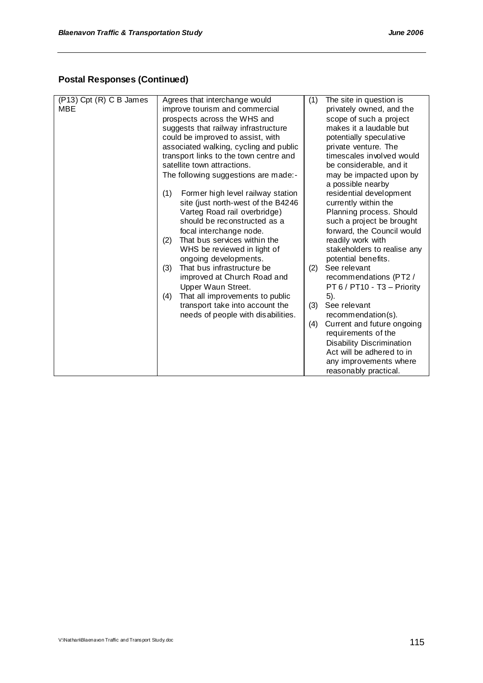## **Postal Responses (Continued)**

| (P13) Cpt (R) C B James<br>MBE | Agrees that interchange would<br>improve tourism and commercial<br>prospects across the WHS and<br>suggests that railway infrastructure<br>could be improved to assist, with<br>associated walking, cycling and public<br>transport links to the town centre and<br>satellite town attractions.                                                                                                                                                                                                                               | The site in question is<br>(1)<br>privately owned, and the<br>scope of such a project<br>makes it a laudable but<br>potentially speculative<br>private venture. The<br>timescales involved would<br>be considerable, and it                                                                                                                                                                                                                                                                                                                                                    |
|--------------------------------|-------------------------------------------------------------------------------------------------------------------------------------------------------------------------------------------------------------------------------------------------------------------------------------------------------------------------------------------------------------------------------------------------------------------------------------------------------------------------------------------------------------------------------|--------------------------------------------------------------------------------------------------------------------------------------------------------------------------------------------------------------------------------------------------------------------------------------------------------------------------------------------------------------------------------------------------------------------------------------------------------------------------------------------------------------------------------------------------------------------------------|
|                                | The following suggestions are made:-<br>(1)<br>Former high level railway station<br>site (just north-west of the B4246<br>Varteg Road rail overbridge)<br>should be reconstructed as a<br>focal interchange node.<br>That bus services within the<br>(2)<br>WHS be reviewed in light of<br>ongoing developments.<br>That bus infrastructure be<br>(3)<br>improved at Church Road and<br>Upper Waun Street.<br>That all improvements to public<br>(4)<br>transport take into account the<br>needs of people with disabilities. | may be impacted upon by<br>a possible nearby<br>residential development<br>currently within the<br>Planning process. Should<br>such a project be brought<br>forward, the Council would<br>readily work with<br>stakeholders to realise any<br>potential benefits.<br>See relevant<br>(2)<br>recommendations (PT2 /<br>PT 6 / PT10 - T3 - Priority<br>5).<br>See relevant<br>(3)<br>recommendation(s).<br>Current and future ongoing<br>(4)<br>requirements of the<br>Disability Discrimination<br>Act will be adhered to in<br>any improvements where<br>reasonably practical. |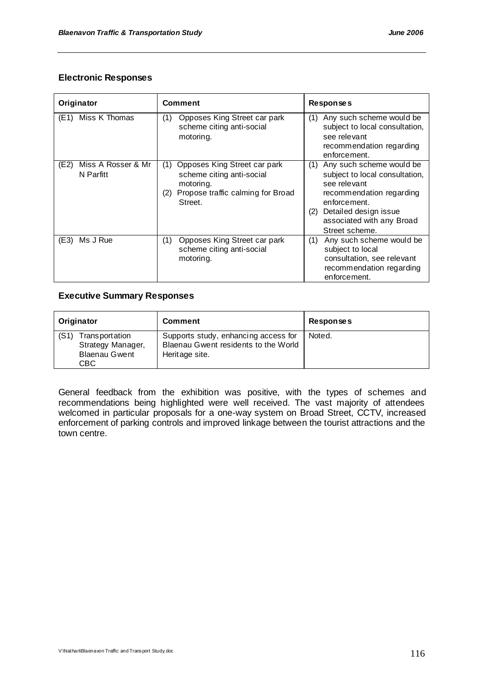### **Electronic Responses**

| Originator                              | <b>Comment</b>                                                                                                                       | Responses                                                                                                                                                                                                    |
|-----------------------------------------|--------------------------------------------------------------------------------------------------------------------------------------|--------------------------------------------------------------------------------------------------------------------------------------------------------------------------------------------------------------|
| Miss K Thomas<br>(E1)                   | Opposes King Street car park<br>(1)<br>scheme citing anti-social<br>motoring.                                                        | Any such scheme would be<br>(1)<br>subject to local consultation,<br>see relevant<br>recommendation regarding<br>enforcement.                                                                                |
| Miss A Rosser & Mr<br>(E2)<br>N Parfitt | Opposes King Street car park<br>(1)<br>scheme citing anti-social<br>motoring.<br>Propose traffic calming for Broad<br>(2)<br>Street. | Any such scheme would be<br>(1)<br>subject to local consultation,<br>see relevant<br>recommendation regarding<br>enforcement.<br>Detailed design issue<br>(2)<br>associated with any Broad<br>Street scheme. |
| Ms J Rue<br>(E3)                        | Opposes King Street car park<br>(1)<br>scheme citing anti-social<br>motoring.                                                        | Any such scheme would be<br>(1)<br>subject to local<br>consultation, see relevant<br>recommendation regarding<br>enforcement.                                                                                |

### **Executive Summary Responses**

| Originator                                                                   | <b>Comment</b>                                                                                 | <b>Responses</b> |
|------------------------------------------------------------------------------|------------------------------------------------------------------------------------------------|------------------|
| (S1)<br>Trans port ation<br>Strategy Manager,<br><b>Blaenau Gwent</b><br>CBC | Supports study, enhancing access for<br>Blaenau Gwent residents to the World<br>Heritage site. | Noted.           |

General feedback from the exhibition was positive, with the types of schemes and recommendations being highlighted were well received. The vast majority of attendees welcomed in particular proposals for a one-way system on Broad Street, CCTV, increased enforcement of parking controls and improved linkage between the tourist attractions and the town centre.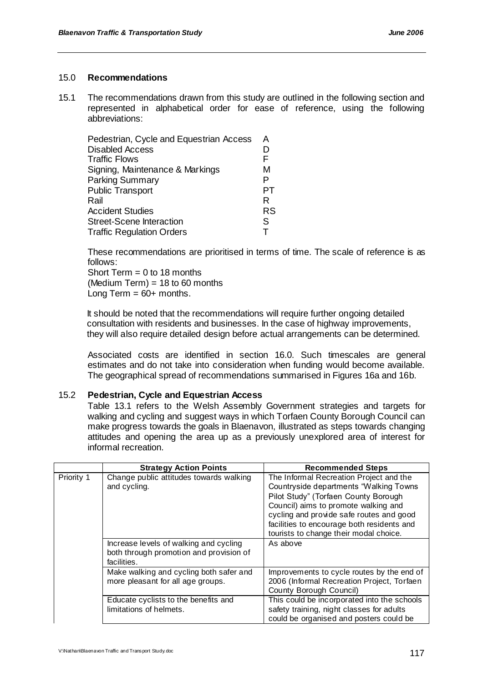### 15.0 **Recommendations**

15.1 The recommendations drawn from this study are outlined in the following section and represented in alphabetical order for ease of reference, using the following abbreviations:

| Pedestrian, Cycle and Equestrian Access | A         |
|-----------------------------------------|-----------|
| <b>Disabled Access</b>                  |           |
| <b>Traffic Flows</b>                    | F         |
| Signing, Maintenance & Markings         | М         |
| <b>Parking Summary</b>                  | P         |
| <b>Public Transport</b>                 |           |
| Rail                                    | R         |
| <b>Accident Studies</b>                 | <b>RS</b> |
| <b>Street-Scene Interaction</b>         | S         |
| <b>Traffic Regulation Orders</b>        |           |

These recommendations are prioritised in terms of time. The scale of reference is as follows:

Short Term  $= 0$  to 18 months  $(Medium Term) = 18$  to 60 months Long Term  $= 60+$  months.

It should be noted that the recommendations will require further ongoing detailed consultation with residents and businesses. In the case of highway improvements, they will also require detailed design before actual arrangements can be determined.

Associated costs are identified in section 16.0. Such timescales are general estimates and do not take into consideration when funding would become available. The geographical spread of recommendations summarised in Figures 16a and 16b.

### 15.2 **Pedestrian, Cycle and Equestrian Access**

Table 13.1 refers to the Welsh Assembly Government strategies and targets for walking and cycling and suggest ways in which Torfaen County Borough Council can make progress towards the goals in Blaenavon, illustrated as steps towards changing attitudes and opening the area up as a previously unexplored area of interest for informal recreation.

|            | <b>Strategy Action Points</b>                                                                    | <b>Recommended Steps</b>                                                                                                                                                                                                                                                                              |
|------------|--------------------------------------------------------------------------------------------------|-------------------------------------------------------------------------------------------------------------------------------------------------------------------------------------------------------------------------------------------------------------------------------------------------------|
| Priority 1 | Change public attitudes towards walking<br>and cycling.                                          | The Informal Recreation Project and the<br>Countryside departments "Walking Towns<br>Pilot Study" (Torfaen County Borough<br>Council) aims to promote walking and<br>cycling and provide safe routes and good<br>facilities to encourage both residents and<br>tourists to change their modal choice. |
|            | Increase levels of walking and cycling<br>both through promotion and provision of<br>facilities. | As above                                                                                                                                                                                                                                                                                              |
|            | Make walking and cycling both safer and<br>more pleasant for all age groups.                     | Improvements to cycle routes by the end of<br>2006 (Informal Recreation Project, Torfaen<br>County Borough Council)                                                                                                                                                                                   |
|            | Educate cyclists to the benefits and<br>limitations of helmets.                                  | This could be incorporated into the schools<br>safety training, night classes for adults<br>could be organised and posters could be                                                                                                                                                                   |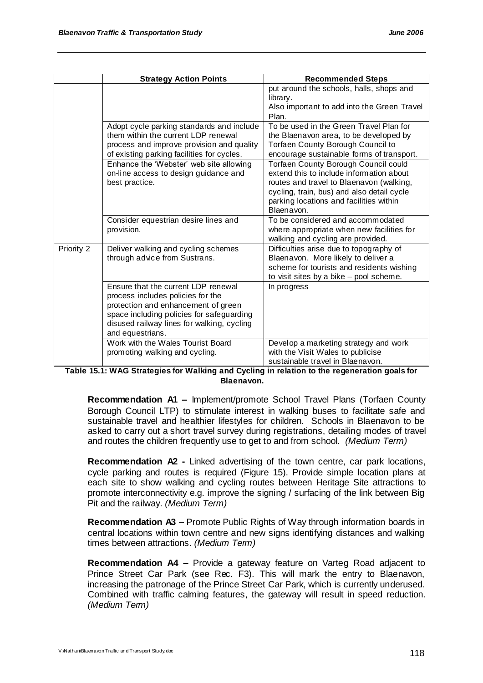|            | <b>Strategy Action Points</b>                                                                                                                                                                                                  | <b>Recommended Steps</b>                                                                                                                                                                                                            |
|------------|--------------------------------------------------------------------------------------------------------------------------------------------------------------------------------------------------------------------------------|-------------------------------------------------------------------------------------------------------------------------------------------------------------------------------------------------------------------------------------|
|            |                                                                                                                                                                                                                                | put around the schools, halls, shops and<br>library.<br>Also important to add into the Green Travel<br>Plan.                                                                                                                        |
|            | Adopt cycle parking standards and include<br>them within the current LDP renewal<br>process and improve provision and quality<br>of existing parking facilities for cycles.                                                    | To be used in the Green Travel Plan for<br>the Blaenavon area, to be developed by<br>Torfaen County Borough Council to<br>encourage sustainable forms of transport.                                                                 |
|            | Enhance the 'Webster' web site allowing<br>on-line access to design guidance and<br>best practice.                                                                                                                             | Torfaen County Borough Council could<br>extend this to include information about<br>routes and travel to Blaenavon (walking,<br>cycling, train, bus) and also detail cycle<br>parking locations and facilities within<br>Blaenavon. |
|            | Consider equestrian desire lines and<br>provision.                                                                                                                                                                             | To be considered and accommodated<br>where appropriate when new facilities for<br>walking and cycling are provided.                                                                                                                 |
| Priority 2 | Deliver walking and cycling schemes<br>through advice from Sustrans.                                                                                                                                                           | Difficulties arise due to topography of<br>Blaenavon. More likely to deliver a<br>scheme for tourists and residents wishing<br>to visit sites by a bike - pool scheme.                                                              |
|            | Ensure that the current LDP renewal<br>process includes policies for the<br>protection and enhancement of green<br>space including policies for safeguarding<br>disused railway lines for walking, cycling<br>and equestrians. | In progress                                                                                                                                                                                                                         |
|            | Work with the Wales Tourist Board<br>promoting walking and cycling.                                                                                                                                                            | Develop a marketing strategy and work<br>with the Visit Wales to publicise<br>sustainable travel in Blaenavon.                                                                                                                      |

**Table 15.1: WAG Strategies for Walking and Cycling in relation to the regeneration goals for Blaenavon.**

**Recommendation A1 –** Implement/promote School Travel Plans (Torfaen County Borough Council LTP) to stimulate interest in walking buses to facilitate safe and sustainable travel and healthier lifestyles for children. Schools in Blaenavon to be asked to carry out a short travel survey during registrations, detailing modes of travel and routes the children frequently use to get to and from school. *(Medium Term)*

**Recommendation A2 -** Linked advertising of the town centre, car park locations, cycle parking and routes is required (Figure 15). Provide simple location plans at each site to show walking and cycling routes between Heritage Site attractions to promote interconnectivity e.g. improve the signing / surfacing of the link between Big Pit and the railway. *(Medium Term)*

**Recommendation A3** – Promote Public Rights of Way through information boards in central locations within town centre and new signs identifying distances and walking times between attractions. *(Medium Term)*

**Recommendation A4 –** Provide a gateway feature on Varteg Road adjacent to Prince Street Car Park (see Rec. F3). This will mark the entry to Blaenavon, increasing the patronage of the Prince Street Car Park, which is currently underused. Combined with traffic calming features, the gateway will result in speed reduction. *(Medium Term)*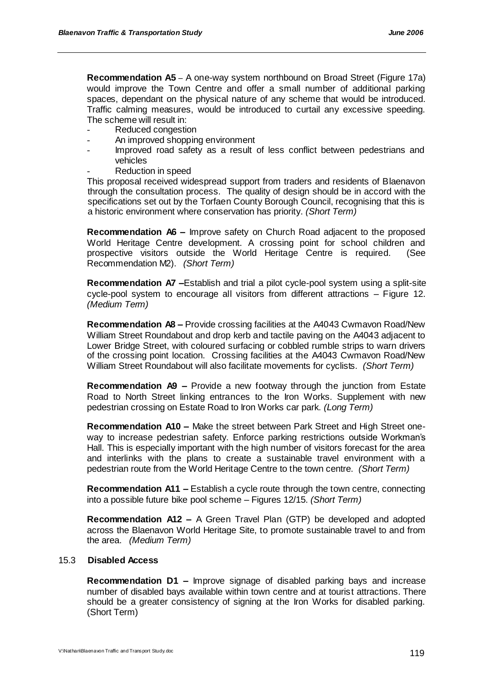**Recommendation A5** – A one-way system northbound on Broad Street (Figure 17a) would improve the Town Centre and offer a small number of additional parking spaces, dependant on the physical nature of any scheme that would be introduced. Traffic calming measures, would be introduced to curtail any excessive speeding. The scheme will result in:

- Reduced congestion
- An improved shopping environment
- Improved road safety as a result of less conflict between pedestrians and vehicles
- Reduction in speed

This proposal received widespread support from traders and residents of Blaenavon through the consultation process. The quality of design should be in accord with the specifications set out by the Torfaen County Borough Council, recognising that this is a historic environment where conservation has priority. *(Short Term)*

**Recommendation A6 –** Improve safety on Church Road adjacent to the proposed World Heritage Centre development. A crossing point for school children and prospective visitors outside the World Heritage Centre is required. (See Recommendation M2). *(Short Term)*

**Recommendation A7 –**Establish and trial a pilot cycle-pool system using a split-site cycle-pool system to encourage all visitors from different attractions – Figure 12. *(Medium Term)*

**Recommendation A8 –** Provide crossing facilities at the A4043 Cwmavon Road/New William Street Roundabout and drop kerb and tactile paving on the A4043 adjacent to Lower Bridge Street, with coloured surfacing or cobbled rumble strips to warn drivers of the crossing point location. Crossing facilities at the A4043 Cwmavon Road/New William Street Roundabout will also facilitate movements for cyclists.*(Short Term)*

**Recommendation A9 –** Provide a new footway through the junction from Estate Road to North Street linking entrances to the Iron Works. Supplement with new pedestrian crossing on Estate Road to Iron Works car park. *(Long Term)*

**Recommendation A10 –** Make the street between Park Street and High Street oneway to increase pedestrian safety. Enforce parking restrictions outside Workman"s Hall. This is especially important with the high number of visitors forecast for the area and interlinks with the plans to create a sustainable travel environment with a pedestrian route from the World Heritage Centre to the town centre. *(Short Term)*

**Recommendation A11 –** Establish a cycle route through the town centre, connecting into a possible future bike pool scheme – Figures 12/15. *(Short Term)*

**Recommendation A12 –** A Green Travel Plan (GTP) be developed and adopted across the Blaenavon World Heritage Site, to promote sustainable travel to and from the area. *(Medium Term)*

### 15.3 **Disabled Access**

**Recommendation D1 –** Improve signage of disabled parking bays and increase number of disabled bays available within town centre and at tourist attractions. There should be a greater consistency of signing at the Iron Works for disabled parking. (Short Term)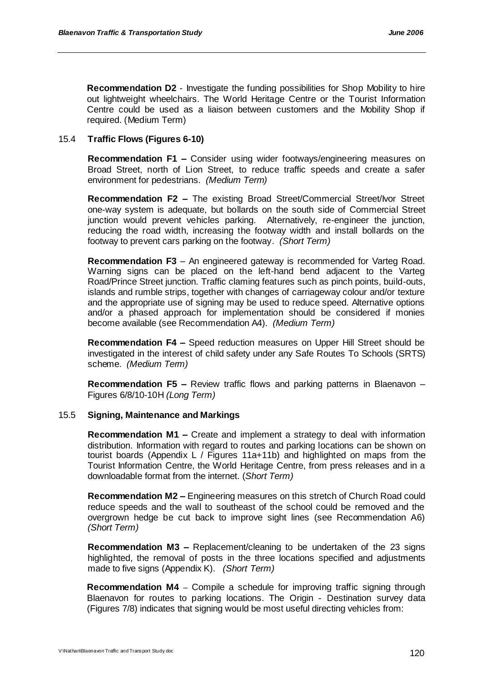**Recommendation D2** - Investigate the funding possibilities for Shop Mobility to hire out lightweight wheelchairs. The World Heritage Centre or the Tourist Information Centre could be used as a liaison between customers and the Mobility Shop if required. (Medium Term)

### 15.4 **Traffic Flows (Figures 6-10)**

**Recommendation F1 –** Consider using wider footways/engineering measures on Broad Street, north of Lion Street, to reduce traffic speeds and create a safer environment for pedestrians.*(Medium Term)*

**Recommendation F2 –** The existing Broad Street/Commercial Street/Ivor Street one-way system is adequate, but bollards on the south side of Commercial Street junction would prevent vehicles parking. Alternatively, re-engineer the junction, reducing the road width, increasing the footway width and install bollards on the footway to prevent cars parking on the footway. *(Short Term)*

**Recommendation F3** – An engineered gateway is recommended for Varteg Road. Warning signs can be placed on the left-hand bend adjacent to the Varteg Road/Prince Street junction. Traffic claming features such as pinch points, build-outs, islands and rumble strips, together with changes of carriageway colour and/or texture and the appropriate use of signing may be used to reduce speed. Alternative options and/or a phased approach for implementation should be considered if monies become available (see Recommendation A4). *(Medium Term)*

**Recommendation F4 –** Speed reduction measures on Upper Hill Street should be investigated in the interest of child safety under any Safe Routes To Schools (SRTS) scheme. *(Medium Term)* 

**Recommendation F5 –** Review traffic flows and parking patterns in Blaenavon – Figures 6/8/10-10H *(Long Term)*

### 15.5 **Signing, Maintenance and Markings**

**Recommendation M1 –** Create and implement a strategy to deal with information distribution. Information with regard to routes and parking locations can be shown on tourist boards (Appendix L / Figures 11a+11b) and highlighted on maps from the Tourist Information Centre, the World Heritage Centre, from press releases and in a downloadable format from the internet. (*Short Term)*

**Recommendation M2 –** Engineering measures on this stretch of Church Road could reduce speeds and the wall to southeast of the school could be removed and the overgrown hedge be cut back to improve sight lines (see Recommendation A6) *(Short Term)*

**Recommendation M3 –** Replacement/cleaning to be undertaken of the 23 signs highlighted, the removal of posts in the three locations specified and adjustments made to five signs (Appendix K). *(Short Term)*

**Recommendation M4** – Compile a schedule for improving traffic signing through Blaenavon for routes to parking locations. The Origin - Destination survey data (Figures 7/8) indicates that signing would be most useful directing vehicles from: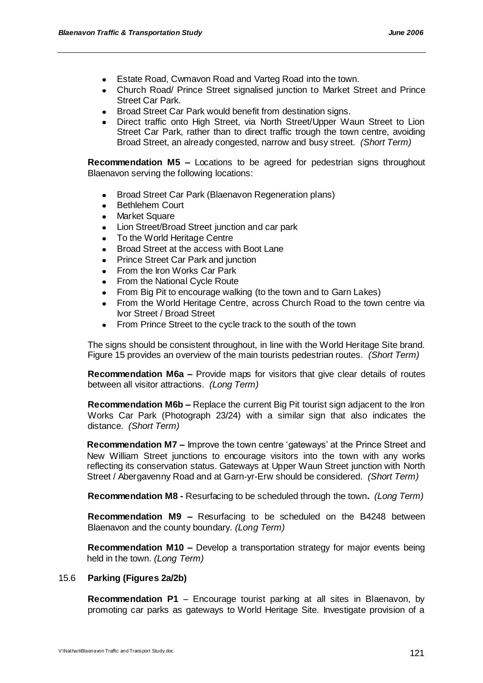- Estate Road, Cwmavon Road and Varteg Road into the town.
- Church Road/ Prince Street signalised junction to Market Street and Prince Street Car Park.
- Broad Street Car Park would benefit from destination signs.
- Direct traffic onto High Street, via North Street/Upper Waun Street to Lion Street Car Park, rather than to direct traffic trough the town centre, avoiding Broad Street, an already congested, narrow and busy street. *(Short Term)*

**Recommendation M5 –** Locations to be agreed for pedestrian signs throughout Blaenavon serving the following locations:

- Broad Street Car Park (Blaenavon Regeneration plans)
- Bethlehem Court  $\bullet$
- Market Square
- Lion Street/Broad Street junction and car park
- To the World Heritage Centre  $\bullet$
- Broad Street at the access with Boot Lane
- Prince Street Car Park and junction
- From the Iron Works Car Park
- From the National Cycle Route
- From Big Pit to encourage walking (to the town and to Garn Lakes)  $\bullet$
- From the World Heritage Centre, across Church Road to the town centre via Ivor Street / Broad Street
- From Prince Street to the cycle track to the south of the town

The signs should be consistent throughout, in line with the World Heritage Site brand. Figure 15 provides an overview of the main tourists pedestrian routes. *(Short Term)*

**Recommendation M6a –** Provide maps for visitors that give clear details of routes between all visitor attractions. *(Long Term)*

**Recommendation M6b –** Replace the current Big Pit tourist sign adjacent to the Iron Works Car Park (Photograph 23/24) with a similar sign that also indicates the distance. *(Short Term)*

**Recommendation M7 –** Improve the town centre 'gateways' at the Prince Street and New William Street junctions to encourage visitors into the town with any works reflecting its conservation status. Gateways at Upper Waun Street junction with North Street / Abergavenny Road and at Garn-yr-Erw should be considered. *(Short Term)*

**Recommendation M8 -** Resurfacing to be scheduled through the town**.** *(Long Term)*

**Recommendation M9 –** Resurfacing to be scheduled on the B4248 between Blaenavon and the county boundary. *(Long Term)*

**Recommendation M10 –** Develop a transportation strategy for major events being held in the town. *(Long Term)*

### 15.6 **Parking (Figures 2a/2b)**

**Recommendation P1** – Encourage tourist parking at all sites in Blaenavon, by promoting car parks as gateways to World Heritage Site. Investigate provision of a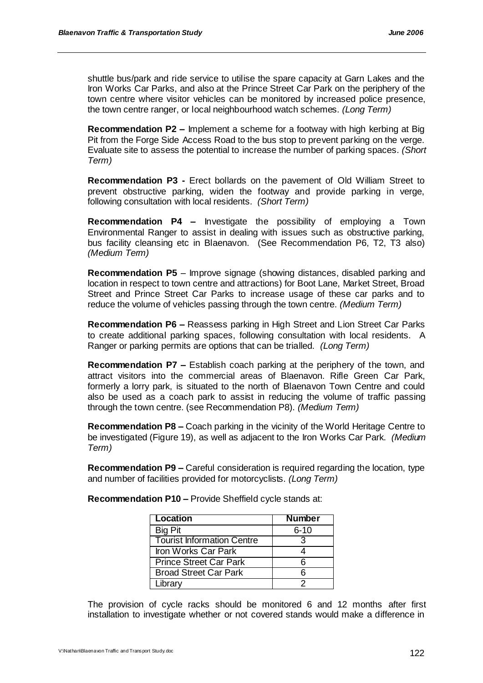shuttle bus/park and ride service to utilise the spare capacity at Garn Lakes and the Iron Works Car Parks, and also at the Prince Street Car Park on the periphery of the town centre where visitor vehicles can be monitored by increased police presence, the town centre ranger, or local neighbourhood watch schemes. *(Long Term)*

**Recommendation P2 –** Implement a scheme for a footway with high kerbing at Big Pit from the Forge Side Access Road to the bus stop to prevent parking on the verge. Evaluate site to assess the potential to increase the number of parking spaces. *(Short Term)*

**Recommendation P3 -** Erect bollards on the pavement of Old William Street to prevent obstructive parking, widen the footway and provide parking in verge, following consultation with local residents. *(Short Term)*

**Recommendation P4 –** Investigate the possibility of employing a Town Environmental Ranger to assist in dealing with issues such as obstructive parking, bus facility cleansing etc in Blaenavon. (See Recommendation P6, T2, T3 also) *(Medium Term)*

**Recommendation P5** – Improve signage (showing distances, disabled parking and location in respect to town centre and attractions) for Boot Lane, Market Street, Broad Street and Prince Street Car Parks to increase usage of these car parks and to reduce the volume of vehicles passing through the town centre. *(Medium Term)*

**Recommendation P6 –** Reassess parking in High Street and Lion Street Car Parks to create additional parking spaces, following consultation with local residents. A Ranger or parking permits are options that can be trialled. *(Long Term)*

**Recommendation P7 –** Establish coach parking at the periphery of the town, and attract visitors into the commercial areas of Blaenavon. Rifle Green Car Park, formerly a lorry park, is situated to the north of Blaenavon Town Centre and could also be used as a coach park to assist in reducing the volume of traffic passing through the town centre. (see Recommendation P8). *(Medium Term)*

**Recommendation P8 –** Coach parking in the vicinity of the World Heritage Centre to be investigated (Figure 19), as well as adjacent to the Iron Works Car Park. *(Medium Term)*

**Recommendation P9 –** Careful consideration is required regarding the location, type and number of facilities provided for motorcyclists. *(Long Term)*

| <b>Location</b>                   | <b>Number</b> |
|-----------------------------------|---------------|
| <b>Big Pit</b>                    | $6 - 10$      |
| <b>Tourist Information Centre</b> | 3             |
| Iron Works Car Park               |               |
| <b>Prince Street Car Park</b>     | ิค            |
| <b>Broad Street Car Park</b>      | ิค            |
| Library                           |               |

**Recommendation P10 –** Provide Sheffield cycle stands at:

The provision of cycle racks should be monitored 6 and 12 months after first installation to investigate whether or not covered stands would make a difference in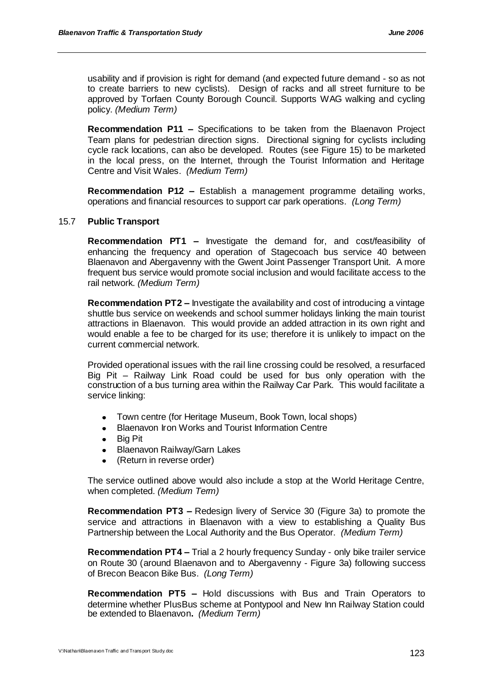usability and if provision is right for demand (and expected future demand - so as not to create barriers to new cyclists). Design of racks and all street furniture to be approved by Torfaen County Borough Council. Supports WAG walking and cycling policy. *(Medium Term)*

**Recommendation P11 –** Specifications to be taken from the Blaenavon Project Team plans for pedestrian direction signs.Directional signing for cyclists including cycle rack locations, can also be developed. Routes (see Figure 15) to be marketed in the local press, on the Internet, through the Tourist Information and Heritage Centre and Visit Wales. *(Medium Term)*

**Recommendation P12 –** Establish a management programme detailing works, operations and financial resources to support car park operations. *(Long Term)*

### 15.7 **Public Transport**

**Recommendation PT1 –** Investigate the demand for, and cost/feasibility of enhancing the frequency and operation of Stagecoach bus service 40 between Blaenavon and Abergavenny with the Gwent Joint Passenger Transport Unit. A more frequent bus service would promote social inclusion and would facilitate access to the rail network. *(Medium Term)*

**Recommendation PT2 –** Investigate the availability and cost of introducing a vintage shuttle bus service on weekends and school summer holidays linking the main tourist attractions in Blaenavon. This would provide an added attraction in its own right and would enable a fee to be charged for its use; therefore it is unlikely to impact on the current commercial network.

Provided operational issues with the rail line crossing could be resolved, a resurfaced Big Pit – Railway Link Road could be used for bus only operation with the construction of a bus turning area within the Railway Car Park. This would facilitate a service linking:

- Town centre (for Heritage Museum, Book Town, local shops)  $\bullet$
- Blaenavon Iron Works and Tourist Information Centre
- $\bullet$ Big Pit
- $\bullet$ Blaenavon Railway/Garn Lakes
- $\bullet$ (Return in reverse order)

The service outlined above would also include a stop at the World Heritage Centre, when completed. *(Medium Term)*

**Recommendation PT3 –** Redesign livery of Service 30 (Figure 3a) to promote the service and attractions in Blaenavon with a view to establishing a Quality Bus Partnership between the Local Authority and the Bus Operator. *(Medium Term)*

**Recommendation PT4 –** Trial a 2 hourly frequency Sunday - only bike trailer service on Route 30 (around Blaenavon and to Abergavenny - Figure 3a) following success of Brecon Beacon Bike Bus.*(Long Term)*

**Recommendation PT5 –** Hold discussions with Bus and Train Operators to determine whether PlusBus scheme at Pontypool and New Inn Railway Station could be extended to Blaenavon**.** *(Medium Term)*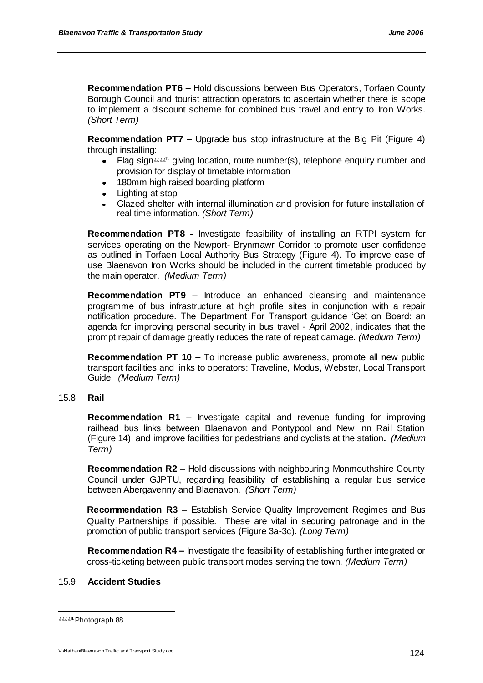**Recommendation PT6 –** Hold discussions between Bus Operators, Torfaen County Borough Council and tourist attraction operators to ascertain whether there is scope to implement a discount scheme for combined bus travel and entry to Iron Works. *(Short Term)*

**Recommendation PT7 –** Upgrade bus stop infrastructure at the Big Pit (Figure 4) through installing:

- Flag sign  $\chi$  giving location, route number(s), telephone enquiry number and  $\bullet$ provision for display of timetable information
- 180mm high raised boarding platform
- Lighting at stop
- Glazed shelter with internal illumination and provision for future installation of real time information. *(Short Term)*

**Recommendation PT8 -** Investigate feasibility of installing an RTPI system for services operating on the Newport- Brynmawr Corridor to promote user confidence as outlined in Torfaen Local Authority Bus Strategy (Figure 4). To improve ease of use Blaenavon Iron Works should be included in the current timetable produced by the main operator. *(Medium Term)*

**Recommendation PT9 –** Introduce an enhanced cleansing and maintenance programme of bus infrastructure at high profile sites in conjunction with a repair notification procedure. The Department For Transport guidance "Get on Board: an agenda for improving personal security in bus travel - April 2002, indicates that the prompt repair of damage greatly reduces the rate of repeat damage. *(Medium Term)*

**Recommendation PT 10 –** To increase public awareness, promote all new public transport facilities and links to operators: Traveline, Modus, Webster, Local Transport Guide.*(Medium Term)*

### 15.8 **Rail**

**Recommendation R1 –** Investigate capital and revenue funding for improving railhead bus links between Blaenavon and Pontypool and New Inn Rail Station (Figure 14), and improve facilities for pedestrians and cyclists at the station**.** *(Medium Term)*

**Recommendation R2 –** Hold discussions with neighbouring Monmouthshire County Council under GJPTU, regarding feasibility of establishing a regular bus service between Abergavenny and Blaenavon. *(Short Term)*

**Recommendation R3 –** Establish Service Quality Improvement Regimes and Bus Quality Partnerships if possible. These are vital in securing patronage and in the promotion of public transport services (Figure 3a-3c). *(Long Term)*

**Recommendation R4 –** Investigate the feasibility of establishing further integrated or cross-ticketing between public transport modes serving the town. *(Medium Term)*

### 15.9 **Accident Studies**

l

**XXX<sub>u</sub>** Photograph 88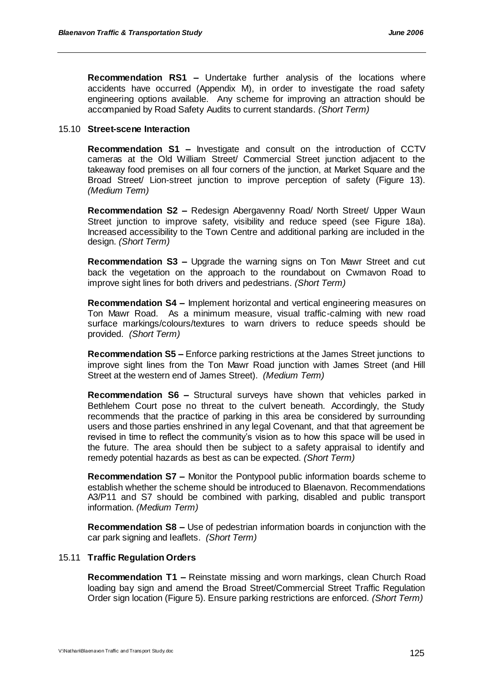**Recommendation RS1 –** Undertake further analysis of the locations where accidents have occurred (Appendix M), in order to investigate the road safety engineering options available. Any scheme for improving an attraction should be accompanied by Road Safety Audits to current standards. *(Short Term)*

#### 15.10 **Street-scene Interaction**

**Recommendation S1 –** Investigate and consult on the introduction of CCTV cameras at the Old William Street/ Commercial Street junction adjacent to the takeaway food premises on all four corners of the junction, at Market Square and the Broad Street/ Lion-street junction to improve perception of safety (Figure 13). *(Medium Term)*

**Recommendation S2 –** Redesign Abergavenny Road/ North Street/ Upper Waun Street junction to improve safety, visibility and reduce speed (see Figure 18a). Increased accessibility to the Town Centre and additional parking are included in the design. *(Short Term)*

**Recommendation S3 –** Upgrade the warning signs on Ton Mawr Street and cut back the vegetation on the approach to the roundabout on Cwmavon Road to improve sight lines for both drivers and pedestrians. *(Short Term)*

**Recommendation S4 –** Implement horizontal and vertical engineering measures on Ton Mawr Road. As a minimum measure, visual traffic-calming with new road surface markings/colours/textures to warn drivers to reduce speeds should be provided. *(Short Term)*

**Recommendation S5 –** Enforce parking restrictions at the James Street junctions to improve sight lines from the Ton Mawr Road junction with James Street (and Hill Street at the western end of James Street).*(Medium Term)*

**Recommendation S6 –** Structural surveys have shown that vehicles parked in Bethlehem Court pose no threat to the culvert beneath. Accordingly, the Study recommends that the practice of parking in this area be considered by surrounding users and those parties enshrined in any legal Covenant, and that that agreement be revised in time to reflect the community"s vision as to how this space will be used in the future. The area should then be subject to a safety appraisal to identify and remedy potential hazards as best as can be expected. *(Short Term)*

**Recommendation S7 –** Monitor the Pontypool public information boards scheme to establish whether the scheme should be introduced to Blaenavon. Recommendations A3/P11 and S7 should be combined with parking, disabled and public transport information. *(Medium Term)*

**Recommendation S8 –** Use of pedestrian information boards in conjunction with the car park signing and leaflets. *(Short Term)*

#### 15.11 **Traffic Regulation Orders**

**Recommendation T1 –** Reinstate missing and worn markings, clean Church Road loading bay sign and amend the Broad Street/Commercial Street Traffic Regulation Order sign location (Figure 5). Ensure parking restrictions are enforced. *(Short Term)*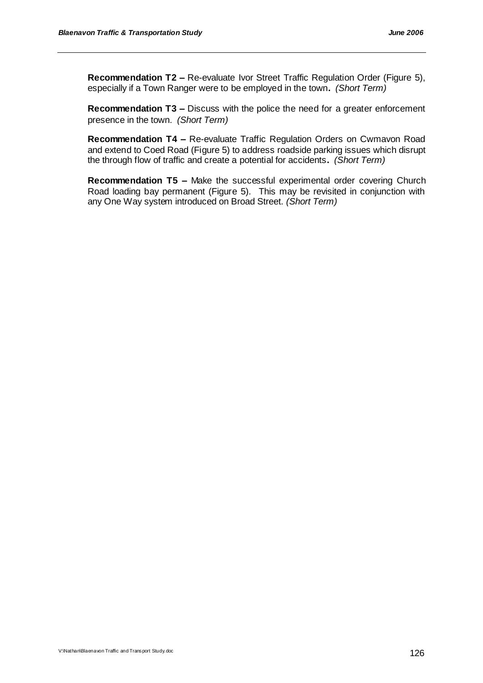**Recommendation T2 –** Re-evaluate Ivor Street Traffic Regulation Order (Figure 5), especially if a Town Ranger were to be employed in the town**.** *(Short Term)*

**Recommendation T3 –** Discuss with the police the need for a greater enforcement presence in the town.*(Short Term)*

**Recommendation T4 –** Re-evaluate Traffic Regulation Orders on Cwmavon Road and extend to Coed Road (Figure 5) to address roadside parking issues which disrupt the through flow of traffic and create a potential for accidents**.** *(Short Term)*

**Recommendation T5 –** Make the successful experimental order covering Church Road loading bay permanent (Figure 5). This may be revisited in conjunction with any One Way system introduced on Broad Street. *(Short Term)*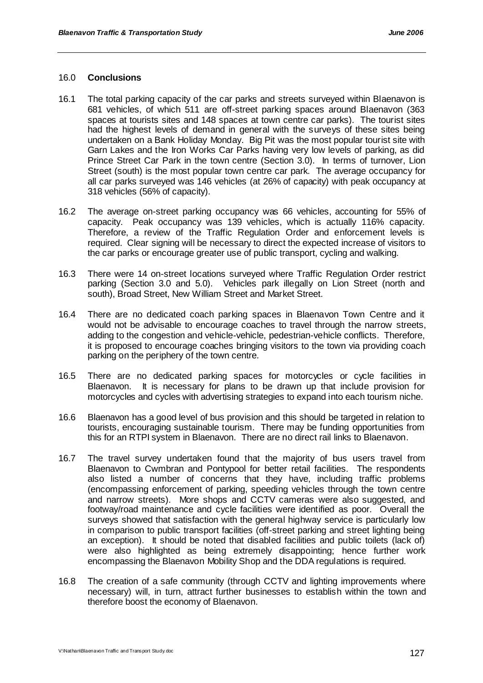#### 16.0 **Conclusions**

- 16.1 The total parking capacity of the car parks and streets surveyed within Blaenavon is 681 vehicles, of which 511 are off-street parking spaces around Blaenavon (363 spaces at tourists sites and 148 spaces at town centre car parks). The tourist sites had the highest levels of demand in general with the surveys of these sites being undertaken on a Bank Holiday Monday. Big Pit was the most popular tourist site with Garn Lakes and the Iron Works Car Parks having very low levels of parking, as did Prince Street Car Park in the town centre (Section 3.0). In terms of turnover, Lion Street (south) is the most popular town centre car park. The average occupancy for all car parks surveyed was 146 vehicles (at 26% of capacity) with peak occupancy at 318 vehicles (56% of capacity).
- 16.2 The average on-street parking occupancy was 66 vehicles, accounting for 55% of capacity. Peak occupancy was 139 vehicles, which is actually 116% capacity. Therefore, a review of the Traffic Regulation Order and enforcement levels is required. Clear signing will be necessary to direct the expected increase of visitors to the car parks or encourage greater use of public transport, cycling and walking.
- 16.3 There were 14 on-street locations surveyed where Traffic Regulation Order restrict parking (Section 3.0 and 5.0). Vehicles park illegally on Lion Street (north and south), Broad Street, New William Street and Market Street.
- 16.4 There are no dedicated coach parking spaces in Blaenavon Town Centre and it would not be advisable to encourage coaches to travel through the narrow streets, adding to the congestion and vehicle-vehicle, pedestrian-vehicle conflicts. Therefore, it is proposed to encourage coaches bringing visitors to the town via providing coach parking on the periphery of the town centre.
- 16.5 There are no dedicated parking spaces for motorcycles or cycle facilities in Blaenavon. It is necessary for plans to be drawn up that include provision for motorcycles and cycles with advertising strategies to expand into each tourism niche.
- 16.6 Blaenavon has a good level of bus provision and this should be targeted in relation to tourists, encouraging sustainable tourism. There may be funding opportunities from this for an RTPI system in Blaenavon. There are no direct rail links to Blaenavon.
- 16.7 The travel survey undertaken found that the majority of bus users travel from Blaenavon to Cwmbran and Pontypool for better retail facilities. The respondents also listed a number of concerns that they have, including traffic problems (encompassing enforcement of parking, speeding vehicles through the town centre and narrow streets). More shops and CCTV cameras were also suggested, and footway/road maintenance and cycle facilities were identified as poor. Overall the surveys showed that satisfaction with the general highway service is particularly low in comparison to public transport facilities (off-street parking and street lighting being an exception). It should be noted that disabled facilities and public toilets (lack of) were also highlighted as being extremely disappointing; hence further work encompassing the Blaenavon Mobility Shop and the DDA regulations is required.
- 16.8 The creation of a safe community (through CCTV and lighting improvements where necessary) will, in turn, attract further businesses to establish within the town and therefore boost the economy of Blaenavon.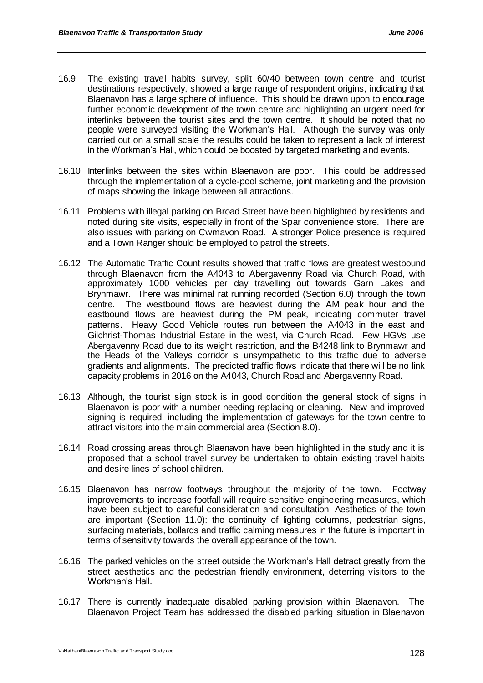- 16.9 The existing travel habits survey, split 60/40 between town centre and tourist destinations respectively, showed a large range of respondent origins, indicating that Blaenavon has a large sphere of influence. This should be drawn upon to encourage further economic development of the town centre and highlighting an urgent need for interlinks between the tourist sites and the town centre. It should be noted that no people were surveyed visiting the Workman"s Hall. Although the survey was only carried out on a small scale the results could be taken to represent a lack of interest in the Workman"s Hall, which could be boosted by targeted marketing and events.
- 16.10 Interlinks between the sites within Blaenavon are poor. This could be addressed through the implementation of a cycle-pool scheme, joint marketing and the provision of maps showing the linkage between all attractions.
- 16.11 Problems with illegal parking on Broad Street have been highlighted by residents and noted during site visits, especially in front of the Spar convenience store. There are also issues with parking on Cwmavon Road. A stronger Police presence is required and a Town Ranger should be employed to patrol the streets.
- 16.12 The Automatic Traffic Count results showed that traffic flows are greatest westbound through Blaenavon from the A4043 to Abergavenny Road via Church Road, with approximately 1000 vehicles per day travelling out towards Garn Lakes and Brynmawr. There was minimal rat running recorded (Section 6.0) through the town centre. The westbound flows are heaviest during the AM peak hour and the eastbound flows are heaviest during the PM peak, indicating commuter travel patterns. Heavy Good Vehicle routes run between the A4043 in the east and Gilchrist-Thomas Industrial Estate in the west, via Church Road. Few HGVs use Abergavenny Road due to its weight restriction, and the B4248 link to Brynmawr and the Heads of the Valleys corridor is unsympathetic to this traffic due to adverse gradients and alignments. The predicted traffic flows indicate that there will be no link capacity problems in 2016 on the A4043, Church Road and Abergavenny Road.
- 16.13 Although, the tourist sign stock is in good condition the general stock of signs in Blaenavon is poor with a number needing replacing or cleaning. New and improved signing is required, including the implementation of gateways for the town centre to attract visitors into the main commercial area (Section 8.0).
- 16.14 Road crossing areas through Blaenavon have been highlighted in the study and it is proposed that a school travel survey be undertaken to obtain existing travel habits and desire lines of school children.
- 16.15 Blaenavon has narrow footways throughout the majority of the town. Footway improvements to increase footfall will require sensitive engineering measures, which have been subject to careful consideration and consultation. Aesthetics of the town are important (Section 11.0): the continuity of lighting columns, pedestrian signs, surfacing materials, bollards and traffic calming measures in the future is important in terms of sensitivity towards the overall appearance of the town.
- 16.16 The parked vehicles on the street outside the Workman"s Hall detract greatly from the street aesthetics and the pedestrian friendly environment, deterring visitors to the Workman's Hall.
- 16.17 There is currently inadequate disabled parking provision within Blaenavon. The Blaenavon Project Team has addressed the disabled parking situation in Blaenavon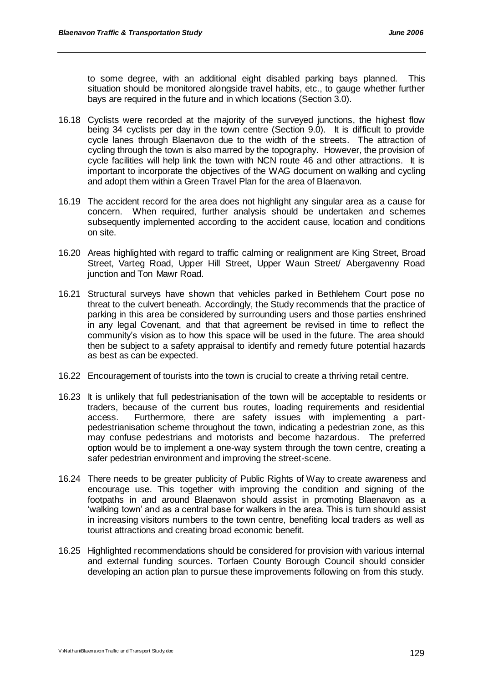to some degree, with an additional eight disabled parking bays planned. This situation should be monitored alongside travel habits, etc., to gauge whether further bays are required in the future and in which locations (Section 3.0).

- 16.18 Cyclists were recorded at the majority of the surveyed junctions, the highest flow being 34 cyclists per day in the town centre (Section 9.0). It is difficult to provide cycle lanes through Blaenavon due to the width of the streets. The attraction of cycling through the town is also marred by the topography. However, the provision of cycle facilities will help link the town with NCN route 46 and other attractions. It is important to incorporate the objectives of the WAG document on walking and cycling and adopt them within a Green Travel Plan for the area of Blaenavon.
- 16.19 The accident record for the area does not highlight any singular area as a cause for concern. When required, further analysis should be undertaken and schemes subsequently implemented according to the accident cause, location and conditions on site.
- 16.20 Areas highlighted with regard to traffic calming or realignment are King Street, Broad Street, Varteg Road, Upper Hill Street, Upper Waun Street/ Abergavenny Road junction and Ton Mawr Road.
- 16.21 Structural surveys have shown that vehicles parked in Bethlehem Court pose no threat to the culvert beneath. Accordingly, the Study recommends that the practice of parking in this area be considered by surrounding users and those parties enshrined in any legal Covenant, and that that agreement be revised in time to reflect the community"s vision as to how this space will be used in the future. The area should then be subject to a safety appraisal to identify and remedy future potential hazards as best as can be expected.
- 16.22 Encouragement of tourists into the town is crucial to create a thriving retail centre.
- 16.23 It is unlikely that full pedestrianisation of the town will be acceptable to residents or traders, because of the current bus routes, loading requirements and residential access. Furthermore, there are safety issues with implementing a partpedestrianisation scheme throughout the town, indicating a pedestrian zone, as this may confuse pedestrians and motorists and become hazardous. The preferred option would be to implement a one-way system through the town centre, creating a safer pedestrian environment and improving the street-scene.
- 16.24 There needs to be greater publicity of Public Rights of Way to create awareness and encourage use. This together with improving the condition and signing of the footpaths in and around Blaenavon should assist in promoting Blaenavon as a 'walking town' and as a central base for walkers in the area. This is turn should assist in increasing visitors numbers to the town centre, benefiting local traders as well as tourist attractions and creating broad economic benefit.
- 16.25 Highlighted recommendations should be considered for provision with various internal and external funding sources. Torfaen County Borough Council should consider developing an action plan to pursue these improvements following on from this study.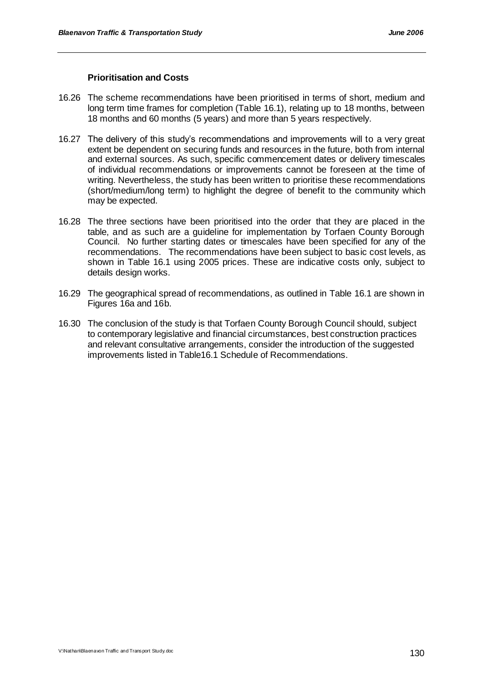#### **Prioritisation and Costs**

- 16.26 The scheme recommendations have been prioritised in terms of short, medium and long term time frames for completion (Table 16.1), relating up to 18 months, between 18 months and 60 months (5 years) and more than 5 years respectively.
- 16.27 The delivery of this study"s recommendations and improvements will to a very great extent be dependent on securing funds and resources in the future, both from internal and external sources. As such, specific commencement dates or delivery timescales of individual recommendations or improvements cannot be foreseen at the time of writing. Nevertheless, the study has been written to prioritise these recommendations (short/medium/long term) to highlight the degree of benefit to the community which may be expected.
- 16.28 The three sections have been prioritised into the order that they are placed in the table, and as such are a guideline for implementation by Torfaen County Borough Council. No further starting dates or timescales have been specified for any of the recommendations. The recommendations have been subject to basic cost levels, as shown in Table 16.1 using 2005 prices. These are indicative costs only, subject to details design works.
- 16.29 The geographical spread of recommendations, as outlined in Table 16.1 are shown in Figures 16a and 16b.
- 16.30 The conclusion of the study is that Torfaen County Borough Council should, subject to contemporary legislative and financial circumstances, best construction practices and relevant consultative arrangements, consider the introduction of the suggested improvements listed in Table16.1 Schedule of Recommendations.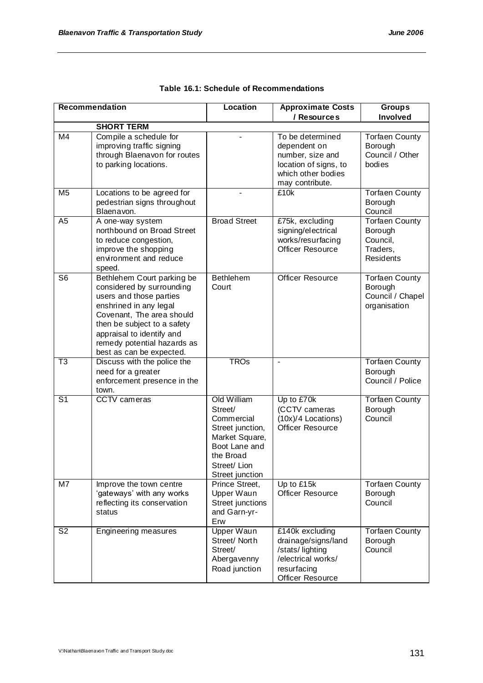|                          | <b>Recommendation</b>                                                                                                                                                                                                                                            | Location                                                                                                                                    | <b>Approximate Costs</b>                                                                                               | <b>Groups</b>                                                                |
|--------------------------|------------------------------------------------------------------------------------------------------------------------------------------------------------------------------------------------------------------------------------------------------------------|---------------------------------------------------------------------------------------------------------------------------------------------|------------------------------------------------------------------------------------------------------------------------|------------------------------------------------------------------------------|
|                          |                                                                                                                                                                                                                                                                  |                                                                                                                                             | / Resources                                                                                                            | Involved                                                                     |
|                          | <b>SHORT TERM</b>                                                                                                                                                                                                                                                |                                                                                                                                             |                                                                                                                        |                                                                              |
| M4                       | Compile a schedule for<br>improving traffic signing<br>through Blaenavon for routes<br>to parking locations.                                                                                                                                                     |                                                                                                                                             | To be determined<br>dependent on<br>number, size and<br>location of signs, to<br>which other bodies<br>may contribute. | <b>Torfaen County</b><br>Borough<br>Council / Other<br>bodies                |
| $\overline{\mathsf{M5}}$ | Locations to be agreed for<br>pedestrian signs throughout<br>Blaenavon.                                                                                                                                                                                          |                                                                                                                                             | £10k                                                                                                                   | <b>Torfaen County</b><br>Borough<br>Council                                  |
| A <sub>5</sub>           | A one-way system<br>northbound on Broad Street<br>to reduce congestion,<br>improve the shopping<br>environment and reduce<br>speed.                                                                                                                              | <b>Broad Street</b>                                                                                                                         | £75k, excluding<br>signing/electrical<br>works/resurfacing<br><b>Officer Resource</b>                                  | <b>Torfaen County</b><br>Borough<br>Council,<br>Traders,<br><b>Residents</b> |
| S <sub>6</sub>           | Bethlehem Court parking be<br>considered by surrounding<br>users and those parties<br>enshrined in any legal<br>Covenant, The area should<br>then be subject to a safety<br>appraisal to identify and<br>remedy potential hazards as<br>best as can be expected. | <b>Bethlehem</b><br>Court                                                                                                                   | <b>Officer Resource</b>                                                                                                | <b>Torfaen County</b><br>Borough<br>Council / Chapel<br>organisation         |
| $\overline{T3}$          | Discuss with the police the<br>need for a greater<br>enforcement presence in the<br>town.                                                                                                                                                                        | <b>TROs</b>                                                                                                                                 | $\blacksquare$                                                                                                         | <b>Torfaen County</b><br>Borough<br>Council / Police                         |
| $\overline{S1}$          | <b>CCTV</b> cameras                                                                                                                                                                                                                                              | Old William<br>Street/<br>Commercial<br>Street junction,<br>Market Square,<br>Boot Lane and<br>the Broad<br>Street/ Lion<br>Street junction | Up to £70k<br>(CCTV cameras<br>(10x)/4 Locations)<br><b>Officer Resource</b>                                           | <b>Torfaen County</b><br>Borough<br>Council                                  |
| M7                       | Improve the town centre<br>'gateways' with any works<br>reflecting its conservation<br>status                                                                                                                                                                    | Prince Street,<br>Upper Waun<br>Street junctions<br>and Garn-yr-<br>Erw                                                                     | Up to £15k<br><b>Officer Resource</b>                                                                                  | <b>Torfaen County</b><br>Borough<br>Council                                  |
| S <sub>2</sub>           | Engineering measures                                                                                                                                                                                                                                             | <b>Upper Waun</b><br>Street/ North<br>Street/<br>Abergavenny<br>Road junction                                                               | £140k excluding<br>drainage/signs/land<br>/stats/lighting<br>/electrical works/<br>resurfacing<br>Officer Resource     | <b>Torfaen County</b><br>Borough<br>Council                                  |

| Table 16.1: Schedule of Recommendations |
|-----------------------------------------|
|                                         |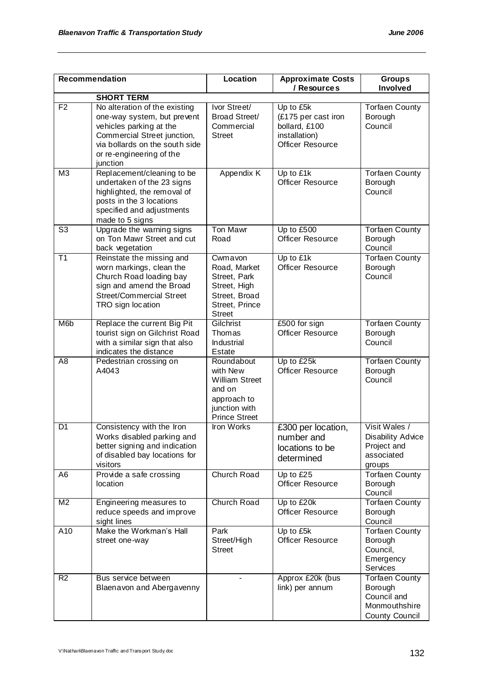|                | <b>Recommendation</b>                                                                                                                                                                            | Location                                                                                                          | <b>Approximate Costs</b><br>/ Resources                                                       | <b>Groups</b><br>Involved                                                                 |
|----------------|--------------------------------------------------------------------------------------------------------------------------------------------------------------------------------------------------|-------------------------------------------------------------------------------------------------------------------|-----------------------------------------------------------------------------------------------|-------------------------------------------------------------------------------------------|
|                | <b>SHORT TERM</b>                                                                                                                                                                                |                                                                                                                   |                                                                                               |                                                                                           |
| F <sub>2</sub> | No alteration of the existing<br>one-way system, but prevent<br>vehicles parking at the<br>Commercial Street junction,<br>via bollards on the south side<br>or re-engineering of the<br>junction | Ivor Street/<br><b>Broad Street/</b><br>Commercial<br><b>Street</b>                                               | Up to £5k<br>(£175 per cast iron<br>bollard, £100<br>installation)<br><b>Officer Resource</b> | <b>Torfaen County</b><br>Borough<br>Council                                               |
| M <sub>3</sub> | Replacement/cleaning to be<br>undertaken of the 23 signs<br>highlighted, the removal of<br>posts in the 3 locations<br>specified and adjustments<br>made to 5 signs                              | Appendix K                                                                                                        | Up to £1k<br><b>Officer Resource</b>                                                          | <b>Torfaen County</b><br>Borough<br>Council                                               |
| S <sub>3</sub> | Upgrade the warning signs<br>on Ton Mawr Street and cut<br>back vegetation                                                                                                                       | <b>Ton Mawr</b><br>Road                                                                                           | Up to £500<br><b>Officer Resource</b>                                                         | Torfaen County<br>Borough<br>Council                                                      |
| T1             | Reinstate the missing and<br>worn markings, clean the<br>Church Road loading bay<br>sign and amend the Broad<br><b>Street/Commercial Street</b><br>TRO sign location                             | Cwmayon<br>Road, Market<br>Street, Park<br>Street, High<br>Street, Broad<br>Street, Prince<br><b>Street</b>       | Up to £1k<br><b>Officer Resource</b>                                                          | <b>Torfaen County</b><br>Borough<br>Council                                               |
| M <sub>6</sub> | Replace the current Big Pit<br>tourist sign on Gilchrist Road<br>with a similar sign that also<br>indicates the distance                                                                         | Gilchrist<br>Thomas<br>Industrial<br><b>Estate</b>                                                                | £500 for sign<br><b>Officer Resource</b>                                                      | <b>Torfaen County</b><br>Borough<br>Council                                               |
| A <sub>8</sub> | Pedestrian crossing on<br>A4043                                                                                                                                                                  | Roundabout<br>with New<br><b>William Street</b><br>and on<br>approach to<br>junction with<br><b>Prince Street</b> | Up to £25k<br>Officer Resource                                                                | <b>Torfaen County</b><br>Borough<br>Council                                               |
| D <sub>1</sub> | Consistency with the Iron<br>Works disabled parking and<br>better signing and indication<br>of disabled bay locations for<br>visitors                                                            | <b>Iron Works</b>                                                                                                 | £300 per location,<br>number and<br>locations to be<br>determined                             | Visit Wales /<br><b>Disability Advice</b><br>Project and<br>associated<br>groups          |
| A6             | Provide a safe crossing<br>location                                                                                                                                                              | Church Road                                                                                                       | Up to £25<br><b>Officer Resource</b>                                                          | <b>Torfaen County</b><br>Borough<br>Council                                               |
| M <sub>2</sub> | Engineering measures to<br>reduce speeds and improve<br>sight lines                                                                                                                              | Church Road                                                                                                       | Up to £20k<br><b>Officer Resource</b>                                                         | <b>Torfaen County</b><br>Borough<br>Council                                               |
| A10            | Make the Workman's Hall<br>street one-way                                                                                                                                                        | Park<br>Street/High<br><b>Street</b>                                                                              | Up to £5k<br><b>Officer Resource</b>                                                          | <b>Torfaen County</b><br>Borough<br>Council,<br>Emergency<br>Services                     |
| R <sub>2</sub> | Bus service between<br>Blaenavon and Abergavenny                                                                                                                                                 |                                                                                                                   | Approx £20k (bus<br>link) per annum                                                           | <b>Torfaen County</b><br>Borough<br>Council and<br>Monmouthshire<br><b>County Council</b> |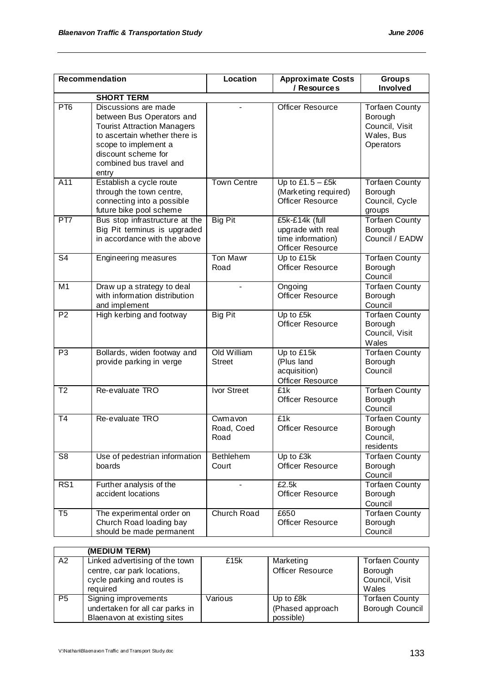|                        | <b>Recommendation</b>                                                                                                                                                                                       | Location                      | <b>Approximate Costs</b><br>/ Resources                                             | <b>Groups</b><br>Involved                                                     |
|------------------------|-------------------------------------------------------------------------------------------------------------------------------------------------------------------------------------------------------------|-------------------------------|-------------------------------------------------------------------------------------|-------------------------------------------------------------------------------|
|                        | <b>SHORT TERM</b>                                                                                                                                                                                           |                               |                                                                                     |                                                                               |
| PT <sub>6</sub>        | Discussions are made<br>between Bus Operators and<br><b>Tourist Attraction Managers</b><br>to ascertain whether there is<br>scope to implement a<br>discount scheme for<br>combined bus travel and<br>entry |                               | Officer Resource                                                                    | <b>Torfaen County</b><br>Borough<br>Council, Visit<br>Wales, Bus<br>Operators |
| A11                    | Establish a cycle route<br>through the town centre,<br>connecting into a possible<br>future bike pool scheme                                                                                                | <b>Town Centre</b>            | Up to $£1.5 - £5k$<br>(Marketing required)<br><b>Officer Resource</b>               | <b>Torfaen County</b><br>Borough<br>Council, Cycle<br>groups                  |
| PT7                    | Bus stop infrastructure at the<br>Big Pit terminus is upgraded<br>in accordance with the above                                                                                                              | <b>Big Pit</b>                | £5k-£14k (full<br>upgrade with real<br>time information)<br><b>Officer Resource</b> | <b>Torfaen County</b><br>Borough<br>Council / EADW                            |
| S <sub>4</sub>         | Engineering measures                                                                                                                                                                                        | <b>Ton Mawr</b><br>Road       | Up to £15k<br><b>Officer Resource</b>                                               | <b>Torfaen County</b><br>Borough<br>Council                                   |
| M <sub>1</sub>         | Draw up a strategy to deal<br>with information distribution<br>and implement                                                                                                                                |                               | Ongoing<br><b>Officer Resource</b>                                                  | <b>Torfaen County</b><br>Borough<br>Council                                   |
| P <sub>2</sub>         | High kerbing and footway                                                                                                                                                                                    | <b>Big Pit</b>                | Up to £5k<br><b>Officer Resource</b>                                                | <b>Torfaen County</b><br>Borough<br>Council, Visit<br>Wales                   |
| P <sub>3</sub>         | Bollards, widen footway and<br>provide parking in verge                                                                                                                                                     | Old William<br><b>Street</b>  | Up to £15k<br>(Plus land<br>acquisition)<br>Officer Resource                        | <b>Torfaen County</b><br>Borough<br>Council                                   |
| T <sub>2</sub>         | Re-evaluate TRO                                                                                                                                                                                             | Ivor Street                   | £1k<br><b>Officer Resource</b>                                                      | Torfaen County<br>Borough<br>Council                                          |
| T4                     | Re-evaluate TRO                                                                                                                                                                                             | Cwmayon<br>Road, Coed<br>Road | £1k<br><b>Officer Resource</b>                                                      | <b>Torfaen County</b><br>Borough<br>Council,<br>residents                     |
| $\overline{\text{S8}}$ | Use of pedestrian information<br>boards                                                                                                                                                                     | Bethlehem<br>Court            | Up to £3k<br>Officer Resource                                                       | Torfaen County<br>Borough<br>Council                                          |
| RS <sub>1</sub>        | Further analysis of the<br>accident locations                                                                                                                                                               |                               | £2.5k<br>Officer Resource                                                           | <b>Torfaen County</b><br>Borough<br>Council                                   |
| T <sub>5</sub>         | The experimental order on<br>Church Road loading bay<br>should be made permanent                                                                                                                            | Church Road                   | £650<br><b>Officer Resource</b>                                                     | <b>Torfaen County</b><br>Borough<br>Council                                   |

|                | (MEDIUM TERM)                   |         |                  |                       |
|----------------|---------------------------------|---------|------------------|-----------------------|
| A2             | Linked advertising of the town  | £15k    | Marketing        | <b>Torfaen County</b> |
|                | centre, car park locations,     |         | Officer Resource | Borough               |
|                | cycle parking and routes is     |         |                  | Council, Visit        |
|                | reauired                        |         |                  | Wales                 |
| P <sub>5</sub> | Signing improvements            | Various | Up to £8k        | <b>Torfaen County</b> |
|                | undertaken for all car parks in |         | (Phased approach | Borough Council       |
|                | Blaenavon at existing sites     |         | possible)        |                       |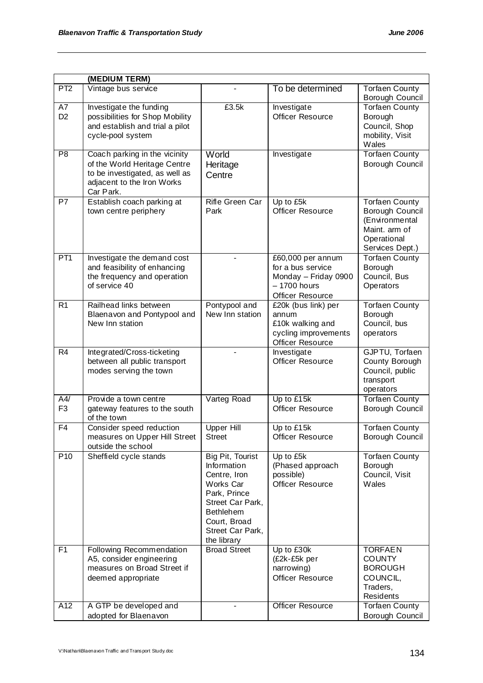|                       | (MEDIUM TERM)                                                                                                                              |                                                                                                                                                                         |                                                                                                     |                                                                                                               |
|-----------------------|--------------------------------------------------------------------------------------------------------------------------------------------|-------------------------------------------------------------------------------------------------------------------------------------------------------------------------|-----------------------------------------------------------------------------------------------------|---------------------------------------------------------------------------------------------------------------|
| PT <sub>2</sub>       | Vintage bus service                                                                                                                        |                                                                                                                                                                         | To be determined                                                                                    | <b>Torfaen County</b><br>Borough Council                                                                      |
| A7<br>D <sub>2</sub>  | Investigate the funding<br>possibilities for Shop Mobility<br>and establish and trial a pilot<br>cycle-pool system                         | £3.5k                                                                                                                                                                   | Investigate<br><b>Officer Resource</b>                                                              | <b>Torfaen County</b><br>Borough<br>Council, Shop<br>mobility, Visit<br>Wales                                 |
| P <sub>8</sub>        | Coach parking in the vicinity<br>of the World Heritage Centre<br>to be investigated, as well as<br>adjacent to the Iron Works<br>Car Park. | World<br>Heritage<br>Centre                                                                                                                                             | Investigate                                                                                         | <b>Torfaen County</b><br>Borough Council                                                                      |
| P7                    | Establish coach parking at<br>town centre periphery                                                                                        | Rifle Green Car<br>Park                                                                                                                                                 | Up to £5k<br><b>Officer Resource</b>                                                                | <b>Torfaen County</b><br>Borough Council<br>(Environmental<br>Maint. arm of<br>Operational<br>Services Dept.) |
| PT1                   | Investigate the demand cost<br>and feasibility of enhancing<br>the frequency and operation<br>of service 40                                |                                                                                                                                                                         | £60,000 per annum<br>for a bus service<br>Monday - Friday 0900<br>$-1700$ hours<br>Officer Resource | <b>Torfaen County</b><br>Borough<br>Council, Bus<br>Operators                                                 |
| R <sub>1</sub>        | Railhead links between<br>Blaenavon and Pontypool and<br>New Inn station                                                                   | Pontypool and<br>New Inn station                                                                                                                                        | £20k (bus link) per<br>annum<br>£10k walking and<br>cycling improvements<br><b>Officer Resource</b> | <b>Torfaen County</b><br>Borough<br>Council, bus<br>operators                                                 |
| R <sub>4</sub>        | Integrated/Cross-ticketing<br>between all public transport<br>modes serving the town                                                       |                                                                                                                                                                         | Investigate<br><b>Officer Resource</b>                                                              | GJPTU, Torfaen<br>County Borough<br>Council, public<br>transport<br>operators                                 |
| A4/<br>F <sub>3</sub> | Provide a town centre<br>gateway features to the south<br>of the town                                                                      | Varteg Road                                                                                                                                                             | Up to £15k<br><b>Officer Resource</b>                                                               | <b>Torfaen County</b><br>Borough Council                                                                      |
| F4                    | Consider speed reduction<br>measures on Upper Hill Street<br>outside the school                                                            | Upper Hill<br>Street                                                                                                                                                    | Up to £15k<br>Officer Resource                                                                      | <b>Torfaen County</b><br>Borough Council                                                                      |
| P <sub>10</sub>       | Sheffield cycle stands                                                                                                                     | Big Pit, Tourist<br>Information<br>Centre, Iron<br>Works Car<br>Park, Prince<br>Street Car Park,<br><b>Bethlehem</b><br>Court, Broad<br>Street Car Park,<br>the library | Up to £5k<br>(Phased approach<br>possible)<br><b>Officer Resource</b>                               | <b>Torfaen County</b><br>Borough<br>Council, Visit<br>Wales                                                   |
| F <sub>1</sub>        | Following Recommendation<br>A5, consider engineering<br>measures on Broad Street if<br>deemed appropriate                                  | <b>Broad Street</b>                                                                                                                                                     | Up to £30k<br>(£2k-£5k per<br>narrowing)<br>Officer Resource                                        | <b>TORFAEN</b><br><b>COUNTY</b><br><b>BOROUGH</b><br>COUNCIL,<br>Traders,<br>Residents                        |
| $\overline{A12}$      | A GTP be developed and<br>adopted for Blaenavon                                                                                            |                                                                                                                                                                         | <b>Officer Resource</b>                                                                             | <b>Torfaen County</b><br>Borough Council                                                                      |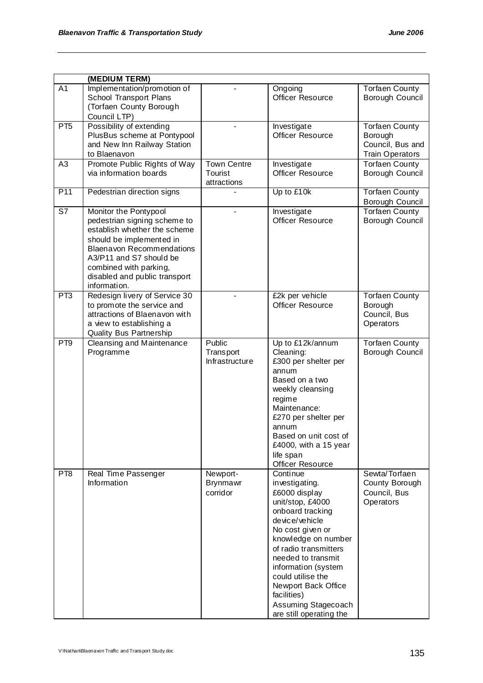|                 | (MEDIUM TERM)                                                                                                                                                                                                                                               |                                              |                                                                                                                                                                                                                                                                                                                                     |                                                                                |
|-----------------|-------------------------------------------------------------------------------------------------------------------------------------------------------------------------------------------------------------------------------------------------------------|----------------------------------------------|-------------------------------------------------------------------------------------------------------------------------------------------------------------------------------------------------------------------------------------------------------------------------------------------------------------------------------------|--------------------------------------------------------------------------------|
| A <sub>1</sub>  | Implementation/promotion of<br>School Transport Plans<br>(Torfaen County Borough<br>Council LTP)                                                                                                                                                            |                                              | Ongoing<br><b>Officer Resource</b>                                                                                                                                                                                                                                                                                                  | <b>Torfaen County</b><br>Borough Council                                       |
| PT <sub>5</sub> | Possibility of extending<br>PlusBus scheme at Pontypool<br>and New Inn Railway Station<br>to Blaenavon                                                                                                                                                      |                                              | Investigate<br><b>Officer Resource</b>                                                                                                                                                                                                                                                                                              | <b>Torfaen County</b><br>Borough<br>Council, Bus and<br><b>Train Operators</b> |
| A <sub>3</sub>  | Promote Public Rights of Way<br>via information boards                                                                                                                                                                                                      | Town Centre<br>Tourist<br>attractions        | Investigate<br><b>Officer Resource</b>                                                                                                                                                                                                                                                                                              | <b>Torfaen County</b><br>Borough Council                                       |
| P <sub>11</sub> | Pedestrian direction signs                                                                                                                                                                                                                                  |                                              | Up to £10k                                                                                                                                                                                                                                                                                                                          | <b>Torfaen County</b><br>Borough Council                                       |
| S7              | Monitor the Pontypool<br>pedestrian signing scheme to<br>establish whether the scheme<br>should be implemented in<br><b>Blaenavon Recommendations</b><br>A3/P11 and S7 should be<br>combined with parking,<br>disabled and public transport<br>information. |                                              | Investigate<br>Officer Resource                                                                                                                                                                                                                                                                                                     | <b>Torfaen County</b><br>Borough Council                                       |
| P <sub>T3</sub> | Redesign livery of Service 30<br>to promote the service and<br>attractions of Blaenavon with<br>a view to establishing a<br><b>Quality Bus Partnership</b>                                                                                                  |                                              | £2k per vehicle<br><b>Officer Resource</b>                                                                                                                                                                                                                                                                                          | <b>Torfaen County</b><br>Borough<br>Council, Bus<br>Operators                  |
| PT <sub>9</sub> | Cleansing and Maintenance<br>Programme                                                                                                                                                                                                                      | Public<br><b>Transport</b><br>Infrastructure | Up to £12k/annum<br>Cleaning:<br>£300 per shelter per<br>annum<br>Based on a two<br>weekly cleansing<br>regime<br>Maintenance:<br>£270 per shelter per<br>annum<br>Based on unit cost of<br>£4000, with a 15 year<br>life span<br>Officer Resource                                                                                  | <b>Torfaen County</b><br>Borough Council                                       |
| PT <sub>8</sub> | Real Time Passenger<br>Information                                                                                                                                                                                                                          | Newport-<br>Brynmawr<br>corridor             | Continue<br>investigating.<br>£6000 display<br>unit/stop, £4000<br>onboard tracking<br>device/vehicle<br>No cost given or<br>knowledge on number<br>of radio transmitters<br>needed to transmit<br>information (system<br>could utilise the<br>Newport Back Office<br>facilities)<br>Assuming Stagecoach<br>are still operating the | Sewta/Torfaen<br>County Borough<br>Council, Bus<br>Operators                   |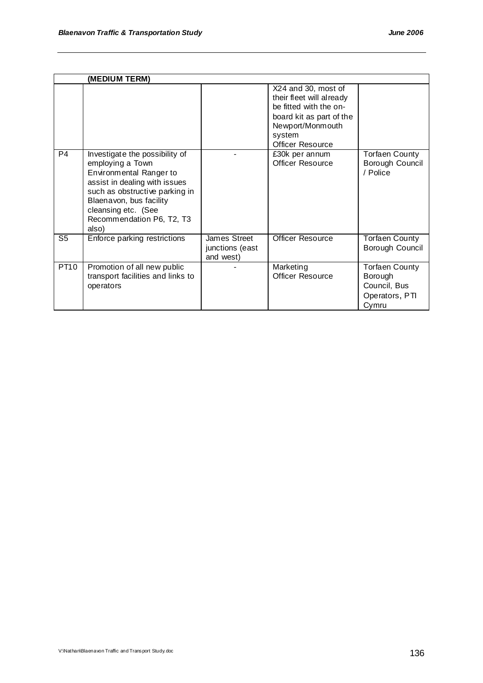|                | (MEDIUM TERM)                                                                                                                                                                                                                            |                                              |                                                                                                                                                         |                                                                             |
|----------------|------------------------------------------------------------------------------------------------------------------------------------------------------------------------------------------------------------------------------------------|----------------------------------------------|---------------------------------------------------------------------------------------------------------------------------------------------------------|-----------------------------------------------------------------------------|
|                |                                                                                                                                                                                                                                          |                                              | X24 and 30, most of<br>their fleet will already<br>be fitted with the on-<br>board kit as part of the<br>Newport/Monmouth<br>system<br>Officer Resource |                                                                             |
| P <sub>4</sub> | Investigate the possibility of<br>employing a Town<br>Environmental Ranger to<br>assist in dealing with issues<br>such as obstructive parking in<br>Blaenavon, bus facility<br>cleansing etc. (See<br>Recommendation P6, T2, T3<br>also) |                                              | £30k per annum<br><b>Officer Resource</b>                                                                                                               | <b>Torfaen County</b><br>Borough Council<br>/ Police                        |
| S5             | Enforce parking restrictions                                                                                                                                                                                                             | James Street<br>junctions (east<br>and west) | <b>Officer Resource</b>                                                                                                                                 | <b>Torfaen County</b><br>Borough Council                                    |
| PT10           | Promotion of all new public<br>transport facilities and links to<br>operators                                                                                                                                                            |                                              | Marketing<br><b>Officer Resource</b>                                                                                                                    | <b>Torfaen County</b><br>Borough<br>Council, Bus<br>Operators, PTI<br>Cymru |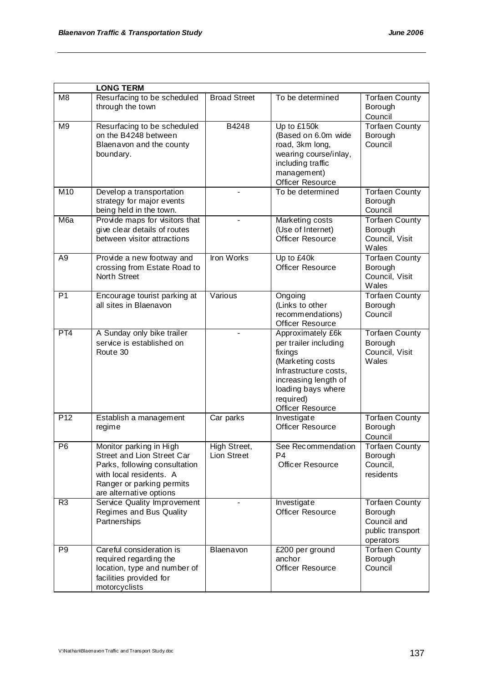| <b>LONG TERM</b> |                                                                                                                                                                           |                             |                                                                                                                                                                                   |                                                                                  |  |  |
|------------------|---------------------------------------------------------------------------------------------------------------------------------------------------------------------------|-----------------------------|-----------------------------------------------------------------------------------------------------------------------------------------------------------------------------------|----------------------------------------------------------------------------------|--|--|
| M <sub>8</sub>   | Resurfacing to be scheduled<br>through the town                                                                                                                           | <b>Broad Street</b>         | To be determined                                                                                                                                                                  | <b>Torfaen County</b><br>Borough<br>Council                                      |  |  |
| M <sub>9</sub>   | Resurfacing to be scheduled<br>on the B4248 between<br>Blaenavon and the county<br>boundary.                                                                              | B4248                       | Up to £150k<br>(Based on 6.0m wide<br>road, 3km long,<br>wearing course/inlay,<br>including traffic<br>management)<br>Officer Resource                                            | <b>Torfaen County</b><br>Borough<br>Council                                      |  |  |
| M10              | Develop a transportation<br>strategy for major events<br>being held in the town.                                                                                          |                             | To be determined                                                                                                                                                                  | Torfaen County<br>Borough<br>Council                                             |  |  |
| M6a              | Provide maps for visitors that<br>give clear details of routes<br>between visitor attractions                                                                             |                             | Marketing costs<br>(Use of Internet)<br><b>Officer Resource</b>                                                                                                                   | <b>Torfaen County</b><br>Borough<br>Council, Visit<br>Wales                      |  |  |
| A <sub>9</sub>   | Provide a new footway and<br>crossing from Estate Road to<br>North Street                                                                                                 | <b>Iron Works</b>           | Up to £40k<br><b>Officer Resource</b>                                                                                                                                             | <b>Torfaen County</b><br>Borough<br>Council, Visit<br>Wales                      |  |  |
| P <sub>1</sub>   | Encourage tourist parking at<br>all sites in Blaenavon                                                                                                                    | Various                     | Ongoing<br>(Links to other<br>recommendations)<br><b>Officer Resource</b>                                                                                                         | <b>Torfaen County</b><br>Borough<br>Council                                      |  |  |
| PT4              | A Sunday only bike trailer<br>service is established on<br>Route 30                                                                                                       |                             | Approximately £6k<br>per trailer including<br>fixings<br>(Marketing costs<br>Infrastructure costs,<br>increasing length of<br>loading bays where<br>required)<br>Officer Resource | <b>Torfaen County</b><br>Borough<br>Council, Visit<br>Wales                      |  |  |
| P <sub>12</sub>  | Establish a management<br>regime                                                                                                                                          | Car parks                   | Investigate<br><b>Officer Resource</b>                                                                                                                                            | <b>Torfaen County</b><br>Borough<br>Council                                      |  |  |
| P <sub>6</sub>   | Monitor parking in High<br>Street and Lion Street Car<br>Parks, following consultation<br>with local residents. A<br>Ranger or parking permits<br>are alternative options | High Street,<br>Lion Street | See Recommendation<br>P4<br>Officer Resource                                                                                                                                      | <b>Torfaen County</b><br>Borough<br>Council,<br>residents                        |  |  |
| R3               | <b>Service Quality Improvement</b><br>Regimes and Bus Quality<br>Partnerships                                                                                             |                             | Investigate<br><b>Officer Resource</b>                                                                                                                                            | <b>Torfaen County</b><br>Borough<br>Council and<br>public transport<br>operators |  |  |
| P <sub>9</sub>   | Careful consideration is<br>required regarding the<br>location, type and number of<br>facilities provided for<br>motorcyclists                                            | Blaenavon                   | £200 per ground<br>anchor<br>Officer Resource                                                                                                                                     | <b>Torfaen County</b><br>Borough<br>Council                                      |  |  |